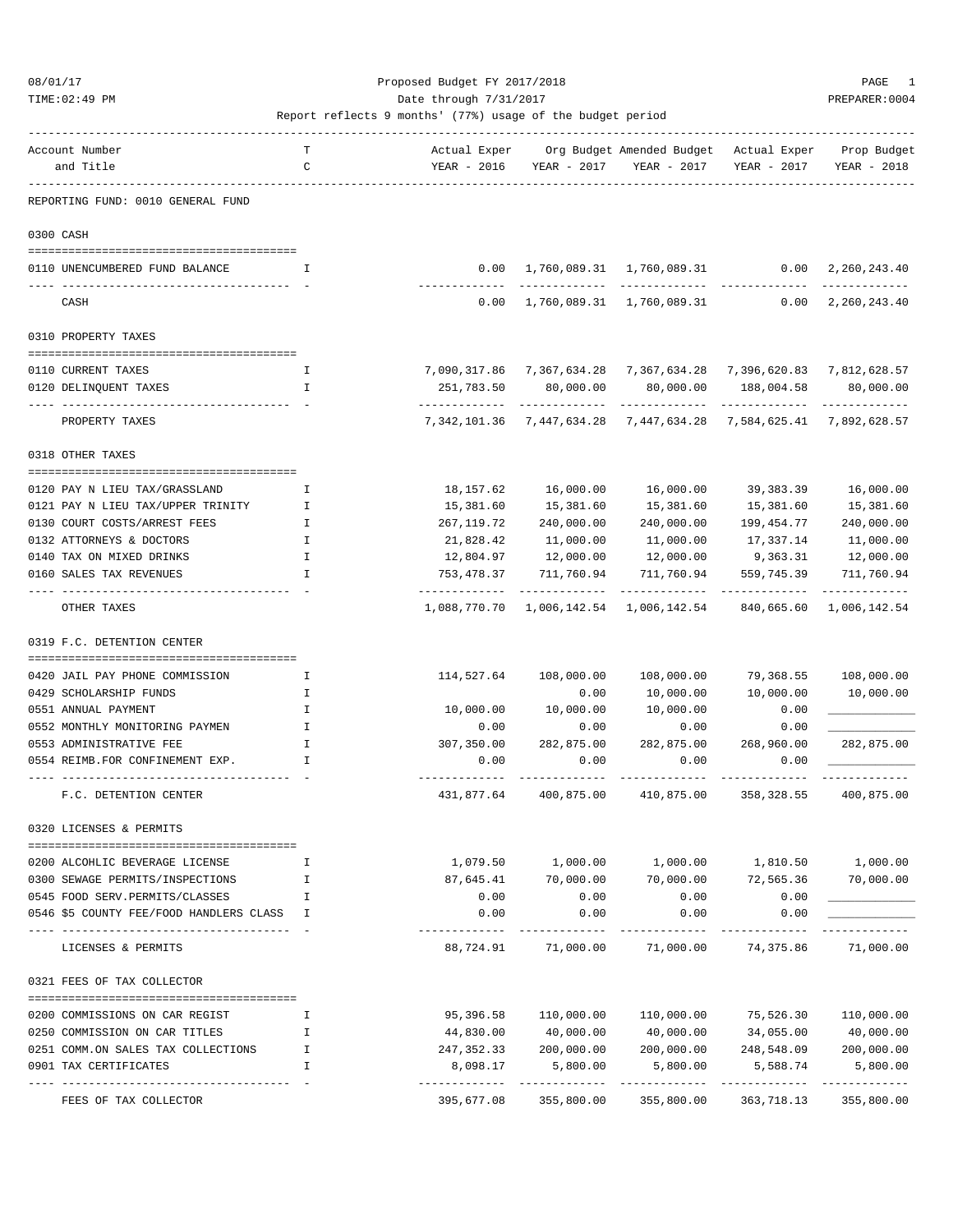TIME:02:49 PM PREPARER:0004 Date through 7/31/2017 PREPARER:0004

| Account Number                                                      | т      | Actual Exper            |                         | Org Budget Amended Budget                                                                | Actual Exper                | Prop Budget               |
|---------------------------------------------------------------------|--------|-------------------------|-------------------------|------------------------------------------------------------------------------------------|-----------------------------|---------------------------|
| and Title                                                           | C      | YEAR - 2016             | YEAR - 2017             | YEAR - 2017                                                                              | YEAR - 2017                 | YEAR - 2018               |
|                                                                     |        |                         |                         |                                                                                          |                             |                           |
| REPORTING FUND: 0010 GENERAL FUND                                   |        |                         |                         |                                                                                          |                             |                           |
| 0300 CASH                                                           |        |                         |                         |                                                                                          |                             |                           |
| 0110 UNENCUMBERED FUND BALANCE                                      | I      |                         |                         | $0.00 \quad 1,760,089.31 \quad 1,760,089.31$                                             | 0.00                        | 2,260,243.40              |
| CASH                                                                |        | 0.00                    |                         | 1,760,089.31 1,760,089.31                                                                | 0.00                        | 2,260,243.40              |
| 0310 PROPERTY TAXES                                                 |        |                         |                         |                                                                                          |                             |                           |
|                                                                     |        |                         |                         |                                                                                          |                             |                           |
| 0110 CURRENT TAXES                                                  | I      |                         |                         | 7,090,317.86              7,367,634.28             7,367,634.28             7,396,620.83 |                             | 7,812,628.57              |
| 0120 DELINQUENT TAXES                                               | I      | 251,783.50              | 80,000.00               | 80,000.00                                                                                | 188,004.58<br>------------- | 80,000.00<br>------------ |
| PROPERTY TAXES                                                      |        | 7,342,101.36            | 7,447,634.28            | 7,447,634.28                                                                             | 7,584,625.41                | 7,892,628.57              |
| 0318 OTHER TAXES                                                    |        |                         |                         |                                                                                          |                             |                           |
| 0120 PAY N LIEU TAX/GRASSLAND                                       | I      | 18,157.62               | 16,000.00               | 16,000.00                                                                                | 39,383.39                   | 16,000.00                 |
| 0121 PAY N LIEU TAX/UPPER TRINITY                                   | I      | 15,381.60               | 15,381.60               | 15,381.60                                                                                | 15,381.60                   | 15,381.60                 |
| 0130 COURT COSTS/ARREST FEES                                        | I      | 267,119.72              | 240,000.00              | 240,000.00                                                                               | 199, 454.77                 | 240,000.00                |
| 0132 ATTORNEYS & DOCTORS                                            | I      | 21,828.42               | 11,000.00               | 11,000.00                                                                                | 17,337.14                   | 11,000.00                 |
| 0140 TAX ON MIXED DRINKS                                            | I      | 12,804.97               | 12,000.00               | 12,000.00                                                                                | 9,363.31                    | 12,000.00                 |
| 0160 SALES TAX REVENUES                                             | I      | 753,478.37              | 711,760.94              | 711,760.94                                                                               | 559,745.39                  | 711,760.94                |
| OTHER TAXES                                                         |        | 1,088,770.70            | 1,006,142.54            | 1,006,142.54                                                                             | 840,665.60                  | 1,006,142.54              |
| 0319 F.C. DETENTION CENTER                                          |        |                         |                         |                                                                                          |                             |                           |
|                                                                     |        |                         |                         |                                                                                          |                             |                           |
| 0420 JAIL PAY PHONE COMMISSION<br>0429 SCHOLARSHIP FUNDS            | Ι.     | 114,527.64              | 108,000.00<br>0.00      | 108,000.00                                                                               | 79,368.55                   | 108,000.00                |
| 0551 ANNUAL PAYMENT                                                 | I<br>I | 10,000.00               | 10,000.00               | 10,000.00<br>10,000.00                                                                   | 10,000.00<br>0.00           | 10,000.00                 |
| 0552 MONTHLY MONITORING PAYMEN                                      | I      | 0.00                    | 0.00                    | 0.00                                                                                     | 0.00                        |                           |
| 0553 ADMINISTRATIVE FEE                                             | I      | 307,350.00              | 282,875.00              | 282,875.00                                                                               | 268,960.00                  | 282,875.00                |
| 0554 REIMB.FOR CONFINEMENT EXP.                                     | I      | 0.00                    | 0.00                    | 0.00                                                                                     | 0.00                        |                           |
| F.C. DETENTION CENTER                                               |        | 431,877.64              | 400,875.00              | 410,875.00                                                                               | 358, 328.55                 | 400,875.00                |
| 0320 LICENSES & PERMITS                                             |        |                         |                         |                                                                                          |                             |                           |
|                                                                     |        |                         |                         |                                                                                          |                             |                           |
| 0200 ALCOHLIC BEVERAGE LICENSE                                      | I      | 1,079.50                | 1,000.00                | 1,000.00                                                                                 | 1,810.50                    | 1,000.00                  |
| 0300 SEWAGE PERMITS/INSPECTIONS                                     | I      | 87,645.41               | 70,000.00               | 70,000.00                                                                                | 72,565.36                   | 70,000.00                 |
| 0545 FOOD SERV. PERMITS/CLASSES                                     | I      | 0.00                    | 0.00                    | 0.00                                                                                     | 0.00                        |                           |
| 0546 \$5 COUNTY FEE/FOOD HANDLERS CLASS                             | I      | 0.00                    | 0.00                    | 0.00                                                                                     | 0.00                        |                           |
| LICENSES & PERMITS                                                  |        | 88,724.91               | 71,000.00               | 71,000.00                                                                                | 74,375.86                   | 71,000.00                 |
| 0321 FEES OF TAX COLLECTOR                                          |        |                         |                         |                                                                                          |                             |                           |
|                                                                     |        |                         |                         |                                                                                          |                             |                           |
| 0200 COMMISSIONS ON CAR REGIST                                      | I      | 95,396.58               | 110,000.00              | 110,000.00                                                                               | 75,526.30                   | 110,000.00                |
| 0250 COMMISSION ON CAR TITLES<br>0251 COMM.ON SALES TAX COLLECTIONS | I<br>I | 44,830.00<br>247,352.33 | 40,000.00<br>200,000.00 | 40,000.00<br>200,000.00                                                                  | 34,055.00<br>248,548.09     | 40,000.00<br>200,000.00   |
| 0901 TAX CERTIFICATES                                               | I      | 8,098.17                | 5,800.00                | 5,800.00                                                                                 | 5,588.74                    | 5,800.00                  |
|                                                                     |        | -----------             |                         |                                                                                          |                             |                           |
| FEES OF TAX COLLECTOR                                               |        | 395,677.08              | 355,800.00              | 355,800.00                                                                               | 363,718.13                  | 355,800.00                |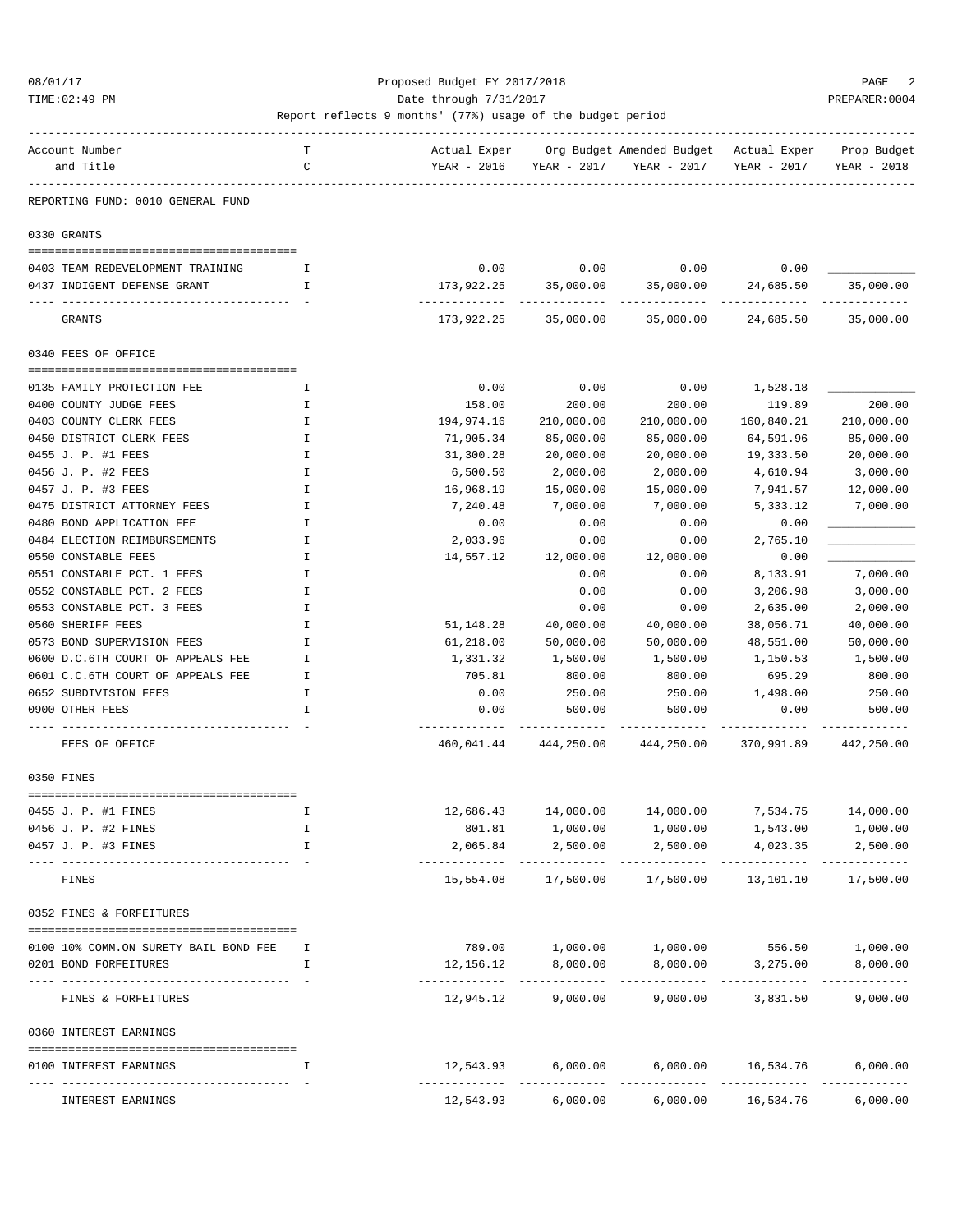### 08/01/17 Proposed Budget FY 2017/2018 PAGE 2 TIME:02:49 PM PREPARER:0004 Date through 7/31/2017 PREPARER:0004

| Account Number                                           | т            |                     |                          | Actual Exper Org Budget Amended Budget Actual Exper Prop Budget |                                     |                          |
|----------------------------------------------------------|--------------|---------------------|--------------------------|-----------------------------------------------------------------|-------------------------------------|--------------------------|
| and Title                                                | $\mathbf C$  |                     |                          | YEAR - 2016 YEAR - 2017 YEAR - 2017                             | YEAR - 2017                         | YEAR - 2018              |
| REPORTING FUND: 0010 GENERAL FUND                        |              |                     |                          |                                                                 |                                     |                          |
| 0330 GRANTS                                              |              |                     |                          |                                                                 |                                     |                          |
|                                                          |              |                     |                          |                                                                 |                                     |                          |
| 0403 TEAM REDEVELOPMENT TRAINING                         | Ι.           | 0.00                |                          | $0.00$ $0.00$ $0.00$ $0.00$                                     |                                     |                          |
| 0437 INDIGENT DEFENSE GRANT                              | $\mathbf{I}$ | 173,922.25          |                          | 35,000.00 35,000.00 24,685.50                                   | -------------                       | 35,000.00                |
| GRANTS                                                   |              |                     |                          | $173,922.25$ $35,000.00$ $35,000.00$ $24,685.50$                |                                     | 35,000.00                |
| 0340 FEES OF OFFICE                                      |              |                     |                          |                                                                 |                                     |                          |
| 0135 FAMILY PROTECTION FEE                               | Ι.           | 0.00                | 0.00                     | 0.00                                                            | 1,528.18                            |                          |
| 0400 COUNTY JUDGE FEES                                   | Ι.           | 158.00              | 200.00                   | 200.00                                                          | 119.89                              | 200.00                   |
| 0403 COUNTY CLERK FEES                                   | I            | 194,974.16          | 210,000.00               | 210,000.00                                                      | 160,840.21                          | 210,000.00               |
| 0450 DISTRICT CLERK FEES                                 | Ι.           | 71,905.34           | 85,000.00                | 85,000.00                                                       | 64,591.96                           | 85,000.00                |
| 0455 J. P. #1 FEES                                       | $\mathbf I$  | 31,300.28           | 20,000.00                | 20,000.00                                                       | 19,333.50                           | 20,000.00                |
| 0456 J. P. #2 FEES                                       | $\mathbf I$  | 6,500.50            | 2,000.00                 | 2,000.00                                                        | 4,610.94                            | 3,000.00                 |
| 0457 J. P. #3 FEES                                       | Ι.           | 16,968.19           | 15,000.00                | 15,000.00                                                       | 7,941.57                            | 12,000.00                |
| 0475 DISTRICT ATTORNEY FEES                              | I            | 7,240.48            | 7,000.00                 | 7,000.00                                                        | 5,333.12                            | 7,000.00                 |
| 0480 BOND APPLICATION FEE                                | I.           | 0.00                | 0.00                     | 0.00                                                            | 0.00                                |                          |
| 0484 ELECTION REIMBURSEMENTS                             | I            | 2,033.96            | 0.00                     | 0.00                                                            | 2,765.10                            |                          |
| 0550 CONSTABLE FEES                                      | I            |                     | 14,557.12 12,000.00      | 12,000.00                                                       | 0.00                                |                          |
| 0551 CONSTABLE PCT. 1 FEES                               | I            |                     | 0.00                     | 0.00                                                            | 8,133.91                            | 7,000.00                 |
| 0552 CONSTABLE PCT. 2 FEES                               | Ι.           |                     | 0.00                     | 0.00                                                            | 3,206.98                            | 3,000.00                 |
| 0553 CONSTABLE PCT. 3 FEES                               | I            |                     | 0.00                     | 0.00                                                            | 2,635.00                            | 2,000.00                 |
| 0560 SHERIFF FEES                                        | I            | 51,148.28           | 40,000.00                | 40,000.00                                                       | 38,056.71                           | 40,000.00                |
| 0573 BOND SUPERVISION FEES                               | I            | 61,218.00           | 50,000.00                | 50,000.00                                                       | 48,551.00                           | 50,000.00                |
| 0600 D.C.6TH COURT OF APPEALS FEE                        | I            | 1,331.32            | 1,500.00                 | 1,500.00                                                        | 1,150.53                            | 1,500.00                 |
| 0601 C.C.6TH COURT OF APPEALS FEE                        | Ι.           | 705.81              | 800.00                   | 800.00                                                          | 695.29                              | 800.00                   |
| 0652 SUBDIVISION FEES                                    | Ι.           | 0.00                | 250.00                   | 250.00                                                          | 1,498.00                            | 250.00                   |
| 0900 OTHER FEES                                          | $\mathbf{I}$ | 0.00<br>----------- | 500.00                   | 500.00<br>------------                                          | 0.00                                | 500.00                   |
| FEES OF OFFICE                                           |              |                     |                          | 460,041.44 444,250.00 444,250.00 370,991.89 442,250.00          |                                     |                          |
| 0350 FINES                                               |              |                     |                          |                                                                 |                                     |                          |
| 0455 J. P. #1 FINES                                      | I            |                     |                          | 12,686.43 14,000.00 14,000.00 7,534.75 14,000.00                |                                     |                          |
| 0456 J. P. #2 FINES                                      |              | 801.81              | 1,000.00                 | 1,000.00                                                        | 1,543.00                            | 1,000.00                 |
| 0457 J. P. #3 FINES                                      | I            | 2,065.84            | 2,500.00                 | 2,500.00                                                        | 4,023.35                            | 2,500.00                 |
| ---- -------------<br>-------------------<br>FINES       |              | 15,554.08           | 17,500.00                | 17,500.00                                                       | 13,101.10                           | 17,500.00                |
| 0352 FINES & FORFEITURES                                 |              |                     |                          |                                                                 |                                     |                          |
|                                                          |              |                     |                          |                                                                 |                                     |                          |
| 0100 10% COMM.ON SURETY BAIL BOND FEE                    | I.           |                     |                          | 789.00    1,000.00    1,000.00    556.50    1,000.00            |                                     |                          |
| 0201 BOND FORFEITURES<br>------------------------------- | I.           | 12,156.12           | ---------- ------------- | 8,000.00 8,000.00                                               | 3,275.00                            | 8,000.00                 |
| FINES & FORFEITURES                                      |              | 12,945.12           | 9,000.00                 | 9,000.00                                                        | 3,831.50                            | 9,000.00                 |
| 0360 INTEREST EARNINGS                                   |              |                     |                          |                                                                 |                                     |                          |
| 0100 INTEREST EARNINGS                                   | I.           |                     | 12,543.93 6,000.00       |                                                                 | 6,000.00 16,534.76<br>------------- | 6,000.00                 |
| INTEREST EARNINGS                                        |              | 12,543.93           |                          | 6,000.00 6,000.00 16,534.76                                     |                                     | ------------<br>6,000.00 |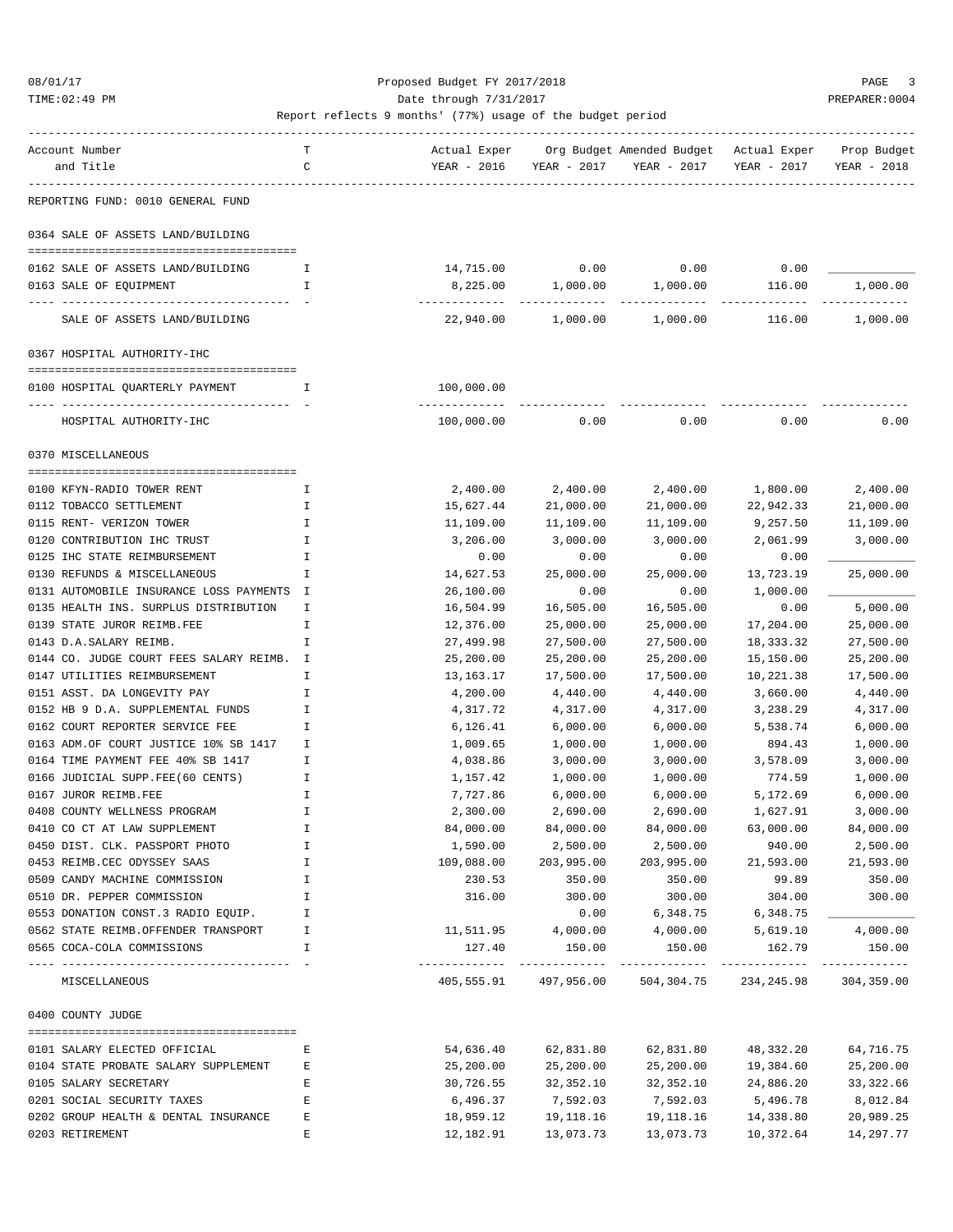TIME:02:49 PM PREPARER:0004 Date through 7/31/2017 PREPARER:0004

| Account Number                            | т            | Actual Exper |                       | Org Budget Amended Budget Actual Exper |                         | Prop Budget |
|-------------------------------------------|--------------|--------------|-----------------------|----------------------------------------|-------------------------|-------------|
| and Title                                 | C            | YEAR - 2016  | YEAR - 2017           | YEAR - 2017                            | YEAR - 2017             | YEAR - 2018 |
| REPORTING FUND: 0010 GENERAL FUND         |              |              |                       |                                        |                         |             |
| 0364 SALE OF ASSETS LAND/BUILDING         |              |              |                       |                                        |                         |             |
|                                           |              |              |                       |                                        |                         |             |
| 0162 SALE OF ASSETS LAND/BUILDING         | I            | 14,715.00    | 0.00                  | 0.00                                   | 0.00                    |             |
| 0163 SALE OF EQUIPMENT                    | I.           | 8,225.00     | 1,000.00              | 1,000.00                               | 116.00                  | 1,000.00    |
| SALE OF ASSETS LAND/BUILDING              |              | 22,940.00    | 1,000.00              | 1,000.00                               | 116.00                  | 1,000.00    |
| 0367 HOSPITAL AUTHORITY-IHC               |              |              |                       |                                        |                         |             |
|                                           |              |              |                       |                                        |                         |             |
| 0100 HOSPITAL QUARTERLY PAYMENT           | I            | 100,000.00   |                       |                                        |                         |             |
| HOSPITAL AUTHORITY-IHC                    |              | 100,000.00   | 0.00                  | 0.00                                   | 0.00                    | 0.00        |
| 0370 MISCELLANEOUS                        |              |              |                       |                                        |                         |             |
| 0100 KFYN-RADIO TOWER RENT                | I            | 2,400.00     | 2,400.00              | 2,400.00                               | 1,800.00                | 2,400.00    |
| 0112 TOBACCO SETTLEMENT                   | I            | 15,627.44    | 21,000.00             | 21,000.00                              | 22,942.33               | 21,000.00   |
| 0115 RENT- VERIZON TOWER                  | I            | 11,109.00    | 11,109.00             | 11,109.00                              | 9,257.50                | 11,109.00   |
| 0120 CONTRIBUTION IHC TRUST               | I            | 3,206.00     | 3,000.00              | 3,000.00                               | 2,061.99                | 3,000.00    |
| 0125 IHC STATE REIMBURSEMENT              | I            | 0.00         | 0.00                  | 0.00                                   | 0.00                    |             |
| 0130 REFUNDS & MISCELLANEOUS              | I            | 14,627.53    | 25,000.00             | 25,000.00                              | 13,723.19               | 25,000.00   |
| 0131 AUTOMOBILE INSURANCE LOSS PAYMENTS I |              | 26,100.00    | 0.00                  | 0.00                                   | 1,000.00                |             |
| 0135 HEALTH INS. SURPLUS DISTRIBUTION     | I            | 16,504.99    | 16,505.00             | 16,505.00                              | 0.00                    | 5,000.00    |
| 0139 STATE JUROR REIMB.FEE                | I            | 12,376.00    | 25,000.00             | 25,000.00                              | 17,204.00               | 25,000.00   |
| 0143 D.A.SALARY REIMB.                    | I            | 27,499.98    | 27,500.00             | 27,500.00                              | 18, 333. 32             | 27,500.00   |
| 0144 CO. JUDGE COURT FEES SALARY REIMB. I |              | 25,200.00    | 25,200.00             | 25,200.00                              | 15,150.00               | 25,200.00   |
| 0147 UTILITIES REIMBURSEMENT              | I            | 13,163.17    | 17,500.00             | 17,500.00                              | 10,221.38               | 17,500.00   |
| 0151 ASST. DA LONGEVITY PAY               | I            | 4,200.00     | 4,440.00              | 4,440.00                               | 3,660.00                | 4,440.00    |
| 0152 HB 9 D.A. SUPPLEMENTAL FUNDS         | I            | 4,317.72     | 4,317.00              | 4,317.00                               | 3,238.29                | 4,317.00    |
| 0162 COURT REPORTER SERVICE FEE           | I            | 6,126.41     | 6,000.00              | 6,000.00                               | 5,538.74                | 6,000.00    |
| 0163 ADM.OF COURT JUSTICE 10% SB 1417     | I            | 1,009.65     | 1,000.00              | 1,000.00                               | 894.43                  | 1,000.00    |
| 0164 TIME PAYMENT FEE 40% SB 1417         | I            | 4,038.86     | 3,000.00              | 3,000.00                               | 3,578.09                | 3,000.00    |
| 0166 JUDICIAL SUPP.FEE(60 CENTS)          | I            | 1,157.42     | 1,000.00              | 1,000.00                               | 774.59                  | 1,000.00    |
| 0167 JUROR REIMB.FEE                      | Ι            | 7,727.86     | 6,000.00              | 6,000.00                               | 5,172.69                | 6,000.00    |
| 0408 COUNTY WELLNESS PROGRAM              | I            | 2,300.00     | 2,690.00              | 2,690.00                               | 1,627.91                | 3,000.00    |
| 0410 CO CT AT LAW SUPPLEMENT              |              | 84,000.00    | 84,000.00             | 84,000.00                              | 63,000.00               | 84,000.00   |
| 0450 DIST. CLK. PASSPORT PHOTO            | I            | 1,590.00     | 2,500.00              | 2,500.00                               | 940.00                  | 2,500.00    |
| 0453 REIMB.CEC ODYSSEY SAAS               | I            | 109,088.00   | 203,995.00            | 203,995.00                             | 21,593.00               | 21,593.00   |
| 0509 CANDY MACHINE COMMISSION             | I            | 230.53       | 350.00                | 350.00                                 | 99.89                   | 350.00      |
| 0510 DR. PEPPER COMMISSION                | I            | 316.00       | 300.00                | 300.00                                 | 304.00                  | 300.00      |
| 0553 DONATION CONST.3 RADIO EQUIP.        | H            |              | 0.00                  | 6,348.75                               | 6,348.75                |             |
| 0562 STATE REIMB.OFFENDER TRANSPORT       | Ι.           | 11,511.95    | 4,000.00              | 4,000.00                               | 5,619.10                | 4,000.00    |
| 0565 COCA-COLA COMMISSIONS                | $\mathbf{I}$ | 127.40       | 150.00                | 150.00                                 | 162.79<br>------------- | 150.00      |
| MISCELLANEOUS                             |              |              | 405,555.91 497,956.00 |                                        | 504,304.75 234,245.98   | 304,359.00  |
| 0400 COUNTY JUDGE                         |              |              |                       |                                        |                         |             |
| 0101 SALARY ELECTED OFFICIAL              | Е            | 54,636.40    | 62,831.80             | 62,831.80                              | 48,332.20               | 64,716.75   |
| 0104 STATE PROBATE SALARY SUPPLEMENT      | Е            | 25,200.00    | 25,200.00             | 25,200.00                              | 19,384.60               | 25,200.00   |
| 0105 SALARY SECRETARY                     | Ε            | 30,726.55    | 32,352.10             | 32,352.10                              | 24,886.20               | 33, 322.66  |
| 0201 SOCIAL SECURITY TAXES                | Ε            | 6,496.37     | 7,592.03              | 7,592.03                               | 5,496.78                | 8,012.84    |
| 0202 GROUP HEALTH & DENTAL INSURANCE      | Ε            | 18,959.12    | 19,118.16             | 19,118.16                              | 14,338.80               | 20,989.25   |
| 0203 RETIREMENT                           | E            | 12,182.91    | 13,073.73             | 13,073.73                              | 10,372.64               | 14,297.77   |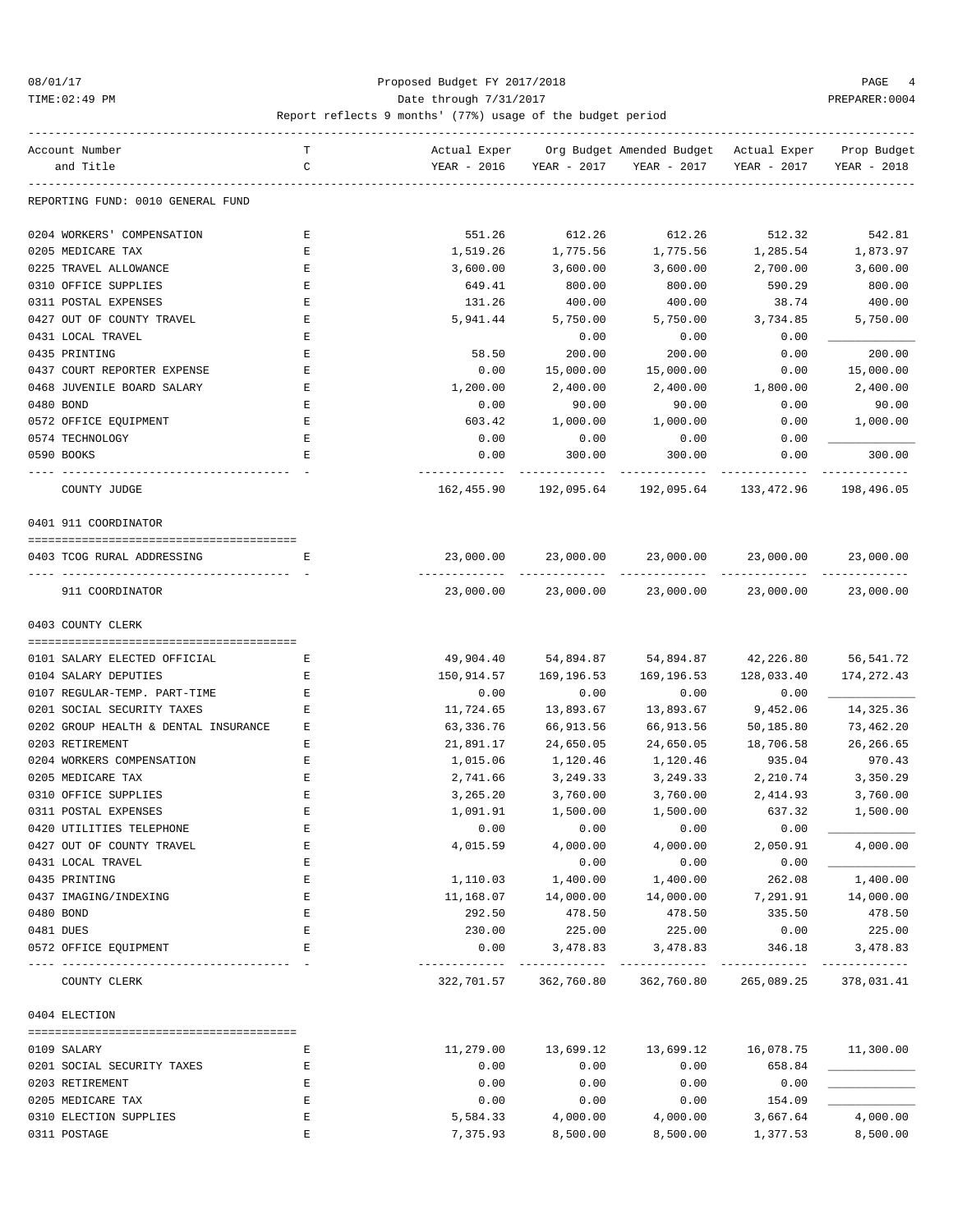### 08/01/17 Proposed Budget FY 2017/2018 PAGE 4 TIME:02:49 PM PREPARER:0004 Date through 7/31/2017 PREPARER:0004

| Account Number                       | т           | Actual Exper |                       | Org Budget Amended Budget - Actual Exper |                                                  | Prop Budget   |
|--------------------------------------|-------------|--------------|-----------------------|------------------------------------------|--------------------------------------------------|---------------|
| and Title                            | C           | YEAR - 2016  | YEAR - 2017           | YEAR - 2017                              | YEAR - 2017                                      | YEAR - 2018   |
| REPORTING FUND: 0010 GENERAL FUND    |             |              |                       |                                          |                                                  |               |
| 0204 WORKERS' COMPENSATION           | Е           | 551.26       | 612.26                | 612.26                                   | 512.32                                           | 542.81        |
| 0205 MEDICARE TAX                    | E           | 1,519.26     | 1,775.56              | 1,775.56                                 | 1,285.54                                         | 1,873.97      |
| 0225 TRAVEL ALLOWANCE                | Ε           | 3,600.00     | 3,600.00              | 3,600.00                                 | 2,700.00                                         | 3,600.00      |
| 0310 OFFICE SUPPLIES                 | E           | 649.41       | 800.00                | 800.00                                   | 590.29                                           | 800.00        |
| 0311 POSTAL EXPENSES                 | Ε           | 131.26       | 400.00                | 400.00                                   | 38.74                                            | 400.00        |
| 0427 OUT OF COUNTY TRAVEL            | Ε           | 5,941.44     | 5,750.00              | 5,750.00                                 | 3,734.85                                         | 5,750.00      |
| 0431 LOCAL TRAVEL                    | Е           |              | 0.00                  | 0.00                                     | 0.00                                             |               |
| 0435 PRINTING                        | E           | 58.50        | 200.00                | 200.00                                   | 0.00                                             | 200.00        |
| 0437 COURT REPORTER EXPENSE          | $\mathbf E$ | 0.00         | 15,000.00             | 15,000.00                                | 0.00                                             | 15,000.00     |
| 0468 JUVENILE BOARD SALARY           | Ε           | 1,200.00     | 2,400.00              | 2,400.00                                 | 1,800.00                                         | 2,400.00      |
| 0480 BOND                            | Ε           | 0.00         | 90.00                 | 90.00                                    | 0.00                                             | 90.00         |
| 0572 OFFICE EQUIPMENT                | Ε           | 603.42       | 1,000.00              | 1,000.00                                 | 0.00                                             | 1,000.00      |
| 0574 TECHNOLOGY                      | Ε           | 0.00         | 0.00                  | 0.00                                     | 0.00                                             |               |
| 0590 BOOKS                           | E           | 0.00         | 300.00                | 300.00                                   | 0.00                                             | 300.00        |
|                                      |             |              |                       |                                          |                                                  |               |
| COUNTY JUDGE                         |             |              |                       | 162,455.90    192,095.64    192,095.64   | 133,472.96                                       | 198,496.05    |
| 0401 911 COORDINATOR                 |             |              |                       |                                          |                                                  |               |
|                                      |             |              |                       |                                          |                                                  |               |
| 0403 TCOG RURAL ADDRESSING           | Е           | 23,000.00    | 23,000.00             | 23,000.00                                | 23,000.00                                        | 23,000.00     |
| 911 COORDINATOR                      |             | 23,000.00    | 23,000.00             | 23,000.00                                | 23,000.00                                        | 23,000.00     |
| 0403 COUNTY CLERK                    |             |              |                       |                                          |                                                  |               |
| 0101 SALARY ELECTED OFFICIAL         | Е           | 49,904.40    | 54,894.87             | 54,894.87                                | 42,226.80                                        | 56,541.72     |
| 0104 SALARY DEPUTIES                 | Е           | 150,914.57   | 169,196.53            | 169,196.53                               | 128,033.40                                       | 174,272.43    |
| 0107 REGULAR-TEMP. PART-TIME         | Ε           | 0.00         | 0.00                  | 0.00                                     | 0.00                                             |               |
| 0201 SOCIAL SECURITY TAXES           | Е           | 11,724.65    | 13,893.67             | 13,893.67                                | 9,452.06                                         | 14,325.36     |
| 0202 GROUP HEALTH & DENTAL INSURANCE | Ε           | 63,336.76    | 66,913.56             | 66,913.56                                | 50,185.80                                        | 73,462.20     |
| 0203 RETIREMENT                      | Ε           | 21,891.17    | 24,650.05             | 24,650.05                                | 18,706.58                                        | 26, 266.65    |
| 0204 WORKERS COMPENSATION            | Ε           | 1,015.06     | 1,120.46              | 1,120.46                                 | 935.04                                           | 970.43        |
| 0205 MEDICARE TAX                    | Е           | 2,741.66     | 3,249.33              | 3,249.33                                 | 2,210.74                                         | 3,350.29      |
| 0310 OFFICE SUPPLIES                 | Ε           | 3,265.20     | 3,760.00              | 3,760.00                                 | 2,414.93                                         | 3,760.00      |
| 0311 POSTAL EXPENSES                 | Ε           | 1,091.91     | 1,500.00              | 1,500.00                                 | 637.32                                           | 1,500.00      |
| 0420 UTILITIES TELEPHONE             |             | 0.00         | 0.00                  | 0.00                                     | 0.00                                             |               |
| 0427 OUT OF COUNTY TRAVEL            | E           | 4,015.59     | 4,000.00              | 4,000.00                                 | 2,050.91                                         | 4,000.00      |
| 0431 LOCAL TRAVEL                    | E           |              | 0.00                  | 0.00                                     | 0.00                                             |               |
| 0435 PRINTING                        | E           | 1,110.03     | 1,400.00              | 1,400.00                                 | 262.08                                           | 1,400.00      |
| 0437 IMAGING/INDEXING                | E           | 11,168.07    | 14,000.00             | 14,000.00                                | 7,291.91                                         | 14,000.00     |
| 0480 BOND                            | E           | 292.50       | 478.50                | 478.50                                   | 335.50                                           | 478.50        |
| 0481 DUES                            | $\mathbf E$ | 230.00       | 225.00                | 225.00                                   | 0.00                                             | 225.00        |
| 0572 OFFICE EQUIPMENT                | Е           | 0.00         | 3,478.83              | 3,478.83                                 | 346.18                                           | 3,478.83      |
| COUNTY CLERK                         |             |              | 322,701.57 362,760.80 | ----------------                         | ------------<br>362,760.80 265,089.25 378,031.41 | ------------- |
| 0404 ELECTION                        |             |              |                       |                                          |                                                  |               |
|                                      |             |              |                       |                                          |                                                  |               |
| 0109 SALARY                          | Е           | 11,279.00    | 13,699.12             | 13,699.12                                | 16,078.75 11,300.00                              |               |
| 0201 SOCIAL SECURITY TAXES           | Е           | 0.00         | 0.00                  | 0.00                                     | 658.84                                           |               |
| 0203 RETIREMENT                      | E           | 0.00         | 0.00                  | 0.00                                     | 0.00                                             |               |
| 0205 MEDICARE TAX                    | Ε           | 0.00         | 0.00                  | 0.00                                     | 154.09                                           |               |
| 0310 ELECTION SUPPLIES               | $\mathbf E$ | 5,584.33     | 4,000.00              | 4,000.00                                 | 3,667.64                                         | 4,000.00      |
| 0311 POSTAGE                         | Ε           | 7,375.93     | 8,500.00              | 8,500.00                                 | 1,377.53                                         | 8,500.00      |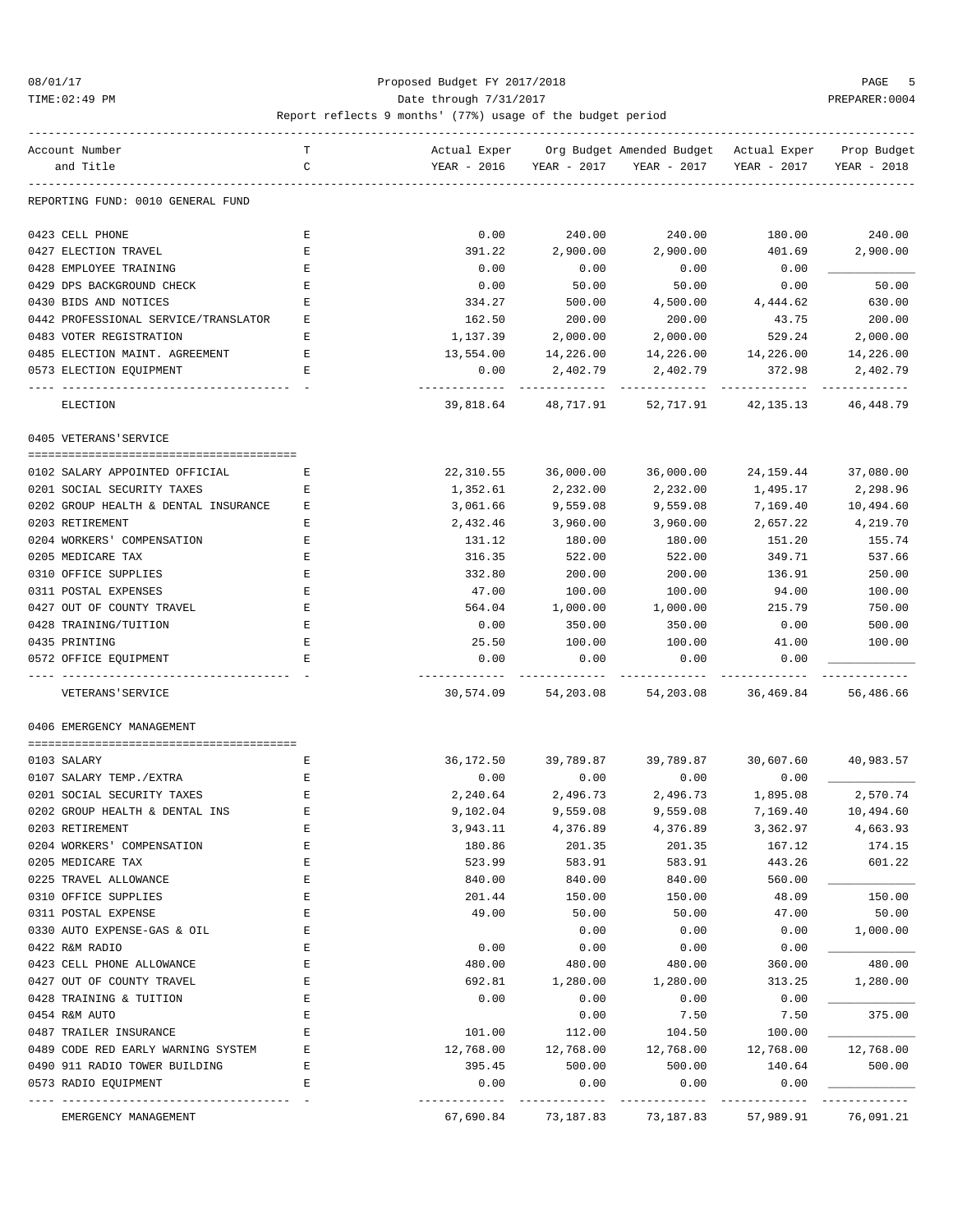### 08/01/17 Proposed Budget FY 2017/2018 PAGE 5 TIME:02:49 PM PREPARER:0004 Date through 7/31/2017 PREPARER:0004

| Account Number                                              | т |                           |                    | Actual Exper Org Budget Amended Budget Actual Exper Prop Budget |                       |             |
|-------------------------------------------------------------|---|---------------------------|--------------------|-----------------------------------------------------------------|-----------------------|-------------|
| and Title                                                   | C | YEAR - 2016               |                    | YEAR - 2017 YEAR - 2017                                         | YEAR - 2017           | YEAR - 2018 |
| REPORTING FUND: 0010 GENERAL FUND                           |   |                           |                    |                                                                 |                       |             |
| 0423 CELL PHONE                                             | Е | 0.00                      | 240.00             | 240.00                                                          | 180.00                | 240.00      |
| 0427 ELECTION TRAVEL                                        | Е | 391.22                    | 2,900.00           | 2,900.00                                                        | 401.69                | 2,900.00    |
| 0428 EMPLOYEE TRAINING                                      | Е | 0.00                      | 0.00               | 0.00                                                            | 0.00                  |             |
| 0429 DPS BACKGROUND CHECK                                   | Е | 0.00                      | 50.00              | 50.00                                                           | 0.00                  | 50.00       |
| 0430 BIDS AND NOTICES                                       | Е | 334.27                    | 500.00             | 4,500.00                                                        | 4,444.62              | 630.00      |
| 0442 PROFESSIONAL SERVICE/TRANSLATOR                        | Е | 162.50                    | 200.00             | 200.00                                                          | 43.75                 | 200.00      |
| 0483 VOTER REGISTRATION                                     | Е | 1,137.39                  | 2,000.00           | 2,000.00                                                        | 529.24                | 2,000.00    |
| 0485 ELECTION MAINT. AGREEMENT                              | Е | 13,554.00                 | 14,226.00          | 14,226.00                                                       | 14,226.00             | 14,226.00   |
| 0573 ELECTION EQUIPMENT                                     | Е | 0.00                      | 2,402.79           | 2,402.79                                                        | 372.98                | 2,402.79    |
| ELECTION                                                    |   | . <u>.</u> .<br>39,818.64 | 48,717.91          | 52,717.91                                                       | 42,135.13             | 46,448.79   |
|                                                             |   |                           |                    |                                                                 |                       |             |
| 0405 VETERANS'SERVICE                                       |   |                           |                    |                                                                 |                       |             |
| 0102 SALARY APPOINTED OFFICIAL                              | Е | 22,310.55                 | 36,000.00          | 36,000.00                                                       | 24,159.44             | 37,080.00   |
| 0201 SOCIAL SECURITY TAXES                                  | Е | 1,352.61                  | 2,232.00           | 2,232.00                                                        | 1,495.17              | 2,298.96    |
| 0202 GROUP HEALTH & DENTAL INSURANCE                        | Е | 3,061.66                  | 9,559.08           | 9,559.08                                                        | 7,169.40              | 10,494.60   |
| 0203 RETIREMENT                                             | Е | 2,432.46                  | 3,960.00           | 3,960.00                                                        | 2,657.22              | 4,219.70    |
| 0204 WORKERS' COMPENSATION                                  | Е | 131.12                    | 180.00             | 180.00                                                          | 151.20                | 155.74      |
| 0205 MEDICARE TAX                                           | Е | 316.35                    | 522.00             | 522.00                                                          | 349.71                | 537.66      |
| 0310 OFFICE SUPPLIES                                        | Ε | 332.80                    | 200.00             | 200.00                                                          | 136.91                | 250.00      |
| 0311 POSTAL EXPENSES                                        | Е | 47.00                     | 100.00             | 100.00                                                          | 94.00                 | 100.00      |
| 0427 OUT OF COUNTY TRAVEL                                   | Ε | 564.04                    | 1,000.00           | 1,000.00                                                        | 215.79                | 750.00      |
| 0428 TRAINING/TUITION                                       | Е | 0.00                      | 350.00             | 350.00                                                          | 0.00                  | 500.00      |
| 0435 PRINTING                                               | Ε | 25.50                     | 100.00             | 100.00                                                          | 41.00                 | 100.00      |
| 0572 OFFICE EQUIPMENT                                       | E | 0.00                      | 0.00               | 0.00                                                            | 0.00                  |             |
| VETERANS ' SERVICE                                          |   | 30,574.09                 | 54,203.08          |                                                                 | 54, 203.08 36, 469.84 | 56,486.66   |
| 0406 EMERGENCY MANAGEMENT                                   |   |                           |                    |                                                                 |                       |             |
|                                                             |   |                           |                    |                                                                 |                       |             |
| 0103 SALARY                                                 | Е | 36,172.50                 | 39,789.87          | 39,789.87                                                       | 30,607.60             | 40,983.57   |
| 0107 SALARY TEMP./EXTRA                                     | Е | 0.00                      | 0.00               | 0.00                                                            | 0.00                  |             |
| 0201 SOCIAL SECURITY TAXES                                  | Е | 2,240.64                  | 2,496.73           | 2,496.73                                                        | 1,895.08              | 2,570.74    |
| 0202 GROUP HEALTH & DENTAL INS                              | Ε | 9,102.04                  | 9,559.08           | 9,559.08                                                        | 7,169.40              | 10,494.60   |
| 0203 RETIREMENT                                             |   | 3,943.11                  | 4,376.89           | 4,376.89                                                        | 3,362.97              | 4,663.93    |
| 0204 WORKERS' COMPENSATION                                  | Ε | 180.86                    | 201.35             | 201.35                                                          | 167.12                | 174.15      |
| 0205 MEDICARE TAX                                           | E | 523.99                    | 583.91             | 583.91                                                          | 443.26                | 601.22      |
| 0225 TRAVEL ALLOWANCE                                       | Ε | 840.00                    | 840.00             | 840.00                                                          | 560.00                |             |
| 0310 OFFICE SUPPLIES                                        | Ε | 201.44                    | 150.00             | 150.00                                                          | 48.09                 | 150.00      |
| 0311 POSTAL EXPENSE                                         | E | 49.00                     | 50.00              | 50.00                                                           | 47.00                 | 50.00       |
| 0330 AUTO EXPENSE-GAS & OIL                                 | E |                           | 0.00               | 0.00                                                            | 0.00                  | 1,000.00    |
| 0422 R&M RADIO                                              | Ε | 0.00                      | 0.00               | 0.00                                                            | 0.00                  |             |
| 0423 CELL PHONE ALLOWANCE                                   | E | 480.00                    | 480.00             | 480.00                                                          | 360.00                | 480.00      |
| 0427 OUT OF COUNTY TRAVEL                                   | E | 692.81                    | 1,280.00           | 1,280.00                                                        | 313.25                | 1,280.00    |
| 0428 TRAINING & TUITION                                     | Ε | 0.00                      | 0.00               | 0.00                                                            | 0.00                  |             |
| 0454 R&M AUTO                                               | Ε |                           | 0.00               | 7.50                                                            | 7.50                  | 375.00      |
| 0487 TRAILER INSURANCE                                      | E | 101.00                    | 112.00             | 104.50                                                          | 100.00                |             |
| 0489 CODE RED EARLY WARNING SYSTEM                          | Ε | 12,768.00                 | 12,768.00          | 12,768.00                                                       | 12,768.00             | 12,768.00   |
| 0490 911 RADIO TOWER BUILDING                               | Ε | 395.45                    | 500.00             | 500.00                                                          | 140.64                | 500.00      |
| 0573 RADIO EQUIPMENT<br>----------------------------------- | E | 0.00                      | 0.00<br>---------- | 0.00<br>----------                                              | 0.00                  | --------    |
| EMERGENCY MANAGEMENT                                        |   | 67,690.84                 | 73,187.83          | 73,187.83                                                       | 57,989.91             | 76,091.21   |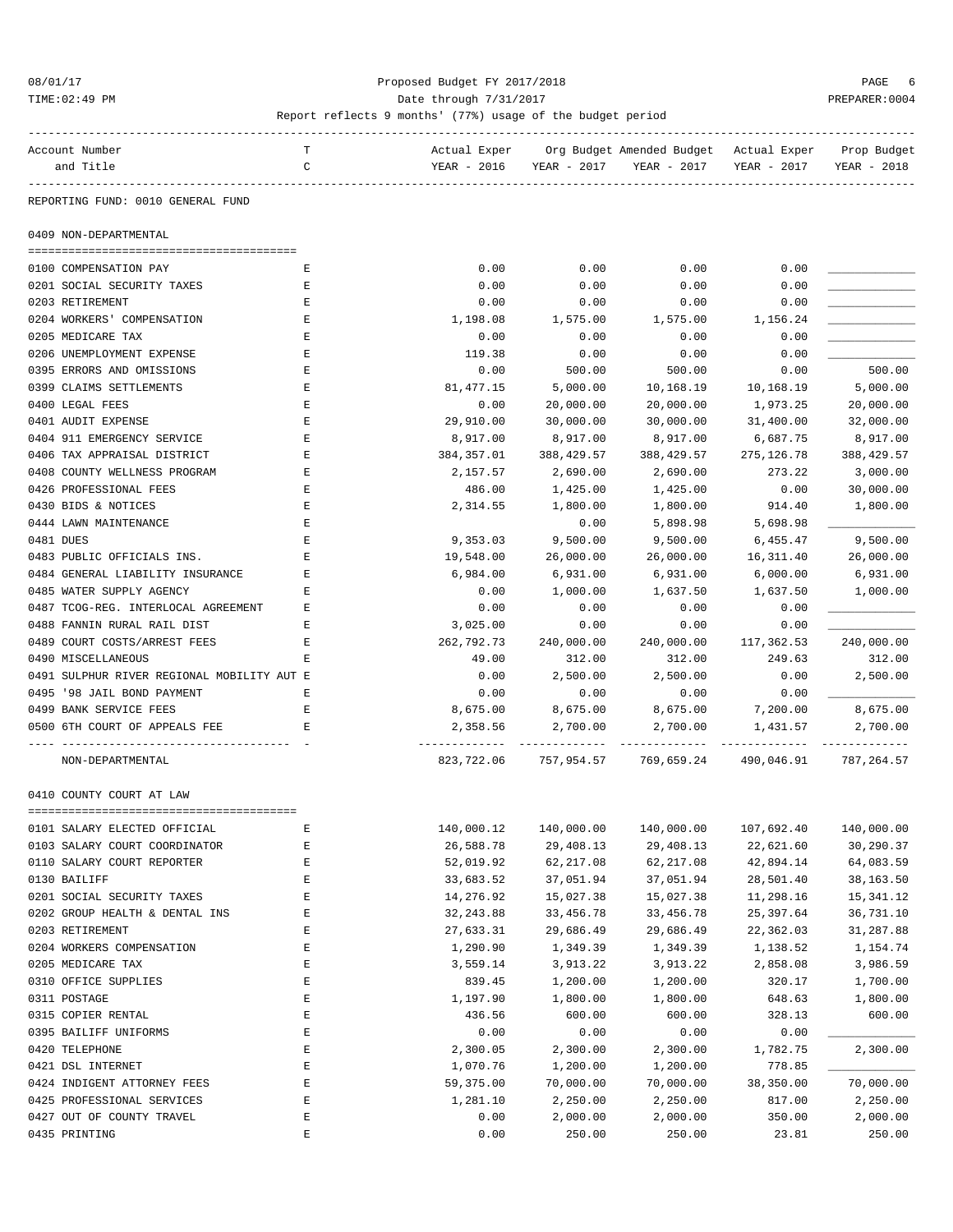### 08/01/17 Proposed Budget FY 2017/2018 PAGE 6 TIME:02:49 PM PREPARER:0004 Date through 7/31/2017 PREPARER:0004

| Account Number                             | т | Actual Exper          |                       | Org Budget Amended Budget – Actual Exper    |             | Prop Budget             |
|--------------------------------------------|---|-----------------------|-----------------------|---------------------------------------------|-------------|-------------------------|
| and Title                                  | C | YEAR - 2016           | YEAR - 2017           | YEAR - 2017                                 | YEAR - 2017 | YEAR - 2018             |
|                                            |   |                       |                       |                                             |             |                         |
| REPORTING FUND: 0010 GENERAL FUND          |   |                       |                       |                                             |             |                         |
| 0409 NON-DEPARTMENTAL                      |   |                       |                       |                                             |             |                         |
| 0100 COMPENSATION PAY                      | Е | 0.00                  | 0.00                  | 0.00                                        | 0.00        |                         |
| 0201 SOCIAL SECURITY TAXES                 | Ε | 0.00                  | 0.00                  | 0.00                                        | 0.00        |                         |
| 0203 RETIREMENT                            | Ε | 0.00                  | 0.00                  | 0.00                                        | 0.00        |                         |
| 0204 WORKERS' COMPENSATION                 | Ε | 1,198.08              | 1,575.00              | 1,575.00                                    | 1,156.24    |                         |
| 0205 MEDICARE TAX                          | Ε | 0.00                  | 0.00                  | 0.00                                        | 0.00        |                         |
| 0206 UNEMPLOYMENT EXPENSE                  | Ε | 119.38                | 0.00                  | 0.00                                        | 0.00        |                         |
| 0395 ERRORS AND OMISSIONS                  | Ε | 0.00                  | 500.00                | 500.00                                      | 0.00        | 500.00                  |
| 0399 CLAIMS SETTLEMENTS                    | Ε | 81, 477. 15           | 5,000.00              | 10,168.19                                   | 10,168.19   | 5,000.00                |
| 0400 LEGAL FEES                            | Е | 0.00                  | 20,000.00             | 20,000.00                                   | 1,973.25    | 20,000.00               |
| 0401 AUDIT EXPENSE                         | Ε |                       |                       |                                             |             |                         |
| 0404 911 EMERGENCY SERVICE                 | Ε | 29,910.00<br>8,917.00 | 30,000.00<br>8,917.00 | 30,000.00                                   | 31,400.00   | 32,000.00               |
| 0406 TAX APPRAISAL DISTRICT                |   |                       |                       | 8,917.00                                    | 6,687.75    | 8,917.00<br>388, 429.57 |
|                                            | Ε | 384,357.01            | 388,429.57            | 388,429.57                                  | 275, 126.78 |                         |
| 0408 COUNTY WELLNESS PROGRAM               | Ε | 2,157.57              | 2,690.00              | 2,690.00                                    | 273.22      | 3,000.00                |
| 0426 PROFESSIONAL FEES                     | Ε | 486.00                | 1,425.00              | 1,425.00                                    | 0.00        | 30,000.00               |
| 0430 BIDS & NOTICES                        | Е | 2,314.55              | 1,800.00              | 1,800.00                                    | 914.40      | 1,800.00                |
| 0444 LAWN MAINTENANCE                      | Е |                       | 0.00                  | 5,898.98                                    | 5,698.98    |                         |
| 0481 DUES                                  | Е | 9,353.03              | 9,500.00              | 9,500.00                                    | 6,455.47    | 9,500.00                |
| 0483 PUBLIC OFFICIALS INS.                 | E | 19,548.00             | 26,000.00             | 26,000.00                                   | 16,311.40   | 26,000.00               |
| 0484 GENERAL LIABILITY INSURANCE           | Е | 6,984.00              | 6,931.00              | 6,931.00                                    | 6,000.00    | 6,931.00                |
| 0485 WATER SUPPLY AGENCY                   | E | 0.00                  | 1,000.00              | 1,637.50                                    | 1,637.50    | 1,000.00                |
| 0487 TCOG-REG. INTERLOCAL AGREEMENT        | Е | 0.00                  | 0.00                  | 0.00                                        | 0.00        |                         |
| 0488 FANNIN RURAL RAIL DIST                | Е | 3,025.00              | 0.00                  | 0.00                                        | 0.00        |                         |
| 0489 COURT COSTS/ARREST FEES               | Е | 262,792.73            | 240,000.00            | 240,000.00                                  | 117,362.53  | 240,000.00              |
| 0490 MISCELLANEOUS                         | E | 49.00                 | 312.00                | 312.00                                      | 249.63      | 312.00                  |
| 0491 SULPHUR RIVER REGIONAL MOBILITY AUT E |   | 0.00                  | 2,500.00              | 2,500.00                                    | 0.00        | 2,500.00                |
| 0495 '98 JAIL BOND PAYMENT                 | Е | 0.00                  | 0.00                  | 0.00                                        | 0.00        |                         |
| 0499 BANK SERVICE FEES                     | Е | 8,675.00              | 8,675.00              | 8,675.00                                    | 7,200.00    | 8,675.00                |
| 0500 6TH COURT OF APPEALS FEE              | Е | 2,358.56              | 2,700.00              | 2,700.00                                    | 1,431.57    | 2,700.00                |
| NON-DEPARTMENTAL                           |   |                       |                       | 823,722.06 757,954.57 769,659.24 490,046.91 |             | 787,264.57              |
| 0410 COUNTY COURT AT LAW                   |   |                       |                       |                                             |             |                         |
|                                            |   |                       |                       |                                             |             |                         |
| OTOT SATAKI ETECIED OFFICIAL               | Е | 140,000.12            | 140,000.00            | 140,000.00                                  | 107,692.40  | 140,000.00              |
| 0103 SALARY COURT COORDINATOR              | E | 26,588.78             | 29,408.13             | 29,408.13                                   | 22,621.60   | 30,290.37               |
| 0110 SALARY COURT REPORTER                 | E | 52,019.92             | 62, 217.08            | 62, 217.08                                  | 42,894.14   | 64,083.59               |
| 0130 BAILIFF                               | Ε | 33,683.52             | 37,051.94             | 37,051.94                                   | 28,501.40   | 38,163.50               |
| 0201 SOCIAL SECURITY TAXES                 | E | 14,276.92             | 15,027.38             | 15,027.38                                   | 11,298.16   | 15,341.12               |
| 0202 GROUP HEALTH & DENTAL INS             | E | 32, 243.88            | 33,456.78             | 33,456.78                                   | 25,397.64   | 36,731.10               |
| 0203 RETIREMENT                            | E | 27,633.31             | 29,686.49             | 29,686.49                                   | 22,362.03   | 31,287.88               |
| 0204 WORKERS COMPENSATION                  | E | 1,290.90              | 1,349.39              | 1,349.39                                    | 1,138.52    | 1,154.74                |
| 0205 MEDICARE TAX                          | E | 3,559.14              | 3,913.22              | 3,913.22                                    | 2,858.08    | 3,986.59                |
| 0310 OFFICE SUPPLIES                       | E | 839.45                | 1,200.00              | 1,200.00                                    | 320.17      | 1,700.00                |
| 0311 POSTAGE                               | E | 1,197.90              | 1,800.00              | 1,800.00                                    | 648.63      | 1,800.00                |
| 0315 COPIER RENTAL                         | E | 436.56                | 600.00                | 600.00                                      | 328.13      | 600.00                  |
| 0395 BAILIFF UNIFORMS                      | E | 0.00                  | 0.00                  | 0.00                                        | 0.00        |                         |
| 0420 TELEPHONE                             | E | 2,300.05              | 2,300.00              | 2,300.00                                    | 1,782.75    | 2,300.00                |
| 0421 DSL INTERNET                          | Ε | 1,070.76              | 1,200.00              | 1,200.00                                    | 778.85      |                         |
| 0424 INDIGENT ATTORNEY FEES                | E | 59,375.00             | 70,000.00             | 70,000.00                                   | 38,350.00   | 70,000.00               |
| 0425 PROFESSIONAL SERVICES                 | E | 1,281.10              | 2,250.00              | 2,250.00                                    | 817.00      | 2,250.00                |
| 0427 OUT OF COUNTY TRAVEL                  | E | 0.00                  | 2,000.00              | 2,000.00                                    | 350.00      | 2,000.00                |
| 0435 PRINTING                              | E | 0.00                  | 250.00                | 250.00                                      | 23.81       | 250.00                  |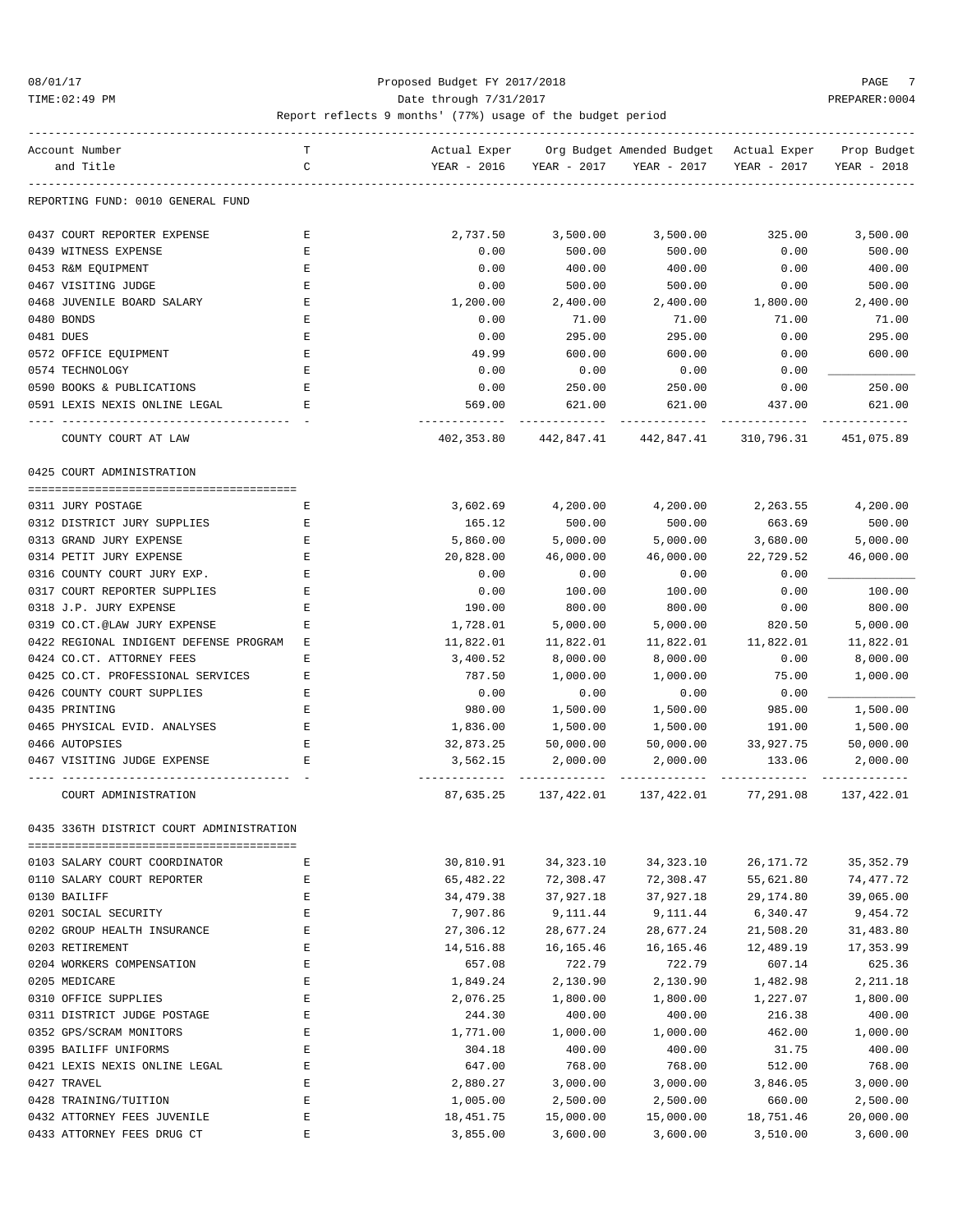### 08/01/17 Proposed Budget FY 2017/2018 PAGE 7 TIME:02:49 PM PREPARER:0004 Date through 7/31/2017 PREPARER:0004

| Account Number                           | т           | Actual Exper                 |             | Org Budget Amended Budget - Actual Exper |             | Prop Budget |
|------------------------------------------|-------------|------------------------------|-------------|------------------------------------------|-------------|-------------|
| and Title                                | C           | YEAR - 2016                  | YEAR - 2017 | YEAR - 2017                              | YEAR - 2017 | YEAR - 2018 |
| REPORTING FUND: 0010 GENERAL FUND        |             |                              |             |                                          |             |             |
| 0437 COURT REPORTER EXPENSE              | Е           | 2,737.50                     | 3,500.00    | 3,500.00                                 | 325.00      | 3,500.00    |
| 0439 WITNESS EXPENSE                     | Е           | 0.00                         | 500.00      | 500.00                                   | 0.00        | 500.00      |
| 0453 R&M EQUIPMENT                       | Ε           | 0.00                         | 400.00      | 400.00                                   | 0.00        | 400.00      |
| 0467 VISITING JUDGE                      | E           | 0.00                         | 500.00      | 500.00                                   | 0.00        | 500.00      |
| 0468 JUVENILE BOARD SALARY               | Ε           | 1,200.00                     | 2,400.00    | 2,400.00                                 | 1,800.00    | 2,400.00    |
| 0480 BONDS                               | Е           | 0.00                         | 71.00       | 71.00                                    | 71.00       | 71.00       |
| 0481 DUES                                | Ε           | 0.00                         | 295.00      | 295.00                                   | 0.00        | 295.00      |
| 0572 OFFICE EQUIPMENT                    | Ε           | 49.99                        | 600.00      | 600.00                                   | 0.00        | 600.00      |
| 0574 TECHNOLOGY                          | $\mathbf E$ | 0.00                         | 0.00        | 0.00                                     | 0.00        |             |
| 0590 BOOKS & PUBLICATIONS                | Ε           | 0.00                         | 250.00      | 250.00                                   | 0.00        | 250.00      |
| 0591 LEXIS NEXIS ONLINE LEGAL            | Е           | 569.00                       | 621.00      | 621.00                                   | 437.00      | 621.00      |
| COUNTY COURT AT LAW                      |             | --------------<br>402,353.80 | 442,847.41  | 442,847.41                               | 310,796.31  | 451,075.89  |
| 0425 COURT ADMINISTRATION                |             |                              |             |                                          |             |             |
| 0311 JURY POSTAGE                        | Е           | 3,602.69                     | 4,200.00    | 4,200.00                                 | 2,263.55    | 4,200.00    |
| 0312 DISTRICT JURY SUPPLIES              | Е           | 165.12                       | 500.00      | 500.00                                   | 663.69      | 500.00      |
| 0313 GRAND JURY EXPENSE                  | Ε           | 5,860.00                     | 5,000.00    | 5,000.00                                 | 3,680.00    | 5,000.00    |
| 0314 PETIT JURY EXPENSE                  | E           | 20,828.00                    | 46,000.00   | 46,000.00                                | 22,729.52   | 46,000.00   |
| 0316 COUNTY COURT JURY EXP.              | Ε           | 0.00                         | 0.00        | 0.00                                     | 0.00        |             |
| 0317 COURT REPORTER SUPPLIES             | Ε           | 0.00                         | 100.00      | 100.00                                   | 0.00        | 100.00      |
| 0318 J.P. JURY EXPENSE                   | Ε           | 190.00                       | 800.00      | 800.00                                   | 0.00        | 800.00      |
| 0319 CO.CT.@LAW JURY EXPENSE             | Ε           | 1,728.01                     | 5,000.00    | 5,000.00                                 | 820.50      | 5,000.00    |
| 0422 REGIONAL INDIGENT DEFENSE PROGRAM   | Е           | 11,822.01                    | 11,822.01   | 11,822.01                                | 11,822.01   | 11,822.01   |
| 0424 CO.CT. ATTORNEY FEES                | Ε           | 3,400.52                     | 8,000.00    | 8,000.00                                 | 0.00        | 8,000.00    |
| 0425 CO.CT. PROFESSIONAL SERVICES        | Ε           | 787.50                       | 1,000.00    | 1,000.00                                 | 75.00       | 1,000.00    |
| 0426 COUNTY COURT SUPPLIES               | Е           | 0.00                         | 0.00        | 0.00                                     | 0.00        |             |
| 0435 PRINTING                            | Ε           | 980.00                       | 1,500.00    | 1,500.00                                 | 985.00      | 1,500.00    |
| 0465 PHYSICAL EVID. ANALYSES             | Ε           | 1,836.00                     | 1,500.00    | 1,500.00                                 | 191.00      | 1,500.00    |
| 0466 AUTOPSIES                           | E           | 32,873.25                    | 50,000.00   | 50,000.00                                | 33,927.75   | 50,000.00   |
| 0467 VISITING JUDGE EXPENSE              | Е           | 3,562.15                     | 2,000.00    | 2,000.00                                 | 133.06      | 2,000.00    |
| COURT ADMINISTRATION                     |             | 87,635.25                    | 137,422.01  | 137,422.01                               | 77,291.08   | 137,422.01  |
| 0435 336TH DISTRICT COURT ADMINISTRATION |             |                              |             |                                          |             |             |
| 0103 SALARY COURT COORDINATOR            | E           | 30,810.91                    | 34, 323. 10 | 34, 323. 10                              | 26, 171.72  | 35, 352.79  |
| 0110 SALARY COURT REPORTER               | $\mathbf E$ | 65,482.22                    | 72,308.47   | 72,308.47                                | 55,621.80   | 74,477.72   |
| 0130 BAILIFF                             | Ε           | 34, 479. 38                  | 37,927.18   | 37,927.18                                | 29,174.80   | 39,065.00   |
| 0201 SOCIAL SECURITY                     | E           | 7,907.86                     | 9,111.44    | 9,111.44                                 | 6,340.47    | 9,454.72    |
| 0202 GROUP HEALTH INSURANCE              | $\mathbf E$ | 27,306.12                    | 28,677.24   | 28,677.24                                | 21,508.20   | 31,483.80   |
| 0203 RETIREMENT                          | E           | 14,516.88                    | 16, 165.46  | 16, 165. 46                              | 12,489.19   | 17,353.99   |
| 0204 WORKERS COMPENSATION                | E           | 657.08                       | 722.79      | 722.79                                   | 607.14      | 625.36      |
| 0205 MEDICARE                            | E           | 1,849.24                     | 2,130.90    | 2,130.90                                 | 1,482.98    | 2,211.18    |
| 0310 OFFICE SUPPLIES                     | E           | 2,076.25                     | 1,800.00    | 1,800.00                                 | 1,227.07    | 1,800.00    |
| 0311 DISTRICT JUDGE POSTAGE              | E           | 244.30                       | 400.00      | 400.00                                   | 216.38      | 400.00      |
| 0352 GPS/SCRAM MONITORS                  | E           | 1,771.00                     | 1,000.00    | 1,000.00                                 | 462.00      | 1,000.00    |
| 0395 BAILIFF UNIFORMS                    | E           | 304.18                       | 400.00      | 400.00                                   | 31.75       | 400.00      |
| 0421 LEXIS NEXIS ONLINE LEGAL            | Ε           | 647.00                       | 768.00      | 768.00                                   | 512.00      | 768.00      |
| 0427 TRAVEL                              | E           | 2,880.27                     | 3,000.00    | 3,000.00                                 | 3,846.05    | 3,000.00    |
| 0428 TRAINING/TUITION                    | $\mathbf E$ | 1,005.00                     | 2,500.00    | 2,500.00                                 | 660.00      | 2,500.00    |
| 0432 ATTORNEY FEES JUVENILE              | $\mathbf E$ | 18, 451.75                   | 15,000.00   | 15,000.00                                | 18,751.46   | 20,000.00   |
| 0433 ATTORNEY FEES DRUG CT               | E           | 3,855.00                     | 3,600.00    | 3,600.00                                 | 3,510.00    | 3,600.00    |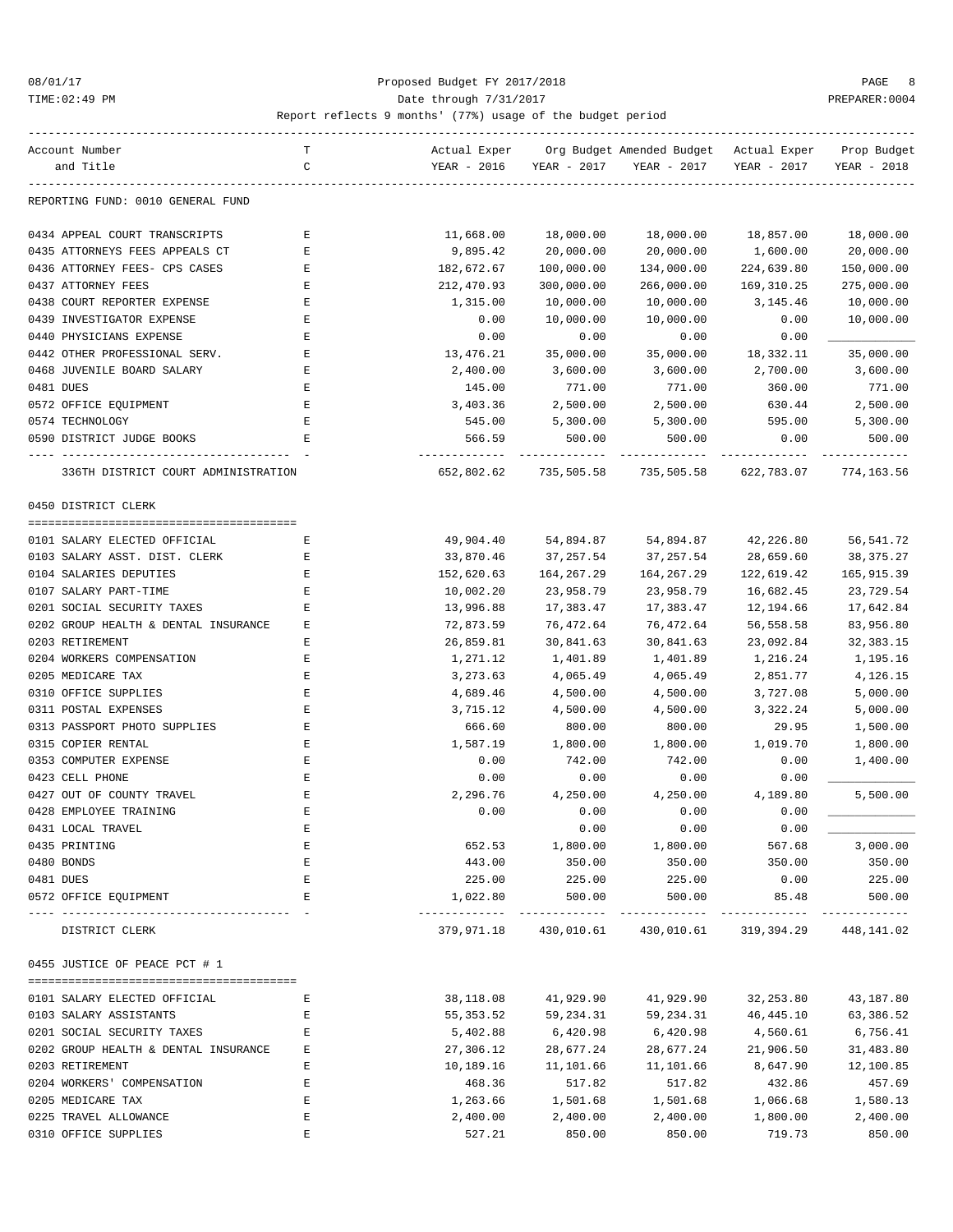### 08/01/17 Proposed Budget FY 2017/2018 PAGE 8 TIME:02:49 PM PREPARER:0004 Date through 7/31/2017 PREPARER:0004

| Account Number                                                   | т           | Actual Exper                              |             | Org Budget Amended Budget - Actual Exper               |             | Prop Budget |
|------------------------------------------------------------------|-------------|-------------------------------------------|-------------|--------------------------------------------------------|-------------|-------------|
| and Title                                                        | C           | YEAR - 2016                               | YEAR - 2017 | YEAR - 2017                                            | YEAR - 2017 | YEAR - 2018 |
| REPORTING FUND: 0010 GENERAL FUND                                |             |                                           |             |                                                        |             |             |
| 0434 APPEAL COURT TRANSCRIPTS                                    | Е           | 11,668.00                                 | 18,000.00   | 18,000.00                                              | 18,857.00   | 18,000.00   |
| 0435 ATTORNEYS FEES APPEALS CT                                   | Е           | 9,895.42                                  | 20,000.00   | 20,000.00                                              | 1,600.00    | 20,000.00   |
| 0436 ATTORNEY FEES- CPS CASES                                    | Ε           | 182,672.67                                | 100,000.00  | 134,000.00                                             | 224,639.80  | 150,000.00  |
| 0437 ATTORNEY FEES                                               | Е           | 212,470.93                                | 300,000.00  | 266,000.00                                             | 169,310.25  | 275,000.00  |
| 0438 COURT REPORTER EXPENSE                                      | Ε           | 1,315.00                                  | 10,000.00   | 10,000.00                                              | 3,145.46    | 10,000.00   |
| 0439 INVESTIGATOR EXPENSE                                        | Ε           | 0.00                                      | 10,000.00   | 10,000.00                                              | 0.00        | 10,000.00   |
| 0440 PHYSICIANS EXPENSE                                          | Ε           | 0.00                                      | 0.00        | 0.00                                                   | 0.00        |             |
| 0442 OTHER PROFESSIONAL SERV.                                    | Е           | 13,476.21                                 | 35,000.00   | 35,000.00                                              | 18,332.11   | 35,000.00   |
| 0468 JUVENILE BOARD SALARY                                       | Е           | 2,400.00                                  | 3,600.00    | 3,600.00                                               | 2,700.00    | 3,600.00    |
| 0481 DUES                                                        | Ε           | 145.00                                    | 771.00      | 771.00                                                 | 360.00      | 771.00      |
| 0572 OFFICE EQUIPMENT                                            | Е           | 3,403.36                                  | 2,500.00    | 2,500.00                                               | 630.44      | 2,500.00    |
| 0574 TECHNOLOGY                                                  | Ε           | 545.00                                    | 5,300.00    | 5,300.00                                               | 595.00      | 5,300.00    |
| 0590 DISTRICT JUDGE BOOKS                                        | E           | 566.59                                    | 500.00      | 500.00                                                 | 0.00        | 500.00      |
| 336TH DISTRICT COURT ADMINISTRATION                              |             | 652,802.62                                |             | 735,505.58 735,505.58                                  | 622,783.07  | 774,163.56  |
| 0450 DISTRICT CLERK                                              |             |                                           |             |                                                        |             |             |
|                                                                  |             |                                           |             |                                                        |             |             |
| 0101 SALARY ELECTED OFFICIAL                                     | Е           | 49,904.40                                 | 54,894.87   | 54,894.87                                              | 42,226.80   | 56,541.72   |
| 0103 SALARY ASST. DIST. CLERK                                    | Е           | 33,870.46                                 | 37,257.54   | 37,257.54                                              | 28,659.60   | 38, 375. 27 |
| 0104 SALARIES DEPUTIES                                           | Е           | 152,620.63                                | 164,267.29  | 164, 267. 29                                           | 122,619.42  | 165,915.39  |
| 0107 SALARY PART-TIME                                            | Е           | 10,002.20                                 | 23,958.79   | 23,958.79                                              | 16,682.45   | 23,729.54   |
| 0201 SOCIAL SECURITY TAXES                                       | Е           | 13,996.88                                 | 17,383.47   | 17,383.47                                              | 12,194.66   | 17,642.84   |
| 0202 GROUP HEALTH & DENTAL INSURANCE                             | Е           | 72,873.59                                 | 76,472.64   | 76,472.64                                              | 56,558.58   | 83,956.80   |
| 0203 RETIREMENT                                                  | Ε           | 26,859.81                                 | 30,841.63   | 30,841.63                                              | 23,092.84   | 32, 383. 15 |
| 0204 WORKERS COMPENSATION                                        | E           | 1,271.12                                  | 1,401.89    | 1,401.89                                               | 1,216.24    | 1,195.16    |
| 0205 MEDICARE TAX                                                | Е           | 3,273.63                                  | 4,065.49    | 4,065.49                                               | 2,851.77    | 4,126.15    |
| 0310 OFFICE SUPPLIES                                             | Ε           | 4,689.46                                  | 4,500.00    | 4,500.00                                               | 3,727.08    | 5,000.00    |
| 0311 POSTAL EXPENSES                                             | Ε           | 3,715.12                                  | 4,500.00    | 4,500.00                                               | 3,322.24    | 5,000.00    |
| 0313 PASSPORT PHOTO SUPPLIES                                     | Е           | 666.60                                    | 800.00      | 800.00                                                 | 29.95       | 1,500.00    |
| 0315 COPIER RENTAL                                               | E           | 1,587.19                                  | 1,800.00    | 1,800.00                                               | 1,019.70    | 1,800.00    |
| 0353 COMPUTER EXPENSE                                            | Ε           | 0.00                                      | 742.00      | 742.00                                                 | 0.00        | 1,400.00    |
| 0423 CELL PHONE                                                  | Е           | 0.00                                      | 0.00        | 0.00                                                   | 0.00        |             |
| 0427 OUT OF COUNTY TRAVEL                                        | Ε           | 2,296.76                                  | 4,250.00    | 4,250.00                                               | 4,189.80    | 5,500.00    |
| 0428 EMPLOYEE TRAINING                                           | Ε           | 0.00                                      | 0.00        | 0.00                                                   | 0.00        |             |
| 0431 LOCAL TRAVEL                                                |             |                                           | 0.00        | 0.00                                                   | 0.00        |             |
| 0435 PRINTING                                                    | Ε           | 652.53                                    | 1,800.00    | 1,800.00                                               | 567.68      | 3,000.00    |
| 0480 BONDS                                                       | $\mathbf E$ | 443.00                                    | 350.00      | 350.00                                                 | 350.00      | 350.00      |
| 0481 DUES                                                        | Ε           | 225.00                                    | 225.00      | 225.00                                                 | 0.00        | 225.00      |
| 0572 OFFICE EQUIPMENT<br>-------------------- -<br>------------- | Е           | 1,022.80<br>----------------------------- | 500.00      | 500.00<br>--------------                               | 85.48       | 500.00      |
| DISTRICT CLERK                                                   |             |                                           |             | 379,971.18 430,010.61 430,010.61 319,394.29 448,141.02 |             |             |
| 0455 JUSTICE OF PEACE PCT # 1                                    |             |                                           |             |                                                        |             |             |
| 0101 SALARY ELECTED OFFICIAL                                     | Е           | 38,118.08                                 | 41,929.90   | 41,929.90                                              | 32,253.80   | 43,187.80   |
| 0103 SALARY ASSISTANTS                                           | Ε           | 55,353.52                                 | 59,234.31   | 59,234.31                                              | 46, 445.10  | 63,386.52   |
| 0201 SOCIAL SECURITY TAXES                                       | Е           | 5,402.88                                  | 6,420.98    | 6,420.98                                               | 4,560.61    | 6,756.41    |
| 0202 GROUP HEALTH & DENTAL INSURANCE                             | Е           | 27,306.12                                 | 28,677.24   | 28,677.24                                              | 21,906.50   | 31,483.80   |
| 0203 RETIREMENT                                                  | Е           | 10,189.16                                 | 11,101.66   | 11,101.66                                              | 8,647.90    | 12,100.85   |
| 0204 WORKERS' COMPENSATION                                       | Е           | 468.36                                    | 517.82      | 517.82                                                 | 432.86      | 457.69      |
| 0205 MEDICARE TAX                                                | E           | 1,263.66                                  | 1,501.68    | 1,501.68                                               | 1,066.68    | 1,580.13    |
| 0225 TRAVEL ALLOWANCE                                            | E           | 2,400.00                                  | 2,400.00    | 2,400.00                                               | 1,800.00    | 2,400.00    |
| 0310 OFFICE SUPPLIES                                             | E           | 527.21                                    | 850.00      | 850.00                                                 | 719.73      | 850.00      |
|                                                                  |             |                                           |             |                                                        |             |             |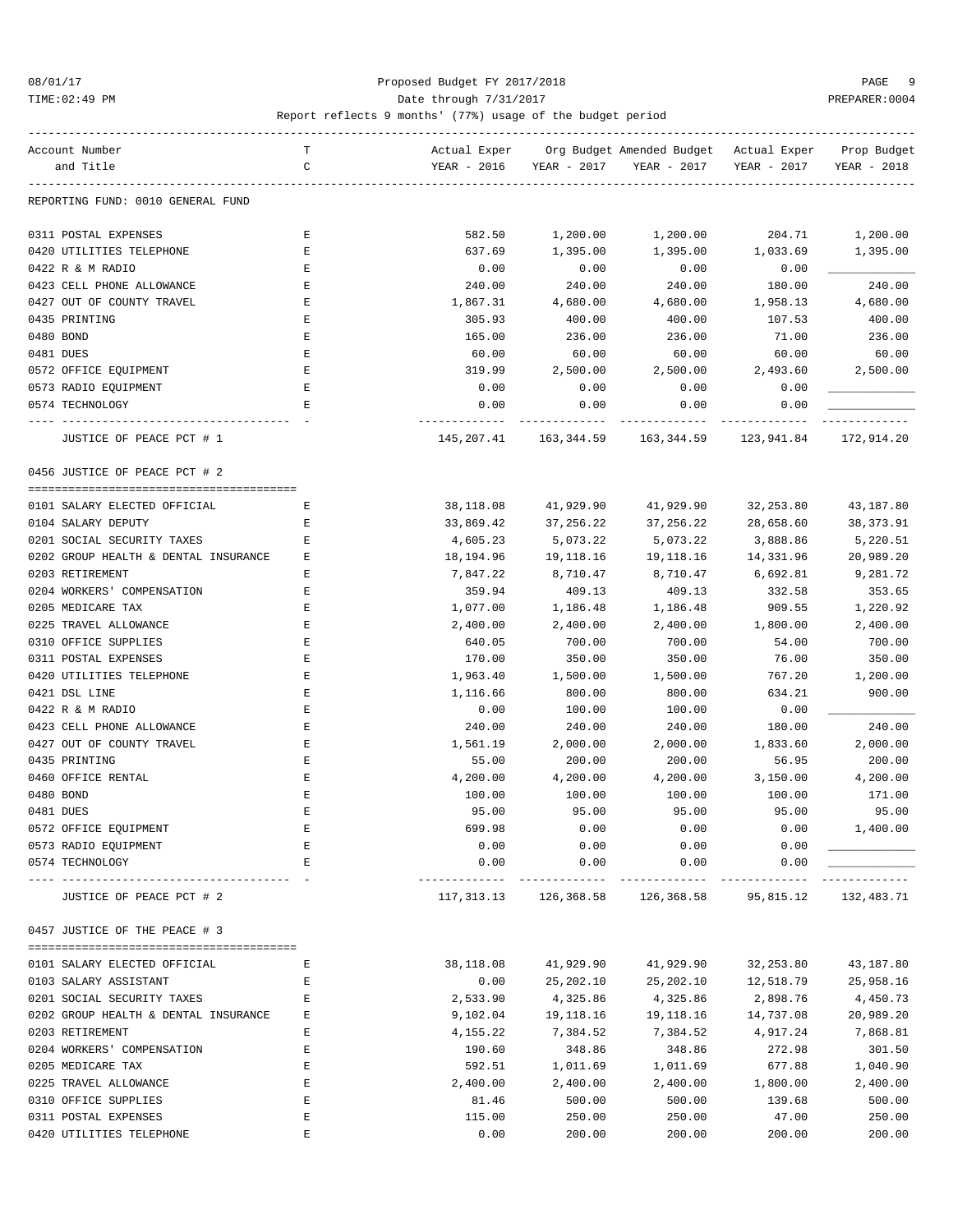### 08/01/17 Proposed Budget FY 2017/2018 PAGE 9 TIME:02:49 PM PREPARER:0004 Date through 7/31/2017 PREPARER:0004

| Actual Exper<br>Org Budget Amended Budget - Actual Exper<br>Account Number<br>т<br>YEAR - 2016<br>and Title<br>C<br>YEAR - 2017<br>YEAR - 2017<br>YEAR - 2017<br>YEAR - 2018<br>REPORTING FUND: 0010 GENERAL FUND<br>1,200.00<br>204.71<br>1,200.00<br>0311 POSTAL EXPENSES<br>Ε<br>582.50<br>1,200.00<br>0420 UTILITIES TELEPHONE<br>E<br>637.69<br>1,395.00<br>1,395.00<br>1,033.69<br>1,395.00<br>0422 R & M RADIO<br>E<br>0.00<br>0.00<br>0.00<br>0.00<br>0423 CELL PHONE ALLOWANCE<br>E<br>240.00<br>240.00<br>240.00<br>180.00<br>240.00<br>0427 OUT OF COUNTY TRAVEL<br>1,958.13<br>4,680.00<br>Ε<br>1,867.31<br>4,680.00<br>4,680.00<br>0435 PRINTING<br>E<br>400.00<br>305.93<br>400.00<br>400.00<br>107.53<br>0480 BOND<br>236.00<br>Ε<br>165.00<br>236.00<br>236.00<br>71.00<br>E<br>60.00<br>0481 DUES<br>60.00<br>60.00<br>60.00<br>60.00<br>E<br>0572 OFFICE EQUIPMENT<br>319.99<br>2,500.00<br>2,500.00<br>2,493.60<br>2,500.00<br>0573 RADIO EQUIPMENT<br>Ε<br>0.00<br>0.00<br>0.00<br>0.00<br>0574 TECHNOLOGY<br>E<br>0.00<br>0.00<br>0.00<br>0.00<br>JUSTICE OF PEACE PCT # 1<br>145, 207.41 163, 344.59 163, 344.59 123, 941.84 172, 914.20<br>0456 JUSTICE OF PEACE PCT # 2<br>0101 SALARY ELECTED OFFICIAL<br>38,118.08<br>41,929.90<br>41,929.90<br>32,253.80<br>43,187.80<br>Е<br>0104 SALARY DEPUTY<br>Е<br>33,869.42<br>37,256.22<br>37, 256. 22<br>28,658.60<br>38,373.91<br>0201 SOCIAL SECURITY TAXES<br>Ε<br>4,605.23<br>5,073.22<br>5,073.22<br>3,888.86<br>5,220.51<br>0202 GROUP HEALTH & DENTAL INSURANCE<br>20,989.20<br>E<br>18,194.96<br>19,118.16<br>19,118.16<br>14,331.96<br>0203 RETIREMENT<br>8,710.47<br>6,692.81<br>9,281.72<br>Ε<br>7,847.22<br>8,710.47<br>0204 WORKERS' COMPENSATION<br>409.13<br>353.65<br>Ε<br>359.94<br>409.13<br>332.58<br>0205 MEDICARE TAX<br>1,220.92<br>Ε<br>1,077.00<br>1,186.48<br>1,186.48<br>909.55<br>2,400.00<br>0225 TRAVEL ALLOWANCE<br>E<br>2,400.00<br>2,400.00<br>2,400.00<br>1,800.00<br>0310 OFFICE SUPPLIES<br>E<br>700.00<br>640.05<br>700.00<br>700.00<br>54.00<br>0311 POSTAL EXPENSES<br>E<br>350.00<br>170.00<br>350.00<br>350.00<br>76.00<br>0420 UTILITIES TELEPHONE<br>1,200.00<br>Ε<br>1,963.40<br>1,500.00<br>1,500.00<br>767.20<br>0421 DSL LINE<br>E<br>900.00<br>1,116.66<br>800.00<br>800.00<br>634.21<br>E<br>0422 R & M RADIO<br>0.00<br>100.00<br>100.00<br>0.00<br>E<br>180.00<br>240.00<br>0423 CELL PHONE ALLOWANCE<br>240.00<br>240.00<br>240.00<br>0427 OUT OF COUNTY TRAVEL<br>E<br>2,000.00<br>1,561.19<br>2,000.00<br>2,000.00<br>1,833.60<br>0435 PRINTING<br>200.00<br>200.00<br>56.95<br>200.00<br>Ε<br>55.00<br>0460 OFFICE RENTAL<br>4,200.00<br>4,200.00<br>3,150.00<br>4,200.00<br>Ε<br>4,200.00<br>0480 BOND<br>171.00<br>Ε<br>100.00<br>100.00<br>100.00<br>100.00<br>E<br>95.00<br>0481 DUES<br>95.00<br>95.00<br>95.00<br>95.00<br>0572 OFFICE EQUIPMENT<br>699.98<br>0.00<br>0.00<br>0.00<br>1,400.00<br>0573 RADIO EQUIPMENT<br>0.00<br>0.00<br>0.00<br>Ε<br>0.00<br>0.00<br>0.00<br>0574 TECHNOLOGY<br>0.00<br>0.00<br>E<br>JUSTICE OF PEACE PCT # 2<br>117,313.13<br>126,368.58<br>126,368.58<br>95,815.12<br>132,483.71<br>0457 JUSTICE OF THE PEACE # 3<br>0101 SALARY ELECTED OFFICIAL<br>38,118.08<br>41,929.90<br>41,929.90<br>32,253.80<br>43,187.80<br>Е<br>0103 SALARY ASSISTANT<br>0.00<br>25, 202.10<br>25,202.10<br>12,518.79<br>25,958.16<br>E<br>0201 SOCIAL SECURITY TAXES<br>2,533.90<br>4,325.86<br>4,325.86<br>2,898.76<br>4,450.73<br>E<br>0202 GROUP HEALTH & DENTAL INSURANCE<br>9,102.04<br>19,118.16<br>19,118.16<br>14,737.08<br>20,989.20<br>Ε<br>0203 RETIREMENT<br>E<br>4,155.22<br>7,384.52<br>7,384.52<br>4,917.24<br>7,868.81<br>301.50<br>0204 WORKERS' COMPENSATION<br>190.60<br>348.86<br>348.86<br>272.98<br>Ε<br>0205 MEDICARE TAX<br>E<br>592.51<br>677.88<br>1,040.90<br>1,011.69<br>1,011.69<br>0225 TRAVEL ALLOWANCE<br>E<br>2,400.00<br>2,400.00<br>2,400.00<br>1,800.00<br>2,400.00<br>0310 OFFICE SUPPLIES<br>E<br>81.46<br>500.00<br>500.00<br>139.68<br>500.00<br>$\mathbf E$<br>250.00<br>0311 POSTAL EXPENSES<br>115.00<br>250.00<br>250.00<br>47.00<br>0.00<br>200.00<br>0420 UTILITIES TELEPHONE<br>200.00<br>200.00<br>200.00<br>Ε |  |  |  |             |
|----------------------------------------------------------------------------------------------------------------------------------------------------------------------------------------------------------------------------------------------------------------------------------------------------------------------------------------------------------------------------------------------------------------------------------------------------------------------------------------------------------------------------------------------------------------------------------------------------------------------------------------------------------------------------------------------------------------------------------------------------------------------------------------------------------------------------------------------------------------------------------------------------------------------------------------------------------------------------------------------------------------------------------------------------------------------------------------------------------------------------------------------------------------------------------------------------------------------------------------------------------------------------------------------------------------------------------------------------------------------------------------------------------------------------------------------------------------------------------------------------------------------------------------------------------------------------------------------------------------------------------------------------------------------------------------------------------------------------------------------------------------------------------------------------------------------------------------------------------------------------------------------------------------------------------------------------------------------------------------------------------------------------------------------------------------------------------------------------------------------------------------------------------------------------------------------------------------------------------------------------------------------------------------------------------------------------------------------------------------------------------------------------------------------------------------------------------------------------------------------------------------------------------------------------------------------------------------------------------------------------------------------------------------------------------------------------------------------------------------------------------------------------------------------------------------------------------------------------------------------------------------------------------------------------------------------------------------------------------------------------------------------------------------------------------------------------------------------------------------------------------------------------------------------------------------------------------------------------------------------------------------------------------------------------------------------------------------------------------------------------------------------------------------------------------------------------------------------------------------------------------------------------------------------------------------------------------------------------------------------------------------------------------------------------------------------------------------------------------------------------------------------------------------------------------------------------------------------------------------------------------------------------------------------------------------------------------------------------------------------------------------------------------------------------------------------------------------------------------------------------------------------------------------------------------------------------------------|--|--|--|-------------|
|                                                                                                                                                                                                                                                                                                                                                                                                                                                                                                                                                                                                                                                                                                                                                                                                                                                                                                                                                                                                                                                                                                                                                                                                                                                                                                                                                                                                                                                                                                                                                                                                                                                                                                                                                                                                                                                                                                                                                                                                                                                                                                                                                                                                                                                                                                                                                                                                                                                                                                                                                                                                                                                                                                                                                                                                                                                                                                                                                                                                                                                                                                                                                                                                                                                                                                                                                                                                                                                                                                                                                                                                                                                                                                                                                                                                                                                                                                                                                                                                                                                                                                                                                                                                                |  |  |  | Prop Budget |
|                                                                                                                                                                                                                                                                                                                                                                                                                                                                                                                                                                                                                                                                                                                                                                                                                                                                                                                                                                                                                                                                                                                                                                                                                                                                                                                                                                                                                                                                                                                                                                                                                                                                                                                                                                                                                                                                                                                                                                                                                                                                                                                                                                                                                                                                                                                                                                                                                                                                                                                                                                                                                                                                                                                                                                                                                                                                                                                                                                                                                                                                                                                                                                                                                                                                                                                                                                                                                                                                                                                                                                                                                                                                                                                                                                                                                                                                                                                                                                                                                                                                                                                                                                                                                |  |  |  |             |
|                                                                                                                                                                                                                                                                                                                                                                                                                                                                                                                                                                                                                                                                                                                                                                                                                                                                                                                                                                                                                                                                                                                                                                                                                                                                                                                                                                                                                                                                                                                                                                                                                                                                                                                                                                                                                                                                                                                                                                                                                                                                                                                                                                                                                                                                                                                                                                                                                                                                                                                                                                                                                                                                                                                                                                                                                                                                                                                                                                                                                                                                                                                                                                                                                                                                                                                                                                                                                                                                                                                                                                                                                                                                                                                                                                                                                                                                                                                                                                                                                                                                                                                                                                                                                |  |  |  |             |
|                                                                                                                                                                                                                                                                                                                                                                                                                                                                                                                                                                                                                                                                                                                                                                                                                                                                                                                                                                                                                                                                                                                                                                                                                                                                                                                                                                                                                                                                                                                                                                                                                                                                                                                                                                                                                                                                                                                                                                                                                                                                                                                                                                                                                                                                                                                                                                                                                                                                                                                                                                                                                                                                                                                                                                                                                                                                                                                                                                                                                                                                                                                                                                                                                                                                                                                                                                                                                                                                                                                                                                                                                                                                                                                                                                                                                                                                                                                                                                                                                                                                                                                                                                                                                |  |  |  |             |
|                                                                                                                                                                                                                                                                                                                                                                                                                                                                                                                                                                                                                                                                                                                                                                                                                                                                                                                                                                                                                                                                                                                                                                                                                                                                                                                                                                                                                                                                                                                                                                                                                                                                                                                                                                                                                                                                                                                                                                                                                                                                                                                                                                                                                                                                                                                                                                                                                                                                                                                                                                                                                                                                                                                                                                                                                                                                                                                                                                                                                                                                                                                                                                                                                                                                                                                                                                                                                                                                                                                                                                                                                                                                                                                                                                                                                                                                                                                                                                                                                                                                                                                                                                                                                |  |  |  |             |
|                                                                                                                                                                                                                                                                                                                                                                                                                                                                                                                                                                                                                                                                                                                                                                                                                                                                                                                                                                                                                                                                                                                                                                                                                                                                                                                                                                                                                                                                                                                                                                                                                                                                                                                                                                                                                                                                                                                                                                                                                                                                                                                                                                                                                                                                                                                                                                                                                                                                                                                                                                                                                                                                                                                                                                                                                                                                                                                                                                                                                                                                                                                                                                                                                                                                                                                                                                                                                                                                                                                                                                                                                                                                                                                                                                                                                                                                                                                                                                                                                                                                                                                                                                                                                |  |  |  |             |
|                                                                                                                                                                                                                                                                                                                                                                                                                                                                                                                                                                                                                                                                                                                                                                                                                                                                                                                                                                                                                                                                                                                                                                                                                                                                                                                                                                                                                                                                                                                                                                                                                                                                                                                                                                                                                                                                                                                                                                                                                                                                                                                                                                                                                                                                                                                                                                                                                                                                                                                                                                                                                                                                                                                                                                                                                                                                                                                                                                                                                                                                                                                                                                                                                                                                                                                                                                                                                                                                                                                                                                                                                                                                                                                                                                                                                                                                                                                                                                                                                                                                                                                                                                                                                |  |  |  |             |
|                                                                                                                                                                                                                                                                                                                                                                                                                                                                                                                                                                                                                                                                                                                                                                                                                                                                                                                                                                                                                                                                                                                                                                                                                                                                                                                                                                                                                                                                                                                                                                                                                                                                                                                                                                                                                                                                                                                                                                                                                                                                                                                                                                                                                                                                                                                                                                                                                                                                                                                                                                                                                                                                                                                                                                                                                                                                                                                                                                                                                                                                                                                                                                                                                                                                                                                                                                                                                                                                                                                                                                                                                                                                                                                                                                                                                                                                                                                                                                                                                                                                                                                                                                                                                |  |  |  |             |
|                                                                                                                                                                                                                                                                                                                                                                                                                                                                                                                                                                                                                                                                                                                                                                                                                                                                                                                                                                                                                                                                                                                                                                                                                                                                                                                                                                                                                                                                                                                                                                                                                                                                                                                                                                                                                                                                                                                                                                                                                                                                                                                                                                                                                                                                                                                                                                                                                                                                                                                                                                                                                                                                                                                                                                                                                                                                                                                                                                                                                                                                                                                                                                                                                                                                                                                                                                                                                                                                                                                                                                                                                                                                                                                                                                                                                                                                                                                                                                                                                                                                                                                                                                                                                |  |  |  |             |
|                                                                                                                                                                                                                                                                                                                                                                                                                                                                                                                                                                                                                                                                                                                                                                                                                                                                                                                                                                                                                                                                                                                                                                                                                                                                                                                                                                                                                                                                                                                                                                                                                                                                                                                                                                                                                                                                                                                                                                                                                                                                                                                                                                                                                                                                                                                                                                                                                                                                                                                                                                                                                                                                                                                                                                                                                                                                                                                                                                                                                                                                                                                                                                                                                                                                                                                                                                                                                                                                                                                                                                                                                                                                                                                                                                                                                                                                                                                                                                                                                                                                                                                                                                                                                |  |  |  |             |
|                                                                                                                                                                                                                                                                                                                                                                                                                                                                                                                                                                                                                                                                                                                                                                                                                                                                                                                                                                                                                                                                                                                                                                                                                                                                                                                                                                                                                                                                                                                                                                                                                                                                                                                                                                                                                                                                                                                                                                                                                                                                                                                                                                                                                                                                                                                                                                                                                                                                                                                                                                                                                                                                                                                                                                                                                                                                                                                                                                                                                                                                                                                                                                                                                                                                                                                                                                                                                                                                                                                                                                                                                                                                                                                                                                                                                                                                                                                                                                                                                                                                                                                                                                                                                |  |  |  |             |
|                                                                                                                                                                                                                                                                                                                                                                                                                                                                                                                                                                                                                                                                                                                                                                                                                                                                                                                                                                                                                                                                                                                                                                                                                                                                                                                                                                                                                                                                                                                                                                                                                                                                                                                                                                                                                                                                                                                                                                                                                                                                                                                                                                                                                                                                                                                                                                                                                                                                                                                                                                                                                                                                                                                                                                                                                                                                                                                                                                                                                                                                                                                                                                                                                                                                                                                                                                                                                                                                                                                                                                                                                                                                                                                                                                                                                                                                                                                                                                                                                                                                                                                                                                                                                |  |  |  |             |
|                                                                                                                                                                                                                                                                                                                                                                                                                                                                                                                                                                                                                                                                                                                                                                                                                                                                                                                                                                                                                                                                                                                                                                                                                                                                                                                                                                                                                                                                                                                                                                                                                                                                                                                                                                                                                                                                                                                                                                                                                                                                                                                                                                                                                                                                                                                                                                                                                                                                                                                                                                                                                                                                                                                                                                                                                                                                                                                                                                                                                                                                                                                                                                                                                                                                                                                                                                                                                                                                                                                                                                                                                                                                                                                                                                                                                                                                                                                                                                                                                                                                                                                                                                                                                |  |  |  |             |
|                                                                                                                                                                                                                                                                                                                                                                                                                                                                                                                                                                                                                                                                                                                                                                                                                                                                                                                                                                                                                                                                                                                                                                                                                                                                                                                                                                                                                                                                                                                                                                                                                                                                                                                                                                                                                                                                                                                                                                                                                                                                                                                                                                                                                                                                                                                                                                                                                                                                                                                                                                                                                                                                                                                                                                                                                                                                                                                                                                                                                                                                                                                                                                                                                                                                                                                                                                                                                                                                                                                                                                                                                                                                                                                                                                                                                                                                                                                                                                                                                                                                                                                                                                                                                |  |  |  |             |
|                                                                                                                                                                                                                                                                                                                                                                                                                                                                                                                                                                                                                                                                                                                                                                                                                                                                                                                                                                                                                                                                                                                                                                                                                                                                                                                                                                                                                                                                                                                                                                                                                                                                                                                                                                                                                                                                                                                                                                                                                                                                                                                                                                                                                                                                                                                                                                                                                                                                                                                                                                                                                                                                                                                                                                                                                                                                                                                                                                                                                                                                                                                                                                                                                                                                                                                                                                                                                                                                                                                                                                                                                                                                                                                                                                                                                                                                                                                                                                                                                                                                                                                                                                                                                |  |  |  |             |
|                                                                                                                                                                                                                                                                                                                                                                                                                                                                                                                                                                                                                                                                                                                                                                                                                                                                                                                                                                                                                                                                                                                                                                                                                                                                                                                                                                                                                                                                                                                                                                                                                                                                                                                                                                                                                                                                                                                                                                                                                                                                                                                                                                                                                                                                                                                                                                                                                                                                                                                                                                                                                                                                                                                                                                                                                                                                                                                                                                                                                                                                                                                                                                                                                                                                                                                                                                                                                                                                                                                                                                                                                                                                                                                                                                                                                                                                                                                                                                                                                                                                                                                                                                                                                |  |  |  |             |
|                                                                                                                                                                                                                                                                                                                                                                                                                                                                                                                                                                                                                                                                                                                                                                                                                                                                                                                                                                                                                                                                                                                                                                                                                                                                                                                                                                                                                                                                                                                                                                                                                                                                                                                                                                                                                                                                                                                                                                                                                                                                                                                                                                                                                                                                                                                                                                                                                                                                                                                                                                                                                                                                                                                                                                                                                                                                                                                                                                                                                                                                                                                                                                                                                                                                                                                                                                                                                                                                                                                                                                                                                                                                                                                                                                                                                                                                                                                                                                                                                                                                                                                                                                                                                |  |  |  |             |
|                                                                                                                                                                                                                                                                                                                                                                                                                                                                                                                                                                                                                                                                                                                                                                                                                                                                                                                                                                                                                                                                                                                                                                                                                                                                                                                                                                                                                                                                                                                                                                                                                                                                                                                                                                                                                                                                                                                                                                                                                                                                                                                                                                                                                                                                                                                                                                                                                                                                                                                                                                                                                                                                                                                                                                                                                                                                                                                                                                                                                                                                                                                                                                                                                                                                                                                                                                                                                                                                                                                                                                                                                                                                                                                                                                                                                                                                                                                                                                                                                                                                                                                                                                                                                |  |  |  |             |
|                                                                                                                                                                                                                                                                                                                                                                                                                                                                                                                                                                                                                                                                                                                                                                                                                                                                                                                                                                                                                                                                                                                                                                                                                                                                                                                                                                                                                                                                                                                                                                                                                                                                                                                                                                                                                                                                                                                                                                                                                                                                                                                                                                                                                                                                                                                                                                                                                                                                                                                                                                                                                                                                                                                                                                                                                                                                                                                                                                                                                                                                                                                                                                                                                                                                                                                                                                                                                                                                                                                                                                                                                                                                                                                                                                                                                                                                                                                                                                                                                                                                                                                                                                                                                |  |  |  |             |
|                                                                                                                                                                                                                                                                                                                                                                                                                                                                                                                                                                                                                                                                                                                                                                                                                                                                                                                                                                                                                                                                                                                                                                                                                                                                                                                                                                                                                                                                                                                                                                                                                                                                                                                                                                                                                                                                                                                                                                                                                                                                                                                                                                                                                                                                                                                                                                                                                                                                                                                                                                                                                                                                                                                                                                                                                                                                                                                                                                                                                                                                                                                                                                                                                                                                                                                                                                                                                                                                                                                                                                                                                                                                                                                                                                                                                                                                                                                                                                                                                                                                                                                                                                                                                |  |  |  |             |
|                                                                                                                                                                                                                                                                                                                                                                                                                                                                                                                                                                                                                                                                                                                                                                                                                                                                                                                                                                                                                                                                                                                                                                                                                                                                                                                                                                                                                                                                                                                                                                                                                                                                                                                                                                                                                                                                                                                                                                                                                                                                                                                                                                                                                                                                                                                                                                                                                                                                                                                                                                                                                                                                                                                                                                                                                                                                                                                                                                                                                                                                                                                                                                                                                                                                                                                                                                                                                                                                                                                                                                                                                                                                                                                                                                                                                                                                                                                                                                                                                                                                                                                                                                                                                |  |  |  |             |
|                                                                                                                                                                                                                                                                                                                                                                                                                                                                                                                                                                                                                                                                                                                                                                                                                                                                                                                                                                                                                                                                                                                                                                                                                                                                                                                                                                                                                                                                                                                                                                                                                                                                                                                                                                                                                                                                                                                                                                                                                                                                                                                                                                                                                                                                                                                                                                                                                                                                                                                                                                                                                                                                                                                                                                                                                                                                                                                                                                                                                                                                                                                                                                                                                                                                                                                                                                                                                                                                                                                                                                                                                                                                                                                                                                                                                                                                                                                                                                                                                                                                                                                                                                                                                |  |  |  |             |
|                                                                                                                                                                                                                                                                                                                                                                                                                                                                                                                                                                                                                                                                                                                                                                                                                                                                                                                                                                                                                                                                                                                                                                                                                                                                                                                                                                                                                                                                                                                                                                                                                                                                                                                                                                                                                                                                                                                                                                                                                                                                                                                                                                                                                                                                                                                                                                                                                                                                                                                                                                                                                                                                                                                                                                                                                                                                                                                                                                                                                                                                                                                                                                                                                                                                                                                                                                                                                                                                                                                                                                                                                                                                                                                                                                                                                                                                                                                                                                                                                                                                                                                                                                                                                |  |  |  |             |
|                                                                                                                                                                                                                                                                                                                                                                                                                                                                                                                                                                                                                                                                                                                                                                                                                                                                                                                                                                                                                                                                                                                                                                                                                                                                                                                                                                                                                                                                                                                                                                                                                                                                                                                                                                                                                                                                                                                                                                                                                                                                                                                                                                                                                                                                                                                                                                                                                                                                                                                                                                                                                                                                                                                                                                                                                                                                                                                                                                                                                                                                                                                                                                                                                                                                                                                                                                                                                                                                                                                                                                                                                                                                                                                                                                                                                                                                                                                                                                                                                                                                                                                                                                                                                |  |  |  |             |
|                                                                                                                                                                                                                                                                                                                                                                                                                                                                                                                                                                                                                                                                                                                                                                                                                                                                                                                                                                                                                                                                                                                                                                                                                                                                                                                                                                                                                                                                                                                                                                                                                                                                                                                                                                                                                                                                                                                                                                                                                                                                                                                                                                                                                                                                                                                                                                                                                                                                                                                                                                                                                                                                                                                                                                                                                                                                                                                                                                                                                                                                                                                                                                                                                                                                                                                                                                                                                                                                                                                                                                                                                                                                                                                                                                                                                                                                                                                                                                                                                                                                                                                                                                                                                |  |  |  |             |
|                                                                                                                                                                                                                                                                                                                                                                                                                                                                                                                                                                                                                                                                                                                                                                                                                                                                                                                                                                                                                                                                                                                                                                                                                                                                                                                                                                                                                                                                                                                                                                                                                                                                                                                                                                                                                                                                                                                                                                                                                                                                                                                                                                                                                                                                                                                                                                                                                                                                                                                                                                                                                                                                                                                                                                                                                                                                                                                                                                                                                                                                                                                                                                                                                                                                                                                                                                                                                                                                                                                                                                                                                                                                                                                                                                                                                                                                                                                                                                                                                                                                                                                                                                                                                |  |  |  |             |
|                                                                                                                                                                                                                                                                                                                                                                                                                                                                                                                                                                                                                                                                                                                                                                                                                                                                                                                                                                                                                                                                                                                                                                                                                                                                                                                                                                                                                                                                                                                                                                                                                                                                                                                                                                                                                                                                                                                                                                                                                                                                                                                                                                                                                                                                                                                                                                                                                                                                                                                                                                                                                                                                                                                                                                                                                                                                                                                                                                                                                                                                                                                                                                                                                                                                                                                                                                                                                                                                                                                                                                                                                                                                                                                                                                                                                                                                                                                                                                                                                                                                                                                                                                                                                |  |  |  |             |
|                                                                                                                                                                                                                                                                                                                                                                                                                                                                                                                                                                                                                                                                                                                                                                                                                                                                                                                                                                                                                                                                                                                                                                                                                                                                                                                                                                                                                                                                                                                                                                                                                                                                                                                                                                                                                                                                                                                                                                                                                                                                                                                                                                                                                                                                                                                                                                                                                                                                                                                                                                                                                                                                                                                                                                                                                                                                                                                                                                                                                                                                                                                                                                                                                                                                                                                                                                                                                                                                                                                                                                                                                                                                                                                                                                                                                                                                                                                                                                                                                                                                                                                                                                                                                |  |  |  |             |
|                                                                                                                                                                                                                                                                                                                                                                                                                                                                                                                                                                                                                                                                                                                                                                                                                                                                                                                                                                                                                                                                                                                                                                                                                                                                                                                                                                                                                                                                                                                                                                                                                                                                                                                                                                                                                                                                                                                                                                                                                                                                                                                                                                                                                                                                                                                                                                                                                                                                                                                                                                                                                                                                                                                                                                                                                                                                                                                                                                                                                                                                                                                                                                                                                                                                                                                                                                                                                                                                                                                                                                                                                                                                                                                                                                                                                                                                                                                                                                                                                                                                                                                                                                                                                |  |  |  |             |
|                                                                                                                                                                                                                                                                                                                                                                                                                                                                                                                                                                                                                                                                                                                                                                                                                                                                                                                                                                                                                                                                                                                                                                                                                                                                                                                                                                                                                                                                                                                                                                                                                                                                                                                                                                                                                                                                                                                                                                                                                                                                                                                                                                                                                                                                                                                                                                                                                                                                                                                                                                                                                                                                                                                                                                                                                                                                                                                                                                                                                                                                                                                                                                                                                                                                                                                                                                                                                                                                                                                                                                                                                                                                                                                                                                                                                                                                                                                                                                                                                                                                                                                                                                                                                |  |  |  |             |
|                                                                                                                                                                                                                                                                                                                                                                                                                                                                                                                                                                                                                                                                                                                                                                                                                                                                                                                                                                                                                                                                                                                                                                                                                                                                                                                                                                                                                                                                                                                                                                                                                                                                                                                                                                                                                                                                                                                                                                                                                                                                                                                                                                                                                                                                                                                                                                                                                                                                                                                                                                                                                                                                                                                                                                                                                                                                                                                                                                                                                                                                                                                                                                                                                                                                                                                                                                                                                                                                                                                                                                                                                                                                                                                                                                                                                                                                                                                                                                                                                                                                                                                                                                                                                |  |  |  |             |
|                                                                                                                                                                                                                                                                                                                                                                                                                                                                                                                                                                                                                                                                                                                                                                                                                                                                                                                                                                                                                                                                                                                                                                                                                                                                                                                                                                                                                                                                                                                                                                                                                                                                                                                                                                                                                                                                                                                                                                                                                                                                                                                                                                                                                                                                                                                                                                                                                                                                                                                                                                                                                                                                                                                                                                                                                                                                                                                                                                                                                                                                                                                                                                                                                                                                                                                                                                                                                                                                                                                                                                                                                                                                                                                                                                                                                                                                                                                                                                                                                                                                                                                                                                                                                |  |  |  |             |
|                                                                                                                                                                                                                                                                                                                                                                                                                                                                                                                                                                                                                                                                                                                                                                                                                                                                                                                                                                                                                                                                                                                                                                                                                                                                                                                                                                                                                                                                                                                                                                                                                                                                                                                                                                                                                                                                                                                                                                                                                                                                                                                                                                                                                                                                                                                                                                                                                                                                                                                                                                                                                                                                                                                                                                                                                                                                                                                                                                                                                                                                                                                                                                                                                                                                                                                                                                                                                                                                                                                                                                                                                                                                                                                                                                                                                                                                                                                                                                                                                                                                                                                                                                                                                |  |  |  |             |
|                                                                                                                                                                                                                                                                                                                                                                                                                                                                                                                                                                                                                                                                                                                                                                                                                                                                                                                                                                                                                                                                                                                                                                                                                                                                                                                                                                                                                                                                                                                                                                                                                                                                                                                                                                                                                                                                                                                                                                                                                                                                                                                                                                                                                                                                                                                                                                                                                                                                                                                                                                                                                                                                                                                                                                                                                                                                                                                                                                                                                                                                                                                                                                                                                                                                                                                                                                                                                                                                                                                                                                                                                                                                                                                                                                                                                                                                                                                                                                                                                                                                                                                                                                                                                |  |  |  |             |
|                                                                                                                                                                                                                                                                                                                                                                                                                                                                                                                                                                                                                                                                                                                                                                                                                                                                                                                                                                                                                                                                                                                                                                                                                                                                                                                                                                                                                                                                                                                                                                                                                                                                                                                                                                                                                                                                                                                                                                                                                                                                                                                                                                                                                                                                                                                                                                                                                                                                                                                                                                                                                                                                                                                                                                                                                                                                                                                                                                                                                                                                                                                                                                                                                                                                                                                                                                                                                                                                                                                                                                                                                                                                                                                                                                                                                                                                                                                                                                                                                                                                                                                                                                                                                |  |  |  |             |
|                                                                                                                                                                                                                                                                                                                                                                                                                                                                                                                                                                                                                                                                                                                                                                                                                                                                                                                                                                                                                                                                                                                                                                                                                                                                                                                                                                                                                                                                                                                                                                                                                                                                                                                                                                                                                                                                                                                                                                                                                                                                                                                                                                                                                                                                                                                                                                                                                                                                                                                                                                                                                                                                                                                                                                                                                                                                                                                                                                                                                                                                                                                                                                                                                                                                                                                                                                                                                                                                                                                                                                                                                                                                                                                                                                                                                                                                                                                                                                                                                                                                                                                                                                                                                |  |  |  |             |
|                                                                                                                                                                                                                                                                                                                                                                                                                                                                                                                                                                                                                                                                                                                                                                                                                                                                                                                                                                                                                                                                                                                                                                                                                                                                                                                                                                                                                                                                                                                                                                                                                                                                                                                                                                                                                                                                                                                                                                                                                                                                                                                                                                                                                                                                                                                                                                                                                                                                                                                                                                                                                                                                                                                                                                                                                                                                                                                                                                                                                                                                                                                                                                                                                                                                                                                                                                                                                                                                                                                                                                                                                                                                                                                                                                                                                                                                                                                                                                                                                                                                                                                                                                                                                |  |  |  |             |
|                                                                                                                                                                                                                                                                                                                                                                                                                                                                                                                                                                                                                                                                                                                                                                                                                                                                                                                                                                                                                                                                                                                                                                                                                                                                                                                                                                                                                                                                                                                                                                                                                                                                                                                                                                                                                                                                                                                                                                                                                                                                                                                                                                                                                                                                                                                                                                                                                                                                                                                                                                                                                                                                                                                                                                                                                                                                                                                                                                                                                                                                                                                                                                                                                                                                                                                                                                                                                                                                                                                                                                                                                                                                                                                                                                                                                                                                                                                                                                                                                                                                                                                                                                                                                |  |  |  |             |
|                                                                                                                                                                                                                                                                                                                                                                                                                                                                                                                                                                                                                                                                                                                                                                                                                                                                                                                                                                                                                                                                                                                                                                                                                                                                                                                                                                                                                                                                                                                                                                                                                                                                                                                                                                                                                                                                                                                                                                                                                                                                                                                                                                                                                                                                                                                                                                                                                                                                                                                                                                                                                                                                                                                                                                                                                                                                                                                                                                                                                                                                                                                                                                                                                                                                                                                                                                                                                                                                                                                                                                                                                                                                                                                                                                                                                                                                                                                                                                                                                                                                                                                                                                                                                |  |  |  |             |
|                                                                                                                                                                                                                                                                                                                                                                                                                                                                                                                                                                                                                                                                                                                                                                                                                                                                                                                                                                                                                                                                                                                                                                                                                                                                                                                                                                                                                                                                                                                                                                                                                                                                                                                                                                                                                                                                                                                                                                                                                                                                                                                                                                                                                                                                                                                                                                                                                                                                                                                                                                                                                                                                                                                                                                                                                                                                                                                                                                                                                                                                                                                                                                                                                                                                                                                                                                                                                                                                                                                                                                                                                                                                                                                                                                                                                                                                                                                                                                                                                                                                                                                                                                                                                |  |  |  |             |
|                                                                                                                                                                                                                                                                                                                                                                                                                                                                                                                                                                                                                                                                                                                                                                                                                                                                                                                                                                                                                                                                                                                                                                                                                                                                                                                                                                                                                                                                                                                                                                                                                                                                                                                                                                                                                                                                                                                                                                                                                                                                                                                                                                                                                                                                                                                                                                                                                                                                                                                                                                                                                                                                                                                                                                                                                                                                                                                                                                                                                                                                                                                                                                                                                                                                                                                                                                                                                                                                                                                                                                                                                                                                                                                                                                                                                                                                                                                                                                                                                                                                                                                                                                                                                |  |  |  |             |
|                                                                                                                                                                                                                                                                                                                                                                                                                                                                                                                                                                                                                                                                                                                                                                                                                                                                                                                                                                                                                                                                                                                                                                                                                                                                                                                                                                                                                                                                                                                                                                                                                                                                                                                                                                                                                                                                                                                                                                                                                                                                                                                                                                                                                                                                                                                                                                                                                                                                                                                                                                                                                                                                                                                                                                                                                                                                                                                                                                                                                                                                                                                                                                                                                                                                                                                                                                                                                                                                                                                                                                                                                                                                                                                                                                                                                                                                                                                                                                                                                                                                                                                                                                                                                |  |  |  |             |
|                                                                                                                                                                                                                                                                                                                                                                                                                                                                                                                                                                                                                                                                                                                                                                                                                                                                                                                                                                                                                                                                                                                                                                                                                                                                                                                                                                                                                                                                                                                                                                                                                                                                                                                                                                                                                                                                                                                                                                                                                                                                                                                                                                                                                                                                                                                                                                                                                                                                                                                                                                                                                                                                                                                                                                                                                                                                                                                                                                                                                                                                                                                                                                                                                                                                                                                                                                                                                                                                                                                                                                                                                                                                                                                                                                                                                                                                                                                                                                                                                                                                                                                                                                                                                |  |  |  |             |
|                                                                                                                                                                                                                                                                                                                                                                                                                                                                                                                                                                                                                                                                                                                                                                                                                                                                                                                                                                                                                                                                                                                                                                                                                                                                                                                                                                                                                                                                                                                                                                                                                                                                                                                                                                                                                                                                                                                                                                                                                                                                                                                                                                                                                                                                                                                                                                                                                                                                                                                                                                                                                                                                                                                                                                                                                                                                                                                                                                                                                                                                                                                                                                                                                                                                                                                                                                                                                                                                                                                                                                                                                                                                                                                                                                                                                                                                                                                                                                                                                                                                                                                                                                                                                |  |  |  |             |
|                                                                                                                                                                                                                                                                                                                                                                                                                                                                                                                                                                                                                                                                                                                                                                                                                                                                                                                                                                                                                                                                                                                                                                                                                                                                                                                                                                                                                                                                                                                                                                                                                                                                                                                                                                                                                                                                                                                                                                                                                                                                                                                                                                                                                                                                                                                                                                                                                                                                                                                                                                                                                                                                                                                                                                                                                                                                                                                                                                                                                                                                                                                                                                                                                                                                                                                                                                                                                                                                                                                                                                                                                                                                                                                                                                                                                                                                                                                                                                                                                                                                                                                                                                                                                |  |  |  |             |
|                                                                                                                                                                                                                                                                                                                                                                                                                                                                                                                                                                                                                                                                                                                                                                                                                                                                                                                                                                                                                                                                                                                                                                                                                                                                                                                                                                                                                                                                                                                                                                                                                                                                                                                                                                                                                                                                                                                                                                                                                                                                                                                                                                                                                                                                                                                                                                                                                                                                                                                                                                                                                                                                                                                                                                                                                                                                                                                                                                                                                                                                                                                                                                                                                                                                                                                                                                                                                                                                                                                                                                                                                                                                                                                                                                                                                                                                                                                                                                                                                                                                                                                                                                                                                |  |  |  |             |
|                                                                                                                                                                                                                                                                                                                                                                                                                                                                                                                                                                                                                                                                                                                                                                                                                                                                                                                                                                                                                                                                                                                                                                                                                                                                                                                                                                                                                                                                                                                                                                                                                                                                                                                                                                                                                                                                                                                                                                                                                                                                                                                                                                                                                                                                                                                                                                                                                                                                                                                                                                                                                                                                                                                                                                                                                                                                                                                                                                                                                                                                                                                                                                                                                                                                                                                                                                                                                                                                                                                                                                                                                                                                                                                                                                                                                                                                                                                                                                                                                                                                                                                                                                                                                |  |  |  |             |
|                                                                                                                                                                                                                                                                                                                                                                                                                                                                                                                                                                                                                                                                                                                                                                                                                                                                                                                                                                                                                                                                                                                                                                                                                                                                                                                                                                                                                                                                                                                                                                                                                                                                                                                                                                                                                                                                                                                                                                                                                                                                                                                                                                                                                                                                                                                                                                                                                                                                                                                                                                                                                                                                                                                                                                                                                                                                                                                                                                                                                                                                                                                                                                                                                                                                                                                                                                                                                                                                                                                                                                                                                                                                                                                                                                                                                                                                                                                                                                                                                                                                                                                                                                                                                |  |  |  |             |
|                                                                                                                                                                                                                                                                                                                                                                                                                                                                                                                                                                                                                                                                                                                                                                                                                                                                                                                                                                                                                                                                                                                                                                                                                                                                                                                                                                                                                                                                                                                                                                                                                                                                                                                                                                                                                                                                                                                                                                                                                                                                                                                                                                                                                                                                                                                                                                                                                                                                                                                                                                                                                                                                                                                                                                                                                                                                                                                                                                                                                                                                                                                                                                                                                                                                                                                                                                                                                                                                                                                                                                                                                                                                                                                                                                                                                                                                                                                                                                                                                                                                                                                                                                                                                |  |  |  |             |
|                                                                                                                                                                                                                                                                                                                                                                                                                                                                                                                                                                                                                                                                                                                                                                                                                                                                                                                                                                                                                                                                                                                                                                                                                                                                                                                                                                                                                                                                                                                                                                                                                                                                                                                                                                                                                                                                                                                                                                                                                                                                                                                                                                                                                                                                                                                                                                                                                                                                                                                                                                                                                                                                                                                                                                                                                                                                                                                                                                                                                                                                                                                                                                                                                                                                                                                                                                                                                                                                                                                                                                                                                                                                                                                                                                                                                                                                                                                                                                                                                                                                                                                                                                                                                |  |  |  |             |
|                                                                                                                                                                                                                                                                                                                                                                                                                                                                                                                                                                                                                                                                                                                                                                                                                                                                                                                                                                                                                                                                                                                                                                                                                                                                                                                                                                                                                                                                                                                                                                                                                                                                                                                                                                                                                                                                                                                                                                                                                                                                                                                                                                                                                                                                                                                                                                                                                                                                                                                                                                                                                                                                                                                                                                                                                                                                                                                                                                                                                                                                                                                                                                                                                                                                                                                                                                                                                                                                                                                                                                                                                                                                                                                                                                                                                                                                                                                                                                                                                                                                                                                                                                                                                |  |  |  |             |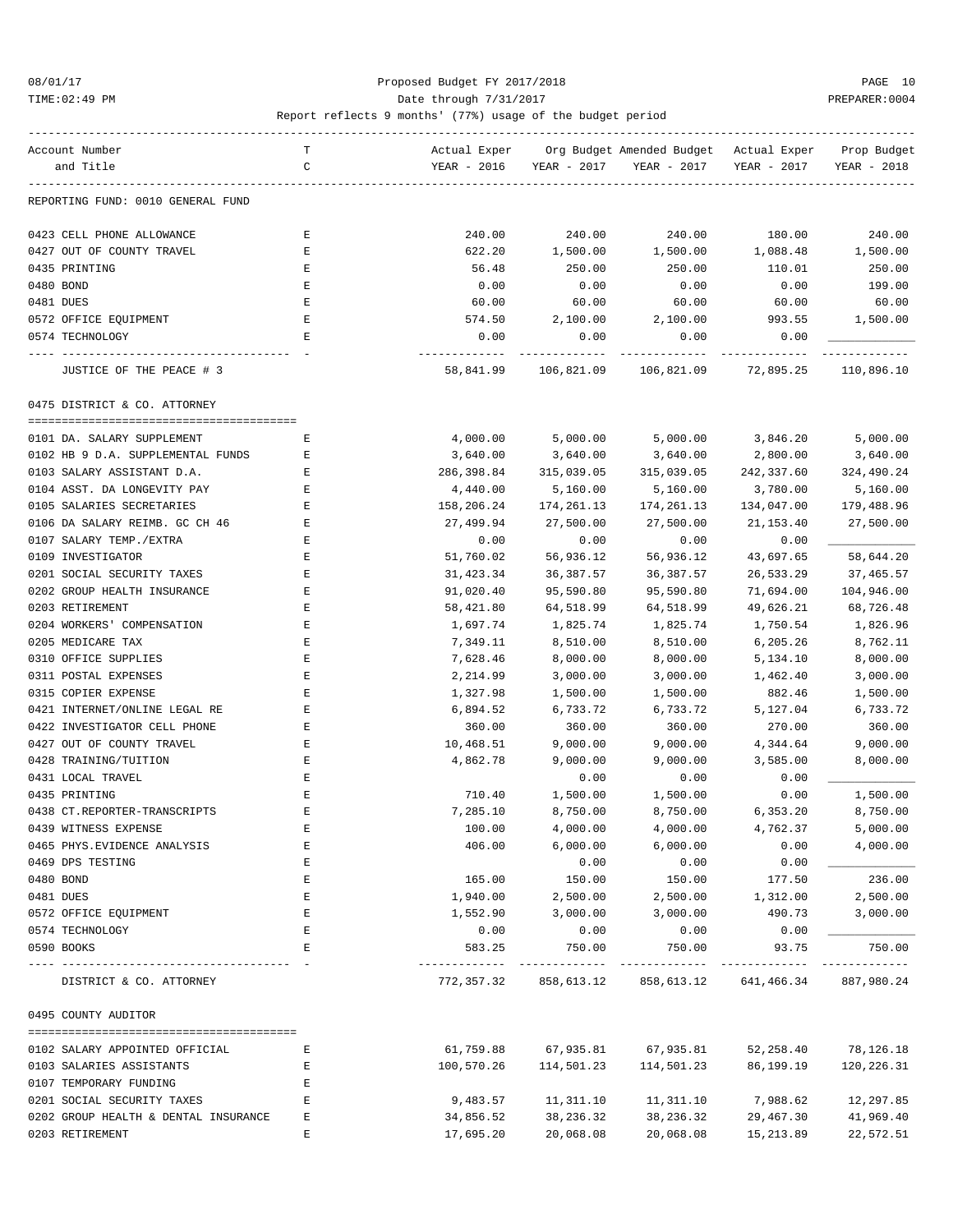### 08/01/17 Proposed Budget FY 2017/2018 PAGE 10 TIME:02:49 PM PREPARER:0004 Date through 7/31/2017 PREPARER:0004

| Account Number                       | т           | Actual Exper |              | Org Budget Amended Budget Actual Exper          |                       | Prop Budget           |
|--------------------------------------|-------------|--------------|--------------|-------------------------------------------------|-----------------------|-----------------------|
| and Title                            | C           | YEAR - 2016  | YEAR - 2017  | YEAR - 2017                                     | YEAR - 2017           | YEAR - 2018           |
|                                      |             |              |              |                                                 |                       |                       |
| REPORTING FUND: 0010 GENERAL FUND    |             |              |              |                                                 |                       |                       |
| 0423 CELL PHONE ALLOWANCE            | Ε           | 240.00       | 240.00       | 240.00                                          | 180.00                | 240.00                |
| 0427 OUT OF COUNTY TRAVEL            | Ε           | 622.20       | 1,500.00     | 1,500.00                                        | 1,088.48              | 1,500.00              |
| 0435 PRINTING                        | Ε           | 56.48        | 250.00       | 250.00                                          | 110.01                | 250.00                |
| 0480 BOND                            | Ε           | 0.00         | 0.00         | 0.00                                            | 0.00                  | 199.00                |
| 0481 DUES                            | E           | 60.00        | 60.00        | 60.00                                           | 60.00                 | 60.00                 |
| 0572 OFFICE EQUIPMENT                | Е           | 574.50       | 2,100.00     | 2,100.00                                        | 993.55                | 1,500.00              |
| 0574 TECHNOLOGY                      | Е           | 0.00         | 0.00         | 0.00                                            | 0.00                  |                       |
| JUSTICE OF THE PEACE # 3             |             |              |              | 58,841.99   106,821.09   106,821.09   72,895.25 |                       | 110,896.10            |
| 0475 DISTRICT & CO. ATTORNEY         |             |              |              |                                                 |                       |                       |
| 0101 DA. SALARY SUPPLEMENT           | E           | 4,000.00     | 5,000.00     | 5,000.00                                        | 3,846.20              | 5,000.00              |
| 0102 HB 9 D.A. SUPPLEMENTAL FUNDS    | Е           | 3,640.00     | 3,640.00     | 3,640.00                                        | 2,800.00              | 3,640.00              |
| 0103 SALARY ASSISTANT D.A.           | Ε           | 286,398.84   | 315,039.05   | 315,039.05                                      | 242,337.60            | 324,490.24            |
| 0104 ASST. DA LONGEVITY PAY          | $\mathbf E$ | 4,440.00     | 5,160.00     | 5,160.00                                        | 3,780.00              | 5,160.00              |
| 0105 SALARIES SECRETARIES            | Ε           | 158,206.24   | 174, 261. 13 | 174,261.13                                      | 134,047.00            | 179,488.96            |
| 0106 DA SALARY REIMB. GC CH 46       | Е           | 27,499.94    | 27,500.00    | 27,500.00                                       | 21,153.40             | 27,500.00             |
| 0107 SALARY TEMP./EXTRA              | Ε           | 0.00         | 0.00         | 0.00                                            | 0.00                  |                       |
| 0109 INVESTIGATOR                    | Ε           | 51,760.02    | 56,936.12    | 56,936.12                                       | 43,697.65             | 58,644.20             |
| 0201 SOCIAL SECURITY TAXES           | Ε           | 31,423.34    | 36,387.57    | 36,387.57                                       | 26,533.29             | 37,465.57             |
| 0202 GROUP HEALTH INSURANCE          | E           | 91,020.40    | 95,590.80    | 95,590.80                                       | 71,694.00             | 104,946.00            |
| 0203 RETIREMENT                      | Ε           | 58,421.80    | 64,518.99    | 64,518.99                                       | 49,626.21             | 68,726.48             |
| 0204 WORKERS' COMPENSATION           | Ε           | 1,697.74     | 1,825.74     | 1,825.74                                        | 1,750.54              | 1,826.96              |
| 0205 MEDICARE TAX                    | Ε           | 7,349.11     | 8,510.00     | 8,510.00                                        | 6,205.26              | 8,762.11              |
| 0310 OFFICE SUPPLIES                 | Ε           | 7,628.46     | 8,000.00     | 8,000.00                                        | 5,134.10              | 8,000.00              |
| 0311 POSTAL EXPENSES                 | E           | 2,214.99     | 3,000.00     | 3,000.00                                        | 1,462.40              | 3,000.00              |
| 0315 COPIER EXPENSE                  | Ε           | 1,327.98     | 1,500.00     | 1,500.00                                        | 882.46                | 1,500.00              |
| 0421 INTERNET/ONLINE LEGAL RE        | Ε           | 6,894.52     | 6,733.72     | 6,733.72                                        | 5,127.04              | 6,733.72              |
| 0422 INVESTIGATOR CELL PHONE         | Ε           | 360.00       | 360.00       | 360.00                                          | 270.00                | 360.00                |
| 0427 OUT OF COUNTY TRAVEL            | Ε           | 10,468.51    | 9,000.00     | 9,000.00                                        | 4,344.64              | 9,000.00              |
| 0428 TRAINING/TUITION                | Ε           | 4,862.78     | 9,000.00     | 9,000.00                                        | 3,585.00              | 8,000.00              |
| 0431 LOCAL TRAVEL                    | E           |              | 0.00         |                                                 | 0.00                  |                       |
| 0435 PRINTING                        | Ε           | 710.40       | 1,500.00     | 0.00                                            |                       | 1,500.00              |
|                                      |             |              | 8,750.00     | 1,500.00                                        | 0.00                  |                       |
| 0438 CT.REPORTER-TRANSCRIPTS         | Ε           | 7,285.10     |              | 8,750.00                                        | 6,353.20              | 8,750.00              |
| 0439 WITNESS EXPENSE                 | E           | 100.00       | 4,000.00     | 4,000.00                                        | 4,762.37              | 5,000.00              |
| 0465 PHYS. EVIDENCE ANALYSIS         | E           | 406.00       | 6,000.00     | 6,000.00                                        | 0.00                  | 4,000.00              |
| 0469 DPS TESTING                     | $\mathbf E$ |              | 0.00         | 0.00                                            | 0.00                  |                       |
| 0480 BOND                            | Ε           | 165.00       | 150.00       | 150.00                                          | 177.50                | 236.00                |
| 0481 DUES                            | Ε           | 1,940.00     | 2,500.00     | 2,500.00                                        | 1,312.00              | 2,500.00              |
| 0572 OFFICE EQUIPMENT                | Ε           | 1,552.90     | 3,000.00     | 3,000.00                                        | 490.73                | 3,000.00              |
| 0574 TECHNOLOGY                      | Ε           | 0.00         | 0.00         | 0.00                                            | 0.00                  |                       |
| 0590 BOOKS                           | E           | 583.25       | 750.00       | 750.00                                          | 93.75<br>. <u>.</u> . | 750.00<br>----------- |
| DISTRICT & CO. ATTORNEY              |             | 772,357.32   | 858,613.12   | 858,613.12                                      | 641,466.34            | 887,980.24            |
| 0495 COUNTY AUDITOR                  |             |              |              |                                                 |                       |                       |
| 0102 SALARY APPOINTED OFFICIAL       | Ε           | 61,759.88    | 67,935.81    | 67,935.81                                       | 52,258.40             | 78,126.18             |
| 0103 SALARIES ASSISTANTS             | Ε           | 100,570.26   | 114,501.23   | 114,501.23                                      | 86,199.19             | 120,226.31            |
| 0107 TEMPORARY FUNDING               | Е           |              |              |                                                 |                       |                       |
| 0201 SOCIAL SECURITY TAXES           | Ε           | 9,483.57     | 11,311.10    | 11,311.10                                       | 7,988.62              | 12,297.85             |
| 0202 GROUP HEALTH & DENTAL INSURANCE | Ε           | 34,856.52    | 38,236.32    | 38,236.32                                       | 29,467.30             | 41,969.40             |
| 0203 RETIREMENT                      | E           | 17,695.20    | 20,068.08    | 20,068.08                                       | 15,213.89             | 22,572.51             |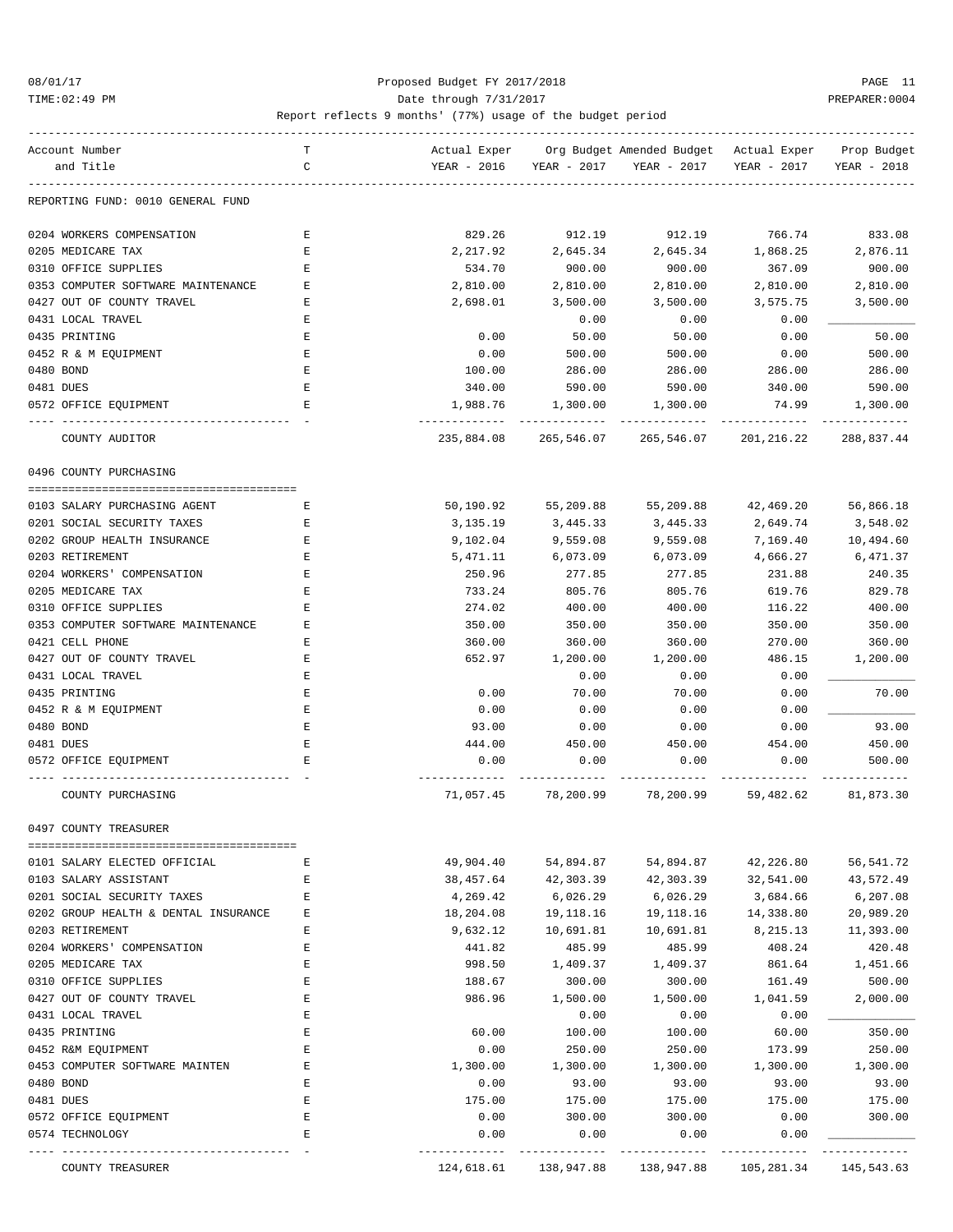### 08/01/17 Proposed Budget FY 2017/2018 PAGE 11 TIME:02:49 PM PREPARER:0004 Date through 7/31/2017 PREPARER:0004

| Account Number                           | T      |              |                | Actual Exper Org Budget Amended Budget Actual Exper                    |              | Prop Budget |
|------------------------------------------|--------|--------------|----------------|------------------------------------------------------------------------|--------------|-------------|
| and Title                                | C      | YEAR - 2016  | YEAR - 2017    | YEAR - 2017                                                            | YEAR - 2017  | YEAR - 2018 |
| REPORTING FUND: 0010 GENERAL FUND        |        |              |                |                                                                        |              |             |
| 0204 WORKERS COMPENSATION                | Е      | 829.26       | 912.19         | 912.19                                                                 | 766.74       | 833.08      |
| 0205 MEDICARE TAX                        | Е      | 2,217.92     | 2,645.34       | 2,645.34                                                               | 1,868.25     | 2,876.11    |
| 0310 OFFICE SUPPLIES                     | Е      | 534.70       | 900.00         | 900.00                                                                 | 367.09       | 900.00      |
| 0353 COMPUTER SOFTWARE MAINTENANCE       | Е      | 2,810.00     | 2,810.00       | 2,810.00                                                               | 2,810.00     | 2,810.00    |
| 0427 OUT OF COUNTY TRAVEL                | Е      | 2,698.01     | 3,500.00       | 3,500.00                                                               | 3,575.75     | 3,500.00    |
| 0431 LOCAL TRAVEL                        | Ε      |              | 0.00           | 0.00                                                                   | 0.00         |             |
| 0435 PRINTING                            | Ε      | 0.00         | 50.00          | 50.00                                                                  | 0.00         | 50.00       |
| 0452 R & M EQUIPMENT                     | Ε      | 0.00         | 500.00         | 500.00                                                                 | 0.00         | 500.00      |
| 0480 BOND                                | Е      | 100.00       | 286.00         | 286.00                                                                 | 286.00       | 286.00      |
| 0481 DUES                                | Е      | 340.00       | 590.00         | 590.00                                                                 | 340.00       | 590.00      |
| 0572 OFFICE EQUIPMENT                    | Е      | 1,988.76     | 1,300.00       | 1,300.00                                                               | 74.99        | 1,300.00    |
| COUNTY AUDITOR                           |        | 235,884.08   | 265,546.07     | 265,546.07                                                             | 201,216.22   | 288,837.44  |
| 0496 COUNTY PURCHASING                   |        |              |                |                                                                        |              |             |
| 0103 SALARY PURCHASING AGENT             | Е      | 50,190.92    | 55,209.88      | 55,209.88                                                              | 42,469.20    | 56,866.18   |
| 0201 SOCIAL SECURITY TAXES               | Ε      | 3,135.19     | 3,445.33       | 3,445.33                                                               | 2,649.74     | 3,548.02    |
| 0202 GROUP HEALTH INSURANCE              | Ε      | 9,102.04     | 9,559.08       | 9,559.08                                                               | 7,169.40     | 10,494.60   |
| 0203 RETIREMENT                          | Е      | 5,471.11     | 6,073.09       | 6,073.09                                                               | 4,666.27     | 6,471.37    |
| 0204 WORKERS' COMPENSATION               | Ε      | 250.96       | 277.85         | 277.85                                                                 | 231.88       | 240.35      |
| 0205 MEDICARE TAX                        | Ε      | 733.24       | 805.76         | 805.76                                                                 | 619.76       | 829.78      |
| 0310 OFFICE SUPPLIES                     | Ε      | 274.02       | 400.00         | 400.00                                                                 | 116.22       | 400.00      |
| 0353 COMPUTER SOFTWARE MAINTENANCE       | Е      | 350.00       | 350.00         | 350.00                                                                 | 350.00       | 350.00      |
| 0421 CELL PHONE                          | Е      | 360.00       | 360.00         | 360.00                                                                 | 270.00       | 360.00      |
| 0427 OUT OF COUNTY TRAVEL                | Ε      | 652.97       | 1,200.00       | 1,200.00                                                               | 486.15       | 1,200.00    |
| 0431 LOCAL TRAVEL                        | Ε      |              | 0.00           | 0.00                                                                   | 0.00         |             |
| 0435 PRINTING                            | Ε      | 0.00         | 70.00          | 70.00                                                                  | 0.00         | 70.00       |
| 0452 R & M EQUIPMENT                     | Ε      | 0.00         | 0.00           | 0.00                                                                   | 0.00         |             |
| 0480 BOND                                | Ε      | 93.00        | 0.00           | 0.00                                                                   | 0.00         | 93.00       |
| 0481 DUES                                | Е      | 444.00       | 450.00         | 450.00                                                                 | 454.00       | 450.00      |
| 0572 OFFICE EQUIPMENT                    | Е      | 0.00         | 0.00           | 0.00                                                                   | 0.00         | 500.00      |
| COUNTY PURCHASING                        |        | 71,057.45    | 78,200.99      | 78,200.99                                                              | 59,482.62    | 81,873.30   |
| 0497 COUNTY TREASURER                    |        |              |                |                                                                        |              |             |
| 0101 SALARY ELECTED OFFICIAL             | Е      | 49,904.40    | 54,894.87      | 54,894.87                                                              | 42,226.80    | 56, 541.72  |
| 0103 SALARY ASSISTANT                    | Е      | 38,457.64    | 42,303.39      | 42,303.39                                                              | 32,541.00    | 43,572.49   |
| 0201 SOCIAL SECURITY TAXES               | Е      | 4,269.42     | 6,026.29       | 6,026.29                                                               | 3,684.66     | 6,207.08    |
| 0202 GROUP HEALTH & DENTAL INSURANCE     | Е      | 18,204.08    | 19,118.16      | 19,118.16                                                              | 14,338.80    | 20,989.20   |
| 0203 RETIREMENT                          | Е      | 9,632.12     | 10,691.81      | 10,691.81                                                              | 8,215.13     | 11,393.00   |
| 0204 WORKERS' COMPENSATION               | Ε      | 441.82       | 485.99         | 485.99                                                                 | 408.24       | 420.48      |
| 0205 MEDICARE TAX                        | E      | 998.50       | 1,409.37       | 1,409.37                                                               | 861.64       | 1,451.66    |
| 0310 OFFICE SUPPLIES                     | E      | 188.67       | 300.00         | 300.00                                                                 | 161.49       | 500.00      |
| 0427 OUT OF COUNTY TRAVEL                | E      | 986.96       | 1,500.00       | 1,500.00                                                               | 1,041.59     | 2,000.00    |
| 0431 LOCAL TRAVEL                        | Ε      |              | 0.00           | 0.00                                                                   | 0.00         |             |
| 0435 PRINTING                            | E      | 60.00        | 100.00         | 100.00                                                                 | 60.00        | 350.00      |
| 0452 R&M EQUIPMENT                       | Ε      | 0.00         | 250.00         | 250.00                                                                 | 173.99       | 250.00      |
| 0453 COMPUTER SOFTWARE MAINTEN           | E      | 1,300.00     | 1,300.00       | 1,300.00                                                               | 1,300.00     | 1,300.00    |
| 0480 BOND                                | E      | 0.00         | 93.00          | 93.00                                                                  | 93.00        | 93.00       |
| 0481 DUES                                | Е      | 175.00       | 175.00         | 175.00                                                                 | 175.00       | 175.00      |
| 0572 OFFICE EQUIPMENT<br>0574 TECHNOLOGY | Е<br>Е | 0.00<br>0.00 | 300.00<br>0.00 | 300.00<br>0.00                                                         | 0.00<br>0.00 | 300.00      |
| COUNTY TREASURER                         |        |              | -----------    | ------------<br>124,618.61 138,947.88 138,947.88 105,281.34 145,543.63 |              |             |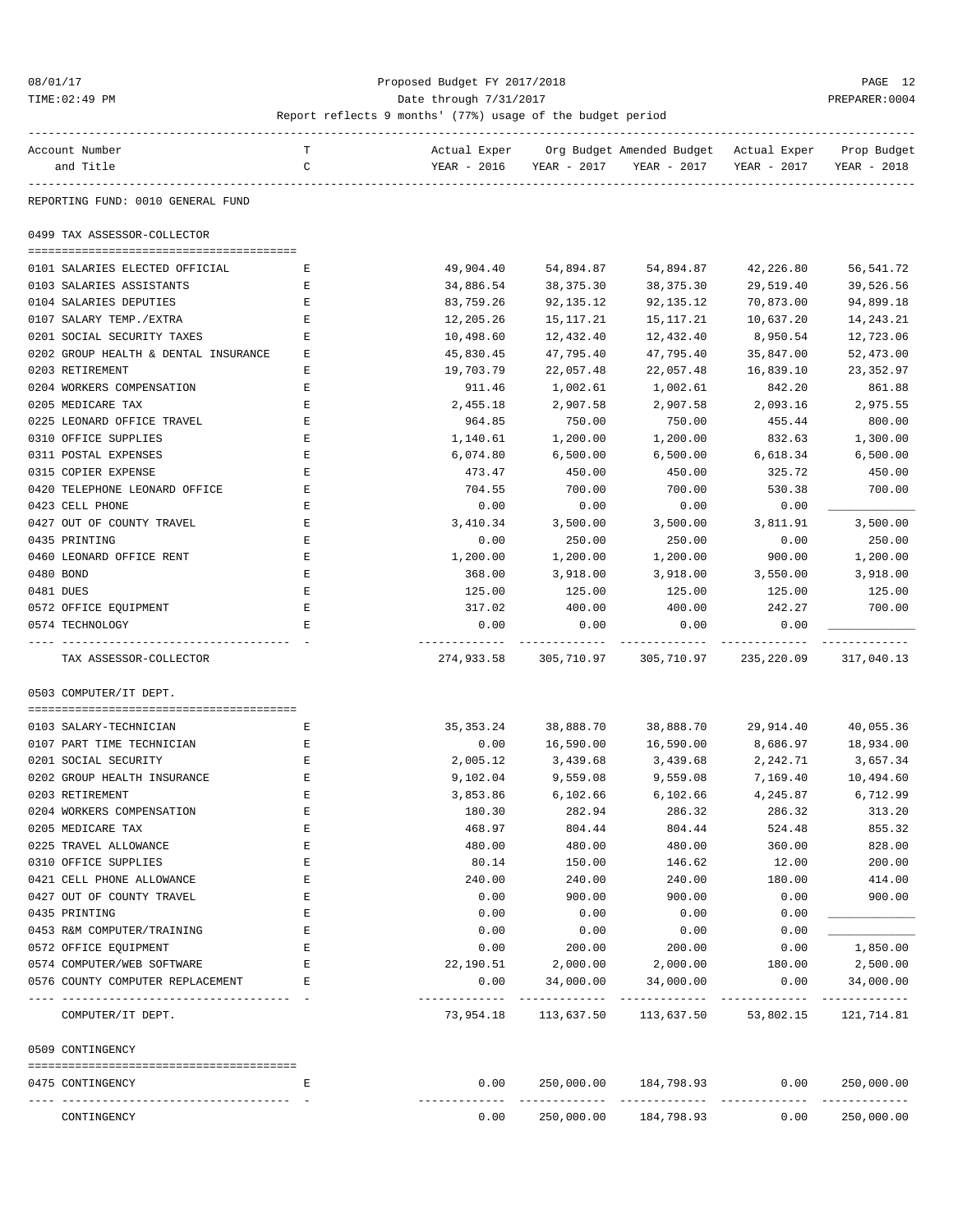### 08/01/17 Proposed Budget FY 2017/2018 PAGE 12 TIME:02:49 PM PREPARER:0004

| Account Number                          | т |             |             | Actual Exper Org Budget Amended Budget Actual Exper |                      | Prop Budget              |
|-----------------------------------------|---|-------------|-------------|-----------------------------------------------------|----------------------|--------------------------|
| and Title                               | C | YEAR - 2016 | YEAR - 2017 | YEAR - 2017                                         | YEAR - 2017          | YEAR - 2018              |
|                                         |   |             |             |                                                     |                      |                          |
| REPORTING FUND: 0010 GENERAL FUND       |   |             |             |                                                     |                      |                          |
| 0499 TAX ASSESSOR-COLLECTOR             |   |             |             |                                                     |                      |                          |
|                                         |   |             |             |                                                     |                      |                          |
| 0101 SALARIES ELECTED OFFICIAL          | Е | 49,904.40   | 54,894.87   | 54,894.87                                           | 42,226.80            | 56,541.72                |
| 0103 SALARIES ASSISTANTS                | Ε | 34,886.54   | 38,375.30   | 38,375.30                                           | 29,519.40            | 39,526.56                |
| 0104 SALARIES DEPUTIES                  | Ε | 83,759.26   | 92,135.12   | 92,135.12                                           | 70,873.00            | 94,899.18                |
| 0107 SALARY TEMP./EXTRA                 | Е | 12,205.26   | 15,117.21   | 15, 117. 21                                         | 10,637.20            | 14,243.21                |
| 0201 SOCIAL SECURITY TAXES              | Ε | 10,498.60   | 12,432.40   | 12,432.40                                           | 8,950.54             | 12,723.06                |
| 0202 GROUP HEALTH & DENTAL INSURANCE    | Ε | 45,830.45   | 47,795.40   | 47,795.40                                           | 35,847.00            | 52,473.00                |
| 0203 RETIREMENT                         | Ε | 19,703.79   | 22,057.48   | 22,057.48                                           | 16,839.10            | 23, 352.97               |
| 0204 WORKERS COMPENSATION               | Ε | 911.46      | 1,002.61    | 1,002.61                                            | 842.20               | 861.88                   |
| 0205 MEDICARE TAX                       | Ε | 2,455.18    | 2,907.58    | 2,907.58                                            | 2,093.16             | 2,975.55                 |
| 0225 LEONARD OFFICE TRAVEL              | E | 964.85      | 750.00      | 750.00                                              | 455.44               | 800.00                   |
| 0310 OFFICE SUPPLIES                    | Ε | 1,140.61    | 1,200.00    | 1,200.00                                            | 832.63               | 1,300.00                 |
| 0311 POSTAL EXPENSES                    | Е | 6,074.80    | 6,500.00    | 6,500.00                                            | 6,618.34             | 6,500.00                 |
| 0315 COPIER EXPENSE                     | Ε | 473.47      | 450.00      | 450.00                                              | 325.72               | 450.00                   |
| 0420 TELEPHONE LEONARD OFFICE           | Ε | 704.55      | 700.00      | 700.00                                              | 530.38               | 700.00                   |
| 0423 CELL PHONE                         | E | 0.00        | 0.00        | 0.00                                                | 0.00                 |                          |
| 0427 OUT OF COUNTY TRAVEL               | Ε | 3,410.34    | 3,500.00    | 3,500.00                                            | 3,811.91             | 3,500.00                 |
| 0435 PRINTING                           | Ε | 0.00        | 250.00      | 250.00                                              | 0.00                 | 250.00                   |
| 0460 LEONARD OFFICE RENT                | Ε | 1,200.00    | 1,200.00    | 1,200.00                                            | 900.00               | 1,200.00                 |
| 0480 BOND                               | Ε | 368.00      | 3,918.00    | 3,918.00                                            | 3,550.00             | 3,918.00                 |
| 0481 DUES                               | E | 125.00      | 125.00      | 125.00                                              | 125.00               | 125.00                   |
| 0572 OFFICE EQUIPMENT                   | E | 317.02      | 400.00      | 400.00                                              | 242.27               | 700.00                   |
| 0574 TECHNOLOGY                         | Ε | 0.00        | 0.00        | 0.00                                                | 0.00                 |                          |
|                                         |   | ----------- |             |                                                     |                      | ---------                |
| TAX ASSESSOR-COLLECTOR                  |   | 274,933.58  | 305,710.97  | 305,710.97                                          | 235,220.09           | 317,040.13               |
| 0503 COMPUTER/IT DEPT.                  |   |             |             |                                                     |                      |                          |
|                                         |   |             |             |                                                     |                      |                          |
| 0103 SALARY-TECHNICIAN                  | Ε | 35,353.24   | 38,888.70   | 38,888.70                                           | 29,914.40            | 40,055.36                |
| 0107 PART TIME TECHNICIAN               | Е | 0.00        | 16,590.00   | 16,590.00                                           | 8,686.97             | 18,934.00                |
| 0201 SOCIAL SECURITY                    | Е | 2,005.12    | 3,439.68    | 3,439.68                                            | 2,242.71             | 3,657.34                 |
| 0202 GROUP HEALTH INSURANCE             | Е | 9,102.04    | 9,559.08    | 9,559.08                                            | 7,169.40             | 10,494.60                |
| 0203 RETIREMENT                         | E | 3,853.86    | 6,102.66    | 6,102.66                                            | 4,245.87             | 6,712.99                 |
| 0204 WORKERS COMPENSATION               | Ε | 180.30      | 282.94      | 286.32                                              | 286.32               | 313.20                   |
| 0205 MEDICARE TAX                       | Ε | 468.97      | 804.44      | 804.44                                              | 524.48               | 855.32                   |
| 0225 TRAVEL ALLOWANCE                   | Ε | 480.00      | 480.00      | 480.00                                              | 360.00               | 828.00                   |
| 0310 OFFICE SUPPLIES                    | E | 80.14       | 150.00      | 146.62                                              | 12.00                | 200.00                   |
| 0421 CELL PHONE ALLOWANCE               | E | 240.00      | 240.00      | 240.00                                              | 180.00               | 414.00                   |
| 0427 OUT OF COUNTY TRAVEL               | Ε | 0.00        | 900.00      | 900.00                                              | 0.00                 | 900.00                   |
| 0435 PRINTING                           | Ε | 0.00        | 0.00        | 0.00                                                | 0.00                 |                          |
| 0453 R&M COMPUTER/TRAINING              | Ε | 0.00        | 0.00        | 0.00                                                | 0.00                 |                          |
| 0572 OFFICE EQUIPMENT                   | Ε | 0.00        | 200.00      | 200.00                                              | 0.00                 | 1,850.00                 |
| 0574 COMPUTER/WEB SOFTWARE              | E | 22,190.51   | 2,000.00    | 2,000.00                                            | 180.00               | 2,500.00                 |
| 0576 COUNTY COMPUTER REPLACEMENT        | Ε | 0.00        | 34,000.00   | 34,000.00                                           | 0.00                 | 34,000.00                |
| COMPUTER/IT DEPT.                       |   | 73,954.18   | 113,637.50  |                                                     | 113,637.50 53,802.15 | 121,714.81               |
| 0509 CONTINGENCY                        |   |             |             |                                                     |                      |                          |
|                                         |   |             |             |                                                     |                      |                          |
| 0475 CONTINGENCY<br>---- -------------- | Ε | 0.00        | ---------   | 250,000.00 184,798.93                               | 0.00                 | 250,000.00<br>---------- |
| CONTINGENCY                             |   | 0.00        | 250,000.00  | 184,798.93                                          | 0.00                 | 250,000.00               |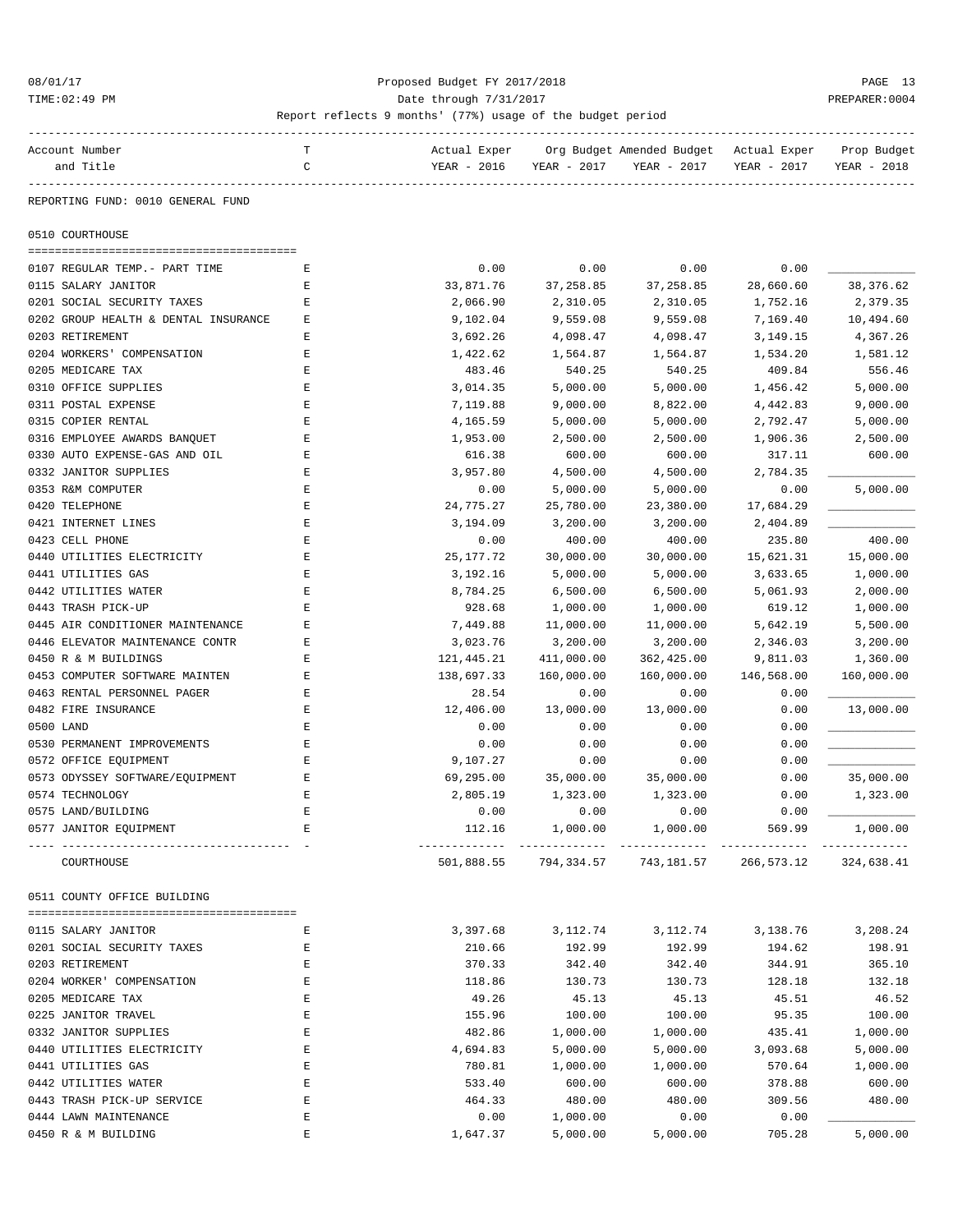### 08/01/17 Proposed Budget FY 2017/2018 PAGE 13 TIME:02:49 PM PREPARER:0004

| Account Number                       | т           | Actual Exper |             | Org Budget Amended Budget                              | Actual Exper | Prop Budget |
|--------------------------------------|-------------|--------------|-------------|--------------------------------------------------------|--------------|-------------|
| and Title                            | C           | YEAR - 2016  | YEAR - 2017 | YEAR - 2017                                            | YEAR - 2017  | YEAR - 2018 |
|                                      |             |              |             |                                                        |              |             |
| REPORTING FUND: 0010 GENERAL FUND    |             |              |             |                                                        |              |             |
| 0510 COURTHOUSE                      |             |              |             |                                                        |              |             |
|                                      |             |              |             |                                                        |              |             |
| 0107 REGULAR TEMP. - PART TIME       | Е           | 0.00         | 0.00        | 0.00                                                   | 0.00         |             |
| 0115 SALARY JANITOR                  | Е           | 33,871.76    | 37, 258.85  | 37,258.85                                              | 28,660.60    | 38, 376.62  |
| 0201 SOCIAL SECURITY TAXES           | Ε           | 2,066.90     | 2,310.05    | 2,310.05                                               | 1,752.16     | 2,379.35    |
| 0202 GROUP HEALTH & DENTAL INSURANCE | Е           | 9,102.04     | 9,559.08    | 9,559.08                                               | 7,169.40     | 10,494.60   |
| 0203 RETIREMENT                      | Ε           | 3,692.26     | 4,098.47    | 4,098.47                                               | 3, 149. 15   | 4,367.26    |
| 0204 WORKERS' COMPENSATION           | Ε           | 1,422.62     | 1,564.87    | 1,564.87                                               | 1,534.20     | 1,581.12    |
| 0205 MEDICARE TAX                    | Е           | 483.46       | 540.25      | 540.25                                                 | 409.84       | 556.46      |
| 0310 OFFICE SUPPLIES                 | Ε           | 3,014.35     | 5,000.00    | 5,000.00                                               | 1,456.42     | 5,000.00    |
| 0311 POSTAL EXPENSE                  | E           | 7,119.88     | 9,000.00    | 8,822.00                                               | 4,442.83     | 9,000.00    |
| 0315 COPIER RENTAL                   | $\mathbf E$ | 4,165.59     | 5,000.00    | 5,000.00                                               | 2,792.47     | 5,000.00    |
| 0316 EMPLOYEE AWARDS BANQUET         | Ε           | 1,953.00     | 2,500.00    | 2,500.00                                               | 1,906.36     | 2,500.00    |
| 0330 AUTO EXPENSE-GAS AND OIL        | Е           | 616.38       | 600.00      | 600.00                                                 | 317.11       | 600.00      |
| 0332 JANITOR SUPPLIES                | Е           | 3,957.80     | 4,500.00    | 4,500.00                                               | 2,784.35     |             |
| 0353 R&M COMPUTER                    | Ε           | 0.00         | 5,000.00    | 5,000.00                                               | 0.00         | 5,000.00    |
| 0420 TELEPHONE                       | E           | 24,775.27    | 25,780.00   | 23,380.00                                              | 17,684.29    |             |
| 0421 INTERNET LINES                  | E           | 3,194.09     | 3,200.00    | 3,200.00                                               | 2,404.89     |             |
| 0423 CELL PHONE                      | Ε           | 0.00         | 400.00      | 400.00                                                 | 235.80       | 400.00      |
| 0440 UTILITIES ELECTRICITY           | Е           | 25,177.72    | 30,000.00   | 30,000.00                                              | 15,621.31    | 15,000.00   |
| 0441 UTILITIES GAS                   | Е           | 3,192.16     | 5,000.00    | 5,000.00                                               | 3,633.65     | 1,000.00    |
| 0442 UTILITIES WATER                 | Ε           | 8,784.25     | 6,500.00    | 6,500.00                                               | 5,061.93     | 2,000.00    |
| 0443 TRASH PICK-UP                   | E           | 928.68       | 1,000.00    | 1,000.00                                               | 619.12       | 1,000.00    |
| 0445 AIR CONDITIONER MAINTENANCE     | Е           | 7,449.88     | 11,000.00   | 11,000.00                                              | 5,642.19     | 5,500.00    |
| 0446 ELEVATOR MAINTENANCE CONTR      | Е           | 3,023.76     | 3,200.00    | 3,200.00                                               | 2,346.03     | 3,200.00    |
| 0450 R & M BUILDINGS                 | Ε           | 121,445.21   | 411,000.00  | 362,425.00                                             | 9,811.03     | 1,360.00    |
| 0453 COMPUTER SOFTWARE MAINTEN       | Ε           |              |             |                                                        |              |             |
|                                      |             | 138,697.33   | 160,000.00  | 160,000.00                                             | 146,568.00   | 160,000.00  |
| 0463 RENTAL PERSONNEL PAGER          | E           | 28.54        | 0.00        | 0.00                                                   | 0.00         |             |
| 0482 FIRE INSURANCE                  | Ε           | 12,406.00    | 13,000.00   | 13,000.00                                              | 0.00         | 13,000.00   |
| 0500 LAND                            | E           | 0.00         | 0.00        | 0.00                                                   | 0.00         |             |
| 0530 PERMANENT IMPROVEMENTS          | Е           | 0.00         | 0.00        | 0.00                                                   | 0.00         |             |
| 0572 OFFICE EQUIPMENT                | Ε           | 9,107.27     | 0.00        | 0.00                                                   | 0.00         |             |
| 0573 ODYSSEY SOFTWARE/EQUIPMENT      | Ε           | 69,295.00    | 35,000.00   | 35,000.00                                              | 0.00         | 35,000.00   |
| 0574 TECHNOLOGY                      | E           | 2,805.19     | 1,323.00    | 1,323.00                                               | 0.00         | 1,323.00    |
| 0575 LAND/BUILDING                   | E           | 0.00         | 0.00        | 0.00                                                   | 0.00         |             |
| 0577 JANITOR EQUIPMENT               | Е           | 112.16       | 1,000.00    | 1,000.00                                               | 569.99       | 1,000.00    |
| COURTHOUSE                           |             |              |             | 501,888.55 794,334.57 743,181.57 266,573.12 324,638.41 |              |             |
| 0511 COUNTY OFFICE BUILDING          |             |              |             |                                                        |              |             |
|                                      |             |              |             |                                                        |              |             |
| 0115 SALARY JANITOR                  | Е           | 3,397.68     | 3,112.74    | 3,112.74                                               | 3,138.76     | 3,208.24    |
| 0201 SOCIAL SECURITY TAXES           | Ε           | 210.66       | 192.99      | 192.99                                                 | 194.62       | 198.91      |
| 0203 RETIREMENT                      | E           | 370.33       | 342.40      | 342.40                                                 | 344.91       | 365.10      |
| 0204 WORKER' COMPENSATION            | E           | 118.86       | 130.73      | 130.73                                                 | 128.18       | 132.18      |
| 0205 MEDICARE TAX                    | E           | 49.26        | 45.13       | 45.13                                                  | 45.51        | 46.52       |
| 0225 JANITOR TRAVEL                  | Ε           | 155.96       | 100.00      | 100.00                                                 | 95.35        | 100.00      |
| 0332 JANITOR SUPPLIES                | Ε           | 482.86       | 1,000.00    | 1,000.00                                               | 435.41       | 1,000.00    |
| 0440 UTILITIES ELECTRICITY           | E           | 4,694.83     | 5,000.00    | 5,000.00                                               | 3,093.68     | 5,000.00    |
| 0441 UTILITIES GAS                   | E           | 780.81       | 1,000.00    | 1,000.00                                               | 570.64       | 1,000.00    |
| 0442 UTILITIES WATER                 | Ε           | 533.40       | 600.00      | 600.00                                                 | 378.88       | 600.00      |
| 0443 TRASH PICK-UP SERVICE           | Ε           | 464.33       | 480.00      | 480.00                                                 | 309.56       | 480.00      |
| 0444 LAWN MAINTENANCE                | Ε           | 0.00         | 1,000.00    | 0.00                                                   | 0.00         |             |
| 0450 R & M BUILDING                  | Ε           | 1,647.37     | 5,000.00    | 5,000.00                                               | 705.28       | 5,000.00    |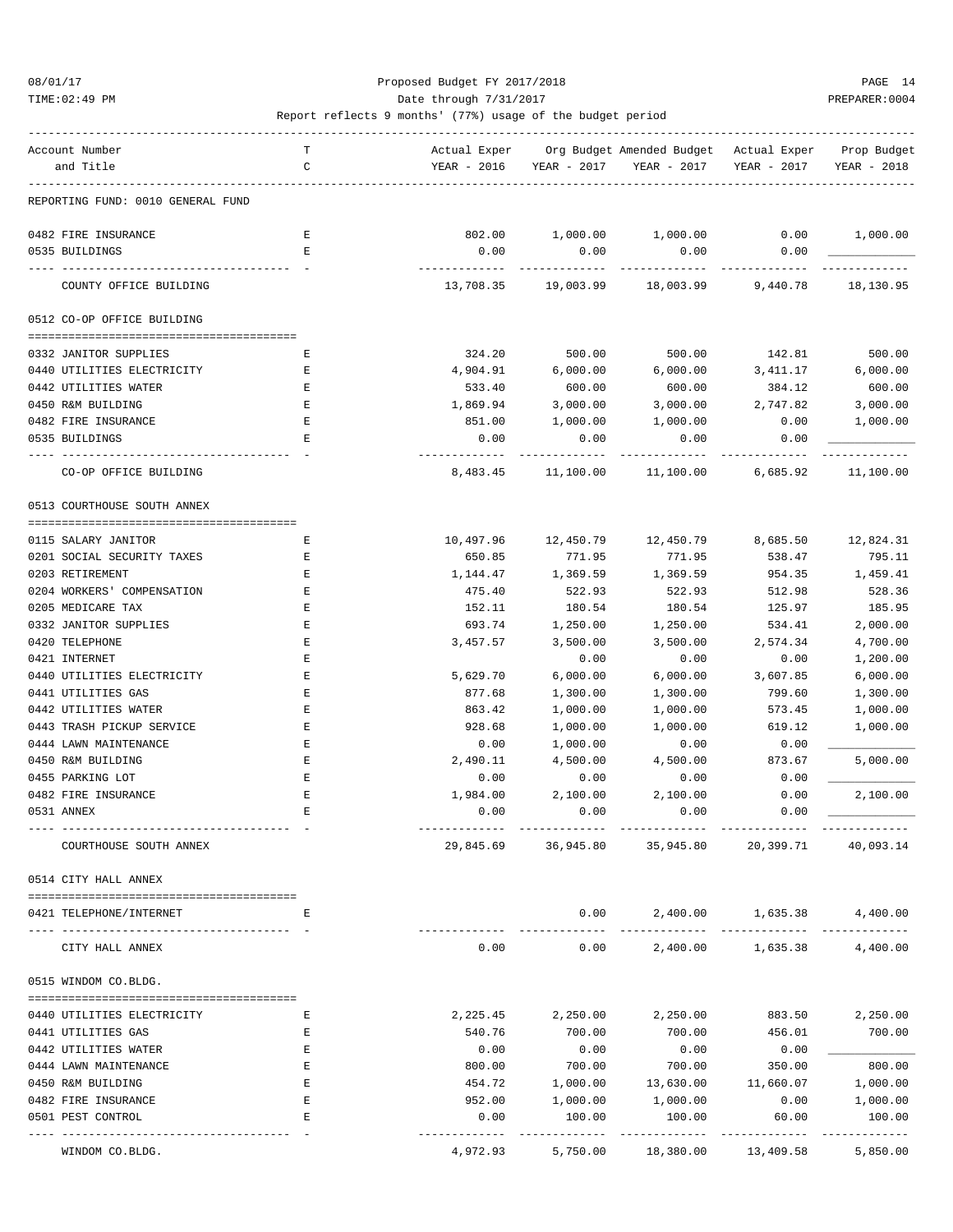TIME:02:49 PM PREPARER:0004 Date through 7/31/2017 PREPARER:0004

| Account Number                                  | т      | Actual Exper        |                       | Org Budget Amended Budget - Actual Exper |                   | Prop Budget         |
|-------------------------------------------------|--------|---------------------|-----------------------|------------------------------------------|-------------------|---------------------|
| and Title                                       | C      | YEAR - 2016         | YEAR - 2017           | YEAR - 2017                              | YEAR - 2017       | YEAR - 2018         |
| REPORTING FUND: 0010 GENERAL FUND               |        |                     |                       |                                          |                   |                     |
| 0482 FIRE INSURANCE                             | Ε      | 802.00              | $1,000.00$ $1,000.00$ |                                          | 0.00              | 1,000.00            |
| 0535 BUILDINGS                                  | E.     | 0.00                | 0.00                  | 0.00                                     | 0.00              |                     |
|                                                 |        |                     |                       |                                          |                   |                     |
| COUNTY OFFICE BUILDING                          |        |                     | 13,708.35 19,003.99   | 18,003.99                                | 9,440.78          | 18,130.95           |
| 0512 CO-OP OFFICE BUILDING                      |        |                     |                       |                                          |                   |                     |
| 0332 JANITOR SUPPLIES                           | Е      | 324.20              | 500.00                | 500.00                                   | 142.81            | 500.00              |
| 0440 UTILITIES ELECTRICITY                      | Е      | 4,904.91            | 6,000.00              | 6,000.00                                 | 3,411.17          | 6,000.00            |
| 0442 UTILITIES WATER                            | Ε      | 533.40              | 600.00                | 600.00                                   | 384.12            | 600.00              |
| 0450 R&M BUILDING                               | Ε      | 1,869.94            | 3,000.00              | 3,000.00                                 | 2,747.82          | 3,000.00            |
| 0482 FIRE INSURANCE                             | Е      | 851.00              | 1,000.00              | 1,000.00                                 | 0.00              | 1,000.00            |
| 0535 BUILDINGS                                  | Ε      | 0.00                | 0.00                  | 0.00                                     | 0.00              |                     |
|                                                 |        |                     |                       |                                          |                   |                     |
| CO-OP OFFICE BUILDING                           |        | 8,483.45            | 11,100.00             | 11,100.00                                | 6,685.92          | 11,100.00           |
| 0513 COURTHOUSE SOUTH ANNEX                     |        |                     |                       |                                          |                   |                     |
|                                                 |        |                     |                       | 12,450.79                                | 8,685.50          |                     |
| 0115 SALARY JANITOR                             | Е      | 10,497.96<br>650.85 | 12,450.79<br>771.95   |                                          | 538.47            | 12,824.31<br>795.11 |
| 0201 SOCIAL SECURITY TAXES<br>0203 RETIREMENT   | Ε      | 1,144.47            |                       | 771.95                                   | 954.35            | 1,459.41            |
|                                                 | Ε      |                     | 1,369.59              | 1,369.59                                 |                   | 528.36              |
| 0204 WORKERS' COMPENSATION<br>0205 MEDICARE TAX | Ε<br>Ε | 475.40<br>152.11    | 522.93<br>180.54      | 522.93<br>180.54                         | 512.98<br>125.97  | 185.95              |
| 0332 JANITOR SUPPLIES                           | Ε      |                     |                       |                                          |                   | 2,000.00            |
| 0420 TELEPHONE                                  | Ε      | 693.74              | 1,250.00<br>3,500.00  | 1,250.00                                 | 534.41            | 4,700.00            |
| 0421 INTERNET                                   | E      | 3,457.57            |                       | 3,500.00                                 | 2,574.34          | 1,200.00            |
| 0440 UTILITIES ELECTRICITY                      | Ε      | 5,629.70            | 0.00<br>6,000.00      | 0.00<br>6,000.00                         | 0.00<br>3,607.85  | 6,000.00            |
| 0441 UTILITIES GAS                              | Ε      | 877.68              | 1,300.00              | 1,300.00                                 | 799.60            | 1,300.00            |
| 0442 UTILITIES WATER                            | Ε      | 863.42              | 1,000.00              | 1,000.00                                 | 573.45            | 1,000.00            |
| 0443 TRASH PICKUP SERVICE                       | Ε      | 928.68              | 1,000.00              | 1,000.00                                 | 619.12            | 1,000.00            |
| 0444 LAWN MAINTENANCE                           | Ε      | 0.00                | 1,000.00              | 0.00                                     | 0.00              |                     |
| 0450 R&M BUILDING                               | Ε      | 2,490.11            | 4,500.00              | 4,500.00                                 | 873.67            | 5,000.00            |
| 0455 PARKING LOT                                | Ε      |                     |                       |                                          |                   |                     |
| 0482 FIRE INSURANCE                             |        | 0.00                | 0.00<br>2,100.00      | 0.00<br>2,100.00                         | 0.00              | 2,100.00            |
| 0531 ANNEX                                      | Ε<br>Ε | 1,984.00<br>0.00    | 0.00                  | 0.00                                     | 0.00<br>0.00      |                     |
|                                                 |        |                     |                       |                                          |                   |                     |
| COURTHOUSE SOUTH ANNEX                          |        | 29,845.69           | 36,945.80             | 35,945.80                                | 20,399.71         | 40,093.14           |
| 0514 CITY HALL ANNEX                            |        |                     |                       |                                          |                   |                     |
| 0421 TELEPHONE/INTERNET                         | Ε      |                     | 0.00                  |                                          | 2,400.00 1,635.38 | 4,400.00            |
| CITY HALL ANNEX                                 |        | 0.00                | 0.00                  | 2,400.00                                 | 1,635.38          | 4,400.00            |
| 0515 WINDOM CO.BLDG.                            |        |                     |                       |                                          |                   |                     |
|                                                 |        |                     |                       |                                          |                   |                     |
| 0440 UTILITIES ELECTRICITY                      | Ε      | 2,225.45            | 2,250.00              | 2,250.00                                 | 883.50            | 2,250.00            |
| 0441 UTILITIES GAS                              | Ε      | 540.76              | 700.00                | 700.00                                   | 456.01            | 700.00              |
| 0442 UTILITIES WATER                            | Ε      | 0.00                | 0.00                  | 0.00                                     | 0.00              |                     |
| 0444 LAWN MAINTENANCE                           | Ε      | 800.00              | 700.00                | 700.00                                   | 350.00            | 800.00              |
| 0450 R&M BUILDING                               | Ε      | 454.72              | 1,000.00              | 13,630.00                                | 11,660.07         | 1,000.00            |
| 0482 FIRE INSURANCE                             | E      | 952.00              | 1,000.00              | 1,000.00                                 | 0.00              | 1,000.00            |
| 0501 PEST CONTROL                               | E      | 0.00                | 100.00                | 100.00                                   | 60.00             | 100.00              |
| WINDOM CO.BLDG.                                 |        | 4,972.93            | 5,750.00              | 18,380.00                                | 13,409.58         | 5,850.00            |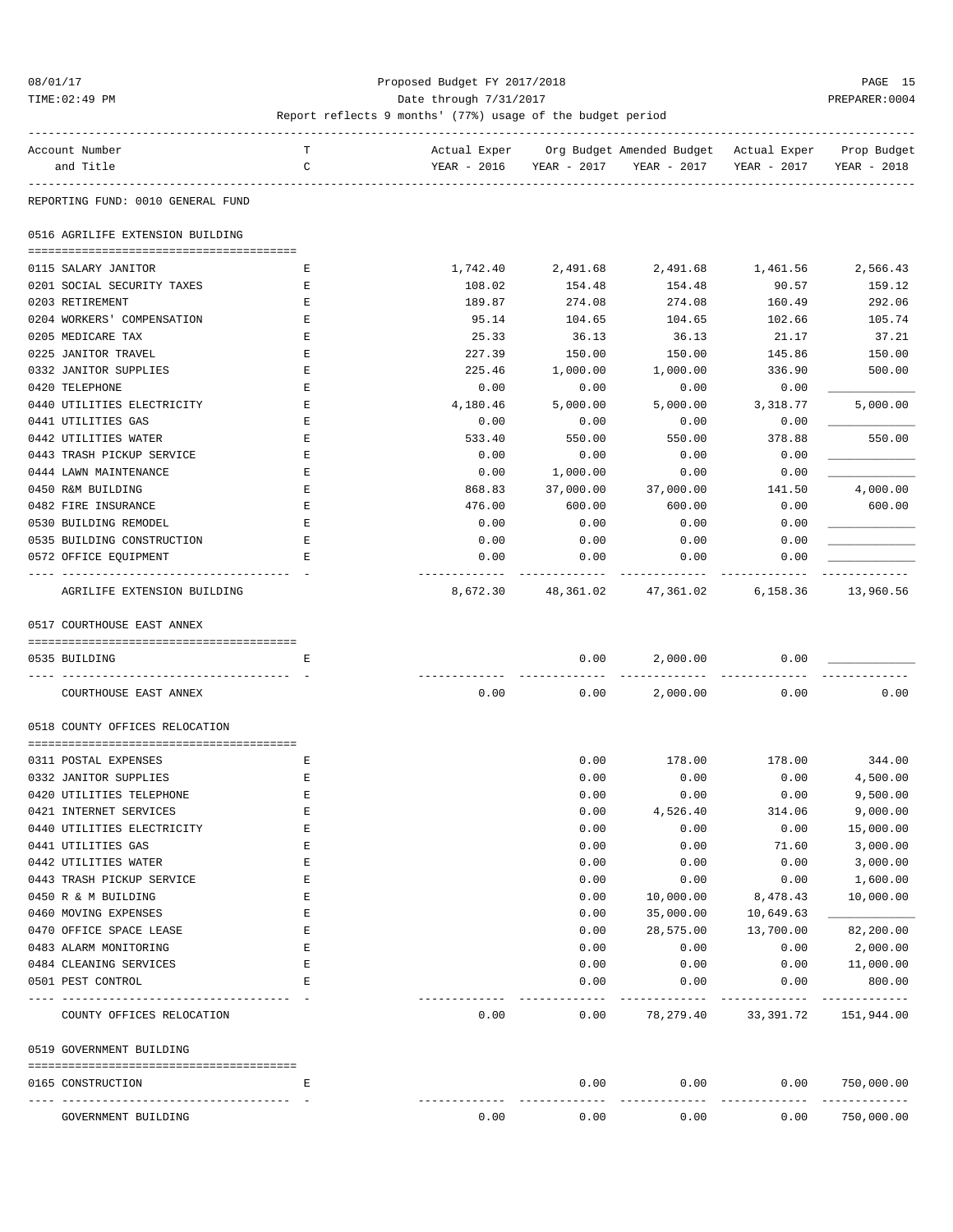### 08/01/17 Proposed Budget FY 2017/2018 PAGE 15 TIME:02:49 PM PREPARER:0004

| Account Number       |                                   | т           |             |             | Actual Exper Org Budget Amended Budget Actual Exper |             | Prop Budget |
|----------------------|-----------------------------------|-------------|-------------|-------------|-----------------------------------------------------|-------------|-------------|
| and Title            |                                   | C           | YEAR - 2016 | YEAR - 2017 | YEAR - 2017                                         | YEAR - 2017 | YEAR - 2018 |
|                      |                                   |             |             |             |                                                     |             |             |
|                      | REPORTING FUND: 0010 GENERAL FUND |             |             |             |                                                     |             |             |
|                      | 0516 AGRILIFE EXTENSION BUILDING  |             |             |             |                                                     |             |             |
|                      |                                   |             |             |             |                                                     |             |             |
| 0115 SALARY JANITOR  |                                   | Е           | 1,742.40    |             | 2,491.68 2,491.68 1,461.56                          |             | 2,566.43    |
|                      | 0201 SOCIAL SECURITY TAXES        | Е           | 108.02      | 154.48      | 154.48                                              | 90.57       | 159.12      |
| 0203 RETIREMENT      |                                   | Ε           | 189.87      | 274.08      | 274.08                                              | 160.49      | 292.06      |
|                      | 0204 WORKERS' COMPENSATION        | E           | 95.14       | 104.65      | 104.65                                              | 102.66      | 105.74      |
| 0205 MEDICARE TAX    |                                   | Ε           | 25.33       | 36.13       | 36.13                                               | 21.17       | 37.21       |
| 0225 JANITOR TRAVEL  |                                   | Ε           | 227.39      | 150.00      | 150.00                                              | 145.86      | 150.00      |
|                      | 0332 JANITOR SUPPLIES             | Ε           | 225.46      | 1,000.00    | 1,000.00                                            | 336.90      | 500.00      |
| 0420 TELEPHONE       |                                   | Ε           | 0.00        | 0.00        | 0.00                                                | 0.00        |             |
|                      | 0440 UTILITIES ELECTRICITY        | Ε           | 4,180.46    | 5,000.00    | 5,000.00                                            | 3,318.77    | 5,000.00    |
| 0441 UTILITIES GAS   |                                   | E           | 0.00        | 0.00        | 0.00                                                | 0.00        |             |
| 0442 UTILITIES WATER |                                   | Е           | 533.40      | 550.00      | 550.00                                              | 378.88      | 550.00      |
|                      | 0443 TRASH PICKUP SERVICE         | Ε           | 0.00        | 0.00        | 0.00                                                | 0.00        |             |
|                      | 0444 LAWN MAINTENANCE             | Ε           | 0.00        | 1,000.00    | 0.00                                                | 0.00        |             |
| 0450 R&M BUILDING    |                                   | Ε           | 868.83      | 37,000.00   | 37,000.00                                           | 141.50      | 4,000.00    |
| 0482 FIRE INSURANCE  |                                   | $\mathbf E$ | 476.00      | 600.00      | 600.00                                              | 0.00        | 600.00      |
|                      | 0530 BUILDING REMODEL             | Ε           | 0.00        | 0.00        | 0.00                                                | 0.00        |             |
|                      | 0535 BUILDING CONSTRUCTION        | Ε           | 0.00        | 0.00        | 0.00                                                | 0.00        |             |
|                      | 0572 OFFICE EQUIPMENT             | Е           | 0.00        | 0.00        | 0.00                                                | 0.00        |             |
|                      | AGRILIFE EXTENSION BUILDING       |             | 8,672.30    |             | 48,361.02 47,361.02                                 | 6,158.36    | 13,960.56   |
|                      |                                   |             |             |             |                                                     |             |             |
|                      | 0517 COURTHOUSE EAST ANNEX        |             |             |             |                                                     |             |             |
| 0535 BUILDING        |                                   | Ε           |             | 0.00        | 2,000.00                                            | 0.00        |             |
|                      | COURTHOUSE EAST ANNEX             |             | 0.00        | 0.00        | 2,000.00                                            | 0.00        | 0.00        |
|                      | 0518 COUNTY OFFICES RELOCATION    |             |             |             |                                                     |             |             |
|                      |                                   |             |             |             |                                                     |             |             |
| 0311 POSTAL EXPENSES |                                   | Е           |             | 0.00        | 178.00                                              | 178.00      | 344.00      |
|                      | 0332 JANITOR SUPPLIES             | Е           |             | 0.00        | 0.00                                                | 0.00        | 4,500.00    |
|                      | 0420 UTILITIES TELEPHONE          | E           |             | 0.00        | 0.00                                                | 0.00        | 9,500.00    |
|                      | 0421 INTERNET SERVICES            | $\mathbf E$ |             | 0.00        | 4,526.40                                            | 314.06      | 9,000.00    |
|                      | 0440 UTILITIES ELECTRICITY        | Ε           |             | 0.00        | 0.00                                                | 0.00        | 15,000.00   |
| 0441 UTILITIES GAS   |                                   | E           |             | 0.00        | 0.00                                                | 71.60       | 3,000.00    |
| 0442 UTILITIES WATER |                                   | E           |             | 0.00        | 0.00                                                | 0.00        | 3,000.00    |
|                      | 0443 TRASH PICKUP SERVICE         | $\mathbf E$ |             | 0.00        | 0.00                                                | 0.00        | 1,600.00    |
| 0450 R & M BUILDING  |                                   | E           |             | 0.00        | 10,000.00                                           | 8,478.43    | 10,000.00   |
| 0460 MOVING EXPENSES |                                   | E           |             | 0.00        | 35,000.00                                           | 10,649.63   |             |
|                      | 0470 OFFICE SPACE LEASE           | Ε           |             | 0.00        | 28,575.00                                           | 13,700.00   | 82,200.00   |
|                      | 0483 ALARM MONITORING             | Ε           |             | 0.00        | 0.00                                                | 0.00        | 2,000.00    |
|                      | 0484 CLEANING SERVICES            | E           |             | 0.00        | 0.00                                                | 0.00        | 11,000.00   |
| 0501 PEST CONTROL    |                                   | E           |             | 0.00        | 0.00                                                | 0.00        | 800.00      |
|                      | COUNTY OFFICES RELOCATION         |             | 0.00        | 0.00        | 78,279.40                                           | 33,391.72   | 151,944.00  |
|                      | 0519 GOVERNMENT BUILDING          |             |             |             |                                                     |             |             |
|                      |                                   |             |             |             |                                                     |             |             |
| 0165 CONSTRUCTION    |                                   | Ε           |             | 0.00        | 0.00                                                | 0.00        | 750,000.00  |
|                      | GOVERNMENT BUILDING               |             | 0.00        | 0.00        | 0.00                                                | 0.00        | 750,000.00  |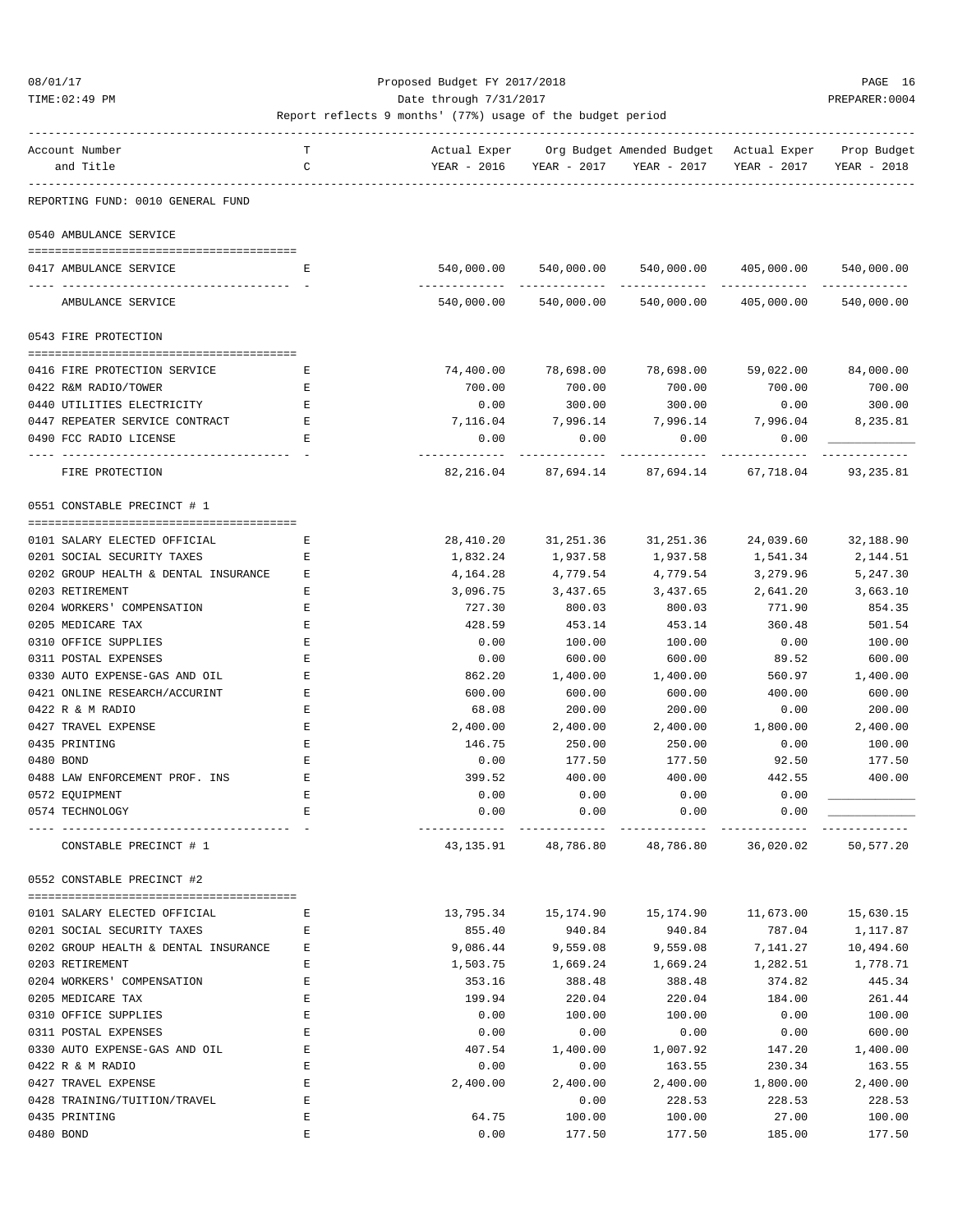TIME:02:49 PM PREPARER:0004 Date through 7/31/2017 PREPARER:0004

| Account Number                       | т           | Actual Exper |                       | Org Budget Amended Budget - Actual Exper                   |                       | Prop Budget |
|--------------------------------------|-------------|--------------|-----------------------|------------------------------------------------------------|-----------------------|-------------|
| and Title                            | C           | YEAR - 2016  | YEAR - 2017           | YEAR - 2017                                                | YEAR - 2017           | YEAR - 2018 |
| REPORTING FUND: 0010 GENERAL FUND    |             |              |                       |                                                            |                       |             |
| 0540 AMBULANCE SERVICE               |             |              |                       |                                                            |                       |             |
| 0417 AMBULANCE SERVICE               | Е           |              |                       | 540,000.00  540,000.00  540,000.00  405,000.00  540,000.00 |                       |             |
|                                      |             |              |                       |                                                            |                       |             |
| AMBULANCE SERVICE                    |             |              | 540,000.00 540,000.00 |                                                            | 540,000.00 405,000.00 | 540,000.00  |
| 0543 FIRE PROTECTION                 |             |              |                       |                                                            |                       |             |
| 0416 FIRE PROTECTION SERVICE         | Е           | 74,400.00    | 78,698.00             | 78,698.00                                                  | 59,022.00             | 84,000.00   |
| 0422 R&M RADIO/TOWER                 | Е           | 700.00       | 700.00                | 700.00                                                     | 700.00                | 700.00      |
| 0440 UTILITIES ELECTRICITY           | Е           | 0.00         | 300.00                | 300.00                                                     | 0.00                  | 300.00      |
| 0447 REPEATER SERVICE CONTRACT       | Е           | 7,116.04     | 7,996.14              | 7,996.14                                                   | 7,996.04              | 8,235.81    |
| 0490 FCC RADIO LICENSE               | Е           | 0.00         | 0.00                  | 0.00                                                       | 0.00                  |             |
| FIRE PROTECTION                      |             |              | 82, 216.04 87, 694.14 |                                                            | 87,694.14 67,718.04   | 93,235.81   |
| 0551 CONSTABLE PRECINCT # 1          |             |              |                       |                                                            |                       |             |
|                                      |             |              |                       |                                                            |                       |             |
| 0101 SALARY ELECTED OFFICIAL         | Е           | 28,410.20    | 31,251.36             | 31,251.36                                                  | 24,039.60             | 32,188.90   |
| 0201 SOCIAL SECURITY TAXES           | Е           | 1,832.24     | 1,937.58              | 1,937.58                                                   | 1,541.34              | 2,144.51    |
| 0202 GROUP HEALTH & DENTAL INSURANCE | Е           | 4,164.28     | 4,779.54              | 4,779.54                                                   | 3,279.96              | 5,247.30    |
| 0203 RETIREMENT                      | Е           | 3,096.75     | 3,437.65              | 3,437.65                                                   | 2,641.20              | 3,663.10    |
| 0204 WORKERS' COMPENSATION           | Е           | 727.30       | 800.03                | 800.03                                                     | 771.90                | 854.35      |
| 0205 MEDICARE TAX                    | Е           | 428.59       | 453.14                | 453.14                                                     | 360.48                | 501.54      |
| 0310 OFFICE SUPPLIES                 | Ε           | 0.00         | 100.00                | 100.00                                                     | 0.00                  | 100.00      |
| 0311 POSTAL EXPENSES                 | E           | 0.00         | 600.00                | 600.00                                                     | 89.52                 | 600.00      |
| 0330 AUTO EXPENSE-GAS AND OIL        | Ε           | 862.20       | 1,400.00              | 1,400.00                                                   | 560.97                | 1,400.00    |
| 0421 ONLINE RESEARCH/ACCURINT        | Е           | 600.00       | 600.00                | 600.00                                                     | 400.00                | 600.00      |
| 0422 R & M RADIO                     | Ε           | 68.08        | 200.00                | 200.00                                                     | 0.00                  | 200.00      |
| 0427 TRAVEL EXPENSE                  | Ε           | 2,400.00     | 2,400.00              | 2,400.00                                                   | 1,800.00              | 2,400.00    |
| 0435 PRINTING                        | Ε           | 146.75       | 250.00                | 250.00                                                     | 0.00                  | 100.00      |
| 0480 BOND                            | Ε           | 0.00         | 177.50                | 177.50                                                     | 92.50                 | 177.50      |
| 0488 LAW ENFORCEMENT PROF. INS       | Ε           | 399.52       | 400.00                | 400.00                                                     | 442.55                | 400.00      |
| 0572 EQUIPMENT                       | Ε           | 0.00         | 0.00                  | 0.00                                                       | 0.00                  |             |
| 0574 TECHNOLOGY                      | Ε           | 0.00         | 0.00                  | 0.00                                                       | 0.00                  |             |
|                                      |             |              |                       |                                                            |                       |             |
| CONSTABLE PRECINCT # 1               |             | 43,135.91    | 48,786.80             | 48,786.80                                                  | 36,020.02             | 50,577.20   |
| 0552 CONSTABLE PRECINCT #2           |             |              |                       |                                                            |                       |             |
|                                      |             |              |                       |                                                            |                       |             |
| 0101 SALARY ELECTED OFFICIAL         | Е           | 13,795.34    | 15,174.90             | 15,174.90                                                  | 11,673.00             | 15,630.15   |
| 0201 SOCIAL SECURITY TAXES           | E           | 855.40       | 940.84                | 940.84                                                     | 787.04                | 1,117.87    |
| 0202 GROUP HEALTH & DENTAL INSURANCE | Ε           | 9,086.44     | 9,559.08              | 9,559.08                                                   | 7,141.27              | 10,494.60   |
| 0203 RETIREMENT                      | Ε           | 1,503.75     | 1,669.24              | 1,669.24                                                   | 1,282.51              | 1,778.71    |
| 0204 WORKERS' COMPENSATION           | E           | 353.16       | 388.48                | 388.48                                                     | 374.82                | 445.34      |
| 0205 MEDICARE TAX                    | E           | 199.94       | 220.04                | 220.04                                                     | 184.00                | 261.44      |
| 0310 OFFICE SUPPLIES                 | E           | 0.00         | 100.00                | 100.00                                                     | 0.00                  | 100.00      |
| 0311 POSTAL EXPENSES                 | E           | 0.00         | 0.00                  | 0.00                                                       | 0.00                  | 600.00      |
| 0330 AUTO EXPENSE-GAS AND OIL        | E           | 407.54       | 1,400.00              | 1,007.92                                                   | 147.20                | 1,400.00    |
| 0422 R & M RADIO                     | E           | 0.00         | 0.00                  | 163.55                                                     | 230.34                | 163.55      |
| 0427 TRAVEL EXPENSE                  | Ε           | 2,400.00     | 2,400.00              | 2,400.00                                                   | 1,800.00              | 2,400.00    |
| 0428 TRAINING/TUITION/TRAVEL         | E           |              | 0.00                  | 228.53                                                     | 228.53                | 228.53      |
| 0435 PRINTING                        | $\mathbf E$ | 64.75        | 100.00                | 100.00                                                     | 27.00                 | 100.00      |
| 0480 BOND                            | E           | 0.00         | 177.50                | 177.50                                                     | 185.00                | 177.50      |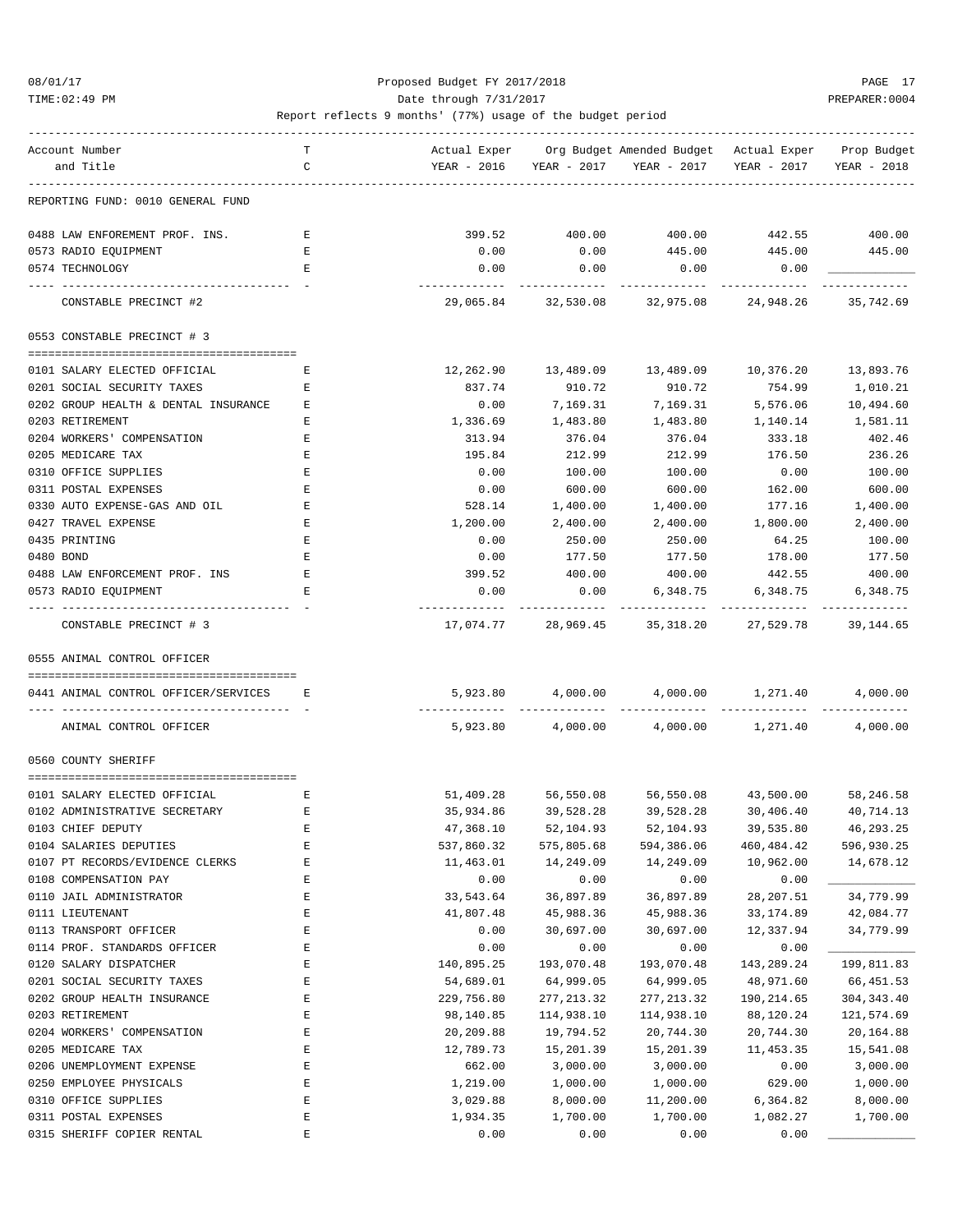### 08/01/17 Proposed Budget FY 2017/2018 PAGE 17 TIME:02:49 PM PREPARER:0004 Date through 7/31/2017 PREPARER:0004

| Account Number                                                           | т            |                         |                          | Actual Exper Org Budget Amended Budget Actual Exper Prop Budget |                         |                           |
|--------------------------------------------------------------------------|--------------|-------------------------|--------------------------|-----------------------------------------------------------------|-------------------------|---------------------------|
| and Title                                                                | C            |                         |                          | YEAR - 2016 YEAR - 2017 YEAR - 2017                             | YEAR - 2017             | YEAR - 2018               |
| REPORTING FUND: 0010 GENERAL FUND                                        |              |                         |                          |                                                                 |                         |                           |
| 0488 LAW ENFOREMENT PROF. INS.                                           | $\mathbf{E}$ | 399.52                  | 400.00                   | 400.00                                                          | 442.55 400.00           |                           |
| 0573 RADIO EQUIPMENT                                                     | Е            | 0.00                    | 0.00                     | 445.00                                                          | 445.00                  | 445.00                    |
| 0574 TECHNOLOGY                                                          | Е            | 0.00                    | 0.00                     | 0.00                                                            | 0.00                    |                           |
|                                                                          |              |                         |                          |                                                                 |                         |                           |
| CONSTABLE PRECINCT #2                                                    |              |                         |                          | 29,065.84 32,530.08 32,975.08 24,948.26                         |                         | 35,742.69                 |
| 0553 CONSTABLE PRECINCT # 3                                              |              |                         |                          |                                                                 |                         |                           |
| 0101 SALARY ELECTED OFFICIAL                                             | Е            | 12,262.90               | 13,489.09                | 13,489.09                                                       | 10,376.20               | 13,893.76                 |
| 0201 SOCIAL SECURITY TAXES                                               | Е            | 837.74                  | 910.72                   | 910.72                                                          | 754.99                  | 1,010.21                  |
| 0202 GROUP HEALTH & DENTAL INSURANCE                                     | Е            | 0.00                    | 7,169.31                 | 7,169.31                                                        | 5,576.06                | 10,494.60                 |
| 0203 RETIREMENT                                                          | Е            | 1,336.69                | 1,483.80                 | 1,483.80                                                        | 1,140.14                | 1,581.11                  |
| 0204 WORKERS' COMPENSATION                                               | Е            | 313.94                  | 376.04                   | 376.04                                                          | 333.18                  | 402.46                    |
| 0205 MEDICARE TAX                                                        | Е            | 195.84                  | 212.99                   | 212.99                                                          | 176.50                  | 236.26                    |
| 0310 OFFICE SUPPLIES                                                     | E            | 0.00                    | 100.00                   | 100.00                                                          | 0.00                    | 100.00                    |
| 0311 POSTAL EXPENSES                                                     | Ε            | 0.00                    | 600.00                   | 600.00                                                          | 162.00                  | 600.00                    |
| 0330 AUTO EXPENSE-GAS AND OIL                                            | Е            | 528.14                  | 1,400.00                 | 1,400.00                                                        | 177.16                  | 1,400.00                  |
| 0427 TRAVEL EXPENSE                                                      | Ε            | 1,200.00                | 2,400.00                 | 2,400.00                                                        | 1,800.00                | 2,400.00                  |
| 0435 PRINTING                                                            | E            | 0.00                    | 250.00                   | 250.00                                                          | 64.25                   | 100.00                    |
|                                                                          |              |                         | 177.50                   | 177.50                                                          | 178.00                  |                           |
| 0480 BOND                                                                | Е            | 0.00                    | 400.00                   |                                                                 |                         | 177.50                    |
| 0488 LAW ENFORCEMENT PROF. INS<br>0573 RADIO EQUIPMENT                   | Е<br>Е       | 399.52<br>0.00          | 0.00                     | 400.00<br>6,348.75                                              | 442.55<br>6,348.75      | 400.00<br>6,348.75        |
| ---- --------------                                                      |              | -------------           | -----------              | ------------                                                    |                         |                           |
| CONSTABLE PRECINCT # 3                                                   |              | 17,074.77               |                          | 28,969.45 35,318.20 27,529.78                                   |                         | 39,144.65                 |
| 0555 ANIMAL CONTROL OFFICER                                              |              |                         |                          |                                                                 |                         |                           |
| 0441 ANIMAL CONTROL OFFICER/SERVICES E<br>------------------------------ |              |                         |                          | 5,923.80 4,000.00 4,000.00 1,271.40 4,000.00                    |                         |                           |
| ANIMAL CONTROL OFFICER                                                   |              |                         |                          | $5,923.80$ $4,000.00$ $4,000.00$ $1,271.40$                     |                         | 4,000.00                  |
| 0560 COUNTY SHERIFF                                                      |              |                         |                          |                                                                 |                         |                           |
| 0101 SALARY ELECTED OFFICIAL                                             | Е            | 51,409.28               |                          | 56,550.08 56,550.08 43,500.00                                   |                         | 58,246.58                 |
| 0102 ADMINISTRATIVE SECRETARY                                            | Е            | 35,934.86               | 39,528.28                | 39,528.28                                                       | 30,406.40               | 40,714.13                 |
| 0103 CHIEF DEPUTY                                                        |              | 47,368.10               | 52,104.93                | 52,104.93                                                       | 39,535.80               | 46,293.25                 |
| 0104 SALARIES DEPUTIES                                                   | E<br>E       | 537,860.32              | 575,805.68               | 594,386.06                                                      | 460, 484.42             | 596,930.25                |
| 0107 PT RECORDS/EVIDENCE CLERKS                                          | $\mathbf E$  | 11,463.01               | 14,249.09                | 14,249.09                                                       | 10,962.00               | 14,678.12                 |
| 0108 COMPENSATION PAY                                                    | Ε            | 0.00                    | 0.00                     | 0.00                                                            | 0.00                    |                           |
| 0110 JAIL ADMINISTRATOR                                                  | Ε            | 33,543.64               | 36,897.89                | 36,897.89                                                       | 28, 207.51              | 34,779.99                 |
| 0111 LIEUTENANT                                                          | E            | 41,807.48               | 45,988.36                | 45,988.36                                                       | 33, 174.89              | 42,084.77                 |
| 0113 TRANSPORT OFFICER                                                   | $\mathbf E$  | 0.00                    | 30,697.00                | 30,697.00                                                       | 12,337.94               | 34,779.99                 |
| 0114 PROF. STANDARDS OFFICER                                             | E            |                         | 0.00                     |                                                                 |                         |                           |
|                                                                          | E            | 0.00                    |                          | 0.00<br>193,070.48                                              | 0.00<br>143,289.24      |                           |
| 0120 SALARY DISPATCHER                                                   | E            | 140,895.25              | 193,070.48               |                                                                 | 48,971.60               | 199,811.83                |
| 0201 SOCIAL SECURITY TAXES<br>0202 GROUP HEALTH INSURANCE                |              | 54,689.01               | 64,999.05<br>277, 213.32 | 64,999.05<br>277, 213.32                                        |                         | 66,451.53                 |
| 0203 RETIREMENT                                                          | E<br>E       | 229,756.80<br>98,140.85 | 114,938.10               | 114,938.10                                                      | 190,214.65<br>88,120.24 | 304, 343.40<br>121,574.69 |
| 0204 WORKERS' COMPENSATION                                               | E            | 20,209.88               | 19,794.52                | 20,744.30                                                       | 20,744.30               | 20,164.88                 |
| 0205 MEDICARE TAX                                                        | E            | 12,789.73               | 15,201.39                | 15,201.39                                                       | 11,453.35               | 15,541.08                 |
|                                                                          | Ε            | 662.00                  |                          |                                                                 |                         |                           |
| 0206 UNEMPLOYMENT EXPENSE                                                | Ε            |                         | 3,000.00                 | 3,000.00                                                        | 0.00                    | 3,000.00                  |
| 0250 EMPLOYEE PHYSICALS<br>0310 OFFICE SUPPLIES                          | E            | 1,219.00<br>3,029.88    | 1,000.00<br>8,000.00     | 1,000.00<br>11,200.00                                           | 629.00<br>6,364.82      | 1,000.00<br>8,000.00      |
| 0311 POSTAL EXPENSES                                                     | $\mathbf E$  | 1,934.35                | 1,700.00                 | 1,700.00                                                        | 1,082.27                | 1,700.00                  |
| 0315 SHERIFF COPIER RENTAL                                               | E            | 0.00                    | 0.00                     | 0.00                                                            | 0.00                    |                           |
|                                                                          |              |                         |                          |                                                                 |                         |                           |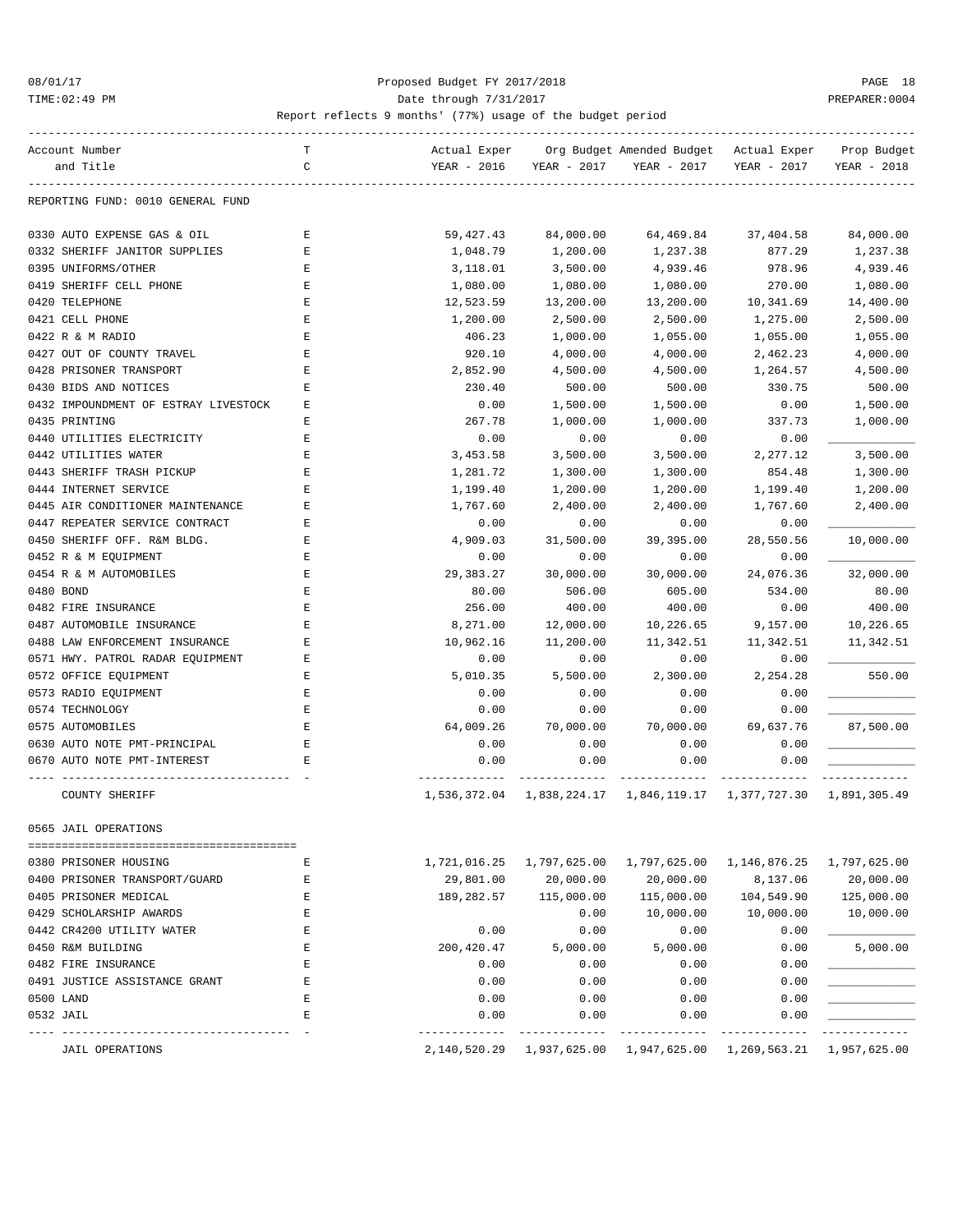### 08/01/17 Proposed Budget FY 2017/2018 PAGE 18 TIME:02:49 PM PREPARER:0004 Date through 7/31/2017 PREPARER:0004

| Account Number                       | т           | Actual Exper                |              | Org Budget Amended Budget                              | Actual Exper | Prop Budget  |
|--------------------------------------|-------------|-----------------------------|--------------|--------------------------------------------------------|--------------|--------------|
| and Title                            | C           | YEAR - 2016                 | YEAR - 2017  | YEAR - 2017                                            | YEAR - 2017  | YEAR - 2018  |
| REPORTING FUND: 0010 GENERAL FUND    |             |                             |              |                                                        |              |              |
| 0330 AUTO EXPENSE GAS & OIL          | Ε           | 59,427.43                   | 84,000.00    | 64,469.84                                              | 37,404.58    | 84,000.00    |
| 0332 SHERIFF JANITOR SUPPLIES        | Е           | 1,048.79                    | 1,200.00     | 1,237.38                                               | 877.29       | 1,237.38     |
| 0395 UNIFORMS/OTHER                  | Ε           | 3,118.01                    | 3,500.00     | 4,939.46                                               | 978.96       | 4,939.46     |
| 0419 SHERIFF CELL PHONE              | E           | 1,080.00                    | 1,080.00     | 1,080.00                                               | 270.00       | 1,080.00     |
| 0420 TELEPHONE                       | Ε           | 12,523.59                   | 13,200.00    | 13,200.00                                              | 10,341.69    | 14,400.00    |
| 0421 CELL PHONE                      | Ε           | 1,200.00                    | 2,500.00     | 2,500.00                                               | 1,275.00     | 2,500.00     |
| 0422 R & M RADIO                     | Ε           | 406.23                      | 1,000.00     | 1,055.00                                               | 1,055.00     | 1,055.00     |
| 0427 OUT OF COUNTY TRAVEL            | E           | 920.10                      | 4,000.00     | 4,000.00                                               | 2,462.23     | 4,000.00     |
| 0428 PRISONER TRANSPORT              | E           | 2,852.90                    | 4,500.00     | 4,500.00                                               | 1,264.57     | 4,500.00     |
| 0430 BIDS AND NOTICES                | Ε           | 230.40                      | 500.00       | 500.00                                                 | 330.75       | 500.00       |
| 0432 IMPOUNDMENT OF ESTRAY LIVESTOCK | Ε           | 0.00                        | 1,500.00     | 1,500.00                                               | 0.00         | 1,500.00     |
| 0435 PRINTING                        | Ε           | 267.78                      | 1,000.00     | 1,000.00                                               | 337.73       | 1,000.00     |
| 0440 UTILITIES ELECTRICITY           | Ε           | 0.00                        | 0.00         | 0.00                                                   | 0.00         |              |
| 0442 UTILITIES WATER                 | E           | 3,453.58                    | 3,500.00     | 3,500.00                                               | 2,277.12     | 3,500.00     |
| 0443 SHERIFF TRASH PICKUP            | E           | 1,281.72                    | 1,300.00     | 1,300.00                                               | 854.48       | 1,300.00     |
| 0444 INTERNET SERVICE                | Ε           | 1,199.40                    | 1,200.00     | 1,200.00                                               | 1,199.40     | 1,200.00     |
| 0445 AIR CONDITIONER MAINTENANCE     | Ε           | 1,767.60                    | 2,400.00     | 2,400.00                                               | 1,767.60     | 2,400.00     |
| 0447 REPEATER SERVICE CONTRACT       | Е           | 0.00                        | 0.00         | 0.00                                                   | 0.00         |              |
| 0450 SHERIFF OFF. R&M BLDG.          | Ε           | 4,909.03                    | 31,500.00    | 39,395.00                                              | 28,550.56    | 10,000.00    |
| 0452 R & M EOUIPMENT                 | Ε           | 0.00                        | 0.00         | 0.00                                                   | 0.00         |              |
| 0454 R & M AUTOMOBILES               | Ε           | 29,383.27                   | 30,000.00    | 30,000.00                                              | 24,076.36    | 32,000.00    |
| 0480 BOND                            | E           | 80.00                       | 506.00       | 605.00                                                 | 534.00       | 80.00        |
| 0482 FIRE INSURANCE                  | E           | 256.00                      | 400.00       | 400.00                                                 | 0.00         | 400.00       |
| 0487 AUTOMOBILE INSURANCE            | Ε           | 8,271.00                    | 12,000.00    | 10,226.65                                              | 9,157.00     | 10,226.65    |
| 0488 LAW ENFORCEMENT INSURANCE       | E           | 10,962.16                   | 11,200.00    | 11,342.51                                              | 11,342.51    | 11,342.51    |
| 0571 HWY. PATROL RADAR EQUIPMENT     | E           | 0.00                        | 0.00         | 0.00                                                   | 0.00         |              |
| 0572 OFFICE EQUIPMENT                | Ε           | 5,010.35                    | 5,500.00     | 2,300.00                                               | 2,254.28     | 550.00       |
| 0573 RADIO EQUIPMENT                 | Е           | 0.00                        | 0.00         | 0.00                                                   | 0.00         |              |
| 0574 TECHNOLOGY                      | Ε           | 0.00                        | 0.00         | 0.00                                                   | 0.00         |              |
| 0575 AUTOMOBILES                     | E           | 64,009.26                   | 70,000.00    | 70,000.00                                              | 69,637.76    | 87,500.00    |
| 0630 AUTO NOTE PMT-PRINCIPAL         | $\mathbf E$ | 0.00                        | 0.00         | 0.00                                                   | 0.00         |              |
| 0670 AUTO NOTE PMT-INTEREST          | Е           | 0.00                        | 0.00         | 0.00                                                   | 0.00         |              |
| COUNTY SHERIFF                       |             | -----------<br>1,536,372.04 |              | 1,838,224.17  1,846,119.17  1,377,727.30  1,891,305.49 |              | __________   |
| 0505 JAIL OPERATIONS                 |             |                             |              |                                                        |              |              |
| 0380 PRISONER HOUSING                | Е           | 1,721,016.25                | 1,797,625.00 | 1,797,625.00 1,146,876.25                              |              | 1,797,625.00 |
| 0400 PRISONER TRANSPORT/GUARD        | Ε           | 29,801.00                   | 20,000.00    | 20,000.00                                              | 8,137.06     | 20,000.00    |
| 0405 PRISONER MEDICAL                | Ε           | 189,282.57                  | 115,000.00   | 115,000.00                                             | 104,549.90   | 125,000.00   |
| 0429 SCHOLARSHIP AWARDS              | Ε           |                             | 0.00         | 10,000.00                                              | 10,000.00    | 10,000.00    |
| 0442 CR4200 UTILITY WATER            | E           | 0.00                        | 0.00         | 0.00                                                   | 0.00         |              |
| 0450 R&M BUILDING                    | Ε           | 200,420.47                  | 5,000.00     | 5,000.00                                               | 0.00         | 5,000.00     |
| 0482 FIRE INSURANCE                  | Ε           | 0.00                        | 0.00         | 0.00                                                   | 0.00         |              |
| 0491 JUSTICE ASSISTANCE GRANT        | Ε           | 0.00                        | 0.00         | 0.00                                                   | 0.00         |              |
| 0500 LAND                            | Ε           | 0.00                        | 0.00         | 0.00                                                   | 0.00         |              |
| 0532 JAIL                            | E           | 0.00                        | 0.00         | 0.00                                                   | 0.00         |              |
| JAIL OPERATIONS                      |             |                             |              | 2,140,520.29 1,937,625.00 1,947,625.00 1,269,563.21    |              | 1,957,625.00 |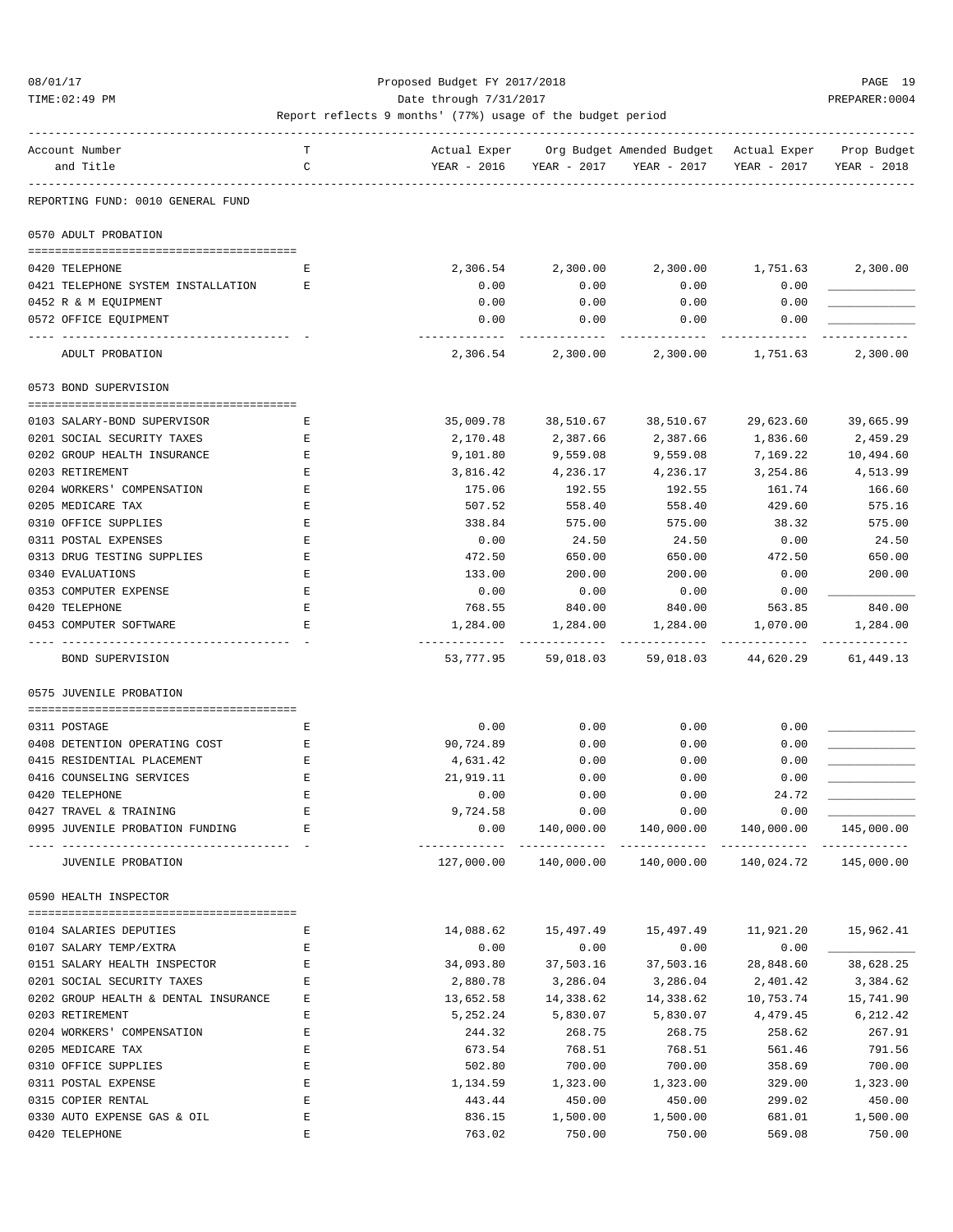TIME:02:49 PM PREPARER:0004 Date through 7/31/2017 PREPARER:0004

| Account Number                                                    | т  | Actual Exper |             | Org Budget Amended Budget Actual Exper |                     | Prop Budget |
|-------------------------------------------------------------------|----|--------------|-------------|----------------------------------------|---------------------|-------------|
| and Title                                                         | C  | YEAR - 2016  | YEAR - 2017 | YEAR - 2017                            | YEAR - 2017         | YEAR - 2018 |
|                                                                   |    |              |             |                                        |                     |             |
| REPORTING FUND: 0010 GENERAL FUND                                 |    |              |             |                                        |                     |             |
| 0570 ADULT PROBATION                                              |    |              |             |                                        |                     |             |
|                                                                   |    |              |             |                                        |                     |             |
| 0420 TELEPHONE                                                    | E. | 2,306.54     | 2,300.00    | 2,300.00                               | 1,751.63            | 2,300.00    |
| 0421 TELEPHONE SYSTEM INSTALLATION                                | Е  | 0.00         | 0.00        | 0.00                                   | 0.00                |             |
| 0452 R & M EQUIPMENT                                              |    | 0.00         | 0.00        | 0.00                                   | 0.00                |             |
| 0572 OFFICE EQUIPMENT                                             |    | 0.00         | 0.00        | 0.00                                   | 0.00                |             |
| ADULT PROBATION                                                   |    | 2,306.54     | 2,300.00    | 2,300.00                               | 1,751.63            | 2,300.00    |
| 0573 BOND SUPERVISION                                             |    |              |             |                                        |                     |             |
|                                                                   |    |              |             |                                        |                     |             |
| 0103 SALARY-BOND SUPERVISOR                                       | Е  | 35,009.78    | 38,510.67   | 38,510.67                              | 29,623.60           | 39,665.99   |
| 0201 SOCIAL SECURITY TAXES                                        | Е  | 2,170.48     | 2,387.66    | 2,387.66                               | 1,836.60            | 2,459.29    |
| 0202 GROUP HEALTH INSURANCE                                       | Е  | 9,101.80     | 9,559.08    | 9,559.08                               | 7,169.22            | 10,494.60   |
| 0203 RETIREMENT                                                   | Ε  | 3,816.42     | 4,236.17    | 4,236.17                               | 3,254.86            | 4,513.99    |
| 0204 WORKERS' COMPENSATION                                        | Ε  | 175.06       | 192.55      | 192.55                                 | 161.74              | 166.60      |
| 0205 MEDICARE TAX                                                 | Ε  | 507.52       | 558.40      | 558.40                                 | 429.60              | 575.16      |
| 0310 OFFICE SUPPLIES                                              | E  | 338.84       | 575.00      | 575.00                                 | 38.32               | 575.00      |
| 0311 POSTAL EXPENSES                                              | Ε  | 0.00         | 24.50       | 24.50                                  | 0.00                | 24.50       |
| 0313 DRUG TESTING SUPPLIES                                        | Е  | 472.50       | 650.00      | 650.00                                 | 472.50              | 650.00      |
| 0340 EVALUATIONS                                                  | Ε  | 133.00       | 200.00      | 200.00                                 | 0.00                | 200.00      |
| 0353 COMPUTER EXPENSE                                             | Ε  | 0.00         | 0.00        | 0.00                                   | 0.00                |             |
| 0420 TELEPHONE                                                    | Ε  | 768.55       | 840.00      | 840.00                                 | 563.85              | 840.00      |
| 0453 COMPUTER SOFTWARE                                            | Е  | 1,284.00     | 1,284.00    | 1,284.00                               | 1,070.00            | 1,284.00    |
|                                                                   |    |              |             |                                        |                     | ----------  |
| BOND SUPERVISION                                                  |    | 53,777.95    | 59,018.03   |                                        | 59,018.03 44,620.29 | 61,449.13   |
| 0575 JUVENILE PROBATION                                           |    |              |             |                                        |                     |             |
|                                                                   |    |              |             |                                        |                     |             |
| 0311 POSTAGE                                                      | Е  | 0.00         | 0.00        | 0.00                                   | 0.00                |             |
| 0408 DETENTION OPERATING COST                                     | Е  | 90,724.89    | 0.00        | 0.00                                   | 0.00                |             |
| 0415 RESIDENTIAL PLACEMENT                                        | Е  | 4,631.42     | 0.00        | 0.00                                   | 0.00                |             |
| 0416 COUNSELING SERVICES                                          | Ε  | 21,919.11    | 0.00        | 0.00                                   | 0.00                |             |
| 0420 TELEPHONE                                                    | E  | 0.00         | 0.00        | 0.00                                   | 24.72               |             |
| 0427 TRAVEL & TRAINING                                            | E  | 9,724.58     | 0.00        | 0.00                                   | 0.00                |             |
| 0995 JUVENILE PROBATION FUNDING<br>------------------------------ | Е  | 0.00         | 140,000.00  | 140,000.00                             | 140,000.00          | 145,000.00  |
| JUVENILE PROBATION                                                |    | 127,000.00   | 140,000.00  | 140,000.00                             | 140,024.72          | 145,000.00  |
| 0590 HEALTH INSPECTOR                                             |    |              |             |                                        |                     |             |
| 0104 SALARIES DEPUTIES                                            | Е  | 14,088.62    | 15,497.49   | 15,497.49                              | 11,921.20           | 15,962.41   |
| 0107 SALARY TEMP/EXTRA                                            | Е  | 0.00         | 0.00        | 0.00                                   | 0.00                |             |
| 0151 SALARY HEALTH INSPECTOR                                      | Ε  | 34,093.80    | 37,503.16   |                                        |                     |             |
|                                                                   |    |              |             | 37,503.16                              | 28,848.60           | 38,628.25   |
| 0201 SOCIAL SECURITY TAXES                                        | Ε  | 2,880.78     | 3,286.04    | 3,286.04                               | 2,401.42            | 3,384.62    |
| 0202 GROUP HEALTH & DENTAL INSURANCE                              | Е  | 13,652.58    | 14,338.62   | 14,338.62                              | 10,753.74           | 15,741.90   |
| 0203 RETIREMENT                                                   | Ε  | 5,252.24     | 5,830.07    | 5,830.07                               | 4,479.45            | 6,212.42    |
| 0204 WORKERS' COMPENSATION                                        | Ε  | 244.32       | 268.75      | 268.75                                 | 258.62              | 267.91      |
| 0205 MEDICARE TAX                                                 | Ε  | 673.54       | 768.51      | 768.51                                 | 561.46              | 791.56      |
| 0310 OFFICE SUPPLIES                                              | Ε  | 502.80       | 700.00      | 700.00                                 | 358.69              | 700.00      |
| 0311 POSTAL EXPENSE                                               | Ε  | 1,134.59     | 1,323.00    | 1,323.00                               | 329.00              | 1,323.00    |
| 0315 COPIER RENTAL                                                | E  | 443.44       | 450.00      | 450.00                                 | 299.02              | 450.00      |
| 0330 AUTO EXPENSE GAS & OIL                                       | Ε  | 836.15       | 1,500.00    | 1,500.00                               | 681.01              | 1,500.00    |
| 0420 TELEPHONE                                                    | E  | 763.02       | 750.00      | 750.00                                 | 569.08              | 750.00      |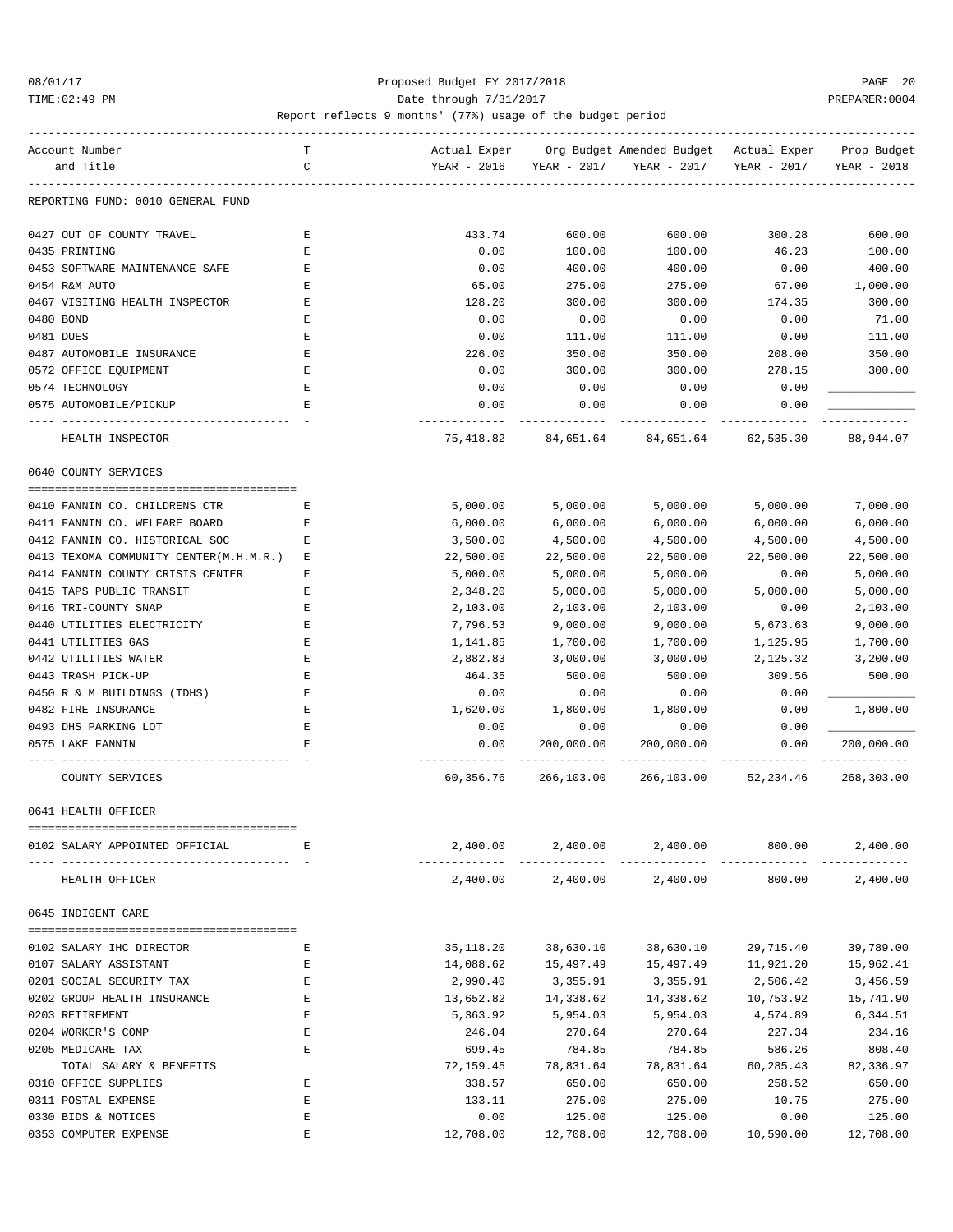### 08/01/17 Proposed Budget FY 2017/2018 PAGE 20 TIME:02:49 PM PREPARER:0004 Date through 7/31/2017 PREPARER:0004

| Account Number                         | т           | Actual Exper           |             | Org Budget Amended Budget - Actual Exper |             | Prop Budget |
|----------------------------------------|-------------|------------------------|-------------|------------------------------------------|-------------|-------------|
| and Title                              | C           | YEAR - 2016            | YEAR - 2017 | YEAR - 2017                              | YEAR - 2017 | YEAR - 2018 |
| REPORTING FUND: 0010 GENERAL FUND      |             |                        |             |                                          |             |             |
| 0427 OUT OF COUNTY TRAVEL              | Е           | 433.74                 | 600.00      | 600.00                                   | 300.28      | 600.00      |
| 0435 PRINTING                          | Е           | 0.00                   | 100.00      | 100.00                                   | 46.23       | 100.00      |
| 0453 SOFTWARE MAINTENANCE SAFE         | Ε           | 0.00                   | 400.00      | 400.00                                   | 0.00        | 400.00      |
| 0454 R&M AUTO                          | E           | 65.00                  | 275.00      | 275.00                                   | 67.00       | 1,000.00    |
| 0467 VISITING HEALTH INSPECTOR         | Ε           | 128.20                 | 300.00      | 300.00                                   | 174.35      | 300.00      |
| 0480 BOND                              | Ε           | 0.00                   | 0.00        | 0.00                                     | 0.00        | 71.00       |
| 0481 DUES                              | Ε           | 0.00                   | 111.00      | 111.00                                   | 0.00        | 111.00      |
| 0487 AUTOMOBILE INSURANCE              | Ε           | 226.00                 | 350.00      | 350.00                                   | 208.00      | 350.00      |
| 0572 OFFICE EQUIPMENT                  | Ε           | 0.00                   | 300.00      | 300.00                                   | 278.15      | 300.00      |
| 0574 TECHNOLOGY                        | Ε           | 0.00                   | 0.00        | 0.00                                     | 0.00        |             |
| 0575 AUTOMOBILE/PICKUP                 | Е           | 0.00                   | 0.00        | 0.00                                     | 0.00        |             |
|                                        |             |                        |             |                                          |             |             |
| HEALTH INSPECTOR                       |             | 75,418.82              | 84,651.64   | 84,651.64                                | 62,535.30   | 88,944.07   |
| 0640 COUNTY SERVICES                   |             |                        |             |                                          |             |             |
| 0410 FANNIN CO. CHILDRENS CTR          | Е           | 5,000.00               | 5,000.00    | 5,000.00                                 | 5,000.00    | 7,000.00    |
| 0411 FANNIN CO. WELFARE BOARD          | Е           | 6,000.00               | 6,000.00    | 6,000.00                                 | 6,000.00    | 6,000.00    |
| 0412 FANNIN CO. HISTORICAL SOC         | Е           | 3,500.00               | 4,500.00    | 4,500.00                                 | 4,500.00    | 4,500.00    |
| 0413 TEXOMA COMMUNITY CENTER(M.H.M.R.) | Е           | 22,500.00              | 22,500.00   | 22,500.00                                | 22,500.00   | 22,500.00   |
| 0414 FANNIN COUNTY CRISIS CENTER       | Ε           | 5,000.00               | 5,000.00    | 5,000.00                                 | 0.00        | 5,000.00    |
| 0415 TAPS PUBLIC TRANSIT               | Е           | 2,348.20               | 5,000.00    | 5,000.00                                 | 5,000.00    | 5,000.00    |
| 0416 TRI-COUNTY SNAP                   | Е           | 2,103.00               | 2,103.00    | 2,103.00                                 | 0.00        | 2,103.00    |
| 0440 UTILITIES ELECTRICITY             | Ε           | 7,796.53               | 9,000.00    | 9,000.00                                 | 5,673.63    | 9,000.00    |
| 0441 UTILITIES GAS                     | Ε           | 1,141.85               | 1,700.00    | 1,700.00                                 | 1,125.95    | 1,700.00    |
| 0442 UTILITIES WATER                   | Ε           | 2,882.83               | 3,000.00    | 3,000.00                                 | 2,125.32    | 3,200.00    |
| 0443 TRASH PICK-UP                     | Ε           | 464.35                 | 500.00      | 500.00                                   | 309.56      | 500.00      |
| 0450 R & M BUILDINGS (TDHS)            | Е           | 0.00                   | 0.00        | 0.00                                     | 0.00        |             |
| 0482 FIRE INSURANCE                    | Ε           | 1,620.00               | 1,800.00    | 1,800.00                                 | 0.00        | 1,800.00    |
| 0493 DHS PARKING LOT                   | Ε           | 0.00                   | 0.00        | 0.00                                     | 0.00        |             |
| 0575 LAKE FANNIN                       | $\mathbf E$ | 0.00                   | 200,000.00  | 200,000.00                               | 0.00        | 200,000.00  |
| COUNTY SERVICES                        |             | ---------<br>60,356.76 | 266,103.00  | 266,103.00                               | 52,234.46   | 268,303.00  |
| 0641 HEALTH OFFICER                    |             |                        |             |                                          |             |             |
|                                        |             |                        |             |                                          |             |             |
| 0102 SALARY APPOINTED OFFICIAL         | Е           | 2,400.00               | 2,400.00    | 2,400.00                                 | 800.00      | 2,400.00    |
| HEALTH OFFICER                         |             | 2,400.00               |             | 2,400.00 2,400.00                        | 800.00      | 2,400.00    |
| 0645 INDIGENT CARE                     |             |                        |             |                                          |             |             |
| 0102 SALARY IHC DIRECTOR               | Ε           | 35,118.20              | 38,630.10   | 38,630.10                                | 29,715.40   | 39,789.00   |
| 0107 SALARY ASSISTANT                  | Ε           | 14,088.62              | 15,497.49   | 15,497.49                                | 11,921.20   | 15,962.41   |
| 0201 SOCIAL SECURITY TAX               | Ε           | 2,990.40               | 3,355.91    | 3,355.91                                 | 2,506.42    | 3,456.59    |
| 0202 GROUP HEALTH INSURANCE            | Ε           | 13,652.82              | 14,338.62   | 14,338.62                                | 10,753.92   | 15,741.90   |
| 0203 RETIREMENT                        | E           | 5,363.92               | 5,954.03    | 5,954.03                                 | 4,574.89    | 6,344.51    |
| 0204 WORKER'S COMP                     | E           | 246.04                 | 270.64      | 270.64                                   | 227.34      | 234.16      |
| 0205 MEDICARE TAX                      | Ε           | 699.45                 | 784.85      | 784.85                                   | 586.26      | 808.40      |
| TOTAL SALARY & BENEFITS                |             | 72,159.45              | 78,831.64   | 78,831.64                                | 60,285.43   | 82,336.97   |
| 0310 OFFICE SUPPLIES                   | Ε           | 338.57                 | 650.00      | 650.00                                   | 258.52      | 650.00      |
| 0311 POSTAL EXPENSE                    | E           | 133.11                 | 275.00      | 275.00                                   | 10.75       | 275.00      |
| 0330 BIDS & NOTICES                    | E           | 0.00                   | 125.00      | 125.00                                   | 0.00        | 125.00      |
| 0353 COMPUTER EXPENSE                  | E           | 12,708.00              | 12,708.00   | 12,708.00                                | 10,590.00   | 12,708.00   |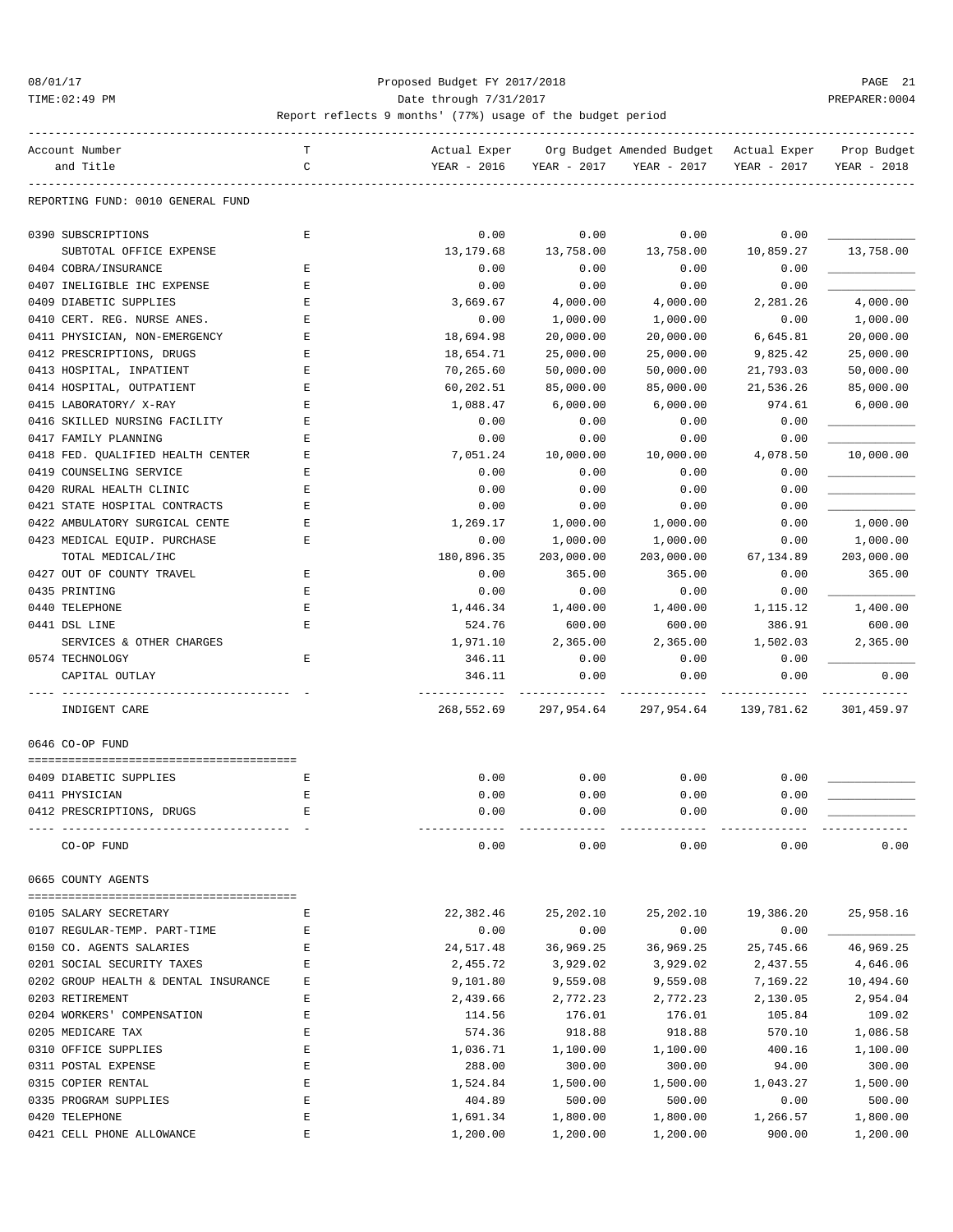#### 08/01/17 Proposed Budget FY 2017/2018 PAGE 21 TIME:02:49 PM PREPARER:0004 Date through 7/31/2017 PREPARER:0004

| Account Number                       | т | Actual Exper |             | Org Budget Amended Budget Actual Exper |             | Prop Budget |
|--------------------------------------|---|--------------|-------------|----------------------------------------|-------------|-------------|
| and Title                            | C | YEAR - 2016  | YEAR - 2017 | YEAR - 2017                            | YEAR - 2017 | YEAR - 2018 |
|                                      |   |              |             |                                        |             |             |
| REPORTING FUND: 0010 GENERAL FUND    |   |              |             |                                        |             |             |
|                                      |   |              |             |                                        |             |             |
| 0390 SUBSCRIPTIONS                   | E | 0.00         | 0.00        | 0.00                                   | 0.00        |             |
| SUBTOTAL OFFICE EXPENSE              |   | 13,179.68    | 13,758.00   | 13,758.00                              | 10,859.27   | 13,758.00   |
| 0404 COBRA/INSURANCE                 | Ε | 0.00         | 0.00        | 0.00                                   | 0.00        |             |
| 0407 INELIGIBLE IHC EXPENSE          | Ε | 0.00         | 0.00        | 0.00                                   | 0.00        |             |
| 0409 DIABETIC SUPPLIES               | E | 3,669.67     | 4,000.00    | 4,000.00                               | 2,281.26    | 4,000.00    |
| 0410 CERT. REG. NURSE ANES.          | E | 0.00         | 1,000.00    | 1,000.00                               | 0.00        | 1,000.00    |
| 0411 PHYSICIAN, NON-EMERGENCY        | E | 18,694.98    | 20,000.00   | 20,000.00                              | 6,645.81    | 20,000.00   |
|                                      | Ε | 18,654.71    |             |                                        | 9,825.42    | 25,000.00   |
| 0412 PRESCRIPTIONS, DRUGS            |   |              | 25,000.00   | 25,000.00                              |             |             |
| 0413 HOSPITAL, INPATIENT             | Ε | 70,265.60    | 50,000.00   | 50,000.00                              | 21,793.03   | 50,000.00   |
| 0414 HOSPITAL, OUTPATIENT            | Ε | 60,202.51    | 85,000.00   | 85,000.00                              | 21,536.26   | 85,000.00   |
| 0415 LABORATORY/ X-RAY               | Ε | 1,088.47     | 6,000.00    | 6,000.00                               | 974.61      | 6,000.00    |
| 0416 SKILLED NURSING FACILITY        | E | 0.00         | 0.00        | 0.00                                   | 0.00        |             |
| 0417 FAMILY PLANNING                 | Ε | 0.00         | 0.00        | 0.00                                   | 0.00        |             |
| 0418 FED. QUALIFIED HEALTH CENTER    | Ε | 7,051.24     | 10,000.00   | 10,000.00                              | 4,078.50    | 10,000.00   |
| 0419 COUNSELING SERVICE              | Ε | 0.00         | 0.00        | 0.00                                   | 0.00        |             |
| 0420 RURAL HEALTH CLINIC             | E | 0.00         | 0.00        | 0.00                                   | 0.00        |             |
| 0421 STATE HOSPITAL CONTRACTS        | E | 0.00         | 0.00        | 0.00                                   | 0.00        |             |
| 0422 AMBULATORY SURGICAL CENTE       | E | 1,269.17     | 1,000.00    | 1,000.00                               | 0.00        | 1,000.00    |
| 0423 MEDICAL EQUIP. PURCHASE         | Ε | 0.00         | 1,000.00    | 1,000.00                               | 0.00        | 1,000.00    |
| TOTAL MEDICAL/IHC                    |   | 180,896.35   | 203,000.00  | 203,000.00                             | 67,134.89   | 203,000.00  |
| 0427 OUT OF COUNTY TRAVEL            | Ε | 0.00         | 365.00      | 365.00                                 | 0.00        | 365.00      |
| 0435 PRINTING                        | E | 0.00         | 0.00        | 0.00                                   | 0.00        |             |
| 0440 TELEPHONE                       | E | 1,446.34     | 1,400.00    | 1,400.00                               | 1,115.12    | 1,400.00    |
| 0441 DSL LINE                        | E | 524.76       | 600.00      | 600.00                                 | 386.91      | 600.00      |
| SERVICES & OTHER CHARGES             |   | 1,971.10     | 2,365.00    | 2,365.00                               | 1,502.03    | 2,365.00    |
| 0574 TECHNOLOGY                      | E | 346.11       | 0.00        | 0.00                                   | 0.00        |             |
| CAPITAL OUTLAY                       |   | 346.11       | 0.00        | 0.00                                   | 0.00        | 0.00        |
|                                      |   |              |             |                                        |             |             |
| INDIGENT CARE                        |   | 268,552.69   | 297,954.64  | 297,954.64                             | 139,781.62  | 301,459.97  |
|                                      |   |              |             |                                        |             |             |
| 0646 CO-OP FUND                      |   |              |             |                                        |             |             |
|                                      |   |              |             |                                        |             |             |
| 0409 DIABETIC SUPPLIES               | Е | 0.00         | 0.00        | 0.00                                   | 0.00        |             |
| 0411 PHYSICIAN                       |   |              |             |                                        |             |             |
|                                      | E | 0.00         | 0.00        | 0.00                                   | 0.00        |             |
| 0412 PRESCRIPTIONS, DRUGS            | E | 0.00         | 0.00        | 0.00                                   | 0.00        |             |
|                                      |   |              |             |                                        |             |             |
| CO-OP FUND                           |   | 0.00         | 0.00        | 0.00                                   | 0.00        | 0.00        |
|                                      |   |              |             |                                        |             |             |
| 0665 COUNTY AGENTS                   |   |              |             |                                        |             |             |
|                                      |   |              |             |                                        |             |             |
| 0105 SALARY SECRETARY                | Е | 22,382.46    | 25,202.10   | 25,202.10                              | 19,386.20   | 25,958.16   |
| 0107 REGULAR-TEMP. PART-TIME         | Е | 0.00         | 0.00        | 0.00                                   | 0.00        |             |
| 0150 CO. AGENTS SALARIES             | Е | 24,517.48    | 36,969.25   | 36,969.25                              | 25,745.66   | 46,969.25   |
| 0201 SOCIAL SECURITY TAXES           | Ε | 2,455.72     | 3,929.02    | 3,929.02                               | 2,437.55    | 4,646.06    |
| 0202 GROUP HEALTH & DENTAL INSURANCE | Ε | 9,101.80     | 9,559.08    | 9,559.08                               | 7,169.22    | 10,494.60   |
| 0203 RETIREMENT                      | Е | 2,439.66     | 2,772.23    | 2,772.23                               | 2,130.05    | 2,954.04    |
| 0204 WORKERS' COMPENSATION           | Е | 114.56       | 176.01      | 176.01                                 | 105.84      | 109.02      |
| 0205 MEDICARE TAX                    | Ε | 574.36       | 918.88      | 918.88                                 | 570.10      | 1,086.58    |
| 0310 OFFICE SUPPLIES                 | Ε | 1,036.71     | 1,100.00    | 1,100.00                               | 400.16      | 1,100.00    |
| 0311 POSTAL EXPENSE                  | Ε | 288.00       | 300.00      | 300.00                                 | 94.00       | 300.00      |
| 0315 COPIER RENTAL                   | Ε | 1,524.84     | 1,500.00    | 1,500.00                               | 1,043.27    | 1,500.00    |
| 0335 PROGRAM SUPPLIES                | Е | 404.89       | 500.00      | 500.00                                 | 0.00        | 500.00      |
| 0420 TELEPHONE                       | Ε | 1,691.34     | 1,800.00    | 1,800.00                               | 1,266.57    | 1,800.00    |
| 0421 CELL PHONE ALLOWANCE            | E | 1,200.00     | 1,200.00    | 1,200.00                               | 900.00      | 1,200.00    |
|                                      |   |              |             |                                        |             |             |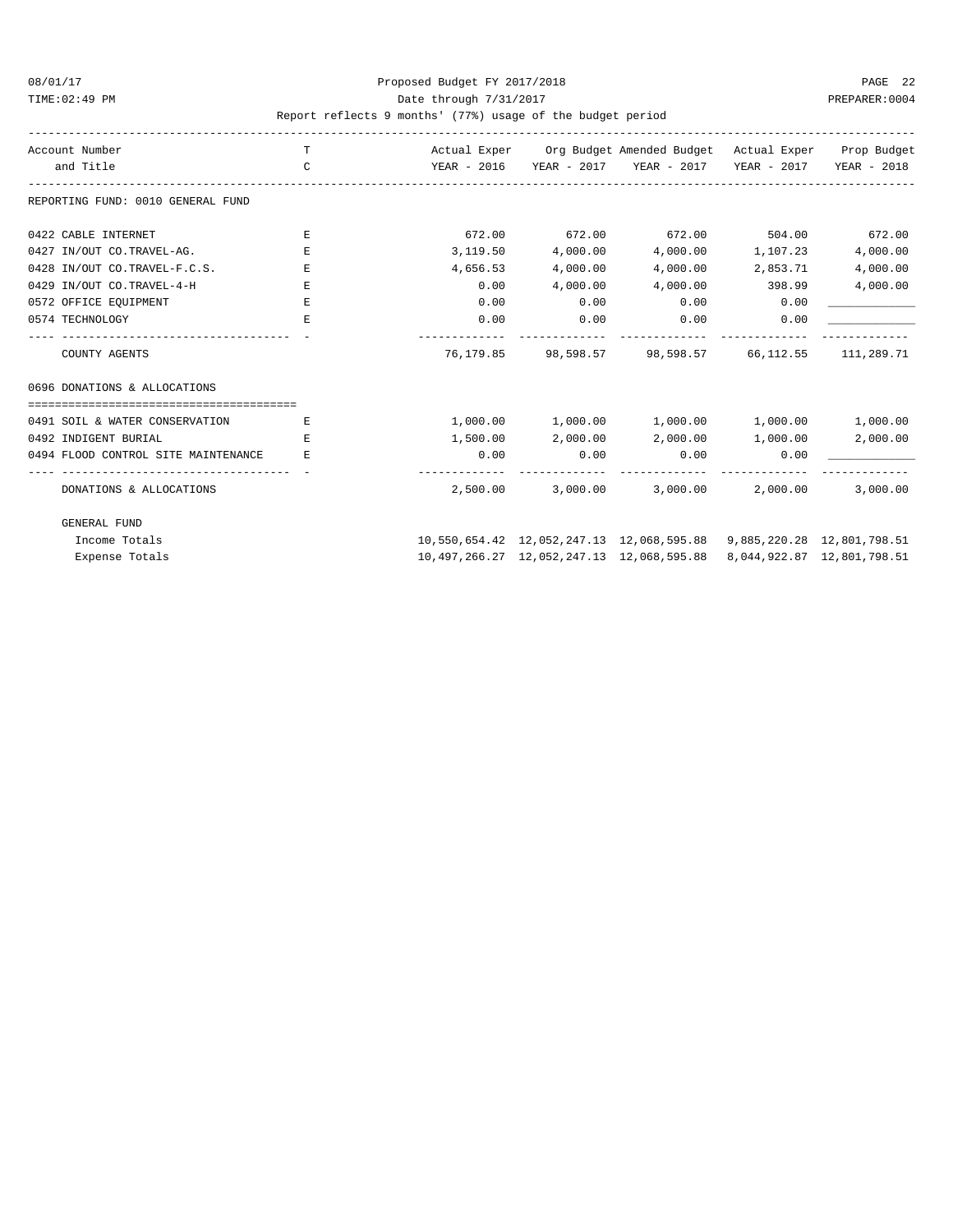### 08/01/17 Proposed Budget FY 2017/2018 PAGE 22 TIME:02:49 PM PREPARER:0004 Date through 7/31/2017 PREPARER:0004

| Account Number                      | T             |          |                   | Actual Exper Org Budget Amended Budget Actual Exper Prop Budget             |                   |                            |
|-------------------------------------|---------------|----------|-------------------|-----------------------------------------------------------------------------|-------------------|----------------------------|
| and Title                           | $\mathcal{C}$ |          |                   | YEAR - 2016     YEAR - 2017     YEAR - 2017     YEAR - 2017     YEAR - 2018 |                   |                            |
| REPORTING FUND: 0010 GENERAL FUND   |               |          |                   |                                                                             |                   |                            |
| 0422 CABLE INTERNET                 | E.            |          |                   | $672.00$ $672.00$ $672.00$ $504.00$ $672.00$                                |                   |                            |
| 0427 IN/OUT CO.TRAVEL-AG.           | E.            | 3,119.50 | 4,000.00          |                                                                             | 4,000.00 1,107.23 | 4,000.00                   |
| 0428 IN/OUT CO.TRAVEL-F.C.S.        | Ε             | 4,656.53 | 4,000.00          | 4,000.00                                                                    | 2,853.71          | 4,000.00                   |
| 0429 IN/OUT CO.TRAVEL-4-H           | Е.            | 0.00     | 4,000.00          | 4,000.00 398.99                                                             |                   | 4,000.00                   |
| 0572 OFFICE EQUIPMENT               | E             | 0.00     | 0.00              | 0.00                                                                        | 0.00              |                            |
| 0574 TECHNOLOGY                     | F.            | 0.00     | 0.00              | 0.00                                                                        | $\sim$ 0.00       |                            |
| COUNTY AGENTS                       |               |          |                   | 76,179.85 98,598.57 98,598.57 66,112.55 111,289.71                          |                   |                            |
| 0696 DONATIONS & ALLOCATIONS        |               |          |                   |                                                                             |                   |                            |
|                                     |               |          |                   |                                                                             |                   |                            |
| 0491 SOIL & WATER CONSERVATION      | Е             |          |                   | $1,000.00$ $1,000.00$ $1,000.00$ $1,000.00$                                 |                   | 1,000.00                   |
| 0492 INDIGENT BURIAL                | F.            |          | 1,500.00 2,000.00 | 2,000.00 1,000.00                                                           |                   | 2,000.00                   |
| 0494 FLOOD CONTROL SITE MAINTENANCE | E.            | 0.00     | 0.00              | 0.00                                                                        | 0.00              |                            |
|                                     |               |          |                   |                                                                             |                   |                            |
| DONATIONS & ALLOCATIONS             |               | 2,500.00 |                   | $3,000.00$ $3,000.00$ $2,000.00$                                            |                   | 3,000.00                   |
| <b>GENERAL FUND</b>                 |               |          |                   |                                                                             |                   |                            |
| Income Totals                       |               |          |                   | 10,550,654.42 12,052,247.13 12,068,595.88 9,885,220.28 12,801,798.51        |                   |                            |
| Expense Totals                      |               |          |                   | 10,497,266.27 12,052,247.13 12,068,595.88                                   |                   | 8,044,922.87 12,801,798.51 |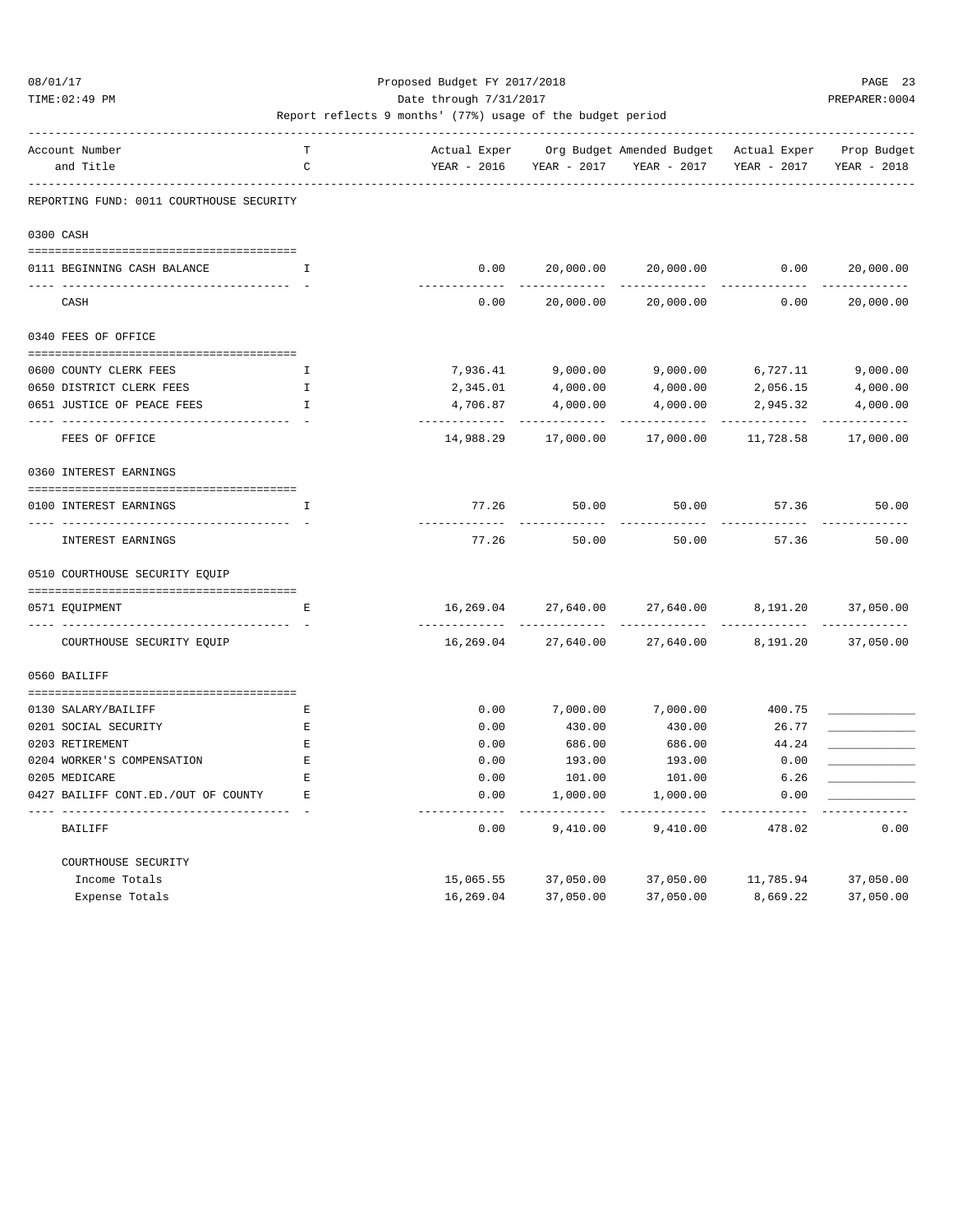TIME:02:49 PM PREPARER:0004 Date through 7/31/2017 PREPARER:0004

| Account Number                           | т        |               |                   | Actual Exper Org Budget Amended Budget Actual Exper Prop Budget |                         |                          |
|------------------------------------------|----------|---------------|-------------------|-----------------------------------------------------------------|-------------------------|--------------------------|
| and Title                                | C        | YEAR - 2016   | YEAR - 2017       | YEAR - 2017                                                     | YEAR - 2017             | YEAR - 2018              |
| REPORTING FUND: 0011 COURTHOUSE SECURITY |          |               |                   |                                                                 |                         |                          |
| 0300 CASH                                |          |               |                   |                                                                 |                         |                          |
| 0111 BEGINNING CASH BALANCE              | T.       | 0.00          | 20,000.00         | 20,000.00                                                       | 0.00                    | 20,000.00                |
| ---------------------------<br>CASH      |          | 0.00          | 20,000.00         | 20,000.00                                                       | 0.00                    | -----------<br>20,000.00 |
| 0340 FEES OF OFFICE                      |          |               |                   |                                                                 |                         |                          |
|                                          |          |               |                   |                                                                 |                         |                          |
| 0600 COUNTY CLERK FEES                   | I.       |               | 7,936.41 9,000.00 | 9,000.00 6,727.11                                               |                         | 9,000.00                 |
| 0650 DISTRICT CLERK FEES                 | Ι.<br>Ι. | 2,345.01      | 4,000.00          | 4,000.00                                                        | 2,056.15                | 4,000.00                 |
| 0651 JUSTICE OF PEACE FEES               |          | 4,706.87      | 4,000.00          | 4,000.00                                                        | 2,945.32<br>----------- | 4,000.00                 |
| FEES OF OFFICE                           |          | 14,988.29     | 17,000.00         | 17,000.00                                                       | 11,728.58               | 17,000.00                |
| 0360 INTEREST EARNINGS                   |          |               |                   |                                                                 |                         |                          |
| 0100 INTEREST EARNINGS                   | I        | 77.26         | 50.00             | 50.00                                                           | 57.36                   | 50.00                    |
|                                          |          |               |                   |                                                                 |                         |                          |
| INTEREST EARNINGS                        |          | 77.26         | 50.00             | 50.00                                                           | 57.36                   | 50.00                    |
| 0510 COURTHOUSE SECURITY EQUIP           |          |               |                   |                                                                 |                         |                          |
|                                          |          |               |                   |                                                                 |                         |                          |
| 0571 EQUIPMENT                           | Е        | 16,269.04     | 27,640.00         | 27,640.00                                                       | 8,191.20                | 37,050.00                |
| COURTHOUSE SECURITY EQUIP                |          | 16,269.04     | 27,640.00         | 27,640.00                                                       | 8,191.20                | 37,050.00                |
| 0560 BAILIFF                             |          |               |                   |                                                                 |                         |                          |
| 0130 SALARY/BAILIFF                      | E        | 0.00          | 7,000.00          | 7,000.00                                                        | 400.75                  |                          |
| 0201 SOCIAL SECURITY                     | Ε        | 0.00          | 430.00            | 430.00                                                          | 26.77                   |                          |
| 0203 RETIREMENT                          | E        | 0.00          | 686.00            | 686.00                                                          | 44.24                   |                          |
| 0204 WORKER'S COMPENSATION               | E        | 0.00          | 193.00            | 193.00                                                          | 0.00                    |                          |
| 0205 MEDICARE                            | Ε        | 0.00          | 101.00            | 101.00                                                          | 6.26                    |                          |
| 0427 BAILIFF CONT.ED./OUT OF COUNTY      | E.       | 0.00          | 1,000.00          | 1,000.00                                                        | 0.00                    |                          |
| BAILIFF                                  |          | -----<br>0.00 | 9,410.00          | 9,410.00                                                        | 478.02                  | 0.00                     |
| COURTHOUSE SECURITY                      |          |               |                   |                                                                 |                         |                          |
| Income Totals                            |          | 15,065.55     | 37,050.00         |                                                                 | 37,050.00 11,785.94     | 37,050.00                |
| Expense Totals                           |          | 16,269.04     | 37,050.00         | 37,050.00                                                       | 8,669.22                | 37,050.00                |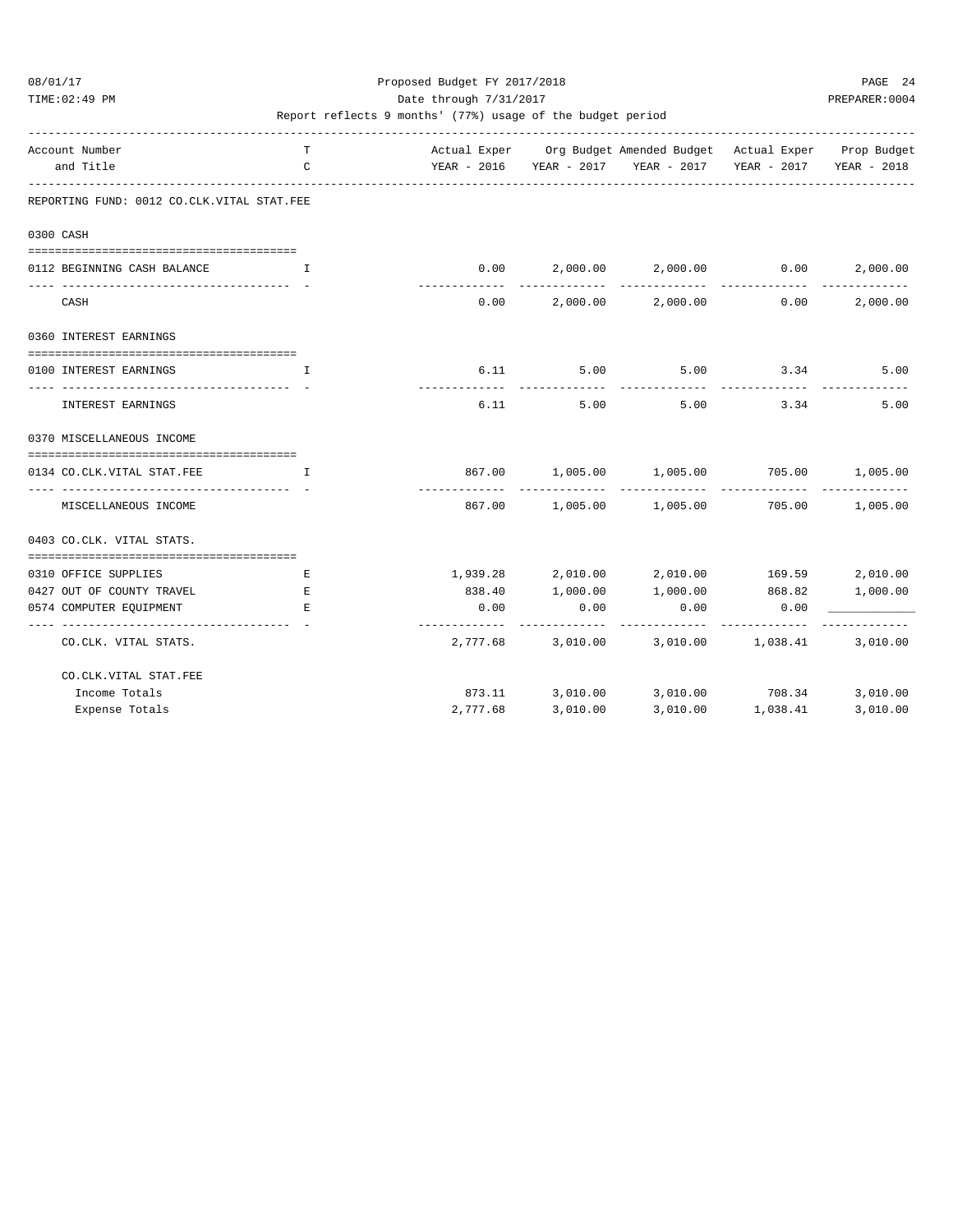TIME:02:49 PM PREPARER:0004 Date through 7/31/2017 PREPARER:0004

| Account Number                                           | T            |          |          | Actual Exper Org Budget Amended Budget Actual Exper Prop Budget  |                   |          |
|----------------------------------------------------------|--------------|----------|----------|------------------------------------------------------------------|-------------------|----------|
| and Title                                                | C            |          |          | YEAR - 2016 YEAR - 2017 YEAR - 2017 YEAR - 2017 YEAR - 2018      |                   |          |
| REPORTING FUND: 0012 CO.CLK.VITAL STAT.FEE               |              |          |          |                                                                  |                   |          |
| 0300 CASH                                                |              |          |          |                                                                  |                   |          |
|                                                          |              |          |          |                                                                  |                   |          |
| 0112 BEGINNING CASH BALANCE                              | $\mathbf{T}$ | 0.00     |          | $2,000.00$ $2,000.00$ $0.00$                                     |                   | 2,000.00 |
| _____________________________________<br>CASH            |              | 0.00     |          | --------------<br>$2,000.00$ $2,000.00$ 0.00                     | ______________    | 2,000.00 |
| 0360 INTEREST EARNINGS                                   |              |          |          |                                                                  |                   |          |
| --------------------<br>0100 INTEREST EARNINGS           | $\mathbf{I}$ |          |          | $6.11$ $5.00$ $5.00$ $3.34$ $5.00$                               |                   |          |
| INTEREST EARNINGS                                        |              | 6.11     | 5.00     | 5.00                                                             | 3.34              | 5.00     |
| 0370 MISCELLANEOUS INCOME                                |              |          |          |                                                                  |                   |          |
| 0134 CO.CLK.VITAL STAT.FEE                               | I            |          |          | 867.00   1,005.00   1,005.00   705.00   1,005.00                 |                   |          |
| --------------------------------<br>MISCELLANEOUS INCOME |              |          |          | ------------<br>867.00   1,005.00   1,005.00   705.00   1,005.00 | ____________      |          |
| 0403 CO.CLK. VITAL STATS.                                |              |          |          |                                                                  |                   |          |
| 0310 OFFICE SUPPLIES                                     | Е            |          |          | $1,939.28$ $2,010.00$ $2,010.00$ $169.59$                        |                   | 2,010.00 |
| 0427 OUT OF COUNTY TRAVEL                                | E            |          |          | 838.40 1,000.00 1,000.00 868.82                                  |                   | 1,000.00 |
| 0574 COMPUTER EQUIPMENT                                  | E.           | 0.00     | 0.00     | 0.00                                                             | 0.00              |          |
| CO.CLK. VITAL STATS.                                     |              |          |          | 2,777.68 3,010.00 3,010.00 1,038.41                              |                   | 3,010.00 |
| CO. CLK. VITAL STAT. FEE                                 |              |          |          |                                                                  |                   |          |
| Income Totals                                            |              |          |          | 873.11 3,010.00 3,010.00 708.34                                  |                   | 3,010.00 |
| Expense Totals                                           |              | 2,777.68 | 3,010.00 |                                                                  | 3,010.00 1,038.41 | 3,010.00 |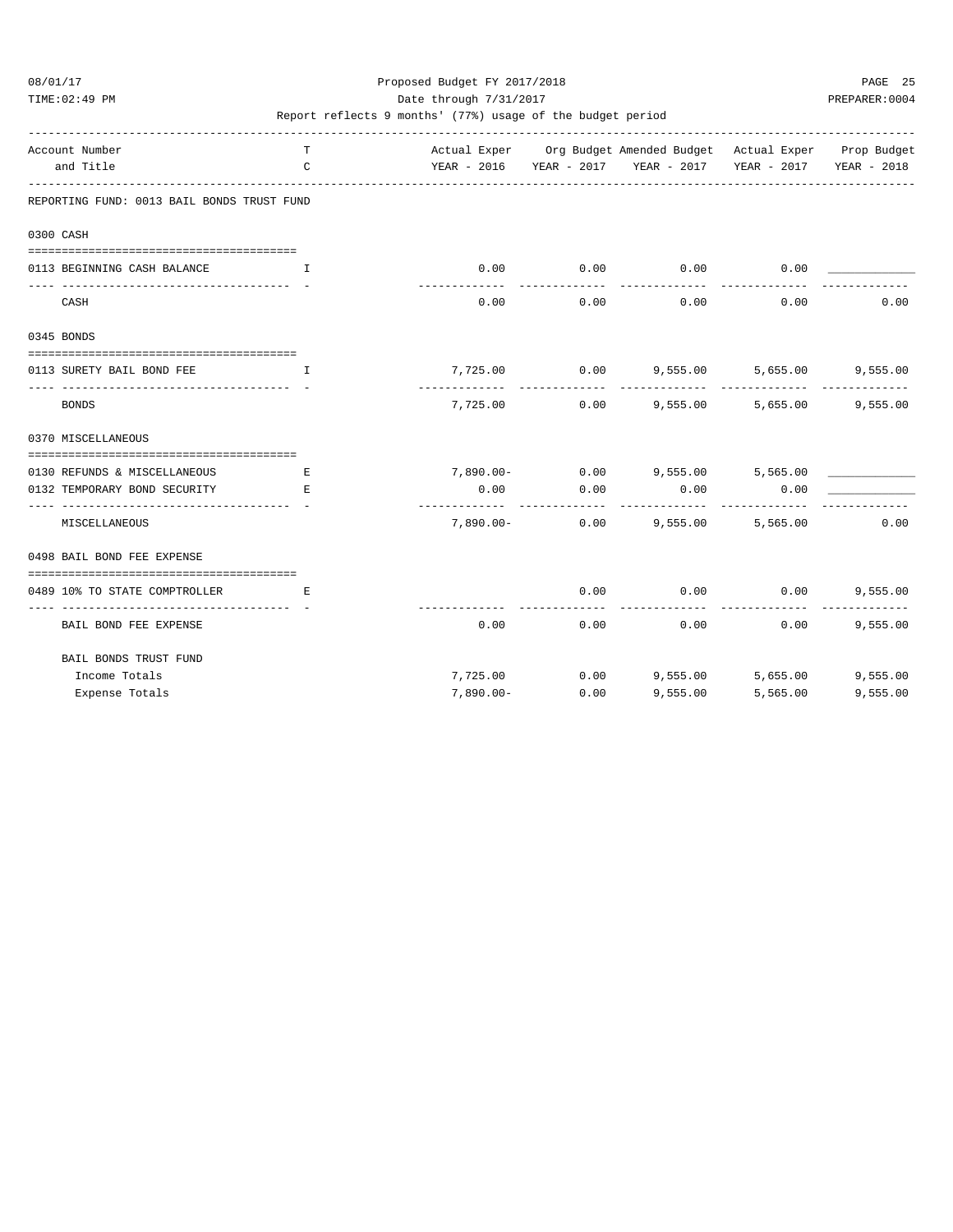### 08/01/17 Proposed Budget FY 2017/2018 PAGE 25 TIME:02:49 PM PREPARER:0004 Date through 7/31/2017 PREPARER:0004

| Account Number                                         | T                                                   |              |                               | Actual Exper Org Budget Amended Budget Actual Exper Prop Budget |                           |          |
|--------------------------------------------------------|-----------------------------------------------------|--------------|-------------------------------|-----------------------------------------------------------------|---------------------------|----------|
| and Title                                              | C                                                   |              |                               | YEAR - 2016 YEAR - 2017 YEAR - 2017 YEAR - 2017 YEAR - 2018     |                           |          |
| REPORTING FUND: 0013 BAIL BONDS TRUST FUND             |                                                     |              |                               |                                                                 |                           |          |
| 0300 CASH                                              |                                                     |              |                               |                                                                 |                           |          |
| 0113 BEGINNING CASH BALANCE                            | . The contract of the state $\mathbf{I}_\mathbf{r}$ | 0.00         | 0.00                          | 0.00                                                            | 0.00                      |          |
| CASH                                                   |                                                     | 0.00         | 0.00                          | 0.00                                                            | 0.00                      | 0.00     |
| 0345 BONDS                                             |                                                     |              |                               |                                                                 |                           |          |
| 0113 SURETY BAIL BOND FEE                              | $\mathbf{T}$                                        |              |                               | 7,725.00 0.00 9,555.00                                          | 5,655.00                  | 9,555.00 |
| <b>BONDS</b>                                           |                                                     | .            | ____________<br>7,725.00 0.00 | 9,555.00                                                        | -------------<br>5,655.00 | 9,555.00 |
| 0370 MISCELLANEOUS                                     |                                                     |              |                               |                                                                 |                           |          |
| 0130 REFUNDS & MISCELLANEOUS                           | Е                                                   |              |                               | 7,890.00- 0.00 9,555.00 5,565.00                                |                           |          |
| 0132 TEMPORARY BOND SECURITY                           | E.                                                  | 0.00         | 0.00                          | 0.00                                                            | 0.00                      |          |
| _____________________________________<br>MISCELLANEOUS |                                                     | -----------  | -------------                 | ---------<br>7,890.00- 0.00 9,555.00                            | 5,565.00                  | 0.00     |
| 0498 BAIL BOND FEE EXPENSE                             |                                                     |              |                               |                                                                 |                           |          |
| 0489 10% TO STATE COMPTROLLER                          | E.                                                  |              | 0.00                          | 0.00                                                            | 0.00                      | 9,555.00 |
| BAIL BOND FEE EXPENSE                                  |                                                     | 0.00         | 0.00                          | 0.00                                                            | 0.00                      | 9,555.00 |
| BAIL BONDS TRUST FUND                                  |                                                     |              |                               |                                                                 |                           |          |
| Income Totals                                          |                                                     |              |                               |                                                                 |                           |          |
| Expense Totals                                         |                                                     | $7,890.00 -$ | 0.00                          | 9.555.00                                                        | 5,565.00                  | 9,555.00 |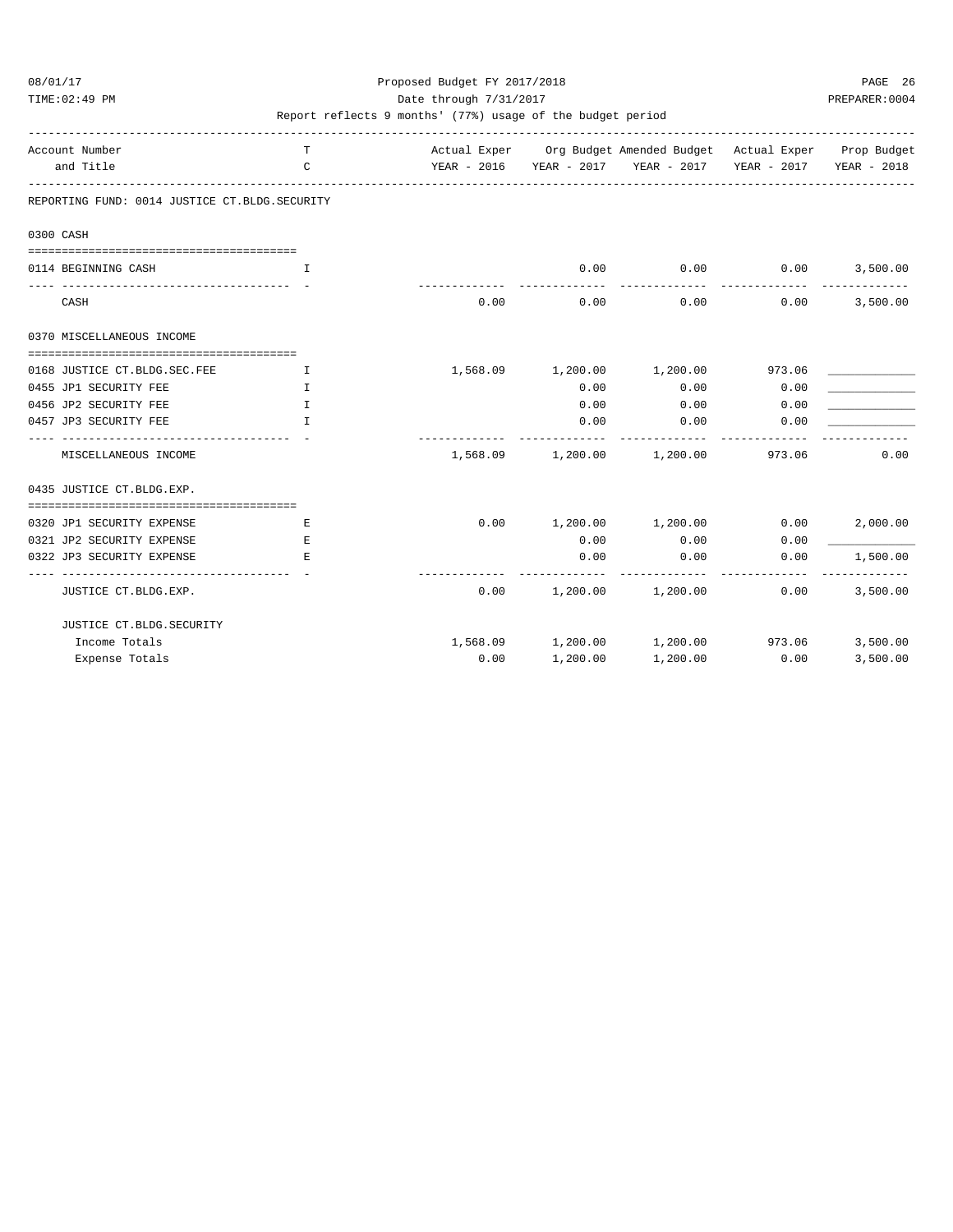### 08/01/17 Proposed Budget FY 2017/2018 PAGE 26 TIME:02:49 PM PREPARER:0004 Date through 7/31/2017 PREPARER:0004

| Account Number<br>and Title                   | T.<br>$\mathcal{C}$           |      |                     | Actual Exper Org Budget Amended Budget Actual Exper Prop Budget<br>YEAR - 2016 YEAR - 2017 YEAR - 2017 YEAR - 2017 YEAR - 2018 |                              |                           |
|-----------------------------------------------|-------------------------------|------|---------------------|--------------------------------------------------------------------------------------------------------------------------------|------------------------------|---------------------------|
| REPORTING FUND: 0014 JUSTICE CT.BLDG.SECURITY |                               |      |                     |                                                                                                                                |                              |                           |
| 0300 CASH                                     |                               |      |                     |                                                                                                                                |                              |                           |
|                                               |                               |      |                     |                                                                                                                                |                              |                           |
| 0114 BEGINNING CASH                           | T.                            |      | 0.00<br>----------- | . <u>.</u> .                                                                                                                   | $0.00$ 0.00<br>------------- | 3,500.00<br>------------- |
| CASH                                          |                               | 0.00 | 0.00                | 0.00                                                                                                                           | 0.00                         | 3,500.00                  |
| 0370 MISCELLANEOUS INCOME                     |                               |      |                     |                                                                                                                                |                              |                           |
|                                               |                               |      |                     |                                                                                                                                |                              |                           |
| 0168 JUSTICE CT. BLDG. SEC. FEE               | $\mathbf{I}$ and $\mathbf{I}$ |      |                     | 1,568.09  1,200.00  1,200.00  973.06                                                                                           |                              |                           |
| 0455 JP1 SECURITY FEE                         | I.                            |      | 0.00                | 0.00                                                                                                                           | 0.00                         |                           |
| 0456 JP2 SECURITY FEE                         | $\mathbb{T}$                  |      | 0.00                | 0.00                                                                                                                           | 0.00                         |                           |
| 0457 JP3 SECURITY FEE                         | T                             |      | 0.00                | 0.00                                                                                                                           | 0.00                         |                           |
| MISCELLANEOUS INCOME                          |                               |      |                     | 1,568.09 1,200.00 1,200.00 973.06                                                                                              |                              | 0.00                      |
| 0435 JUSTICE CT.BLDG.EXP.                     |                               |      |                     |                                                                                                                                |                              |                           |
| 0320 JP1 SECURITY EXPENSE                     | Е                             |      |                     | $0.00$ 1,200.00 1,200.00 0.00                                                                                                  |                              | 2,000.00                  |
| 0321 JP2 SECURITY EXPENSE                     | E.                            |      | 0.00                | 0.00                                                                                                                           | 0.00                         |                           |
| 0322 JP3 SECURITY EXPENSE                     | E.                            |      | 0.00                | 0.00                                                                                                                           | 0.00                         | 1,500.00                  |
|                                               |                               |      |                     |                                                                                                                                |                              |                           |
| JUSTICE CT.BLDG.EXP.                          |                               |      |                     | $0.00$ 1,200.00 1,200.00                                                                                                       | 0.00                         | 3,500.00                  |
| JUSTICE CT.BLDG.SECURITY                      |                               |      |                     |                                                                                                                                |                              |                           |
| Income Totals                                 |                               |      |                     | $1,568.09$ $1,200.00$ $1,200.00$ $973.06$                                                                                      |                              | 3,500.00                  |
| Expense Totals                                |                               | 0.00 | 1,200.00            | 1,200.00                                                                                                                       | 0.00                         | 3,500.00                  |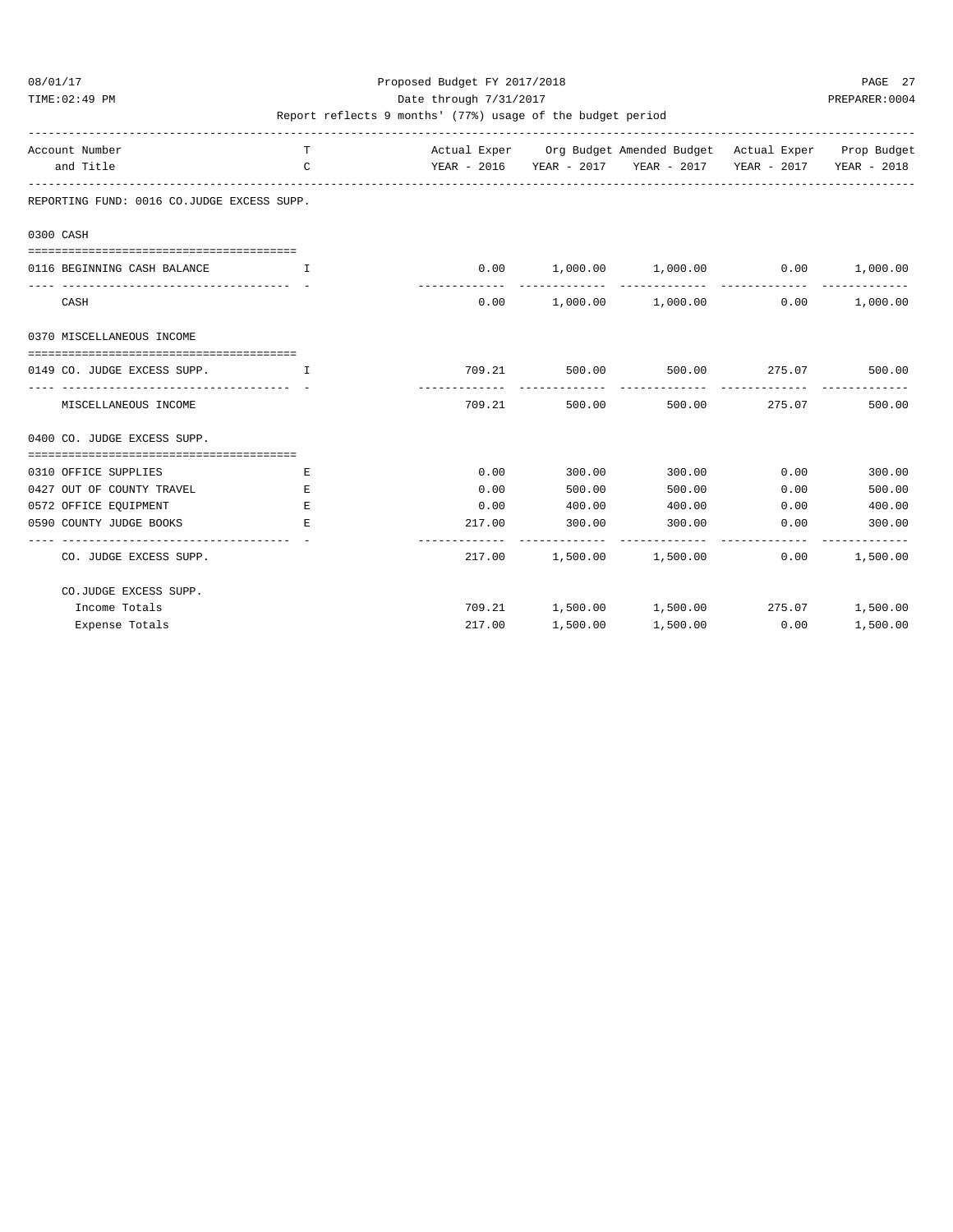### 08/01/17 Proposed Budget FY 2017/2018 PAGE 27 TIME:02:49 PM PREPARER:0004 Date through 7/31/2017 PREPARER:0004

| Account Number<br>and Title                | T.<br>$\mathcal{C}$                                                                                                    |                                          |          | Actual Exper Org Budget Amended Budget Actual Exper Prop Budget<br>YEAR - 2016 YEAR - 2017 YEAR - 2017 YEAR - 2017 YEAR - 2018 |                              |          |
|--------------------------------------------|------------------------------------------------------------------------------------------------------------------------|------------------------------------------|----------|--------------------------------------------------------------------------------------------------------------------------------|------------------------------|----------|
| REPORTING FUND: 0016 CO.JUDGE EXCESS SUPP. |                                                                                                                        |                                          |          |                                                                                                                                |                              |          |
| 0300 CASH                                  |                                                                                                                        |                                          |          |                                                                                                                                |                              |          |
| 0116 BEGINNING CASH BALANCE                | <b>The Community of The Theory In the Theory of The Theory In the Theory In the Theory In the Theory In the Theory</b> |                                          |          | $0.00$ 1,000.00 1,000.00 0.00 1,000.00                                                                                         |                              |          |
| CASH                                       |                                                                                                                        |                                          |          | $0.00$ 1,000.00 1,000.00                                                                                                       | 0.00                         | 1,000.00 |
| 0370 MISCELLANEOUS INCOME                  |                                                                                                                        |                                          |          |                                                                                                                                |                              |          |
|                                            |                                                                                                                        |                                          |          |                                                                                                                                |                              |          |
| 0149 CO. JUDGE EXCESS SUPP.                | and the state of the Table                                                                                             |                                          |          | 709.21 500.00 500.00 275.07                                                                                                    |                              | 500.00   |
|                                            |                                                                                                                        |                                          |          |                                                                                                                                | -------------- ------------- |          |
| MISCELLANEOUS INCOME                       |                                                                                                                        | 709.21                                   |          | 500.00 500.00 275.07                                                                                                           |                              | 500.00   |
| 0400 CO. JUDGE EXCESS SUPP.                |                                                                                                                        |                                          |          |                                                                                                                                |                              |          |
|                                            |                                                                                                                        |                                          |          |                                                                                                                                |                              |          |
| 0310 OFFICE SUPPLIES                       | Е                                                                                                                      | 0.00                                     | 300.00   | 300.00                                                                                                                         | 0.00                         | 300.00   |
| 0427 OUT OF COUNTY TRAVEL                  | E.                                                                                                                     | 0.00                                     | 500.00   | 500.00                                                                                                                         | 0.00                         | 500.00   |
| 0572 OFFICE EOUIPMENT                      | E.                                                                                                                     | 0.00                                     | 400.00   | 400.00                                                                                                                         | 0.00                         | 400.00   |
| 0590 COUNTY JUDGE BOOKS                    | E.                                                                                                                     | 217.00<br>------------------------------ | 300.00   | 300.00                                                                                                                         | 0.00                         | 300.00   |
| CO. JUDGE EXCESS SUPP.                     |                                                                                                                        |                                          |          | 217.00 1,500.00 1,500.00                                                                                                       | 0.00                         | 1,500.00 |
| CO.JUDGE EXCESS SUPP.                      |                                                                                                                        |                                          |          |                                                                                                                                |                              |          |
| Income Totals                              |                                                                                                                        |                                          |          |                                                                                                                                |                              |          |
| Expense Totals                             |                                                                                                                        | 217.00                                   | 1,500.00 | 1,500.00                                                                                                                       | 0.00                         | 1,500.00 |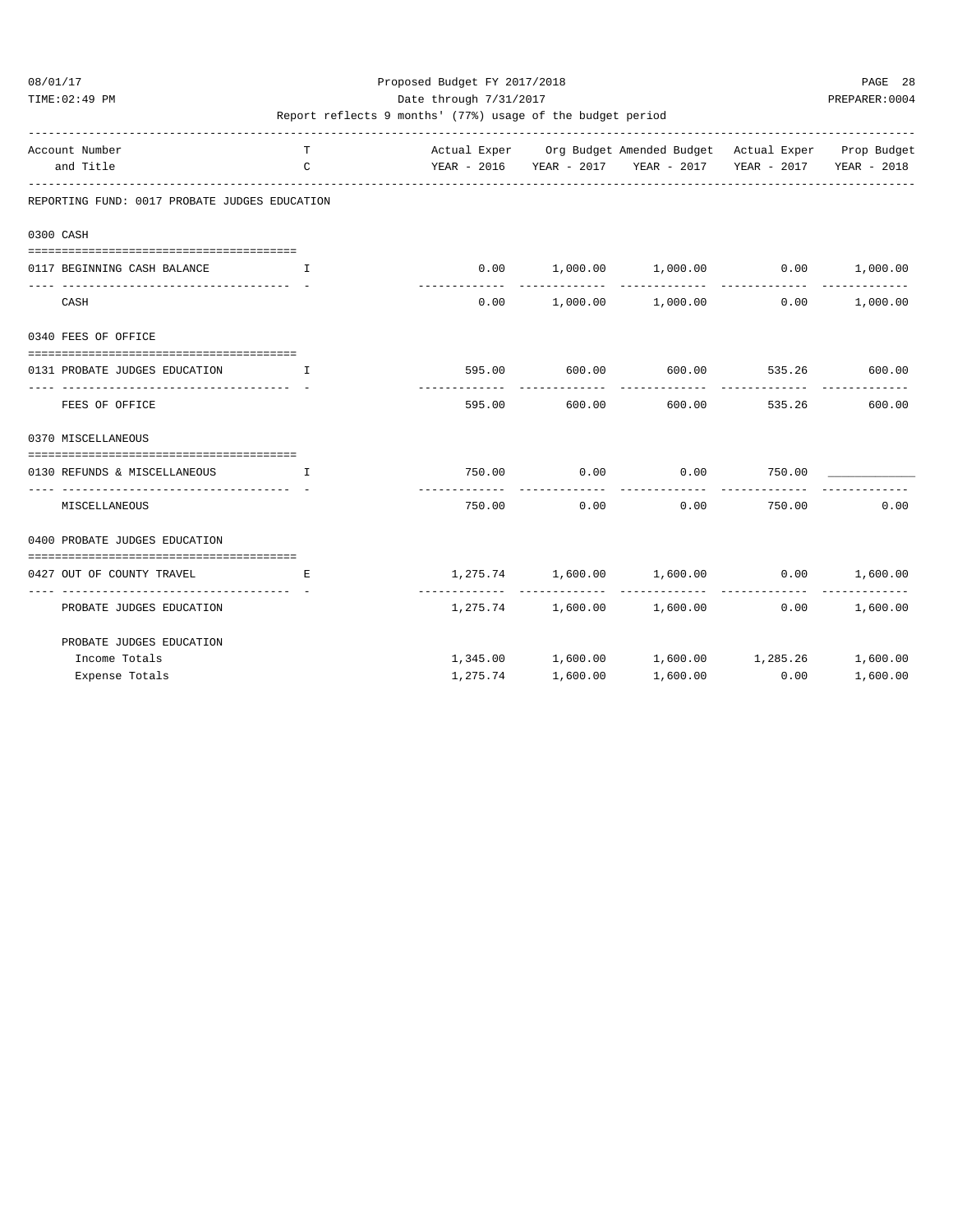### 08/01/17 Proposed Budget FY 2017/2018 PAGE 28 TIME:02:49 PM PREPARER:0004 Date through 7/31/2017 PREPARER:0004

| Account Number                                                     | T                             |                               |          | Actual Exper Org Budget Amended Budget Actual Exper Prop Budget |                          |          |
|--------------------------------------------------------------------|-------------------------------|-------------------------------|----------|-----------------------------------------------------------------|--------------------------|----------|
| and Title                                                          | C                             |                               |          | YEAR - 2016 YEAR - 2017 YEAR - 2017 YEAR - 2017 YEAR - 2018     |                          |          |
| REPORTING FUND: 0017 PROBATE JUDGES EDUCATION                      |                               |                               |          |                                                                 |                          |          |
| 0300 CASH                                                          |                               |                               |          |                                                                 |                          |          |
| 0117 BEGINNING CASH BALANCE                                        | $\mathbf{I}$                  |                               |          | $0.00$ 1,000.00 1,000.00 0.00 1,000.00                          |                          |          |
| CASH                                                               |                               | . _ _ _ _ _ _ _ _ _ _<br>0.00 |          | $1,000.00$ $1,000.00$ 0.00                                      |                          | 1,000.00 |
| 0340 FEES OF OFFICE                                                |                               |                               |          |                                                                 |                          |          |
| 0131 PROBATE JUDGES EDUCATION                                      | and the contract of the Table |                               |          | 595.00 600.00 600.00 535.26 600.00                              |                          |          |
| ------------------------ - -<br>FEES OF OFFICE                     |                               | 595.00                        | 600.00   | -------------<br>600.00                                         | --------------<br>535.26 | 600.00   |
| 0370 MISCELLANEOUS                                                 |                               |                               |          |                                                                 |                          |          |
| ==================================<br>0130 REFUNDS & MISCELLANEOUS | and the contract of the Table |                               |          |                                                                 |                          |          |
| MISCELLANEOUS                                                      |                               | 750.00                        | 0.00     | 0.00                                                            | 750.00                   | 0.00     |
| 0400 PROBATE JUDGES EDUCATION                                      |                               |                               |          |                                                                 |                          |          |
| 0427 OUT OF COUNTY TRAVEL                                          | Е                             |                               |          | $1,275.74$ $1,600.00$ $1,600.00$ 0.00                           |                          | 1,600.00 |
| PROBATE JUDGES EDUCATION                                           |                               |                               |          | $1,275.74$ $1,600.00$ $1,600.00$                                | 0.00                     | 1,600.00 |
| PROBATE JUDGES EDUCATION                                           |                               |                               |          |                                                                 |                          |          |
| Income Totals                                                      |                               |                               |          | 1,345.00   1,600.00   1,600.00   1,285.26   1,600.00            |                          |          |
| Expense Totals                                                     |                               | 1,275.74                      | 1,600.00 | 1,600.00                                                        | 0.00                     | 1,600.00 |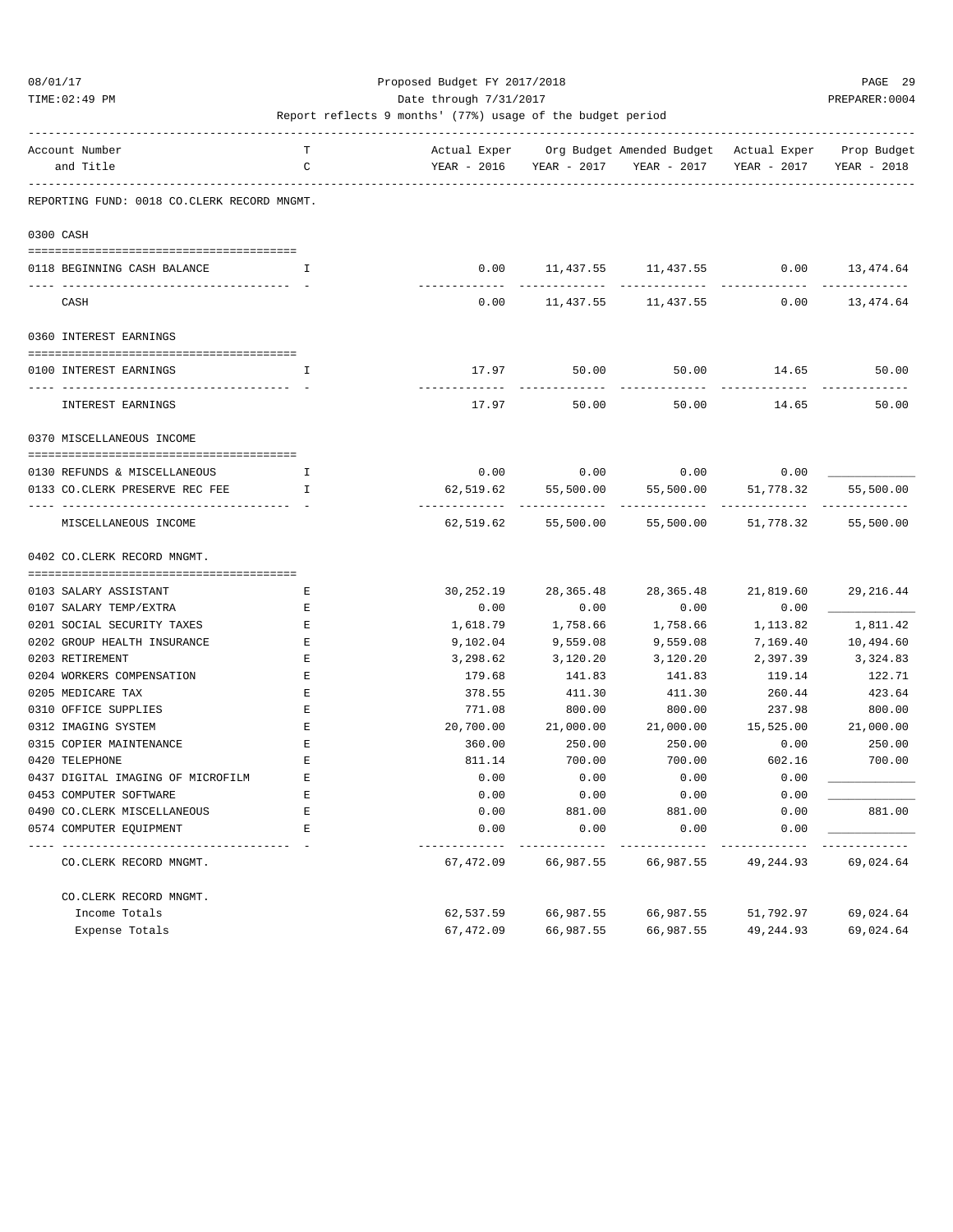TIME:02:49 PM PREPARER:0004 Date through 7/31/2017 PREPARER:0004

| Account Number<br>and Title                                 | Т<br>$\mathcal{C}$                          | Actual Exper<br>YEAR - 2016 | YEAR - 2017    | Org Budget Amended Budget Actual Exper<br>YEAR - 2017 | YEAR - 2017         | Prop Budget<br>YEAR - 2018 |
|-------------------------------------------------------------|---------------------------------------------|-----------------------------|----------------|-------------------------------------------------------|---------------------|----------------------------|
|                                                             | REPORTING FUND: 0018 CO.CLERK RECORD MNGMT. |                             |                |                                                       |                     |                            |
| 0300 CASH                                                   |                                             |                             |                |                                                       |                     |                            |
| 0118 BEGINNING CASH BALANCE                                 | Ι.                                          | 0.00                        | 11,437.55      | 11,437.55                                             | 0.00                | 13,474.64                  |
| CASH                                                        |                                             | 0.00                        | 11,437.55      | 11,437.55                                             | 0.00                | 13,474.64                  |
| 0360 INTEREST EARNINGS                                      |                                             |                             |                |                                                       |                     |                            |
| 0100 INTEREST EARNINGS                                      | I                                           | 17.97                       | 50.00          | 50.00                                                 | 14.65               | 50.00                      |
| INTEREST EARNINGS                                           |                                             | 17.97                       | 50.00          | 50.00                                                 | 14.65               | 50.00                      |
| 0370 MISCELLANEOUS INCOME                                   |                                             |                             |                |                                                       |                     |                            |
| 0130 REFUNDS & MISCELLANEOUS                                | $\mathsf{T}$                                | 0.00                        | 0.00           | 0.00                                                  | 0.00                |                            |
| 0133 CO.CLERK PRESERVE REC FEE                              | $\mathsf{T}$                                | 62,519.62                   | 55,500.00      | 55,500.00                                             | 51,778.32           | 55,500.00                  |
| MISCELLANEOUS INCOME                                        |                                             | 62,519.62                   | 55,500.00      | 55,500.00                                             | 51,778.32           | 55,500.00                  |
| 0402 CO. CLERK RECORD MNGMT.                                |                                             |                             |                |                                                       |                     |                            |
|                                                             |                                             |                             |                |                                                       |                     |                            |
| 0103 SALARY ASSISTANT                                       | Е                                           | 30,252.19                   | 28, 365.48     | 28, 365.48                                            | 21,819.60           | 29, 216.44                 |
| 0107 SALARY TEMP/EXTRA                                      | Е                                           | 0.00                        | 0.00           | 0.00                                                  | 0.00                |                            |
| 0201 SOCIAL SECURITY TAXES                                  | E                                           | 1,618.79                    | 1,758.66       | 1,758.66                                              | 1,113.82            | 1,811.42                   |
| 0202 GROUP HEALTH INSURANCE                                 | E                                           | 9,102.04                    | 9,559.08       | 9,559.08                                              | 7,169.40            | 10,494.60                  |
| 0203 RETIREMENT                                             | $\mathbf{E}% _{0}$                          | 3,298.62                    | 3,120.20       | 3,120.20                                              | 2,397.39            | 3,324.83                   |
| 0204 WORKERS COMPENSATION                                   | $\mathbf{E}% _{0}$                          | 179.68                      | 141.83         | 141.83                                                | 119.14              | 122.71                     |
| 0205 MEDICARE TAX                                           | Е<br>$\mathbf{E}% _{0}$                     | 378.55                      | 411.30         | 411.30                                                | 260.44              | 423.64                     |
| 0310 OFFICE SUPPLIES<br>0312 IMAGING SYSTEM                 | $\mathbf{E}% _{0}$                          | 771.08<br>20,700.00         | 800.00         | 800.00                                                | 237.98<br>15,525.00 | 800.00<br>21,000.00        |
|                                                             | E                                           |                             | 21,000.00      | 21,000.00                                             |                     |                            |
| 0315 COPIER MAINTENANCE<br>0420 TELEPHONE                   |                                             | 360.00                      | 250.00         | 250.00                                                | 0.00                | 250.00<br>700.00           |
|                                                             | Е<br>E                                      | 811.14                      | 700.00         | 700.00                                                | 602.16              |                            |
| 0437 DIGITAL IMAGING OF MICROFILM<br>0453 COMPUTER SOFTWARE | Е                                           | 0.00<br>0.00                | 0.00           | 0.00<br>0.00                                          | 0.00<br>0.00        |                            |
|                                                             | Е                                           |                             | 0.00           |                                                       |                     |                            |
| 0490 CO. CLERK MISCELLANEOUS<br>0574 COMPUTER EQUIPMENT     | $\mathbf E$                                 | 0.00<br>0.00                | 881.00<br>0.00 | 881.00<br>0.00                                        | 0.00<br>0.00        | 881.00                     |
| CO.CLERK RECORD MNGMT.                                      |                                             | 67,472.09                   | 66,987.55      | 66,987.55                                             | 49,244.93           | 69,024.64                  |
| CO.CLERK RECORD MNGMT.                                      |                                             |                             |                |                                                       |                     |                            |
| Income Totals                                               |                                             | 62,537.59                   | 66,987.55      | 66,987.55                                             | 51,792.97           | 69,024.64                  |
| Expense Totals                                              |                                             | 67,472.09                   | 66,987.55      | 66,987.55                                             | 49, 244.93          | 69,024.64                  |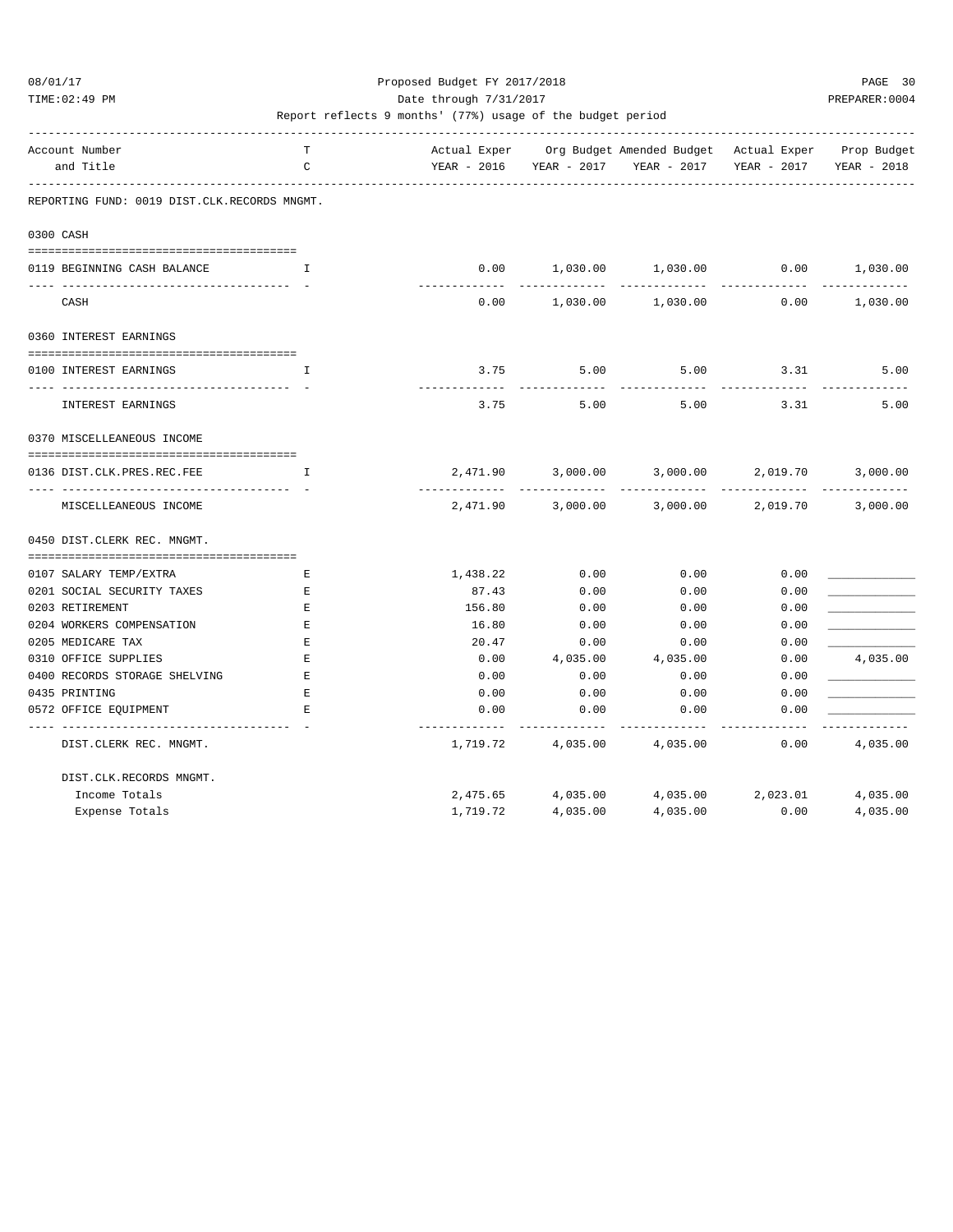TIME:02:49 PM PREPARER:0004 Date through 7/31/2017 PREPARER:0004

| Account Number<br>and Title                  | т<br>C       | YEAR - 2016      |                   | Actual Exper Org Budget Amended Budget Actual Exper Prop Budget<br>YEAR - 2017 YEAR - 2017 | YEAR - 2017       | YEAR - 2018 |
|----------------------------------------------|--------------|------------------|-------------------|--------------------------------------------------------------------------------------------|-------------------|-------------|
|                                              |              |                  |                   |                                                                                            |                   |             |
| REPORTING FUND: 0019 DIST.CLK.RECORDS MNGMT. |              |                  |                   |                                                                                            |                   |             |
| 0300 CASH                                    |              |                  |                   |                                                                                            |                   |             |
| 0119 BEGINNING CASH BALANCE                  | $\mathbf{I}$ |                  |                   | $0.00$ 1,030.00 1,030.00 0.00 1,030.00                                                     |                   |             |
| CASH                                         |              |                  |                   | $0.00$ 1,030.00 1,030.00                                                                   | 0.00              | 1,030.00    |
| 0360 INTEREST EARNINGS                       |              |                  |                   |                                                                                            |                   |             |
| 0100 INTEREST EARNINGS                       | I            | 3.75             | 5.00              | 5.00                                                                                       | 3.31              | 5.00        |
| INTEREST EARNINGS                            |              | --------<br>3.75 | 5.00              | 5.00                                                                                       | 3.31              | 5.00        |
| 0370 MISCELLEANEOUS INCOME                   |              |                  |                   |                                                                                            |                   |             |
| 0136 DIST.CLK.PRES.REC.FEE                   | I            |                  |                   | 2,471.90 3,000.00 3,000.00 2,019.70                                                        |                   | 3,000.00    |
| MISCELLEANEOUS INCOME                        |              |                  | 2,471.90 3,000.00 | 3,000.00                                                                                   | 2,019.70          | 3,000.00    |
| 0450 DIST. CLERK REC. MNGMT.                 |              |                  |                   |                                                                                            |                   |             |
| 0107 SALARY TEMP/EXTRA                       | Е            | 1,438.22         | 0.00              | 0.00                                                                                       | 0.00              |             |
| 0201 SOCIAL SECURITY TAXES                   | Е            | 87.43            | 0.00              | 0.00                                                                                       | 0.00              |             |
| 0203 RETIREMENT                              | $\mathbf E$  | 156.80           | 0.00              | 0.00                                                                                       | 0.00              |             |
| 0204 WORKERS COMPENSATION                    | Е            | 16.80            | 0.00              | 0.00                                                                                       | 0.00              |             |
| 0205 MEDICARE TAX                            | Е            | 20.47            | 0.00              | 0.00                                                                                       | 0.00              |             |
| 0310 OFFICE SUPPLIES                         | Е            | 0.00             | 4,035.00          | 4,035.00                                                                                   | 0.00              | 4,035.00    |
| 0400 RECORDS STORAGE SHELVING                | $\mathbf E$  | 0.00             | 0.00              | 0.00                                                                                       | 0.00              |             |
| 0435 PRINTING                                | $\mathbf E$  | 0.00             | 0.00              | 0.00                                                                                       | 0.00              |             |
| 0572 OFFICE EOUIPMENT                        | Е            | 0.00             | 0.00              | 0.00                                                                                       | 0.00              |             |
| DIST.CLERK REC. MNGMT.                       |              | 1,719.72         | 4,035.00 4,035.00 |                                                                                            | 0.00              | 4,035.00    |
| DIST.CLK.RECORDS MNGMT.                      |              |                  |                   |                                                                                            |                   |             |
| Income Totals                                |              | 2,475.65         | 4,035.00          |                                                                                            | 4,035.00 2,023.01 | 4,035.00    |
| Expense Totals                               |              | 1,719.72         | 4,035.00          | 4,035.00                                                                                   | 0.00              | 4,035.00    |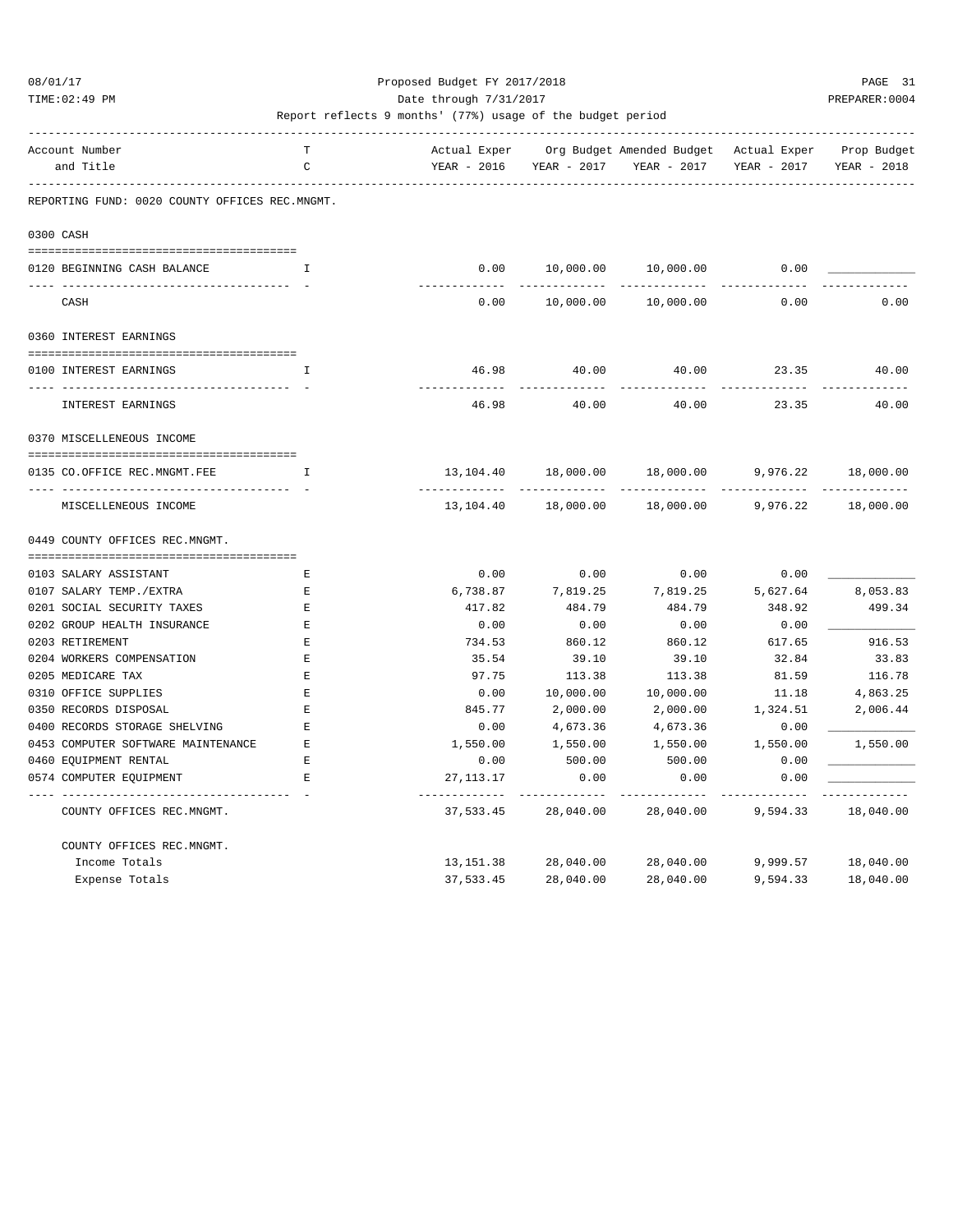TIME:02:49 PM PREPARER:0004 Date through 7/31/2017 PREPARER:0004

| Account Number                                 | т<br>$\mathcal{C}$ | Actual Exper                |                            | Org Budget Amended Budget - Actual Exper |                       | Prop Budget            |
|------------------------------------------------|--------------------|-----------------------------|----------------------------|------------------------------------------|-----------------------|------------------------|
| and Title                                      |                    | YEAR - 2016                 | YEAR - 2017                | YEAR - 2017                              | YEAR - 2017           | YEAR - 2018            |
| REPORTING FUND: 0020 COUNTY OFFICES REC.MNGMT. |                    |                             |                            |                                          |                       |                        |
| 0300 CASH                                      |                    |                             |                            |                                          |                       |                        |
| 0120 BEGINNING CASH BALANCE                    | Ι.                 | 0.00                        | 10,000.00                  | 10,000.00                                | 0.00                  |                        |
| CASH                                           |                    | 0.00                        | 10,000.00                  | 10,000.00                                | 0.00                  | 0.00                   |
| 0360 INTEREST EARNINGS                         |                    |                             |                            |                                          |                       |                        |
| 0100 INTEREST EARNINGS                         | T.                 | 46.98                       | 40.00                      | 40.00                                    | 23.35                 | 40.00                  |
| . <i>.</i> .                                   |                    |                             |                            |                                          |                       |                        |
| INTEREST EARNINGS                              |                    | 46.98                       | 40.00                      | 40.00                                    | 23.35                 | 40.00                  |
| 0370 MISCELLENEOUS INCOME                      |                    |                             |                            |                                          |                       |                        |
| 0135 CO.OFFICE REC.MNGMT.FEE                   | I                  | 13,104.40                   | 18,000.00                  | 18,000.00                                | 9,976.22              | 18,000.00              |
| __ ________________<br>MISCELLENEOUS INCOME    |                    | -------------<br>13,104.40  | 18,000.00                  | 18,000.00                                | 9,976.22              | 18,000.00              |
| 0449 COUNTY OFFICES REC.MNGMT.                 |                    |                             |                            |                                          |                       |                        |
|                                                |                    |                             |                            |                                          |                       |                        |
| 0103 SALARY ASSISTANT                          | E                  | 0.00                        | 0.00                       | 0.00                                     | 0.00                  |                        |
| 0107 SALARY TEMP./EXTRA                        | Е                  | 6,738.87                    | 7,819.25                   | 7,819.25                                 | 5,627.64              | 8,053.83               |
| 0201 SOCIAL SECURITY TAXES                     | E                  | 417.82                      | 484.79                     | 484.79                                   | 348.92                | 499.34                 |
| 0202 GROUP HEALTH INSURANCE                    | $\mathbf E$        | 0.00                        | 0.00                       | 0.00                                     | 0.00                  |                        |
| 0203 RETIREMENT                                | Е                  | 734.53                      | 860.12                     | 860.12                                   | 617.65                | 916.53                 |
| 0204 WORKERS COMPENSATION                      | E                  | 35.54                       | 39.10                      | 39.10                                    | 32.84                 | 33.83                  |
| 0205 MEDICARE TAX                              | $\mathbf E$        | 97.75                       | 113.38                     | 113.38                                   | 81.59                 | 116.78                 |
| 0310 OFFICE SUPPLIES                           | E                  | 0.00                        | 10,000.00                  | 10,000.00                                | 11.18                 | 4,863.25               |
| 0350 RECORDS DISPOSAL                          | Ε                  | 845.77                      | 2,000.00                   | 2,000.00                                 | 1,324.51              | 2,006.44               |
| 0400 RECORDS STORAGE SHELVING                  | $\mathbf E$        | 0.00                        | 4,673.36                   | 4,673.36                                 | 0.00                  |                        |
| 0453 COMPUTER SOFTWARE MAINTENANCE             | Е                  | 1,550.00                    | 1,550.00                   | 1,550.00                                 | 1,550.00              | 1,550.00               |
| 0460 EQUIPMENT RENTAL                          | $\mathbf E$        | 0.00                        | 500.00                     | 500.00                                   | 0.00                  |                        |
| 0574 COMPUTER EQUIPMENT                        | $\mathbf{F}_i$     | 27, 113. 17                 | 0.00                       | 0.00                                     | 0.00                  |                        |
| COUNTY OFFICES REC.MNGMT.                      |                    | --------------<br>37,533.45 | -------------<br>28,040.00 | . _ _ _ _ _ _ _ _ _<br>28,040.00         | ---------<br>9,594.33 | ---------<br>18,040.00 |
| COUNTY OFFICES REC.MNGMT.                      |                    |                             |                            |                                          |                       |                        |
| Income Totals                                  |                    | 13, 151.38                  | 28,040.00                  | 28,040.00                                | 9,999.57              | 18,040.00              |
| Expense Totals                                 |                    | 37,533.45                   | 28,040.00                  | 28,040.00                                | 9,594.33              | 18,040.00              |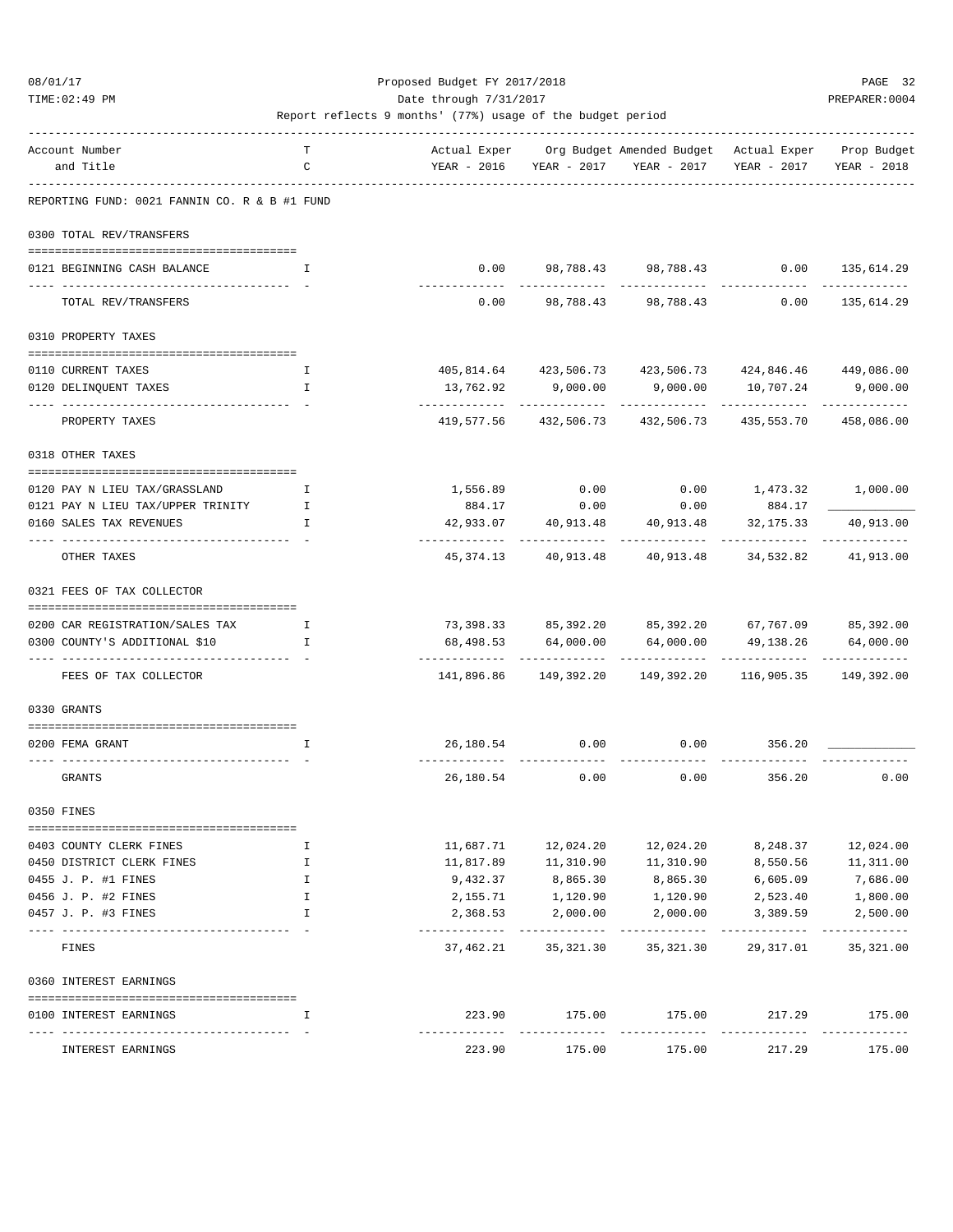TIME:02:49 PM PREPARER:0004

| Account Number                                               | т            |                            |                            | Actual Exper Org Budget Amended Budget Actual Exper Prop Budget |                                      |                           |
|--------------------------------------------------------------|--------------|----------------------------|----------------------------|-----------------------------------------------------------------|--------------------------------------|---------------------------|
| and Title                                                    | C            |                            | YEAR - 2016 YEAR - 2017    | YEAR - 2017                                                     | YEAR - 2017                          | YEAR - 2018               |
| REPORTING FUND: 0021 FANNIN CO. R & B #1 FUND                |              |                            |                            |                                                                 |                                      |                           |
| 0300 TOTAL REV/TRANSFERS                                     |              |                            |                            |                                                                 |                                      |                           |
| 0121 BEGINNING CASH BALANCE                                  | I.           | 0.00                       |                            | 98,788.43 98,788.43                                             |                                      | $0.00$ 135,614.29         |
| TOTAL REV/TRANSFERS                                          |              | -------------<br>0.00      |                            | 98,788.43 98,788.43                                             | 0.00                                 | -----------<br>135,614.29 |
| 0310 PROPERTY TAXES                                          |              |                            |                            |                                                                 |                                      |                           |
| 0110 CURRENT TAXES                                           | Ι.           |                            |                            | 405,814.64 423,506.73 423,506.73 424,846.46 449,086.00          |                                      |                           |
| 0120 DELINQUENT TAXES                                        | $\mathbf I$  |                            | 13,762.92 9,000.00         | 9,000.00 10,707.24                                              |                                      | 9,000.00                  |
|                                                              |              |                            |                            |                                                                 |                                      | -------------             |
| PROPERTY TAXES                                               |              |                            |                            | 419,577.56 432,506.73 432,506.73 435,553.70 458,086.00          |                                      |                           |
| 0318 OTHER TAXES                                             |              |                            |                            |                                                                 |                                      |                           |
| 0120 PAY N LIEU TAX/GRASSLAND                                | Ι.           | 1,556.89                   | 0.00                       |                                                                 | $0.00$ 1,473.32 1,000.00             |                           |
| 0121 PAY N LIEU TAX/UPPER TRINITY                            | I.           | 884.17                     | 0.00                       | 0.00                                                            | 884.17                               |                           |
| 0160 SALES TAX REVENUES                                      | I.           |                            | 42,933.07 40,913.48        | ___________                                                     | 40,913.48 32,175.33<br>------------- | 40,913.00                 |
| OTHER TAXES                                                  |              | 45,374.13                  |                            | 40,913.48 40,913.48 34,532.82                                   |                                      | 41,913.00                 |
| 0321 FEES OF TAX COLLECTOR                                   |              |                            |                            |                                                                 |                                      |                           |
| 0200 CAR REGISTRATION/SALES TAX                              | $\mathbf{I}$ |                            |                            | 73,398.33 85,392.20 85,392.20 67,767.09 85,392.00               |                                      |                           |
| 0300 COUNTY'S ADDITIONAL \$10                                | I            | 68,498.53                  | 64,000.00                  |                                                                 | 64,000.00 49,138.26                  | 64,000.00                 |
| ------------------------------- - -<br>FEES OF TAX COLLECTOR |              |                            |                            | 141,896.86 149,392.20 149,392.20                                | 116,905.35 149,392.00                | -------------             |
| 0330 GRANTS                                                  |              |                            |                            |                                                                 |                                      |                           |
|                                                              |              |                            |                            |                                                                 |                                      |                           |
| 0200 FEMA GRANT                                              | I.           |                            |                            | 26,180.54 0.00 0.00 356.20                                      |                                      |                           |
| GRANTS                                                       |              | 26,180.54                  | 0.00                       | 0.00                                                            | 356.20                               | 0.00                      |
| 0350 FINES                                                   |              |                            |                            |                                                                 |                                      |                           |
|                                                              |              |                            |                            |                                                                 |                                      |                           |
| 0403 COUNTY CLERK FINES<br>0450 DISTRICT CLERK FINES         | I<br>I       | 11,687.71<br>11,817.89     | 12,024.20<br>11,310.90     | 12,024.20<br>11,310.90                                          | 8,248.37<br>8,550.56                 | 12,024.00<br>11,311.00    |
| 0455 J. P. #1 FINES                                          | I            | 9,432.37                   | 8,865.30                   | 8,865.30                                                        | 6,605.09                             | 7,686.00                  |
| 0456 J. P. #2 FINES                                          | I            | 2,155.71                   | 1,120.90                   | 1,120.90                                                        | 2,523.40                             | 1,800.00                  |
| 0457 J. P. #3 FINES                                          | I            | 2,368.53                   | 2,000.00                   | 2,000.00                                                        | 3,389.59                             | 2,500.00                  |
| FINES                                                        |              | -------------<br>37,462.21 | -------------<br>35,321.30 | ------------<br>35,321.30                                       | ----------<br>29,317.01              | -----------<br>35, 321.00 |
| 0360 INTEREST EARNINGS                                       |              |                            |                            |                                                                 |                                      |                           |
| 0100 INTEREST EARNINGS                                       | I            | 223.90                     | 175.00                     | 175.00                                                          | 217.29                               | 175.00                    |
| INTEREST EARNINGS                                            |              | 223.90                     | 175.00                     | 175.00                                                          | ----------<br>217.29                 | -----------<br>175.00     |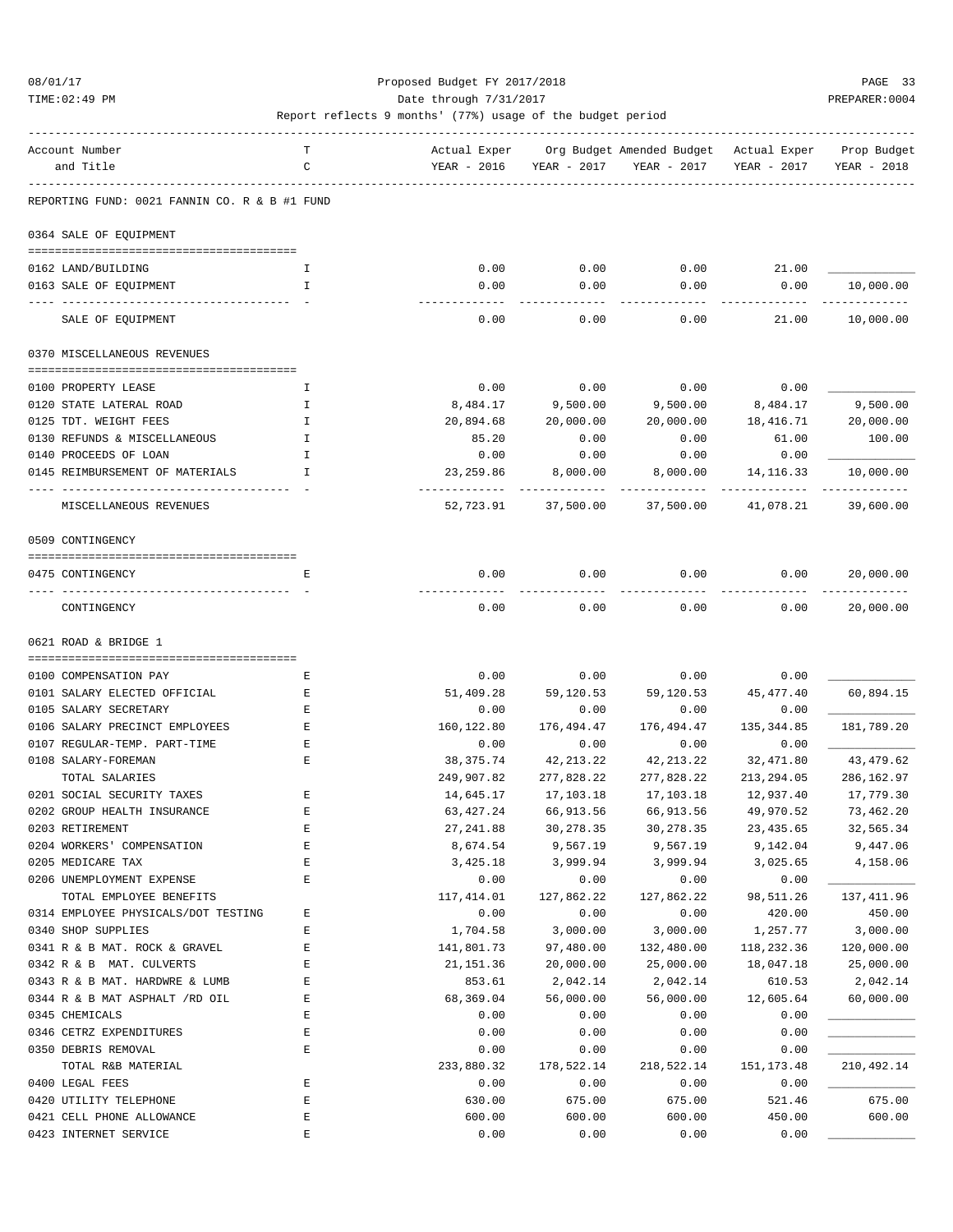TIME:02:49 PM PREPARER:0004 Date through 7/31/2017 PREPARER:0004

| Account Number                                | т            | Actual Exper |            | Org Budget Amended Budget - Actual Exper |             | Prop Budget |
|-----------------------------------------------|--------------|--------------|------------|------------------------------------------|-------------|-------------|
| and Title                                     | C            | YEAR - 2016  |            | YEAR - 2017 YEAR - 2017                  | YEAR - 2017 | YEAR - 2018 |
| REPORTING FUND: 0021 FANNIN CO. R & B #1 FUND |              |              |            |                                          |             |             |
| 0364 SALE OF EQUIPMENT                        |              |              |            |                                          |             |             |
|                                               |              |              |            |                                          |             |             |
| 0162 LAND/BUILDING                            | Ι.           | 0.00         | 0.00       | 0.00                                     | 21.00       |             |
| 0163 SALE OF EQUIPMENT                        | $\mathbf{I}$ | 0.00         | 0.00       | 0.00                                     | 0.00        | 10,000.00   |
| SALE OF EQUIPMENT                             |              | 0.00         | 0.00       | 0.00                                     | 21.00       | 10,000.00   |
| 0370 MISCELLANEOUS REVENUES                   |              |              |            |                                          |             |             |
|                                               |              |              |            |                                          |             |             |
| 0100 PROPERTY LEASE                           | Ι.           | 0.00         | 0.00       | 0.00                                     | 0.00        |             |
| 0120 STATE LATERAL ROAD                       | Ι.           | 8,484.17     | 9,500.00   | 9,500.00                                 | 8,484.17    | 9,500.00    |
| 0125 TDT. WEIGHT FEES                         | H            | 20,894.68    | 20,000.00  | 20,000.00                                | 18,416.71   | 20,000.00   |
| 0130 REFUNDS & MISCELLANEOUS                  | I            | 85.20        | 0.00       | 0.00                                     | 61.00       | 100.00      |
| 0140 PROCEEDS OF LOAN                         | Ι.           | 0.00         | 0.00       | 0.00                                     | 0.00        |             |
| 0145 REIMBURSEMENT OF MATERIALS               | $\mathbf{I}$ | 23, 259.86   | 8,000.00   | 8,000.00                                 | 14, 116.33  | 10,000.00   |
| MISCELLANEOUS REVENUES                        |              | 52,723.91    | 37,500.00  | 37,500.00                                | 41,078.21   | 39,600.00   |
| 0509 CONTINGENCY                              |              |              |            |                                          |             |             |
| 0475 CONTINGENCY                              | Е            | 0.00         | 0.00       | 0.00                                     | 0.00        | 20,000.00   |
| CONTINGENCY                                   |              | 0.00         | 0.00       | 0.00                                     | 0.00        | 20,000.00   |
|                                               |              |              |            |                                          |             |             |
| 0621 ROAD & BRIDGE 1                          |              |              |            |                                          |             |             |
| 0100 COMPENSATION PAY                         | Ε            | 0.00         | 0.00       | 0.00                                     | 0.00        |             |
| 0101 SALARY ELECTED OFFICIAL                  | Е            | 51,409.28    | 59,120.53  | 59,120.53                                | 45,477.40   | 60,894.15   |
| 0105 SALARY SECRETARY                         | Е            | 0.00         | 0.00       | 0.00                                     | 0.00        |             |
| 0106 SALARY PRECINCT EMPLOYEES                | Е            | 160,122.80   | 176,494.47 | 176,494.47                               | 135, 344.85 | 181,789.20  |
| 0107 REGULAR-TEMP. PART-TIME                  | Е            | 0.00         | 0.00       | 0.00                                     | 0.00        |             |
| 0108 SALARY-FOREMAN                           | Ε            | 38,375.74    | 42,213.22  | 42, 213. 22                              | 32,471.80   | 43, 479.62  |
| TOTAL SALARIES                                |              | 249,907.82   | 277,828.22 | 277,828.22                               | 213,294.05  | 286,162.97  |
| 0201 SOCIAL SECURITY TAXES                    | Е            | 14,645.17    | 17,103.18  | 17,103.18                                | 12,937.40   | 17,779.30   |
| 0202 GROUP HEALTH INSURANCE                   | Ε            | 63,427.24    | 66,913.56  | 66,913.56                                | 49,970.52   | 73,462.20   |
| 0203 RETIREMENT                               | E            | 27, 241.88   | 30,278.35  | 30,278.35                                | 23, 435.65  | 32,565.34   |
| 0204 WORKERS' COMPENSATION                    | E            | 8,674.54     | 9,567.19   | 9,567.19                                 | 9,142.04    | 9,447.06    |
| 0205 MEDICARE TAX                             | $\mathbf E$  | 3,425.18     | 3,999.94   | 3,999.94                                 | 3,025.65    | 4,158.06    |
| 0206 UNEMPLOYMENT EXPENSE                     | E            | 0.00         | 0.00       | 0.00                                     | 0.00        |             |
| TOTAL EMPLOYEE BENEFITS                       |              | 117,414.01   | 127,862.22 | 127,862.22                               | 98,511.26   | 137,411.96  |
| 0314 EMPLOYEE PHYSICALS/DOT TESTING           | Ε            | 0.00         | 0.00       | 0.00                                     | 420.00      | 450.00      |
| 0340 SHOP SUPPLIES                            | E            | 1,704.58     | 3,000.00   | 3,000.00                                 | 1,257.77    | 3,000.00    |
| 0341 R & B MAT. ROCK & GRAVEL                 | E            | 141,801.73   | 97,480.00  | 132,480.00                               | 118,232.36  | 120,000.00  |
| 0342 R & B MAT. CULVERTS                      | E            | 21, 151.36   | 20,000.00  | 25,000.00                                | 18,047.18   | 25,000.00   |
| 0343 R & B MAT. HARDWRE & LUMB                | E            | 853.61       | 2,042.14   | 2,042.14                                 | 610.53      | 2,042.14    |
| 0344 R & B MAT ASPHALT /RD OIL                | Ε            | 68,369.04    | 56,000.00  | 56,000.00                                | 12,605.64   | 60,000.00   |
| 0345 CHEMICALS                                | E            | 0.00         | 0.00       | 0.00                                     | 0.00        |             |
| 0346 CETRZ EXPENDITURES                       | E            | 0.00         | 0.00       | 0.00                                     | 0.00        |             |
| 0350 DEBRIS REMOVAL                           | E            | 0.00         | 0.00       | 0.00                                     | 0.00        |             |
| TOTAL R&B MATERIAL                            |              | 233,880.32   | 178,522.14 | 218,522.14                               | 151,173.48  | 210,492.14  |
| 0400 LEGAL FEES                               | E            | 0.00         | 0.00       | 0.00                                     | 0.00        |             |
| 0420 UTILITY TELEPHONE                        | E            | 630.00       | 675.00     | 675.00                                   | 521.46      | 675.00      |
| 0421 CELL PHONE ALLOWANCE                     | $\mathbf E$  | 600.00       | 600.00     | 600.00                                   | 450.00      | 600.00      |
| 0423 INTERNET SERVICE                         | $\mathbf E$  | 0.00         | 0.00       | 0.00                                     | 0.00        |             |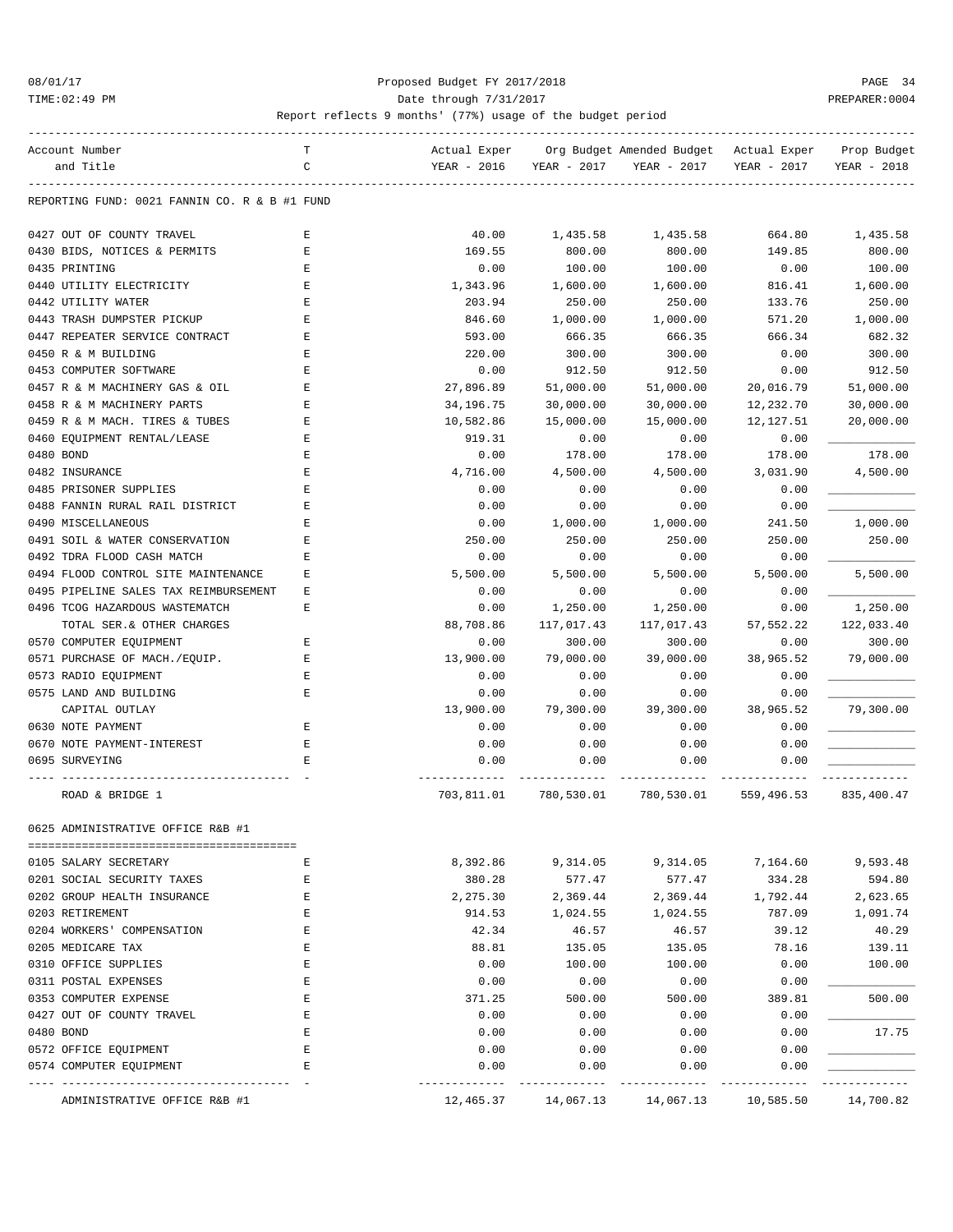### 08/01/17 Proposed Budget FY 2017/2018 PAGE 34 TIME:02:49 PM PREPARER:0004 Date through 7/31/2017 PREPARER:0004

| Account Number                                | т           | Actual Exper |             | Org Budget Amended Budget | Actual Exper | Prop Budget |
|-----------------------------------------------|-------------|--------------|-------------|---------------------------|--------------|-------------|
| and Title                                     | C           | YEAR - 2016  | YEAR - 2017 | YEAR - 2017               | YEAR - 2017  | YEAR - 2018 |
| REPORTING FUND: 0021 FANNIN CO. R & B #1 FUND |             |              |             |                           |              |             |
|                                               |             |              |             |                           |              |             |
| 0427 OUT OF COUNTY TRAVEL                     | Е           | 40.00        | 1,435.58    | 1,435.58                  | 664.80       | 1,435.58    |
| 0430 BIDS, NOTICES & PERMITS                  | E           | 169.55       | 800.00      | 800.00                    | 149.85       | 800.00      |
| 0435 PRINTING                                 | Ε           | 0.00         | 100.00      | 100.00                    | 0.00         | 100.00      |
| 0440 UTILITY ELECTRICITY                      | E           | 1,343.96     | 1,600.00    | 1,600.00                  | 816.41       | 1,600.00    |
| 0442 UTILITY WATER                            | E           | 203.94       | 250.00      | 250.00                    | 133.76       | 250.00      |
| 0443 TRASH DUMPSTER PICKUP                    | $\mathbf E$ | 846.60       | 1,000.00    | 1,000.00                  | 571.20       | 1,000.00    |
| 0447 REPEATER SERVICE CONTRACT                | Ε           | 593.00       | 666.35      | 666.35                    | 666.34       | 682.32      |
| 0450 R & M BUILDING                           | Ε           | 220.00       | 300.00      | 300.00                    | 0.00         | 300.00      |
| 0453 COMPUTER SOFTWARE                        | E           | 0.00         | 912.50      | 912.50                    | 0.00         | 912.50      |
| 0457 R & M MACHINERY GAS & OIL                | Ε           | 27,896.89    | 51,000.00   | 51,000.00                 | 20,016.79    | 51,000.00   |
| 0458 R & M MACHINERY PARTS                    | Ε           | 34,196.75    | 30,000.00   | 30,000.00                 | 12,232.70    | 30,000.00   |
| 0459 R & M MACH. TIRES & TUBES                | Е           | 10,582.86    | 15,000.00   | 15,000.00                 | 12,127.51    | 20,000.00   |
| 0460 EQUIPMENT RENTAL/LEASE                   | Ε           | 919.31       | 0.00        | 0.00                      | 0.00         |             |
| 0480 BOND                                     | E           | 0.00         | 178.00      | 178.00                    | 178.00       | 178.00      |
| 0482 INSURANCE                                | E           | 4,716.00     | 4,500.00    | 4,500.00                  | 3,031.90     | 4,500.00    |
| 0485 PRISONER SUPPLIES                        | E           | 0.00         | 0.00        | 0.00                      | 0.00         |             |
| 0488 FANNIN RURAL RAIL DISTRICT               | Е           | 0.00         | 0.00        | 0.00                      | 0.00         |             |
| 0490 MISCELLANEOUS                            | E           | 0.00         | 1,000.00    | 1,000.00                  | 241.50       | 1,000.00    |
| 0491 SOIL & WATER CONSERVATION                | Ε           | 250.00       | 250.00      | 250.00                    | 250.00       | 250.00      |
| 0492 TDRA FLOOD CASH MATCH                    | E           | 0.00         | 0.00        | 0.00                      | 0.00         |             |
| 0494 FLOOD CONTROL SITE MAINTENANCE           | Ε           | 5,500.00     | 5,500.00    | 5,500.00                  | 5,500.00     | 5,500.00    |
| 0495 PIPELINE SALES TAX REIMBURSEMENT         | Ε           | 0.00         | 0.00        | 0.00                      | 0.00         |             |
| 0496 TCOG HAZARDOUS WASTEMATCH                | E           | 0.00         | 1,250.00    | 1,250.00                  | 0.00         | 1,250.00    |
| TOTAL SER.& OTHER CHARGES                     |             | 88,708.86    | 117,017.43  | 117,017.43                | 57,552.22    | 122,033.40  |
| 0570 COMPUTER EQUIPMENT                       | Ε           | 0.00         | 300.00      | 300.00                    | 0.00         | 300.00      |
|                                               | E           | 13,900.00    | 79,000.00   | 39,000.00                 | 38,965.52    | 79,000.00   |
| 0571 PURCHASE OF MACH./EQUIP.                 |             |              |             |                           |              |             |
| 0573 RADIO EQUIPMENT                          | E           | 0.00         | 0.00        | 0.00                      | 0.00         |             |
| 0575 LAND AND BUILDING                        | Е           | 0.00         | 0.00        | 0.00                      | 0.00         |             |
| CAPITAL OUTLAY                                |             | 13,900.00    | 79,300.00   | 39,300.00                 | 38,965.52    | 79,300.00   |
| 0630 NOTE PAYMENT                             | E           | 0.00         | 0.00        | 0.00                      | 0.00         |             |
| 0670 NOTE PAYMENT-INTEREST                    | E           | 0.00         | 0.00        | 0.00                      | 0.00         |             |
| 0695 SURVEYING                                | Е           | 0.00         | 0.00        | 0.00                      | 0.00         |             |
| ROAD & BRIDGE 1                               |             | 703,811.01   | 780,530.01  | 780,530.01                | 559,496.53   | 835,400.47  |
| 0025 ADMINISTRATIVE OFFICE R&B #I             |             |              |             |                           |              |             |
|                                               |             |              |             |                           |              |             |
| 0105 SALARY SECRETARY                         | E           | 8,392.86     | 9,314.05    | 9,314.05                  | 7,164.60     | 9,593.48    |
| 0201 SOCIAL SECURITY TAXES                    | Ε           | 380.28       | 577.47      | 577.47                    | 334.28       | 594.80      |
| 0202 GROUP HEALTH INSURANCE                   | Ε           | 2,275.30     | 2,369.44    | 2,369.44                  | 1,792.44     | 2,623.65    |
| 0203 RETIREMENT                               | E           | 914.53       | 1,024.55    | 1,024.55                  | 787.09       | 1,091.74    |
| 0204 WORKERS' COMPENSATION                    | E           | 42.34        | 46.57       | 46.57                     | 39.12        | 40.29       |
| 0205 MEDICARE TAX                             | Ε           | 88.81        | 135.05      | 135.05                    | 78.16        | 139.11      |
| 0310 OFFICE SUPPLIES                          | E           | 0.00         | 100.00      | 100.00                    | 0.00         | 100.00      |
| 0311 POSTAL EXPENSES                          | E           | 0.00         | 0.00        | 0.00                      | 0.00         |             |
| 0353 COMPUTER EXPENSE                         | Ε           | 371.25       | 500.00      | 500.00                    | 389.81       | 500.00      |
| 0427 OUT OF COUNTY TRAVEL                     | Ε           | 0.00         | 0.00        | 0.00                      | 0.00         |             |
| 0480 BOND                                     | E           | 0.00         | 0.00        | 0.00                      | 0.00         | 17.75       |
|                                               | Ε           |              |             |                           |              |             |
| 0572 OFFICE EQUIPMENT                         |             | 0.00         | 0.00        | 0.00                      | 0.00         |             |
| 0574 COMPUTER EQUIPMENT                       | E           | 0.00         | 0.00        | 0.00                      | 0.00         |             |
| ADMINISTRATIVE OFFICE R&B #1                  |             | 12,465.37    | 14,067.13   | 14,067.13                 | 10,585.50    | 14,700.82   |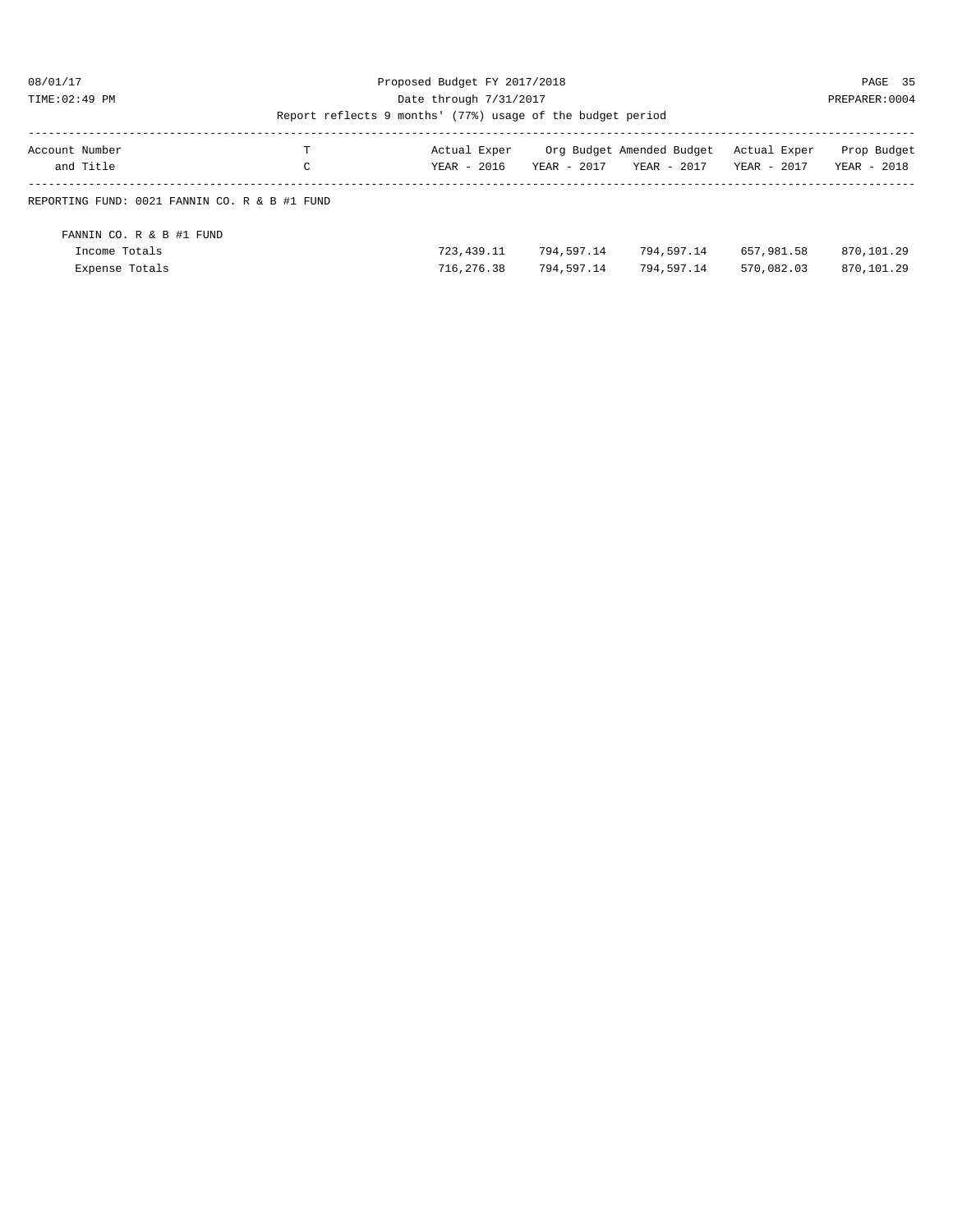### 08/01/17 Proposed Budget FY 2017/2018 PAGE 35 TIME:02:49 PM PREPARER:0004 Date through 7/31/2017 PREPARER:0004

| Account Number<br>and Title                                 | Ŧ<br>C | Actual Exper<br>YEAR - 2016 | YEAR - 2017              | Org Budget Amended Budget<br>YEAR - 2017 | Actual Exper<br>YEAR - 2017 | Prop Budget<br>YEAR - 2018 |  |  |  |
|-------------------------------------------------------------|--------|-----------------------------|--------------------------|------------------------------------------|-----------------------------|----------------------------|--|--|--|
| REPORTING FUND: 0021 FANNIN CO. R & B #1 FUND               |        |                             |                          |                                          |                             |                            |  |  |  |
| FANNIN CO. R & B #1 FUND<br>Income Totals<br>Expense Totals |        | 723, 439.11<br>716,276.38   | 794,597.14<br>794,597.14 | 794,597.14<br>794,597.14                 | 657,981.58<br>570,082.03    | 870,101.29<br>870,101.29   |  |  |  |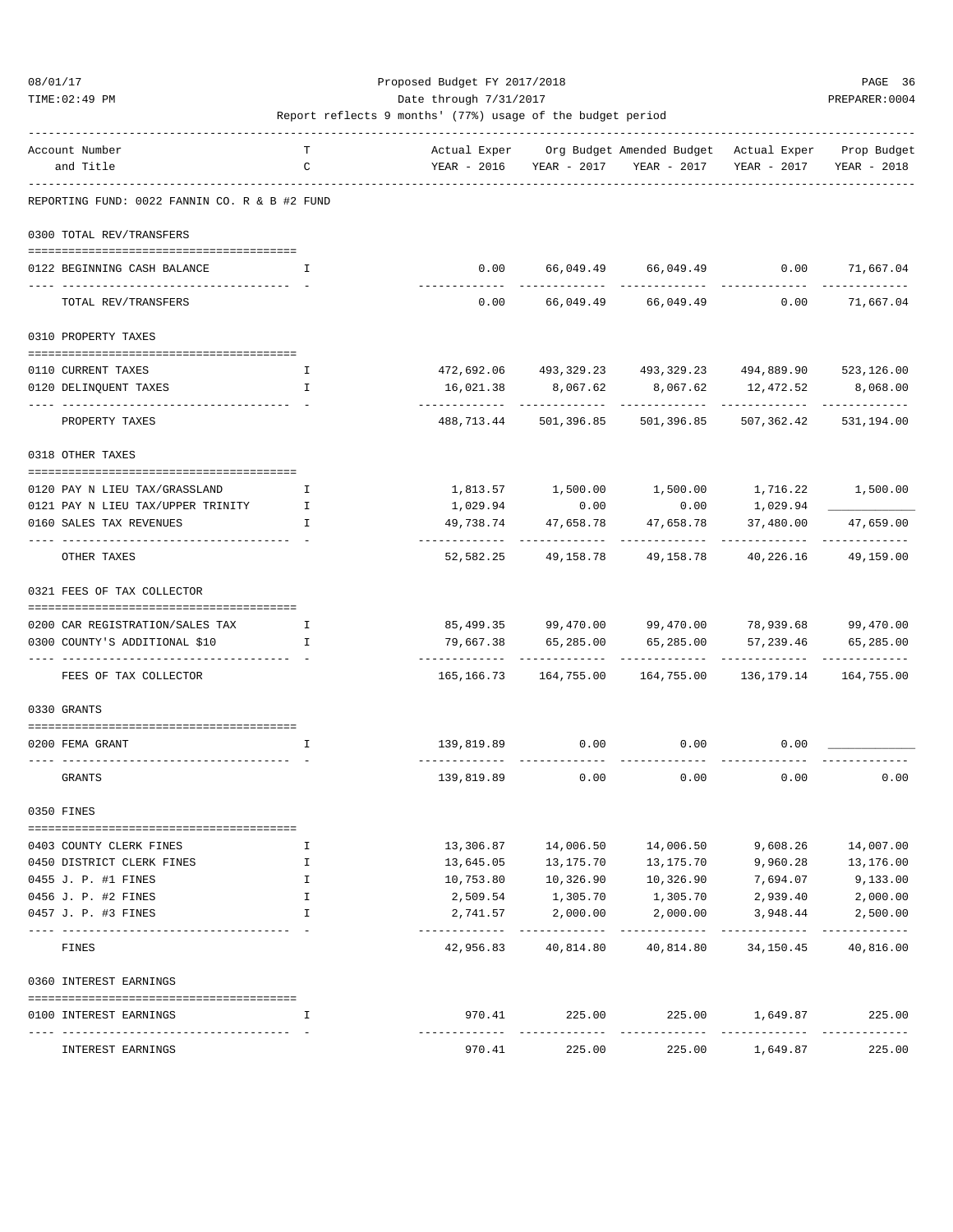### 08/01/17 Proposed Budget FY 2017/2018 PAGE 36 TIME:02:49 PM PREPARER:0004

| Account Number<br>and Title                   | т<br>C       |                                | YEAR - 2016 YEAR - 2017                              | Actual Exper Org Budget Amended Budget Actual Exper Prop Budget<br>YEAR - 2017 | YEAR - 2017                 | YEAR - 2018               |
|-----------------------------------------------|--------------|--------------------------------|------------------------------------------------------|--------------------------------------------------------------------------------|-----------------------------|---------------------------|
| REPORTING FUND: 0022 FANNIN CO. R & B #2 FUND |              |                                |                                                      |                                                                                |                             |                           |
| 0300 TOTAL REV/TRANSFERS                      |              |                                |                                                      |                                                                                |                             |                           |
| 0122 BEGINNING CASH BALANCE                   | T            | 0.00                           |                                                      | 66,049.49 66,049.49                                                            |                             | $0.00$ 71,667.04          |
|                                               |              | --------------                 | ------------                                         | ______________                                                                 |                             | ----------                |
| TOTAL REV/TRANSFERS                           |              | 0.00                           | 66,049.49                                            | 66,049.49                                                                      | 0.00                        | 71,667.04                 |
| 0310 PROPERTY TAXES                           |              |                                |                                                      |                                                                                |                             |                           |
| 0110 CURRENT TAXES                            | I.           |                                |                                                      | 472,692.06  493,329.23  493,329.23  494,889.90  523,126.00                     |                             |                           |
| 0120 DELINQUENT TAXES                         | $\mathbf{I}$ | 16,021.38                      | 8,067.62                                             |                                                                                | 8,067.62 12,472.52          | 8,068.00                  |
| PROPERTY TAXES                                |              |                                | ------------ --------------<br>488,713.44 501,396.85 | ------------<br>501,396.85                                                     | -------------<br>507,362.42 | -----------<br>531,194.00 |
| 0318 OTHER TAXES                              |              |                                |                                                      |                                                                                |                             |                           |
| 0120 PAY N LIEU TAX/GRASSLAND                 | Ι.           |                                |                                                      |                                                                                |                             | 1,716.22 1,500.00         |
| 0121 PAY N LIEU TAX/UPPER TRINITY             | $\mathbf{I}$ | 1,029.94                       | 0.00                                                 | 0.00                                                                           | 1,029.94                    |                           |
| 0160 SALES TAX REVENUES                       | $\mathbf{I}$ | 49,738.74                      | 47,658.78<br>----------- --------------              | 47,658.78<br>------------                                                      | 37,480.00<br>----------     | 47,659.00                 |
| OTHER TAXES                                   |              | 52,582.25                      | 49,158.78                                            | 49,158.78                                                                      | 40,226.16                   | 49,159.00                 |
| 0321 FEES OF TAX COLLECTOR                    |              |                                |                                                      |                                                                                |                             |                           |
| 0200 CAR REGISTRATION/SALES TAX               | I            |                                |                                                      | 85,499.35 99,470.00 99,470.00 78,939.68 99,470.00                              |                             |                           |
| 0300 COUNTY'S ADDITIONAL \$10                 | I            | 79,667.38                      | 65,285.00                                            | 65,285.00                                                                      | 57,239.46                   | 65,285.00                 |
| FEES OF TAX COLLECTOR                         |              | ------------------------------ |                                                      | -------------<br>165,166.73    164,755.00    164,755.00                        | __________                  | 136, 179. 14 164, 755. 00 |
| 0330 GRANTS                                   |              |                                |                                                      |                                                                                |                             |                           |
| 0200 FEMA GRANT                               |              |                                |                                                      |                                                                                |                             |                           |
|                                               | I.           | 139,819.89                     | 0.00                                                 | 0.00                                                                           | 0.00                        |                           |
| GRANTS                                        |              | 139,819.89                     | 0.00                                                 | 0.00                                                                           | 0.00                        | 0.00                      |
| 0350 FINES                                    |              |                                |                                                      |                                                                                |                             |                           |
| 0403 COUNTY CLERK FINES                       | Ι.           | 13,306.87                      | 14,006.50                                            | 14,006.50                                                                      | 9,608.26                    | 14,007.00                 |
| 0450 DISTRICT CLERK FINES                     | I            | 13,645.05                      | 13,175.70                                            | 13,175.70                                                                      | 9,960.28                    | 13,176.00                 |
| 0455 J. P. #1 FINES                           | I            | 10,753.80                      | 10,326.90                                            | 10,326.90                                                                      | 7,694.07                    | 9,133.00                  |
| 0456 J. P. #2 FINES                           | I.           | 2,509.54                       | 1,305.70                                             | 1,305.70                                                                       | 2,939.40                    | 2,000.00                  |
| 0457 J. P. #3 FINES                           | I            | 2,741.57<br>-------------      | 2,000.00<br>.                                        | 2,000.00<br>------------                                                       | 3,948.44<br>-----------     | 2,500.00<br>------------- |
| FINES                                         |              | 42,956.83                      | 40,814.80                                            | 40,814.80                                                                      | 34,150.45                   | 40,816.00                 |
| 0360 INTEREST EARNINGS                        |              |                                |                                                      |                                                                                |                             |                           |
| 0100 INTEREST EARNINGS                        | I            | 970.41                         | 225.00                                               | 225.00                                                                         | 1,649.87                    | 225.00<br>------------    |
| INTEREST EARNINGS                             |              | 970.41                         | 225.00                                               | 225.00                                                                         | 1,649.87                    | 225.00                    |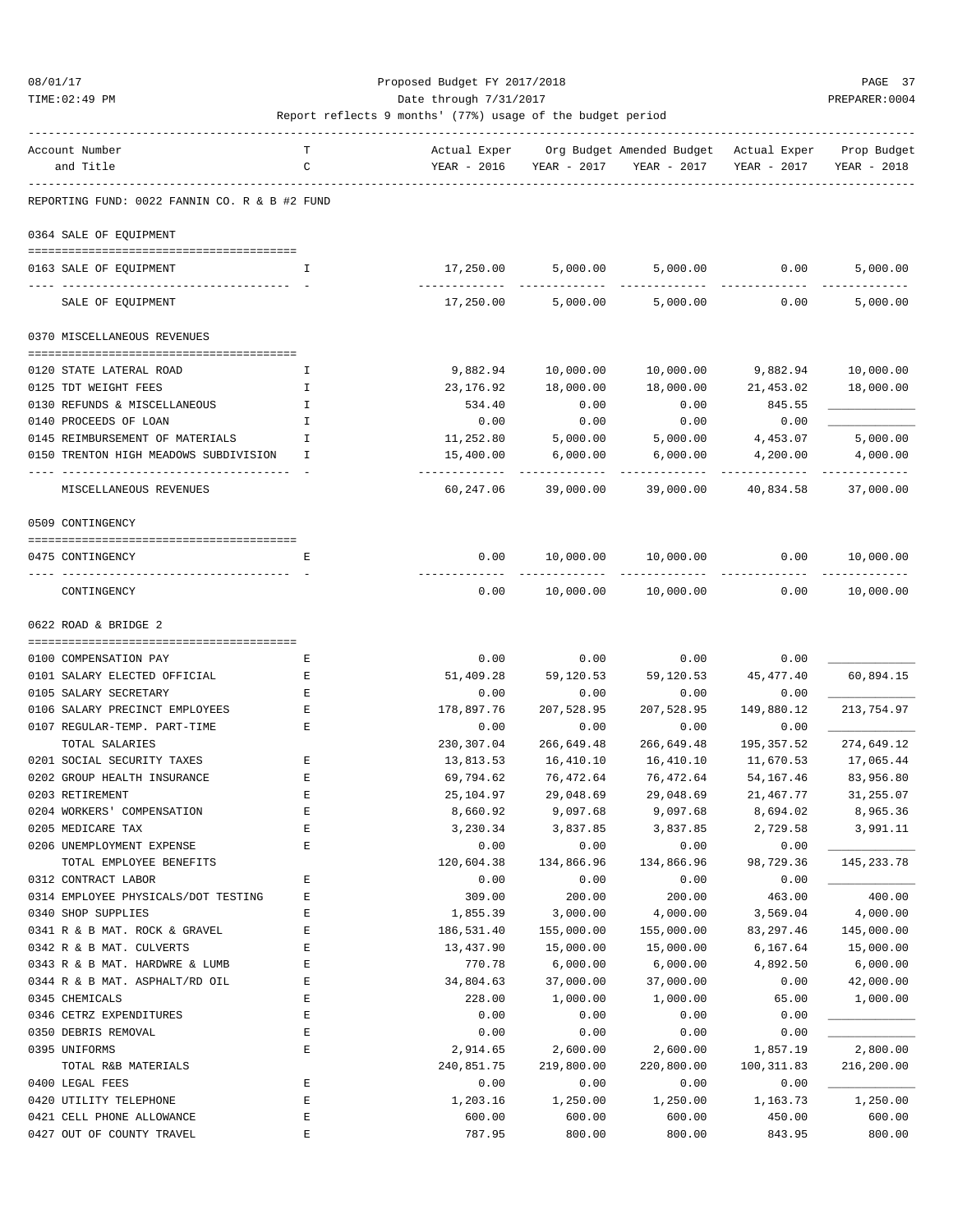#### 08/01/17 Proposed Budget FY 2017/2018 PAGE 37 TIME:02:49 PM PREPARER:0004 Date through 7/31/2017 Date through  $\frac{1}{2}$

| Account Number                                | т            | Actual Exper             |             | Org Budget Amended Budget Actual Exper |             | Prop Budget            |
|-----------------------------------------------|--------------|--------------------------|-------------|----------------------------------------|-------------|------------------------|
| and Title                                     | C            | YEAR - 2016              | YEAR - 2017 | YEAR - 2017                            | YEAR - 2017 | YEAR - 2018            |
|                                               |              |                          |             |                                        |             |                        |
| REPORTING FUND: 0022 FANNIN CO. R & B #2 FUND |              |                          |             |                                        |             |                        |
|                                               |              |                          |             |                                        |             |                        |
| 0364 SALE OF EQUIPMENT                        |              |                          |             |                                        |             |                        |
| 0163 SALE OF EQUIPMENT                        | $\mathsf{T}$ | 17,250.00                | 5,000.00    | 5,000.00                               | 0.00        | 5,000.00               |
|                                               |              |                          |             |                                        |             |                        |
| SALE OF EQUIPMENT                             |              | 17,250.00                | 5,000.00    | 5,000.00                               | 0.00        | 5,000.00               |
| 0370 MISCELLANEOUS REVENUES                   |              |                          |             |                                        |             |                        |
|                                               |              |                          |             |                                        |             |                        |
| 0120 STATE LATERAL ROAD                       | I            | 9,882.94                 | 10,000.00   | 10,000.00                              | 9,882.94    | 10,000.00              |
| 0125 TDT WEIGHT FEES                          | Ι.           | 23,176.92                | 18,000.00   | 18,000.00                              | 21,453.02   | 18,000.00              |
| 0130 REFUNDS & MISCELLANEOUS                  | I            | 534.40                   | 0.00        | 0.00                                   | 845.55      |                        |
| 0140 PROCEEDS OF LOAN                         | I            | 0.00                     | 0.00        | 0.00                                   | 0.00        |                        |
| 0145 REIMBURSEMENT OF MATERIALS               | I            | 11,252.80                | 5,000.00    | 5,000.00                               | 4,453.07    | 5,000.00               |
| 0150 TRENTON HIGH MEADOWS SUBDIVISION         | T            | 15,400.00<br>----------- | 6,000.00    | 6,000.00                               | 4,200.00    | 4,000.00<br>---------- |
| MISCELLANEOUS REVENUES                        |              | 60,247.06                | 39,000.00   | 39,000.00                              | 40,834.58   | 37,000.00              |
| 0509 CONTINGENCY                              |              |                          |             |                                        |             |                        |
|                                               |              |                          |             |                                        |             |                        |
| 0475 CONTINGENCY                              | E            | 0.00                     | 10,000.00   | 10,000.00                              | 0.00        | 10,000.00              |
| CONTINGENCY                                   |              | 0.00                     | 10,000.00   | 10,000.00                              | 0.00        | 10,000.00              |
|                                               |              |                          |             |                                        |             |                        |
| 0622 ROAD & BRIDGE 2                          |              |                          |             |                                        |             |                        |
|                                               |              |                          |             |                                        |             |                        |
| 0100 COMPENSATION PAY                         | Е            | 0.00                     | 0.00        | 0.00                                   | 0.00        |                        |
| 0101 SALARY ELECTED OFFICIAL                  | Е            | 51,409.28                | 59,120.53   | 59,120.53                              | 45, 477.40  | 60,894.15              |
| 0105 SALARY SECRETARY                         | $\mathbf E$  | 0.00                     | 0.00        | 0.00                                   | 0.00        |                        |
| 0106 SALARY PRECINCT EMPLOYEES                | Ε            | 178,897.76               | 207,528.95  | 207,528.95                             | 149,880.12  | 213,754.97             |
| 0107 REGULAR-TEMP. PART-TIME                  | Ε            | 0.00                     | 0.00        | 0.00                                   | 0.00        |                        |
| TOTAL SALARIES                                |              | 230,307.04               | 266,649.48  | 266,649.48                             | 195, 357.52 | 274,649.12             |
| 0201 SOCIAL SECURITY TAXES                    | Е            | 13,813.53                | 16,410.10   | 16,410.10                              | 11,670.53   | 17,065.44              |
| 0202 GROUP HEALTH INSURANCE                   | Ε            | 69,794.62                | 76,472.64   | 76,472.64                              | 54,167.46   | 83,956.80              |
| 0203 RETIREMENT                               | Е            | 25,104.97                | 29,048.69   | 29,048.69                              | 21,467.77   | 31,255.07              |
| 0204 WORKERS' COMPENSATION                    | Ε            | 8,660.92                 | 9,097.68    | 9,097.68                               | 8,694.02    | 8,965.36               |
| 0205 MEDICARE TAX                             | Ε            | 3,230.34                 | 3,837.85    | 3,837.85                               | 2,729.58    | 3,991.11               |
| 0206 UNEMPLOYMENT EXPENSE                     | E            | 0.00                     | 0.00        | 0.00                                   | 0.00        |                        |
| TOTAL EMPLOYEE BENEFITS                       |              | 120,604.38               | 134,866.96  | 134,866.96                             | 98,729.36   | 145, 233. 78           |
| 0312 CONTRACT LABOR                           | E            | 0.00                     | 0.00        | 0.00                                   | 0.00        |                        |
| 0314 EMPLOYEE PHYSICALS/DOT TESTING           | Ε            | 309.00                   | 200.00      | 200.00                                 | 463.00      | 400.00                 |
| 0340 SHOP SUPPLIES                            | E            | 1,855.39                 | 3,000.00    | 4,000.00                               | 3,569.04    | 4,000.00               |
| 0341 R & B MAT. ROCK & GRAVEL                 | E            | 186,531.40               | 155,000.00  | 155,000.00                             | 83, 297.46  | 145,000.00             |
| 0342 R & B MAT. CULVERTS                      | E            | 13,437.90                | 15,000.00   | 15,000.00                              | 6,167.64    | 15,000.00              |
| 0343 R & B MAT. HARDWRE & LUMB                | E            | 770.78                   | 6,000.00    | 6,000.00                               | 4,892.50    | 6,000.00               |
| 0344 R & B MAT. ASPHALT/RD OIL                | $\mathbf E$  | 34,804.63                | 37,000.00   | 37,000.00                              | 0.00        | 42,000.00              |
| 0345 CHEMICALS                                | E            | 228.00                   | 1,000.00    | 1,000.00                               | 65.00       | 1,000.00               |
| 0346 CETRZ EXPENDITURES                       | $\mathbf E$  | 0.00                     | 0.00        | 0.00                                   | 0.00        |                        |
| 0350 DEBRIS REMOVAL                           | E            | 0.00                     | 0.00        | 0.00                                   | 0.00        |                        |
| 0395 UNIFORMS                                 | E            | 2,914.65                 | 2,600.00    | 2,600.00                               | 1,857.19    | 2,800.00               |
| TOTAL R&B MATERIALS                           |              | 240,851.75               | 219,800.00  | 220,800.00                             | 100,311.83  | 216,200.00             |
| 0400 LEGAL FEES                               | E            | 0.00                     | 0.00        | 0.00                                   | 0.00        |                        |
| 0420 UTILITY TELEPHONE                        | $\mathbf E$  | 1,203.16                 | 1,250.00    | 1,250.00                               | 1,163.73    | 1,250.00               |
| 0421 CELL PHONE ALLOWANCE                     | $\mathbf E$  | 600.00                   | 600.00      | 600.00                                 | 450.00      | 600.00                 |
| 0427 OUT OF COUNTY TRAVEL                     | E            | 787.95                   | 800.00      | 800.00                                 | 843.95      | 800.00                 |
|                                               |              |                          |             |                                        |             |                        |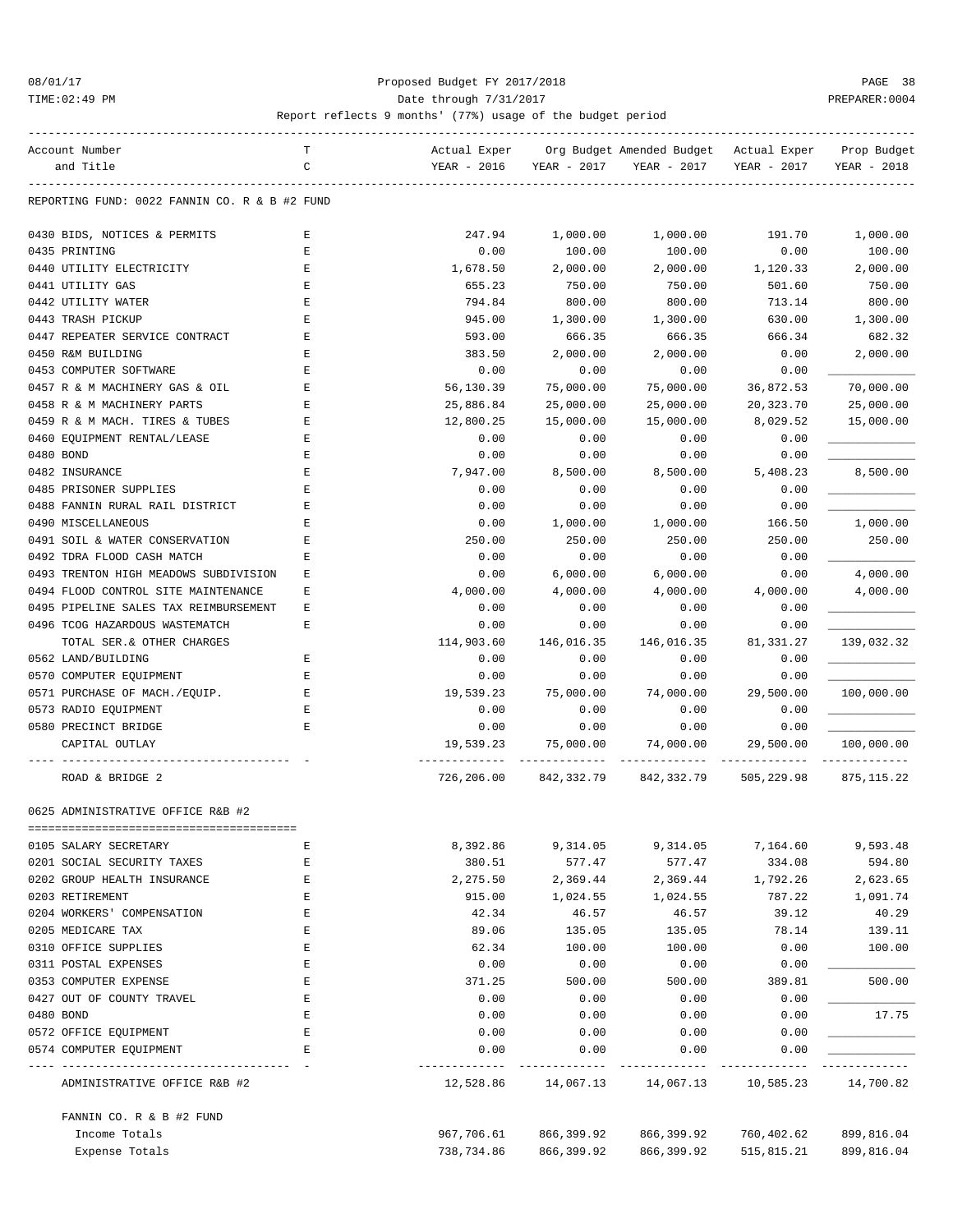#### 08/01/17 Proposed Budget FY 2017/2018 PAGE 38 TIME:02:49 PM Date through 7/31/2017 PREPARER:0004

| Account Number                                                      | т | Actual Exper             |             | Org Budget Amended Budget Actual Exper |             | Prop Budget |
|---------------------------------------------------------------------|---|--------------------------|-------------|----------------------------------------|-------------|-------------|
| and Title                                                           | C | YEAR - 2016              | YEAR - 2017 | YEAR - 2017                            | YEAR - 2017 | YEAR - 2018 |
| REPORTING FUND: 0022 FANNIN CO. R & B #2 FUND                       |   |                          |             |                                        |             |             |
|                                                                     |   |                          |             |                                        |             |             |
| 0430 BIDS, NOTICES & PERMITS                                        | Е | 247.94                   | 1,000.00    | 1,000.00                               | 191.70      | 1,000.00    |
| 0435 PRINTING                                                       | E | 0.00                     | 100.00      | 100.00                                 | 0.00        | 100.00      |
| 0440 UTILITY ELECTRICITY                                            | Е | 1,678.50                 | 2,000.00    | 2,000.00                               | 1,120.33    | 2,000.00    |
| 0441 UTILITY GAS                                                    | Ε | 655.23                   | 750.00      | 750.00                                 | 501.60      | 750.00      |
| 0442 UTILITY WATER                                                  | E | 794.84                   | 800.00      | 800.00                                 | 713.14      | 800.00      |
| 0443 TRASH PICKUP                                                   | E | 945.00                   | 1,300.00    | 1,300.00                               | 630.00      | 1,300.00    |
| 0447 REPEATER SERVICE CONTRACT                                      | E | 593.00                   | 666.35      | 666.35                                 | 666.34      | 682.32      |
| 0450 R&M BUILDING                                                   | E | 383.50                   | 2,000.00    | 2,000.00                               | 0.00        | 2,000.00    |
| 0453 COMPUTER SOFTWARE                                              | Е | 0.00                     | 0.00        | 0.00                                   | 0.00        |             |
| 0457 R & M MACHINERY GAS & OIL                                      | E | 56,130.39                | 75,000.00   | 75,000.00                              | 36,872.53   | 70,000.00   |
| 0458 R & M MACHINERY PARTS                                          | E | 25,886.84                | 25,000.00   | 25,000.00                              | 20,323.70   | 25,000.00   |
|                                                                     | Е | 12,800.25                | 15,000.00   | 15,000.00                              | 8,029.52    |             |
| 0459 R & M MACH. TIRES & TUBES                                      |   |                          |             |                                        |             | 15,000.00   |
| 0460 EQUIPMENT RENTAL/LEASE                                         | Е | 0.00                     | 0.00        | 0.00                                   | 0.00        |             |
| 0480 BOND                                                           | E | 0.00                     | 0.00        | 0.00                                   | 0.00        |             |
| 0482 INSURANCE                                                      | E | 7,947.00                 | 8,500.00    | 8,500.00                               | 5,408.23    | 8,500.00    |
| 0485 PRISONER SUPPLIES                                              | E | 0.00                     | 0.00        | 0.00                                   | 0.00        |             |
| 0488 FANNIN RURAL RAIL DISTRICT                                     | Е | 0.00                     | 0.00        | 0.00                                   | 0.00        |             |
| 0490 MISCELLANEOUS                                                  | E | 0.00                     | 1,000.00    | 1,000.00                               | 166.50      | 1,000.00    |
| 0491 SOIL & WATER CONSERVATION                                      | E | 250.00                   | 250.00      | 250.00                                 | 250.00      | 250.00      |
| 0492 TDRA FLOOD CASH MATCH                                          | Е | 0.00                     | 0.00        | 0.00                                   | 0.00        |             |
| 0493 TRENTON HIGH MEADOWS SUBDIVISION                               | Е | 0.00                     | 6,000.00    | 6,000.00                               | 0.00        | 4,000.00    |
| 0494 FLOOD CONTROL SITE MAINTENANCE                                 | E | 4,000.00                 | 4,000.00    | 4,000.00                               | 4,000.00    | 4,000.00    |
| 0495 PIPELINE SALES TAX REIMBURSEMENT                               | Ε | 0.00                     | 0.00        | 0.00                                   | 0.00        |             |
| 0496 TCOG HAZARDOUS WASTEMATCH                                      | E | 0.00                     | 0.00        | 0.00                                   | 0.00        |             |
| TOTAL SER. & OTHER CHARGES                                          |   | 114,903.60               | 146,016.35  | 146,016.35                             | 81,331.27   | 139,032.32  |
| 0562 LAND/BUILDING                                                  | Е | 0.00                     | 0.00        | 0.00                                   | 0.00        |             |
| 0570 COMPUTER EQUIPMENT                                             | Ε | 0.00                     | 0.00        | 0.00                                   | 0.00        |             |
| 0571 PURCHASE OF MACH./EQUIP.                                       | E | 19,539.23                | 75,000.00   | 74,000.00                              | 29,500.00   | 100,000.00  |
| 0573 RADIO EQUIPMENT                                                | E | 0.00                     | 0.00        | 0.00                                   | 0.00        |             |
| 0580 PRECINCT BRIDGE                                                | Е | 0.00                     | 0.00        | 0.00                                   | 0.00        |             |
| CAPITAL OUTLAY                                                      |   | 19,539.23                | 75,000.00   | 74,000.00                              | 29,500.00   | 100,000.00  |
|                                                                     |   |                          |             |                                        |             |             |
| ROAD & BRIDGE 2                                                     |   | 726,206.00               |             | 842,332.79 842,332.79                  | 505,229.98  | 875, 115.22 |
| 0625 ADMINISTRATIVE OFFICE R&B #2                                   |   |                          |             |                                        |             |             |
|                                                                     |   |                          |             |                                        |             |             |
| 0105 SALARY SECRETARY                                               | E | 8,392.86                 | 9,314.05    | 9,314.05                               | 7,164.60    | 9,593.48    |
| 0201 SOCIAL SECURITY TAXES                                          | Ε | 380.51                   | 577.47      | 577.47                                 | 334.08      | 594.80      |
| 0202 GROUP HEALTH INSURANCE                                         | Ε | 2,275.50                 | 2,369.44    | 2,369.44                               | 1,792.26    | 2,623.65    |
| 0203 RETIREMENT                                                     | E | 915.00                   | 1,024.55    | 1,024.55                               | 787.22      | 1,091.74    |
| 0204 WORKERS' COMPENSATION                                          | Ε | 42.34                    | 46.57       | 46.57                                  | 39.12       | 40.29       |
| 0205 MEDICARE TAX                                                   | Ε | 89.06                    | 135.05      | 135.05                                 | 78.14       | 139.11      |
| 0310 OFFICE SUPPLIES                                                | Ε | 62.34                    | 100.00      | 100.00                                 | 0.00        | 100.00      |
| 0311 POSTAL EXPENSES                                                | Е | 0.00                     | 0.00        | 0.00                                   | 0.00        |             |
| 0353 COMPUTER EXPENSE                                               | Ε | 371.25                   | 500.00      | 500.00                                 | 389.81      | 500.00      |
| 0427 OUT OF COUNTY TRAVEL                                           | Ε | 0.00                     | 0.00        | 0.00                                   | 0.00        |             |
| 0480 BOND                                                           | Ε | 0.00                     | 0.00        | 0.00                                   | 0.00        | 17.75       |
| 0572 OFFICE EQUIPMENT                                               | E | 0.00                     | 0.00        | 0.00                                   | 0.00        |             |
| 0574 COMPUTER EQUIPMENT                                             | Е | 0.00                     | 0.00        | 0.00                                   | 0.00        |             |
| -----------------------------------<br>ADMINISTRATIVE OFFICE R&B #2 |   | -----------<br>12,528.86 | 14,067.13   | 14,067.13                              | 10,585.23   | 14,700.82   |
|                                                                     |   |                          |             |                                        |             |             |
| FANNIN CO. R & B #2 FUND                                            |   |                          |             |                                        |             |             |
| Income Totals                                                       |   | 967,706.61               | 866,399.92  | 866,399.92                             | 760,402.62  | 899,816.04  |
| Expense Totals                                                      |   | 738,734.86               | 866,399.92  | 866,399.92                             | 515,815.21  | 899,816.04  |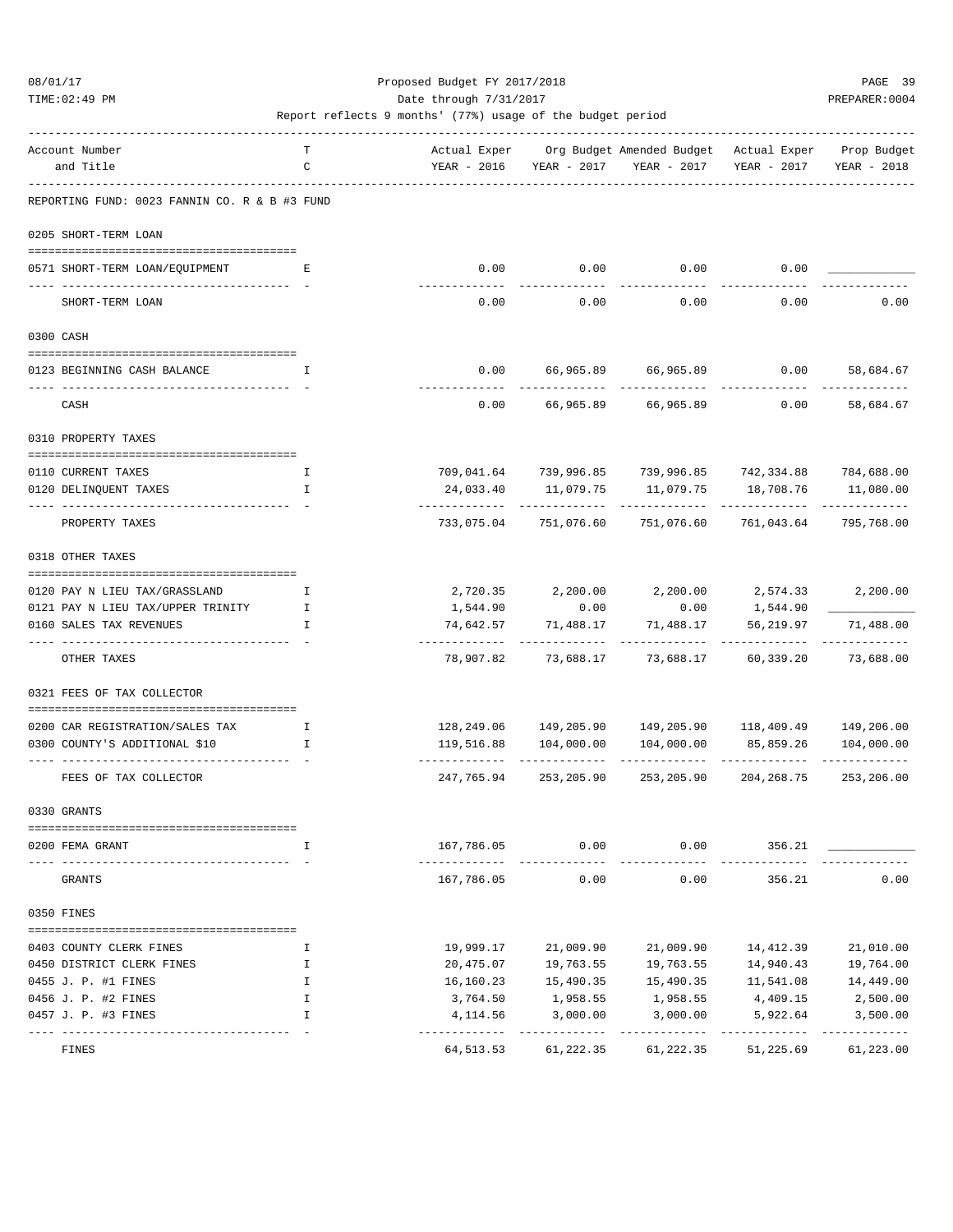TIME:02:49 PM PREPARER:0004 Date through 7/31/2017 Date through  $\frac{1}{2}$ 

| Account Number                                  | т            | Actual Exper                |                            | Org Budget Amended Budget - Actual Exper                              |                          | Prop Budget                |
|-------------------------------------------------|--------------|-----------------------------|----------------------------|-----------------------------------------------------------------------|--------------------------|----------------------------|
| and Title                                       | C            | YEAR - 2016                 | YEAR - 2017                | YEAR - 2017                                                           | YEAR - 2017              | YEAR - 2018                |
| REPORTING FUND: 0023 FANNIN CO. R & B #3 FUND   |              |                             |                            |                                                                       |                          |                            |
| 0205 SHORT-TERM LOAN                            |              |                             |                            |                                                                       |                          |                            |
|                                                 |              |                             |                            |                                                                       |                          |                            |
| 0571 SHORT-TERM LOAN/EQUIPMENT                  | Е            | 0.00                        |                            | $0.00$ 0.00                                                           | 0.00                     |                            |
| SHORT-TERM LOAN                                 |              | 0.00                        | 0.00                       | 0.00                                                                  | 0.00                     | 0.00                       |
| 0300 CASH                                       |              |                             |                            |                                                                       |                          |                            |
|                                                 |              |                             |                            |                                                                       |                          |                            |
| 0123 BEGINNING CASH BALANCE                     | I            | 0.00<br>-------             |                            | 66,965.89 66,965.89                                                   | 0.00                     | 58,684.67                  |
| CASH                                            |              | 0.00                        | 66,965.89                  | 66,965.89                                                             | 0.00                     | 58,684.67                  |
| 0310 PROPERTY TAXES                             |              |                             |                            |                                                                       |                          |                            |
| 0110 CURRENT TAXES                              | Ι.           |                             |                            | 709,041.64 739,996.85 739,996.85 742,334.88 784,688.00                |                          |                            |
| 0120 DELINQUENT TAXES                           | I            | 24,033.40                   | 11,079.75                  | 11,079.75                                                             | 18,708.76                | 11,080.00                  |
|                                                 |              |                             |                            |                                                                       |                          |                            |
| PROPERTY TAXES                                  |              | 733,075.04                  | 751,076.60                 | 751,076.60                                                            | 761,043.64               | 795,768.00                 |
| 0318 OTHER TAXES                                |              |                             |                            |                                                                       |                          |                            |
| 0120 PAY N LIEU TAX/GRASSLAND                   | Ι.           |                             |                            | 2,720.35 2,200.00 2,200.00 2,574.33                                   |                          | 2,200.00                   |
| 0121 PAY N LIEU TAX/UPPER TRINITY               | $\mathbf{I}$ | 1,544.90                    | 0.00                       | 0.00                                                                  | 1,544.90                 |                            |
| 0160 SALES TAX REVENUES                         | I            | 74,642.57                   | 71,488.17                  | 71,488.17                                                             | 56,219.97                | 71,488.00                  |
| OTHER TAXES                                     |              | -------------<br>78,907.82  | -------------<br>73,688.17 | -----------<br>73,688.17                                              | -----------<br>60,339.20 | -------------<br>73,688.00 |
| 0321 FEES OF TAX COLLECTOR                      |              |                             |                            |                                                                       |                          |                            |
|                                                 |              |                             |                            |                                                                       |                          |                            |
| 0200 CAR REGISTRATION/SALES TAX<br>$\mathbf{I}$ |              |                             |                            | $128, 249.06$ $149, 205.90$ $149, 205.90$ $118, 409.49$ $149, 206.00$ |                          |                            |
| 0300 COUNTY'S ADDITIONAL \$10                   | I            | 119,516.88                  | 104,000.00                 | 104,000.00                                                            | 85,859.26                | 104,000.00                 |
| FEES OF TAX COLLECTOR                           |              | 247,765.94                  | 253,205.90                 | 253,205.90                                                            | 204,268.75               | 253,206.00                 |
| 0330 GRANTS                                     |              |                             |                            |                                                                       |                          |                            |
| ==============                                  |              |                             |                            |                                                                       |                          |                            |
| 0200 FEMA GRANT                                 | I            | 167,786.05<br>------------- | 0.00                       | 0.00                                                                  | 356.21                   |                            |
| GRANTS                                          |              | 167,786.05                  | 0.00                       | 0.00                                                                  | 356.21                   | 0.00                       |
| 0350 FINES                                      |              |                             |                            |                                                                       |                          |                            |
| 0403 COUNTY CLERK FINES                         | I            | 19,999.17                   | 21,009.90                  | 21,009.90                                                             | 14,412.39                | 21,010.00                  |
| 0450 DISTRICT CLERK FINES                       | I            | 20,475.07                   | 19,763.55                  | 19,763.55                                                             | 14,940.43                | 19,764.00                  |
| 0455 J. P. #1 FINES                             | I            | 16,160.23                   | 15,490.35                  | 15,490.35                                                             | 11,541.08                | 14,449.00                  |
| 0456 J. P. #2 FINES                             | I            | 3,764.50                    | 1,958.55                   | 1,958.55                                                              | 4,409.15                 | 2,500.00                   |
| 0457 J. P. #3 FINES                             | I            | 4,114.56                    | 3,000.00                   | 3,000.00                                                              | 5,922.64                 | 3,500.00                   |
| FINES                                           |              | 64,513.53                   | 61,222.35                  | 61,222.35                                                             | -----------<br>51,225.69 | -----------<br>61,223.00   |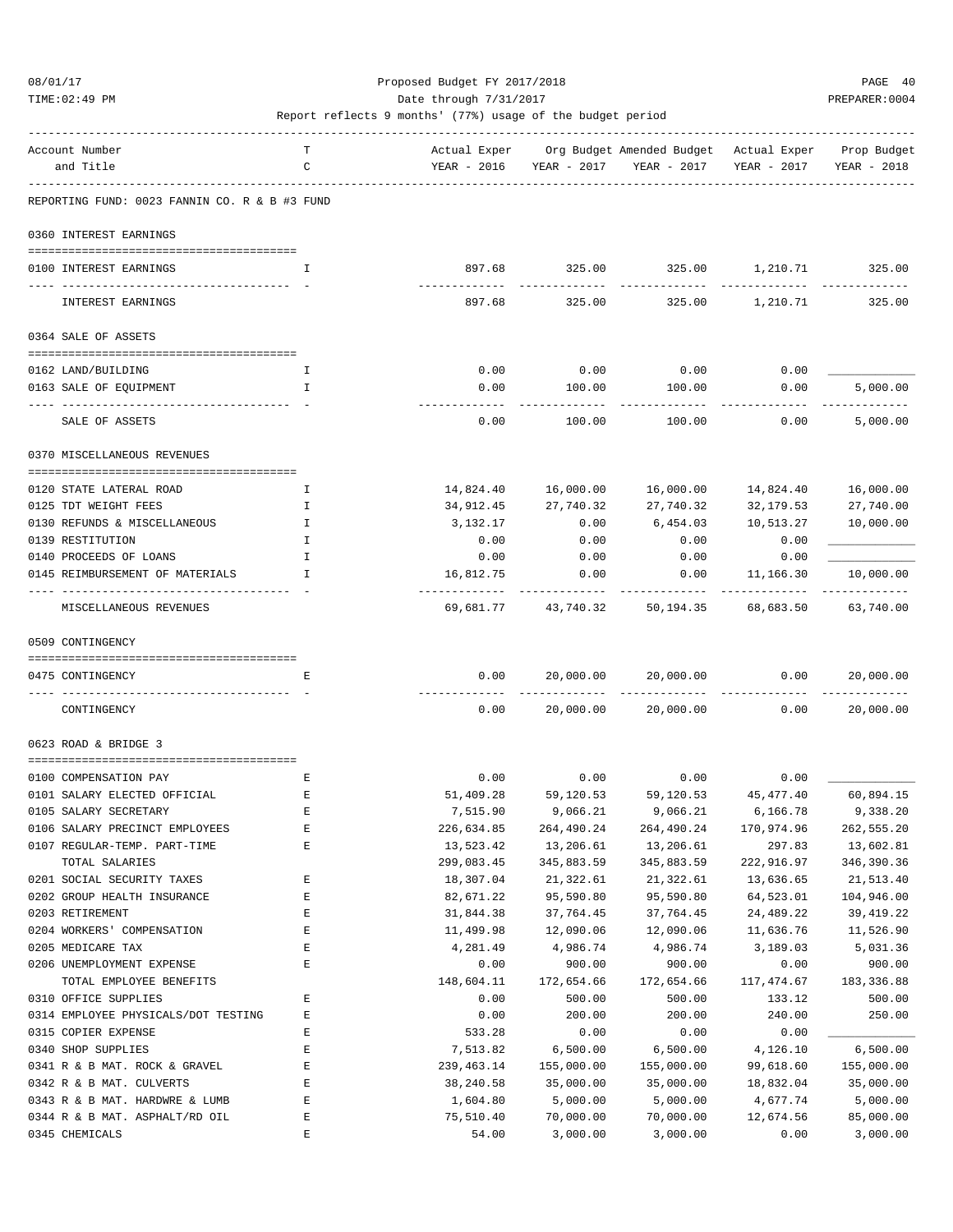TIME:02:49 PM PREPARER:0004 Date through 7/31/2017 PREPARER:0004

| Account Number                                | т           | Actual Exper      |                       | Org Budget Amended Budget Actual Exper Prop Budget |                              |             |
|-----------------------------------------------|-------------|-------------------|-----------------------|----------------------------------------------------|------------------------------|-------------|
| and Title                                     | C           | YEAR - 2016       |                       | YEAR - 2017 YEAR - 2017                            | YEAR - 2017                  | YEAR - 2018 |
|                                               |             |                   |                       |                                                    |                              |             |
| REPORTING FUND: 0023 FANNIN CO. R & B #3 FUND |             |                   |                       |                                                    |                              |             |
| 0360 INTEREST EARNINGS                        |             |                   |                       |                                                    |                              |             |
|                                               |             |                   |                       |                                                    |                              |             |
| 0100 INTEREST EARNINGS                        | I           | 897.68            | 325.00                |                                                    | 325.00    1,210.71    325.00 |             |
| INTEREST EARNINGS                             |             | 897.68            | 325.00                | 325.00                                             | 1,210.71                     | 325.00      |
|                                               |             |                   |                       |                                                    |                              |             |
| 0364 SALE OF ASSETS                           |             |                   |                       |                                                    |                              |             |
|                                               |             |                   |                       |                                                    |                              |             |
| 0162 LAND/BUILDING                            | I           | 0.00              | 0.00                  | 0.00                                               | 0.00                         |             |
| 0163 SALE OF EQUIPMENT                        | I           | 0.00              | 100.00                | 100.00                                             | 0.00                         | 5,000.00    |
| SALE OF ASSETS                                |             | ---------<br>0.00 | 100.00                | 100.00                                             | 0.00                         | 5,000.00    |
| 0370 MISCELLANEOUS REVENUES                   |             |                   |                       |                                                    |                              |             |
|                                               |             |                   |                       |                                                    |                              |             |
| 0120 STATE LATERAL ROAD                       | I.          |                   | 14,824.40   16,000.00 |                                                    | 16,000.00   14,824.40        | 16,000.00   |
| 0125 TDT WEIGHT FEES                          | I           | 34,912.45         | 27,740.32             | 27,740.32                                          | 32,179.53                    | 27,740.00   |
| 0130 REFUNDS & MISCELLANEOUS                  | I           | 3,132.17          | 0.00                  | 6,454.03                                           | 10,513.27                    | 10,000.00   |
| 0139 RESTITUTION                              | I           | 0.00              | 0.00                  | 0.00                                               | 0.00                         |             |
| 0140 PROCEEDS OF LOANS                        | I           | 0.00              | 0.00                  | 0.00                                               | 0.00                         |             |
| 0145 REIMBURSEMENT OF MATERIALS               | I           | 16,812.75         | 0.00                  | 0.00                                               | 11,166.30                    | 10,000.00   |
| ---------------------                         |             | ___________       |                       |                                                    | .                            |             |
| MISCELLANEOUS REVENUES                        |             |                   | 69,681.77 43,740.32   | 50,194.35                                          | 68,683.50                    | 63,740.00   |
| 0509 CONTINGENCY                              |             |                   |                       |                                                    |                              |             |
|                                               |             |                   |                       |                                                    |                              |             |
| 0475 CONTINGENCY                              | E           | 0.00              |                       | 20,000.00 20,000.00                                | 0.00                         | 20,000.00   |
|                                               |             |                   |                       |                                                    |                              |             |
| CONTINGENCY                                   |             | 0.00              |                       | 20,000.00 20,000.00                                | 0.00                         | 20,000.00   |
| 0623 ROAD & BRIDGE 3                          |             |                   |                       |                                                    |                              |             |
|                                               |             |                   |                       |                                                    |                              |             |
| 0100 COMPENSATION PAY                         | Е           | 0.00              |                       | $0.00$ 0.00                                        | 0.00                         |             |
| 0101 SALARY ELECTED OFFICIAL                  | Е           | 51,409.28         |                       | 59,120.53 59,120.53 45,477.40 60,894.15            |                              |             |
| 0105 SALARY SECRETARY                         | Ε           | 7,515.90          | 9,066.21              | 9,066.21                                           | 6,166.78                     | 9,338.20    |
| 0106 SALARY PRECINCT EMPLOYEES                | Ε           | 226,634.85        | 264,490.24            | 264,490.24                                         | 170,974.96                   | 262,555.20  |
| 0107 REGULAR-TEMP. PART-TIME                  | Ε           | 13,523.42         | 13,206.61             | 13,206.61                                          | 297.83                       | 13,602.81   |
| TOTAL SALARIES                                |             | 299,083.45        | 345,883.59            | 345,883.59                                         | 222,916.97                   | 346,390.36  |
| 0201 SOCIAL SECURITY TAXES                    | Ε           | 18,307.04         | 21,322.61             | 21,322.61                                          | 13,636.65                    | 21,513.40   |
| 0202 GROUP HEALTH INSURANCE                   | Ε           | 82,671.22         | 95,590.80             | 95,590.80                                          | 64,523.01                    | 104,946.00  |
| 0203 RETIREMENT                               | $\mathbf E$ | 31,844.38         | 37,764.45             | 37,764.45                                          | 24,489.22                    | 39,419.22   |
| 0204 WORKERS' COMPENSATION                    | $\mathbf E$ | 11,499.98         | 12,090.06             | 12,090.06                                          | 11,636.76                    | 11,526.90   |
| 0205 MEDICARE TAX                             | E           | 4,281.49          | 4,986.74              | 4,986.74                                           | 3,189.03                     | 5,031.36    |
| 0206 UNEMPLOYMENT EXPENSE                     | E           | 0.00              | 900.00                | 900.00                                             | 0.00                         | 900.00      |
| TOTAL EMPLOYEE BENEFITS                       |             | 148,604.11        | 172,654.66            | 172,654.66                                         | 117, 474.67                  | 183, 336.88 |
| 0310 OFFICE SUPPLIES                          | Ε           | 0.00              | 500.00                | 500.00                                             | 133.12                       | 500.00      |
| 0314 EMPLOYEE PHYSICALS/DOT TESTING           | Ε           | 0.00              | 200.00                | 200.00                                             | 240.00                       | 250.00      |
| 0315 COPIER EXPENSE                           | E           | 533.28            | 0.00                  | 0.00                                               | 0.00                         |             |
| 0340 SHOP SUPPLIES                            | E           | 7,513.82          | 6,500.00              | 6,500.00                                           | 4,126.10                     | 6,500.00    |
| 0341 R & B MAT. ROCK & GRAVEL                 | E           | 239,463.14        | 155,000.00            | 155,000.00                                         | 99,618.60                    | 155,000.00  |
| 0342 R & B MAT. CULVERTS                      | E           | 38,240.58         | 35,000.00             | 35,000.00                                          | 18,832.04                    | 35,000.00   |
| 0343 R & B MAT. HARDWRE & LUMB                | $\mathbf E$ | 1,604.80          | 5,000.00              | 5,000.00                                           | 4,677.74                     | 5,000.00    |
| 0344 R & B MAT. ASPHALT/RD OIL                | $\mathbf E$ | 75,510.40         | 70,000.00             | 70,000.00                                          | 12,674.56                    | 85,000.00   |
| 0345 CHEMICALS                                | E           | 54.00             | 3,000.00              | 3,000.00                                           | 0.00                         | 3,000.00    |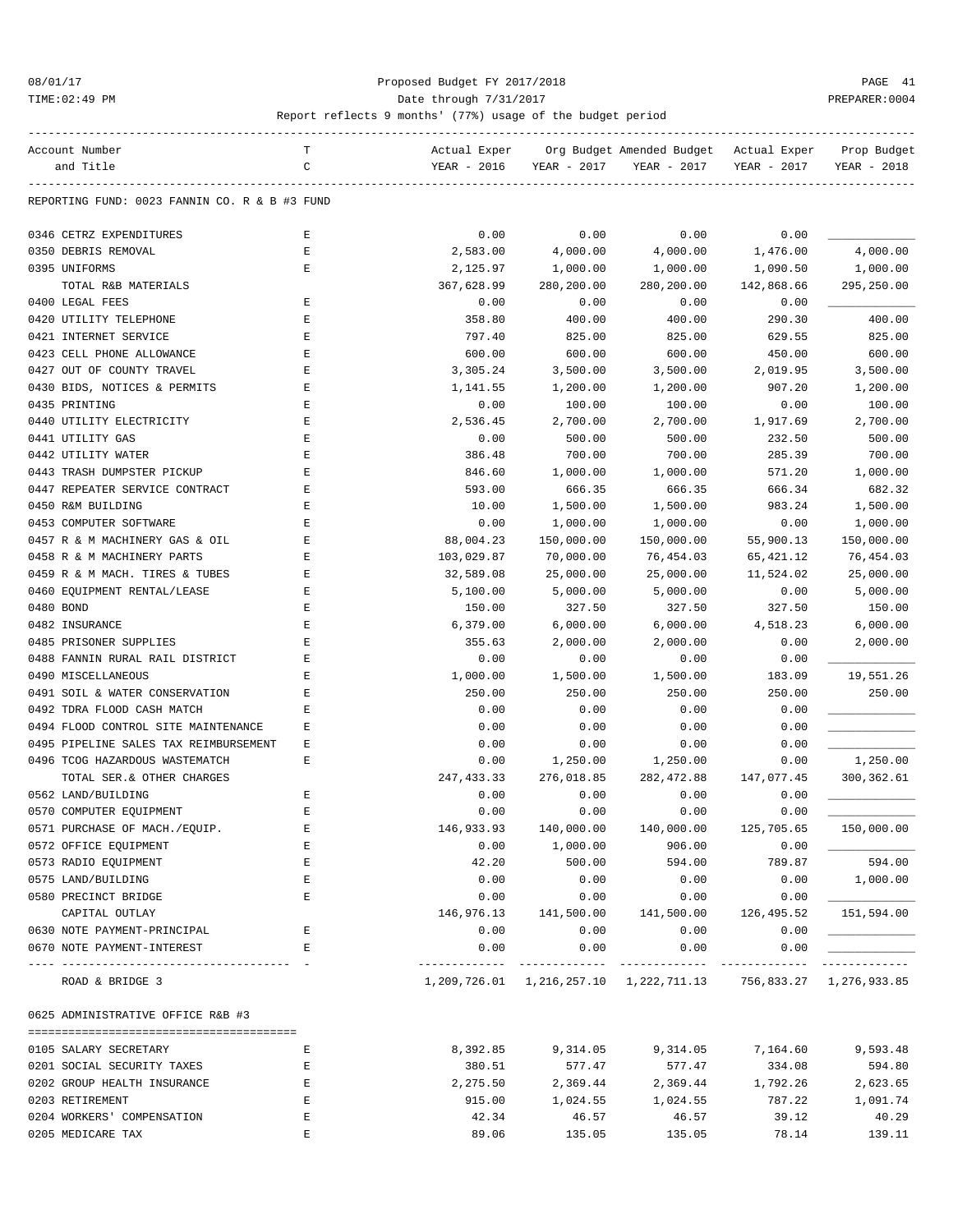#### 08/01/17 Proposed Budget FY 2017/2018 PAGE 41 TIME:02:49 PM PREPARER:0004 Date through 7/31/2017 PREPARER:0004

| Account Number                                                  | т           | Actual Exper |                       | Org Budget Amended Budget                                      | Actual Exper | Prop Budget |
|-----------------------------------------------------------------|-------------|--------------|-----------------------|----------------------------------------------------------------|--------------|-------------|
| and Title                                                       | C           | YEAR - 2016  | YEAR - 2017           | YEAR - 2017                                                    | YEAR - 2017  | YEAR - 2018 |
| REPORTING FUND: 0023 FANNIN CO. R & B #3 FUND                   |             |              |                       |                                                                |              |             |
|                                                                 |             |              |                       |                                                                |              |             |
| 0346 CETRZ EXPENDITURES                                         | Ε           | 0.00         | 0.00                  | 0.00                                                           | 0.00         |             |
| 0350 DEBRIS REMOVAL                                             | E           | 2,583.00     | 4,000.00              | 4,000.00                                                       | 1,476.00     | 4,000.00    |
| 0395 UNIFORMS                                                   | E           | 2,125.97     | 1,000.00              | 1,000.00                                                       | 1,090.50     | 1,000.00    |
| TOTAL R&B MATERIALS                                             |             | 367,628.99   | 280,200.00            | 280,200.00                                                     | 142,868.66   | 295,250.00  |
| 0400 LEGAL FEES                                                 | Ε           | 0.00         | 0.00                  | 0.00                                                           | 0.00         |             |
| 0420 UTILITY TELEPHONE                                          | E           | 358.80       | 400.00                | 400.00                                                         | 290.30       | 400.00      |
| 0421 INTERNET SERVICE                                           | E           | 797.40       | 825.00                | 825.00                                                         | 629.55       | 825.00      |
| 0423 CELL PHONE ALLOWANCE                                       | E           | 600.00       | 600.00                | 600.00                                                         | 450.00       | 600.00      |
| 0427 OUT OF COUNTY TRAVEL                                       | $\mathbf E$ | 3,305.24     | 3,500.00              | 3,500.00                                                       | 2,019.95     | 3,500.00    |
| 0430 BIDS, NOTICES & PERMITS                                    | E           | 1,141.55     | 1,200.00              | 1,200.00                                                       | 907.20       | 1,200.00    |
| 0435 PRINTING                                                   | Ε           | 0.00         | 100.00                | 100.00                                                         | 0.00         | 100.00      |
| 0440 UTILITY ELECTRICITY                                        | Ε           | 2,536.45     | 2,700.00              | 2,700.00                                                       | 1,917.69     | 2,700.00    |
| 0441 UTILITY GAS                                                | E           | 0.00         | 500.00                | 500.00                                                         | 232.50       | 500.00      |
| 0442 UTILITY WATER                                              | E           | 386.48       | 700.00                | 700.00                                                         | 285.39       | 700.00      |
| 0443 TRASH DUMPSTER PICKUP                                      | E           | 846.60       | 1,000.00              | 1,000.00                                                       | 571.20       | 1,000.00    |
| 0447 REPEATER SERVICE CONTRACT                                  | Ε           | 593.00       | 666.35                | 666.35                                                         | 666.34       | 682.32      |
| 0450 R&M BUILDING                                               | Ε           | 10.00        | 1,500.00              | 1,500.00                                                       | 983.24       | 1,500.00    |
| 0453 COMPUTER SOFTWARE                                          | Ε           | 0.00         | 1,000.00              | 1,000.00                                                       | 0.00         | 1,000.00    |
| 0457 R & M MACHINERY GAS & OIL                                  | Ε           | 88,004.23    | 150,000.00            | 150,000.00                                                     | 55,900.13    | 150,000.00  |
| 0458 R & M MACHINERY PARTS                                      | E           | 103,029.87   | 70,000.00             | 76,454.03                                                      | 65, 421.12   | 76,454.03   |
| 0459 R & M MACH. TIRES & TUBES                                  | Ε           | 32,589.08    | 25,000.00             | 25,000.00                                                      | 11,524.02    | 25,000.00   |
| 0460 EQUIPMENT RENTAL/LEASE                                     | Ε           | 5,100.00     | 5,000.00              | 5,000.00                                                       | 0.00         | 5,000.00    |
| 0480 BOND                                                       | Ε           | 150.00       | 327.50                | 327.50                                                         | 327.50       | 150.00      |
| 0482 INSURANCE                                                  | E           | 6,379.00     | 6,000.00              | 6,000.00                                                       | 4,518.23     | 6,000.00    |
| 0485 PRISONER SUPPLIES                                          | E           | 355.63       | 2,000.00              | 2,000.00                                                       | 0.00         | 2,000.00    |
| 0488 FANNIN RURAL RAIL DISTRICT                                 | E           | 0.00         | 0.00                  | 0.00                                                           | 0.00         |             |
| 0490 MISCELLANEOUS                                              | E           | 1,000.00     | 1,500.00              | 1,500.00                                                       | 183.09       | 19,551.26   |
| 0491 SOIL & WATER CONSERVATION                                  | Ε           | 250.00       | 250.00                | 250.00                                                         | 250.00       | 250.00      |
| 0492 TDRA FLOOD CASH MATCH                                      | Ε           | 0.00         | 0.00                  | 0.00                                                           | 0.00         |             |
| 0494 FLOOD CONTROL SITE MAINTENANCE                             | Ε           | 0.00         | 0.00                  | 0.00                                                           | 0.00         |             |
| 0495 PIPELINE SALES TAX REIMBURSEMENT                           | Ε           | 0.00         | 0.00                  | 0.00                                                           | 0.00         |             |
|                                                                 | Ε           |              | 1,250.00              | 1,250.00                                                       |              |             |
| 0496 TCOG HAZARDOUS WASTEMATCH                                  |             | 0.00         |                       |                                                                | 0.00         | 1,250.00    |
| TOTAL SER.& OTHER CHARGES                                       |             | 247, 433.33  | 276,018.85            | 282, 472.88                                                    | 147,077.45   | 300, 362.61 |
| 0562 LAND/BUILDING                                              | E           | 0.00         | 0.00                  | 0.00                                                           | 0.00         |             |
| 0570 COMPUTER EQUIPMENT                                         | E           | 0.00         | 0.00                  | 0.00                                                           | 0.00         |             |
| 0571 PURCHASE OF MACH./EQUIP.                                   |             | 146,933.93   | 140,000.00            | 140,000.00                                                     | 125,705.65   | 150,000.00  |
| 0572 OFFICE EQUIPMENT                                           | Ε           | 0.00         | 1,000.00              | 906.00                                                         | 0.00         |             |
| 0573 RADIO EQUIPMENT                                            | E           | 42.20        | 500.00                | 594.00                                                         | 789.87       | 594.00      |
| 0575 LAND/BUILDING                                              | Ε           | 0.00         | 0.00                  | 0.00                                                           | 0.00         | 1,000.00    |
| 0580 PRECINCT BRIDGE                                            | Ε           | 0.00         | 0.00                  | 0.00                                                           | 0.00         |             |
| CAPITAL OUTLAY                                                  |             | 146,976.13   | 141,500.00            | 141,500.00                                                     | 126,495.52   | 151,594.00  |
| 0630 NOTE PAYMENT-PRINCIPAL                                     | E           | 0.00         | 0.00                  | 0.00                                                           | 0.00         |             |
| 0670 NOTE PAYMENT-INTEREST<br>--------------------------------- | Е           | 0.00         | 0.00<br>------------- | 0.00<br>-------------                                          | 0.00         | ----------- |
| ROAD & BRIDGE 3                                                 |             |              |                       | 1,209,726.01 1,216,257.10 1,222,711.13 756,833.27 1,276,933.85 |              |             |
| 0625 ADMINISTRATIVE OFFICE R&B #3                               |             |              |                       |                                                                |              |             |
| 0105 SALARY SECRETARY                                           | Е           | 8,392.85     | 9,314.05              | 9,314.05                                                       | 7,164.60     | 9,593.48    |
| 0201 SOCIAL SECURITY TAXES                                      | Е           | 380.51       | 577.47                | 577.47                                                         | 334.08       | 594.80      |
| 0202 GROUP HEALTH INSURANCE                                     | Е           | 2,275.50     | 2,369.44              | 2,369.44                                                       | 1,792.26     | 2,623.65    |
| 0203 RETIREMENT                                                 | Е           | 915.00       | 1,024.55              | 1,024.55                                                       | 787.22       | 1,091.74    |
| 0204 WORKERS' COMPENSATION                                      | E           | 42.34        | 46.57                 | 46.57                                                          | 39.12        | 40.29       |
| 0205 MEDICARE TAX                                               | E           | 89.06        | 135.05                | 135.05                                                         | 78.14        | 139.11      |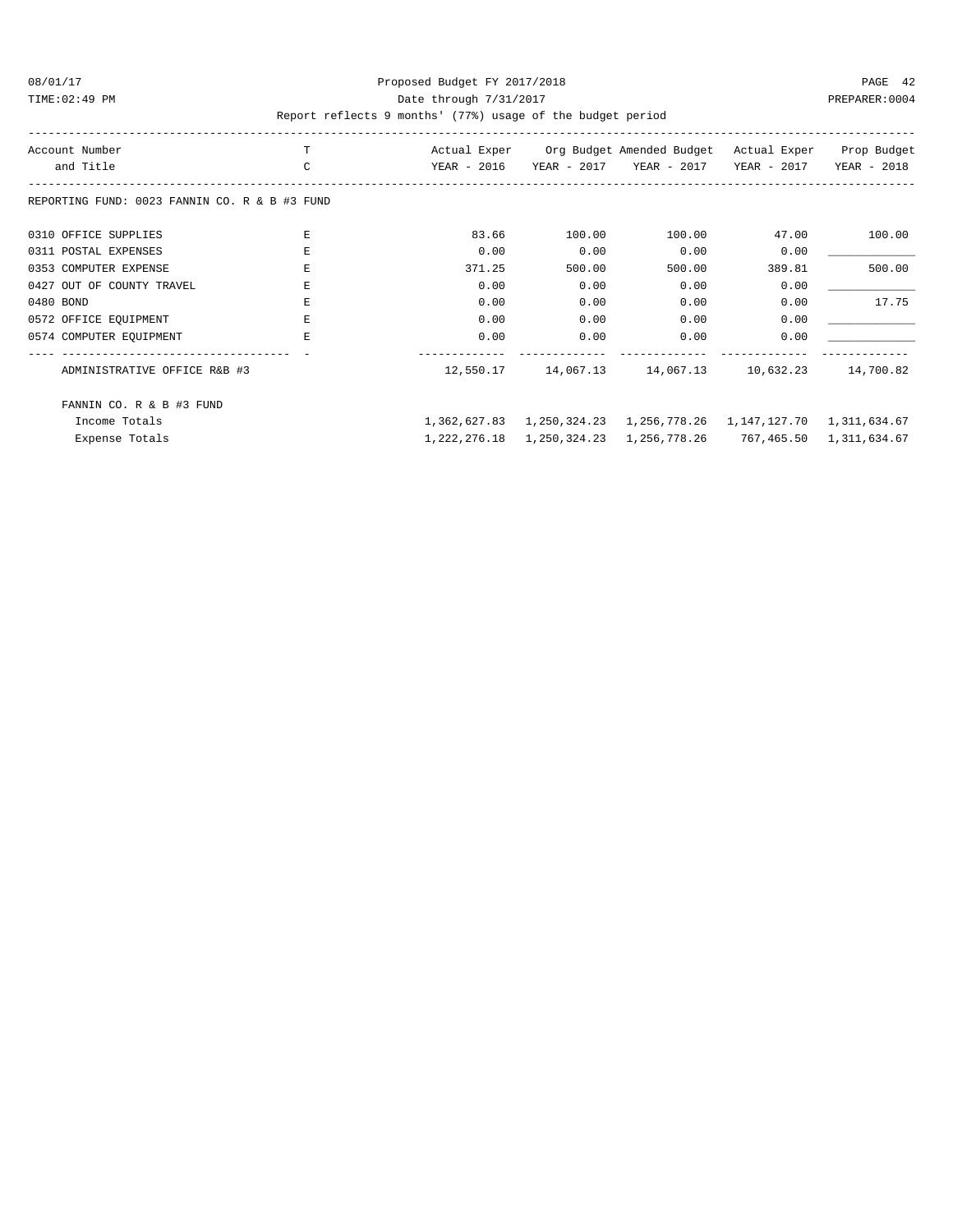### 08/01/17 Proposed Budget FY 2017/2018 PAGE 42 TIME:02:49 PM PREPARER:0004 Date through 7/31/2017 PREPARER:0004

| Account Number                                | T             | Actual Exper |              | Org Budget Amended Budget | Actual Exper | Prop Budget  |
|-----------------------------------------------|---------------|--------------|--------------|---------------------------|--------------|--------------|
| and Title                                     | $\mathcal{C}$ | YEAR - 2016  | YEAR - 2017  | YEAR - 2017               | YEAR - 2017  | YEAR - 2018  |
| REPORTING FUND: 0023 FANNIN CO. R & B #3 FUND |               |              |              |                           |              |              |
| 0310 OFFICE SUPPLIES                          | F.            | 83.66        | 100.00       | 100.00                    | 47.00        | 100.00       |
| 0311 POSTAL EXPENSES                          | F.            | 0.00         | 0.00         | 0.00                      | 0.00         |              |
| 0353 COMPUTER EXPENSE                         | F.            | 371.25       | 500.00       | 500.00                    | 389.81       | 500.00       |
| 0427 OUT OF COUNTY TRAVEL                     | E.            | 0.00         | 0.00         | 0.00                      | 0.00         |              |
| 0480 BOND                                     | E.            | 0.00         | 0.00         | 0.00                      | 0.00         | 17.75        |
| 0572 OFFICE EQUIPMENT                         | F.            | 0.00         | 0.00         | 0.00                      | 0.00         |              |
| 0574 COMPUTER EQUIPMENT                       | E.            | 0.00         | 0.00         | 0.00                      | 0.00         |              |
| ADMINISTRATIVE OFFICE R&B #3                  |               | 12,550.17    | 14,067.13    | 14,067.13                 | 10,632.23    | 14,700.82    |
| FANNIN CO. R & B #3 FUND                      |               |              |              |                           |              |              |
| Income Totals                                 |               | 1,362,627.83 | 1,250,324.23 | 1,256,778.26              | 1,147,127.70 | 1,311,634.67 |
| Expense Totals                                |               | 1,222,276.18 | 1,250,324.23 | 1,256,778.26              | 767,465.50   | 1,311,634.67 |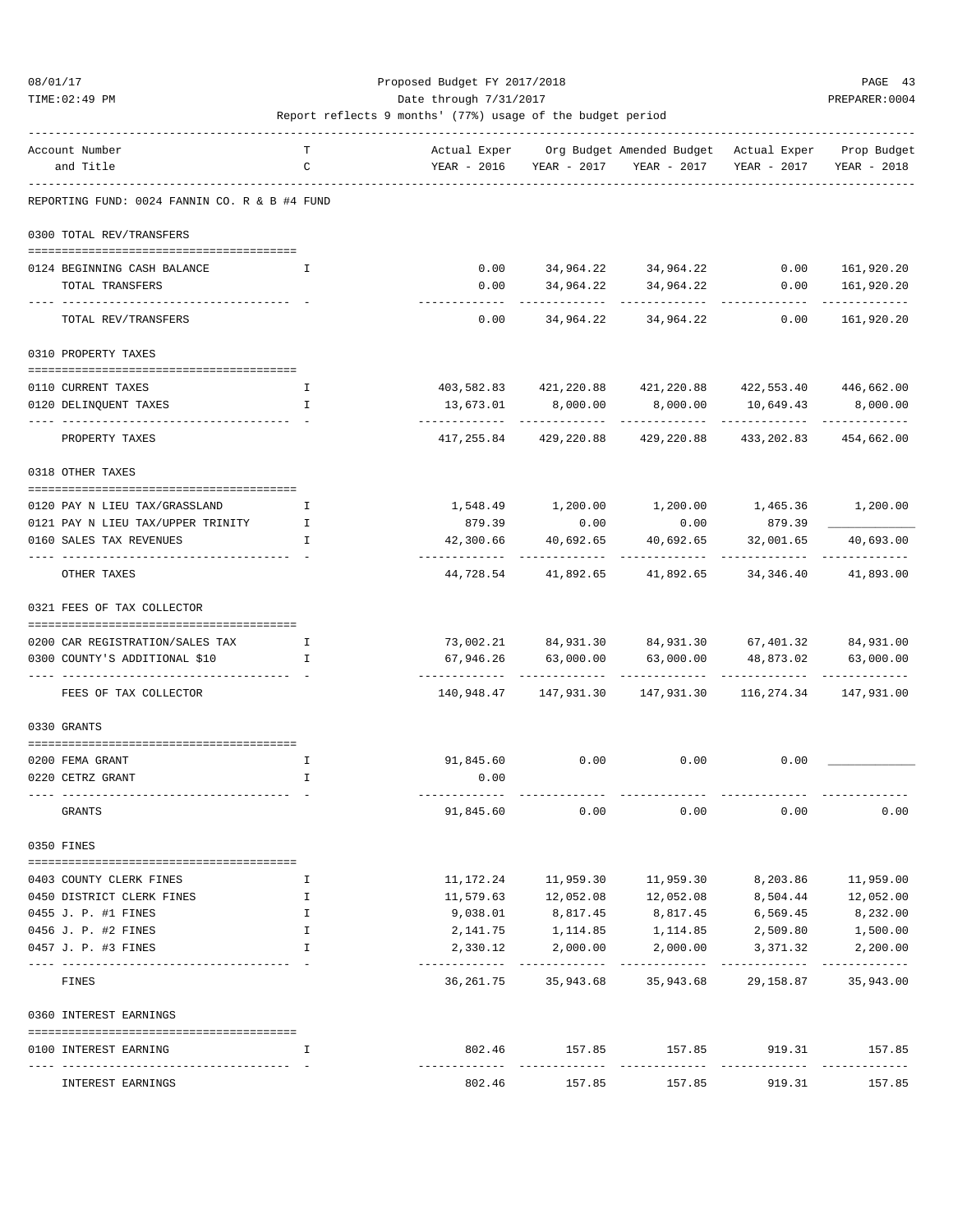TIME:02:49 PM PREPARER:0004 Date through 7/31/2017 PREPARER:0004

| Account Number                                                   | т        | Actual Exper                 |                             | Org Budget Amended Budget Actual Exper                                                             |                                  | Prop Budget                 |
|------------------------------------------------------------------|----------|------------------------------|-----------------------------|----------------------------------------------------------------------------------------------------|----------------------------------|-----------------------------|
| and Title                                                        | C        |                              | YEAR - 2016 YEAR - 2017     | YEAR - 2017                                                                                        | YEAR - 2017                      | YEAR - 2018                 |
| REPORTING FUND: 0024 FANNIN CO. R & B #4 FUND                    |          |                              |                             |                                                                                                    |                                  |                             |
| 0300 TOTAL REV/TRANSFERS                                         |          |                              |                             |                                                                                                    |                                  |                             |
|                                                                  |          |                              |                             |                                                                                                    |                                  |                             |
| 0124 BEGINNING CASH BALANCE                                      | I.       |                              |                             | $0.00 \qquad \qquad 34,964.22 \qquad \qquad 34,964.22 \qquad \qquad 0.00 \qquad \qquad 161,920.20$ |                                  |                             |
| TOTAL TRANSFERS                                                  |          | 0.00                         | 34,964.22                   | 34,964.22                                                                                          | 0.00                             | 161,920.20                  |
| TOTAL REV/TRANSFERS                                              |          |                              |                             | $0.00$ $34,964.22$ $34,964.22$                                                                     | 0.00                             | 161,920.20                  |
| 0310 PROPERTY TAXES                                              |          |                              |                             |                                                                                                    |                                  |                             |
|                                                                  |          |                              |                             |                                                                                                    |                                  |                             |
| 0110 CURRENT TAXES                                               | Ι.       |                              | 403,582.83 421,220.88       |                                                                                                    | 421,220.88 422,553.40 446,662.00 |                             |
| 0120 DELINQUENT TAXES                                            | I.       | 13,673.01                    | 8,000.00                    | 8,000.00                                                                                           | 10,649.43                        | 8,000.00                    |
| PROPERTY TAXES                                                   |          | --------------<br>417,255.84 | -------------<br>429,220.88 | -----------<br>429,220.88                                                                          | -----------<br>433,202.83        | -------------<br>454,662.00 |
| 0318 OTHER TAXES                                                 |          |                              |                             |                                                                                                    |                                  |                             |
|                                                                  |          |                              |                             |                                                                                                    |                                  |                             |
| 0120 PAY N LIEU TAX/GRASSLAND                                    | I        |                              |                             | $1,548.49$ $1,200.00$ $1,200.00$ $1,465.36$ $1,200.00$                                             |                                  |                             |
| 0121 PAY N LIEU TAX/UPPER TRINITY<br>0160 SALES TAX REVENUES     | Ι.<br>I. | 879.39<br>42,300.66          | 0.00<br>40,692.65           | 0.00                                                                                               | 879.39<br>32,001.65              | 40,693.00                   |
|                                                                  |          | ------------                 | ------------                | 40,692.65<br>-----------                                                                           | -----------                      | -------------               |
| OTHER TAXES                                                      |          |                              | 44,728.54 41,892.65         | 41,892.65                                                                                          | 34,346.40                        | 41,893.00                   |
| 0321 FEES OF TAX COLLECTOR                                       |          |                              |                             |                                                                                                    |                                  |                             |
|                                                                  |          |                              |                             |                                                                                                    |                                  |                             |
| 0200 CAR REGISTRATION/SALES TAX<br>0300 COUNTY'S ADDITIONAL \$10 | I.<br>I. | 67,946.26                    | 63,000.00                   | 73,002.21 84,931.30 84,931.30 67,401.32 84,931.00<br>63,000.00                                     | 48,873.02                        | 63,000.00                   |
|                                                                  |          |                              |                             |                                                                                                    |                                  |                             |
| FEES OF TAX COLLECTOR                                            |          |                              | 140,948.47    147,931.30    | 147,931.30                                                                                         | 116,274.34                       | 147,931.00                  |
| 0330 GRANTS                                                      |          |                              |                             |                                                                                                    |                                  |                             |
| 0200 FEMA GRANT                                                  | Ι.       | 91,845.60                    | 0.00                        | 0.00                                                                                               | 0.00                             |                             |
| 0220 CETRZ GRANT                                                 | I.       | 0.00                         |                             |                                                                                                    |                                  |                             |
|                                                                  |          |                              |                             |                                                                                                    |                                  |                             |
| <b>GRANTS</b>                                                    |          | 91,845.60                    | 0.00                        | 0.00                                                                                               | 0.00                             | 0.00                        |
| 0350 FINES                                                       |          |                              |                             |                                                                                                    |                                  |                             |
| 0403 COUNTY CLERK FINES                                          | Ι.       | 11,172.24                    | 11,959.30                   | 11,959.30                                                                                          | 8,203.86                         | 11,959.00                   |
| 0450 DISTRICT CLERK FINES                                        | Ι.       | 11,579.63                    | 12,052.08                   | 12,052.08                                                                                          | 8,504.44                         | 12,052.00                   |
| 0455 J. P. #1 FINES                                              | I.       | 9,038.01                     | 8,817.45                    | 8,817.45                                                                                           | 6,569.45                         | 8,232.00                    |
| 0456 J. P. #2 FINES                                              | Ι.       | 2,141.75                     | 1,114.85                    | 1,114.85                                                                                           | 2,509.80                         | 1,500.00                    |
| 0457 J. P. #3 FINES                                              | I        | 2,330.12                     | 2,000.00                    | 2,000.00                                                                                           | 3,371.32                         | 2,200.00                    |
| FINES                                                            |          | 36,261.75                    | 35,943.68                   | 35,943.68                                                                                          | 29,158.87                        | 35,943.00                   |
|                                                                  |          |                              |                             |                                                                                                    |                                  |                             |
| 0360 INTEREST EARNINGS                                           |          |                              |                             |                                                                                                    |                                  |                             |
| 0100 INTEREST EARNING<br>-----------------------------------     | I        | 802.46<br>-------------      | 157.85<br>------------      | 157.85<br>-------------                                                                            | 919.31<br>------------           | 157.85<br>-------------     |
| INTEREST EARNINGS                                                |          | 802.46                       | 157.85                      | 157.85                                                                                             | 919.31                           | 157.85                      |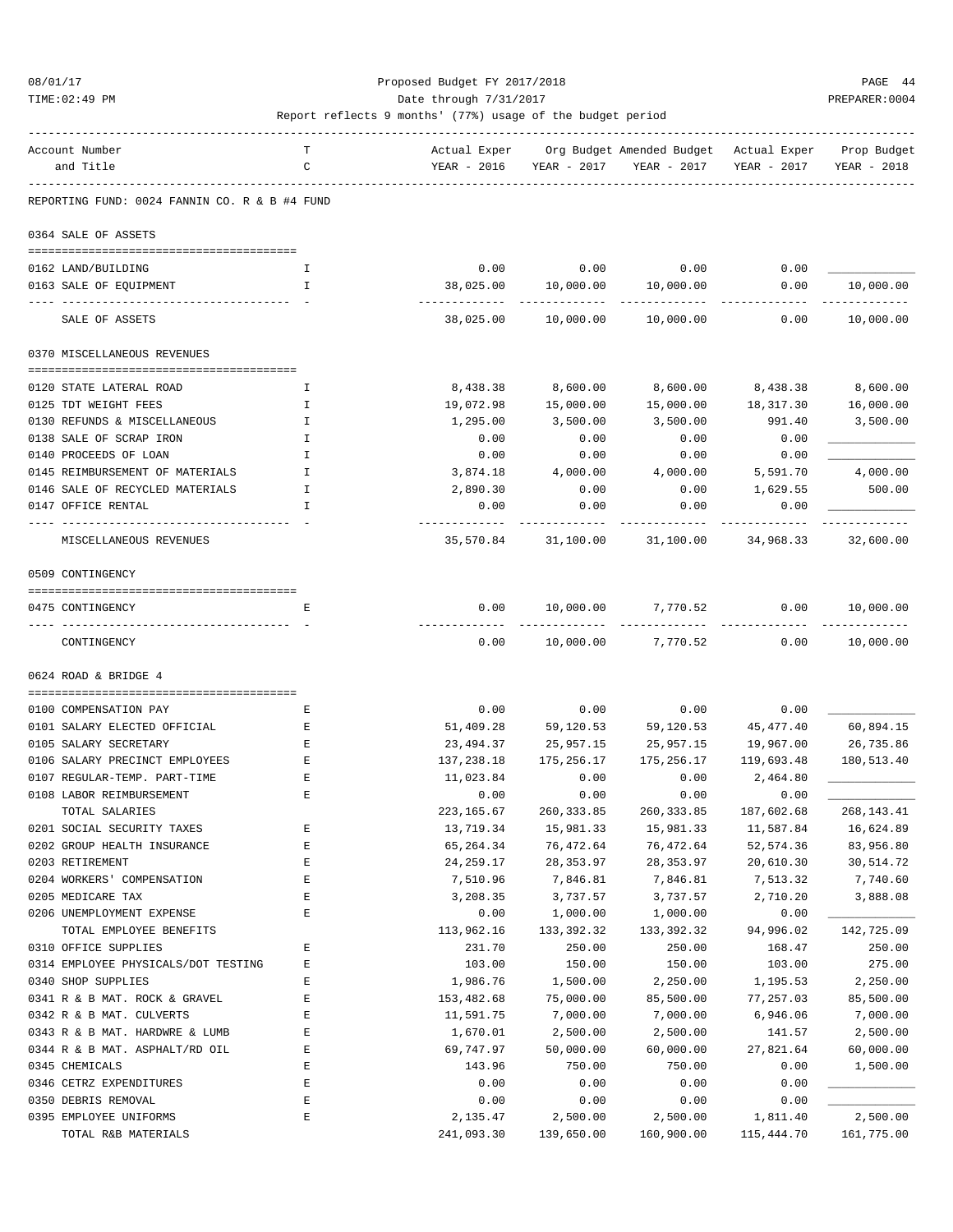#### 08/01/17 Proposed Budget FY 2017/2018 PAGE 44 TIME:02:49 PM PREPARER:0004

#### Report reflects 9 months' (77%) usage of the budget period ------------------------------------------------------------------------------------------------------------------------------------

| Account Number                                | T           | Actual Exper               |                            | Org Budget Amended Budget Actual Exper |                   | Prop Budget             |
|-----------------------------------------------|-------------|----------------------------|----------------------------|----------------------------------------|-------------------|-------------------------|
| and Title                                     | C           | YEAR - 2016                | YEAR - 2017                | YEAR - 2017                            | YEAR - 2017       | YEAR - 2018             |
| REPORTING FUND: 0024 FANNIN CO. R & B #4 FUND |             |                            |                            |                                        |                   |                         |
| 0364 SALE OF ASSETS                           |             |                            |                            |                                        |                   |                         |
|                                               |             |                            |                            |                                        |                   |                         |
| 0162 LAND/BUILDING                            | I           | 0.00                       | 0.00                       | 0.00                                   | 0.00              |                         |
| 0163 SALE OF EQUIPMENT                        | I           | 38,025.00<br>------------- | 10,000.00<br>------------- | 10,000.00<br>-------------             | 0.00              | 10,000.00<br>---------- |
| SALE OF ASSETS                                |             | 38,025.00                  | 10,000.00                  | 10,000.00                              | 0.00              | 10,000.00               |
| 0370 MISCELLANEOUS REVENUES                   |             |                            |                            |                                        |                   |                         |
| 0120 STATE LATERAL ROAD                       | I.          | 8,438.38                   | 8,600.00                   | 8,600.00                               | 8,438.38 8,600.00 |                         |
| 0125 TDT WEIGHT FEES                          | I           | 19,072.98                  | 15,000.00                  | 15,000.00                              | 18,317.30         | 16,000.00               |
| 0130 REFUNDS & MISCELLANEOUS                  | I           | 1,295.00                   | 3,500.00                   | 3,500.00                               | 991.40            | 3,500.00                |
| 0138 SALE OF SCRAP IRON                       | I           | 0.00                       | 0.00                       | 0.00                                   | 0.00              |                         |
| 0140 PROCEEDS OF LOAN                         | I           | 0.00                       | 0.00                       | 0.00                                   | 0.00              |                         |
| 0145 REIMBURSEMENT OF MATERIALS               | I           | 3,874.18                   | 4,000.00                   | 4,000.00                               | 5,591.70          | 4,000.00                |
| 0146 SALE OF RECYCLED MATERIALS               | I           | 2,890.30                   | 0.00                       | 0.00                                   | 1,629.55          | 500.00                  |
| 0147 OFFICE RENTAL                            | I           | 0.00                       | 0.00                       | 0.00                                   | 0.00              |                         |
| MISCELLANEOUS REVENUES                        |             | . <u>.</u> .<br>35,570.84  | 31,100.00                  | 31,100.00                              | 34,968.33         | 32,600.00               |
| 0509 CONTINGENCY                              |             |                            |                            |                                        |                   |                         |
|                                               |             |                            |                            |                                        |                   |                         |
| 0475 CONTINGENCY                              | Е           | 0.00                       | 10,000.00                  | 7,770.52                               | 0.00              | 10,000.00               |
| CONTINGENCY                                   |             | 0.00                       |                            | 10,000.00 7,770.52                     | 0.00              | 10,000.00               |
| 0624 ROAD & BRIDGE 4                          |             |                            |                            |                                        |                   |                         |
| 0100 COMPENSATION PAY                         | Е           | 0.00                       | 0.00                       | 0.00                                   | 0.00              |                         |
| 0101 SALARY ELECTED OFFICIAL                  | Ε           | 51,409.28                  | 59,120.53                  | 59,120.53                              | 45,477.40         | 60,894.15               |
| 0105 SALARY SECRETARY                         | E           | 23,494.37                  | 25,957.15                  | 25,957.15                              | 19,967.00         | 26,735.86               |
| 0106 SALARY PRECINCT EMPLOYEES                | Ε           | 137,238.18                 | 175,256.17                 | 175,256.17                             | 119,693.48        | 180,513.40              |
| 0107 REGULAR-TEMP. PART-TIME                  | Ε           | 11,023.84                  | 0.00                       | 0.00                                   | 2,464.80          |                         |
| 0108 LABOR REIMBURSEMENT                      | Ε           | 0.00                       | 0.00                       | 0.00                                   | 0.00              |                         |
| TOTAL SALARIES                                |             | 223,165.67                 | 260,333.85                 | 260, 333.85                            | 187,602.68        | 268, 143. 41            |
| 0201 SOCIAL SECURITY TAXES                    | E           | 13,719.34                  | 15,981.33                  | 15,981.33                              | 11,587.84         | 16,624.89               |
| 0202 GROUP HEALTH INSURANCE                   | E           | 65,264.34                  | 76,472.64                  | 76,472.64                              | 52, 574.36        | 83,956.80               |
| 0203 RETIREMENT                               | E           | 24,259.17                  | 28, 353.97                 | 28, 353.97                             | 20,610.30         | 30,514.72               |
| 0204 WORKERS' COMPENSATION                    | $\mathbf E$ | 7,510.96                   | 7,846.81                   | 7,846.81                               | 7,513.32          | 7,740.60                |
| 0205 MEDICARE TAX                             | E           | 3,208.35                   | 3,737.57                   | 3,737.57                               | 2,710.20          | 3,888.08                |
| 0206 UNEMPLOYMENT EXPENSE                     | E           | 0.00                       | 1,000.00                   | 1,000.00                               | 0.00              |                         |
| TOTAL EMPLOYEE BENEFITS                       |             | 113,962.16                 | 133, 392.32                | 133,392.32                             | 94,996.02         | 142,725.09              |
| 0310 OFFICE SUPPLIES                          | Ε           | 231.70                     | 250.00                     | 250.00                                 | 168.47            | 250.00                  |
| 0314 EMPLOYEE PHYSICALS/DOT TESTING           | Ε           | 103.00                     | 150.00                     | 150.00                                 | 103.00            | 275.00                  |
| 0340 SHOP SUPPLIES                            | E           | 1,986.76                   | 1,500.00                   | 2,250.00                               | 1,195.53          | 2,250.00                |
| 0341 R & B MAT. ROCK & GRAVEL                 | E           | 153,482.68                 | 75,000.00                  | 85,500.00                              | 77,257.03         | 85,500.00               |
| 0342 R & B MAT. CULVERTS                      | $\mathbf E$ | 11,591.75                  | 7,000.00                   | 7,000.00                               | 6,946.06          | 7,000.00                |
| 0343 R & B MAT. HARDWRE & LUMB                | E           | 1,670.01                   | 2,500.00                   | 2,500.00                               | 141.57            | 2,500.00                |
| 0344 R & B MAT. ASPHALT/RD OIL                | E           | 69,747.97                  | 50,000.00                  | 60,000.00                              | 27,821.64         | 60,000.00               |
| 0345 CHEMICALS                                | E           | 143.96                     | 750.00                     | 750.00                                 | 0.00              | 1,500.00                |
| 0346 CETRZ EXPENDITURES                       | E           | 0.00                       | 0.00                       | 0.00                                   | 0.00              |                         |
| 0350 DEBRIS REMOVAL                           | E           | 0.00                       | 0.00                       | 0.00                                   | 0.00              |                         |
| 0395 EMPLOYEE UNIFORMS                        | $\mathbf E$ | 2,135.47                   | 2,500.00                   | 2,500.00                               | 1,811.40          | 2,500.00                |
| TOTAL R&B MATERIALS                           |             | 241,093.30                 | 139,650.00                 | 160,900.00                             | 115,444.70        | 161,775.00              |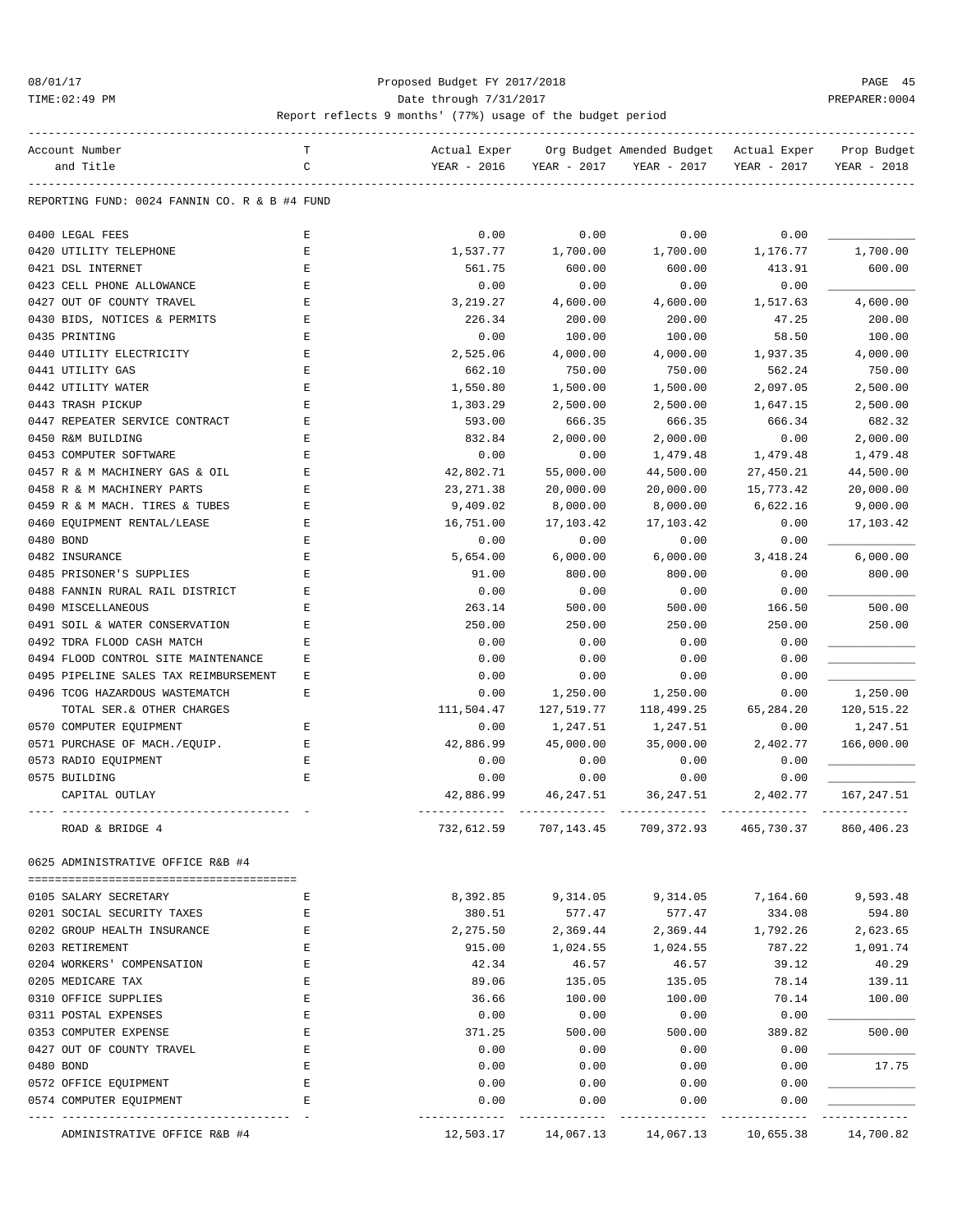#### 08/01/17 Proposed Budget FY 2017/2018 PAGE 45 TIME:02:49 PM Date through 7/31/2017 PREPARER:0004

| Org Budget Amended Budget<br>C<br>and Title<br>YEAR - 2016<br>YEAR - 2017<br>YEAR - 2017<br>YEAR - 2017<br>YEAR - 2018<br>REPORTING FUND: 0024 FANNIN CO. R & B #4 FUND<br>0400 LEGAL FEES<br>E<br>0.00<br>0.00<br>0.00<br>0.00<br>1,700.00<br>$\mathbf E$<br>1,537.77<br>1,700.00<br>1,176.77<br>0420 UTILITY TELEPHONE<br>1,700.00<br>0421 DSL INTERNET<br>561.75<br>600.00<br>600.00<br>413.91<br>600.00<br>Ε<br>0423 CELL PHONE ALLOWANCE<br>$\mathbf E$<br>0.00<br>0.00<br>0.00<br>0.00<br>0427 OUT OF COUNTY TRAVEL<br>$\mathbf E$<br>3,219.27<br>4,600.00<br>1,517.63<br>4,600.00<br>4,600.00<br>$\mathbf E$<br>47.25<br>0430 BIDS, NOTICES & PERMITS<br>226.34<br>200.00<br>200.00<br>200.00<br>0435 PRINTING<br>$\mathbf E$<br>0.00<br>100.00<br>100.00<br>58.50<br>100.00<br>0440 UTILITY ELECTRICITY<br>$\mathbf E$<br>2,525.06<br>4,000.00<br>4,000.00<br>1,937.35<br>4,000.00<br>0441 UTILITY GAS<br>662.10<br>750.00<br>750.00<br>562.24<br>750.00<br>Ε<br>0442 UTILITY WATER<br>E<br>1,550.80<br>1,500.00<br>1,500.00<br>2,097.05<br>2,500.00<br>0443 TRASH PICKUP<br>E<br>1,303.29<br>2,500.00<br>2,500.00<br>2,500.00<br>1,647.15<br>0447 REPEATER SERVICE CONTRACT<br>E<br>666.35<br>666.35<br>666.34<br>682.32<br>593.00<br>E<br>832.84<br>2,000.00<br>2,000.00<br>0.00<br>2,000.00<br>0450 R&M BUILDING<br>0453 COMPUTER SOFTWARE<br>0.00<br>0.00<br>1,479.48<br>1,479.48<br>Ε<br>1,479.48<br>42,802.71<br>55,000.00<br>44,500.00<br>27,450.21<br>44,500.00<br>0457 R & M MACHINERY GAS & OIL<br>Ε<br>23, 271.38<br>20,000.00<br>0458 R & M MACHINERY PARTS<br>Ε<br>20,000.00<br>20,000.00<br>15,773.42<br>E<br>9,409.02<br>8,000.00<br>6,622.16<br>9,000.00<br>0459 R & M MACH. TIRES & TUBES<br>8,000.00<br>0460 EQUIPMENT RENTAL/LEASE<br>16,751.00<br>17,103.42<br>17,103.42<br>0.00<br>17,103.42<br>Е<br>0480 BOND<br>E<br>0.00<br>0.00<br>0.00<br>0.00<br>0482 INSURANCE<br>E<br>6,000.00<br>6.000.00<br>3,418.24<br>6,000.00<br>5,654.00<br>0485 PRISONER'S SUPPLIES<br>800.00<br>0.00<br>800.00<br>Ε<br>91.00<br>800.00<br>0.00<br>0.00<br>0.00<br>0488 FANNIN RURAL RAIL DISTRICT<br>Ε<br>0.00<br>0490 MISCELLANEOUS<br>E<br>263.14<br>500.00<br>500.00<br>166.50<br>500.00<br>250.00<br>250.00<br>250.00<br>0491 SOIL & WATER CONSERVATION<br>Ε<br>250.00<br>250.00<br>0492 TDRA FLOOD CASH MATCH<br>0.00<br>0.00<br>0.00<br>0.00<br>Ε<br>0.00<br>0.00<br>0.00<br>0.00<br>0494 FLOOD CONTROL SITE MAINTENANCE<br>Ε<br>0.00<br>0.00<br>0.00<br>0495 PIPELINE SALES TAX REIMBURSEMENT<br>Ε<br>0.00<br>1,250.00<br>E<br>1,250.00<br>0496 TCOG HAZARDOUS WASTEMATCH<br>0.00<br>1,250.00<br>0.00<br>TOTAL SER. & OTHER CHARGES<br>111,504.47<br>127,519.77<br>118,499.25<br>65,284.20<br>120,515.22<br>0570 COMPUTER EQUIPMENT<br>0.00<br>1,247.51<br>1,247.51<br>0.00<br>1,247.51<br>Ε<br>0571 PURCHASE OF MACH./EOUIP.<br>45,000.00<br>35,000.00<br>2,402.77<br>Ε<br>42,886.99<br>166,000.00<br>0573 RADIO EQUIPMENT<br>$\mathbf E$<br>0.00<br>0.00<br>0.00<br>0.00<br>0575 BUILDING<br>E<br>0.00<br>0.00<br>0.00<br>0.00<br>CAPITAL OUTLAY<br>42,886.99<br>46,247.51<br>36,247.51<br>2,402.77<br>167,247.51<br>732,612.59<br>707,143.45<br>709,372.93<br>465,730.37<br>860,406.23<br>ROAD & BRIDGE 4<br>0625 ADMINISTRATIVE OFFICE R&B #4<br>8,392.85<br>9,314.05<br>9,314.05<br>7,164.60<br>9,593.48<br>0105 SALARY SECRETARY<br>Ε<br>0201 SOCIAL SECURITY TAXES<br>380.51<br>577.47<br>334.08<br>594.80<br>Ε<br>577.47<br>0202 GROUP HEALTH INSURANCE<br>2,275.50<br>1,792.26<br>2,623.65<br>Ε<br>2,369.44<br>2,369.44<br>0203 RETIREMENT<br>787.22<br>Ε<br>915.00<br>1,024.55<br>1,024.55<br>1,091.74<br>0204 WORKERS' COMPENSATION<br>E<br>39.12<br>40.29<br>42.34<br>46.57<br>46.57<br>0205 MEDICARE TAX<br>E<br>89.06<br>78.14<br>139.11<br>135.05<br>135.05<br>0310 OFFICE SUPPLIES<br>E<br>36.66<br>70.14<br>100.00<br>100.00<br>100.00<br>0311 POSTAL EXPENSES<br>0.00<br>0.00<br>0.00<br>Ε<br>0.00<br>0353 COMPUTER EXPENSE<br>371.25<br>500.00<br>500.00<br>389.82<br>500.00<br>Ε<br>0427 OUT OF COUNTY TRAVEL<br>Ε<br>0.00<br>0.00<br>0.00<br>0.00<br>E<br>17.75<br>0480 BOND<br>0.00<br>0.00<br>0.00<br>0.00<br>0.00<br>0.00<br>0.00<br>0572 OFFICE EQUIPMENT<br>Ε<br>0.00<br>0.00<br>0.00<br>0574 COMPUTER EQUIPMENT<br>Ε<br>0.00<br>0.00<br>------- |                              | т |              |           |           |              |             |
|------------------------------------------------------------------------------------------------------------------------------------------------------------------------------------------------------------------------------------------------------------------------------------------------------------------------------------------------------------------------------------------------------------------------------------------------------------------------------------------------------------------------------------------------------------------------------------------------------------------------------------------------------------------------------------------------------------------------------------------------------------------------------------------------------------------------------------------------------------------------------------------------------------------------------------------------------------------------------------------------------------------------------------------------------------------------------------------------------------------------------------------------------------------------------------------------------------------------------------------------------------------------------------------------------------------------------------------------------------------------------------------------------------------------------------------------------------------------------------------------------------------------------------------------------------------------------------------------------------------------------------------------------------------------------------------------------------------------------------------------------------------------------------------------------------------------------------------------------------------------------------------------------------------------------------------------------------------------------------------------------------------------------------------------------------------------------------------------------------------------------------------------------------------------------------------------------------------------------------------------------------------------------------------------------------------------------------------------------------------------------------------------------------------------------------------------------------------------------------------------------------------------------------------------------------------------------------------------------------------------------------------------------------------------------------------------------------------------------------------------------------------------------------------------------------------------------------------------------------------------------------------------------------------------------------------------------------------------------------------------------------------------------------------------------------------------------------------------------------------------------------------------------------------------------------------------------------------------------------------------------------------------------------------------------------------------------------------------------------------------------------------------------------------------------------------------------------------------------------------------------------------------------------------------------------------------------------------------------------------------------------------------------------------------------------------------------------------------------------------------------------------------------------------------------------------------------------------------------------------------------------------------------------------------------------------------------------------------------------------------------------------------------------------------------------------------------------------------------------------------------------------------------------------------------------------------------------------------------------------------------------------------------------------------|------------------------------|---|--------------|-----------|-----------|--------------|-------------|
|                                                                                                                                                                                                                                                                                                                                                                                                                                                                                                                                                                                                                                                                                                                                                                                                                                                                                                                                                                                                                                                                                                                                                                                                                                                                                                                                                                                                                                                                                                                                                                                                                                                                                                                                                                                                                                                                                                                                                                                                                                                                                                                                                                                                                                                                                                                                                                                                                                                                                                                                                                                                                                                                                                                                                                                                                                                                                                                                                                                                                                                                                                                                                                                                                                                                                                                                                                                                                                                                                                                                                                                                                                                                                                                                                                                                                                                                                                                                                                                                                                                                                                                                                                                                                                                                                                | Account Number               |   | Actual Exper |           |           | Actual Exper | Prop Budget |
|                                                                                                                                                                                                                                                                                                                                                                                                                                                                                                                                                                                                                                                                                                                                                                                                                                                                                                                                                                                                                                                                                                                                                                                                                                                                                                                                                                                                                                                                                                                                                                                                                                                                                                                                                                                                                                                                                                                                                                                                                                                                                                                                                                                                                                                                                                                                                                                                                                                                                                                                                                                                                                                                                                                                                                                                                                                                                                                                                                                                                                                                                                                                                                                                                                                                                                                                                                                                                                                                                                                                                                                                                                                                                                                                                                                                                                                                                                                                                                                                                                                                                                                                                                                                                                                                                                |                              |   |              |           |           |              |             |
|                                                                                                                                                                                                                                                                                                                                                                                                                                                                                                                                                                                                                                                                                                                                                                                                                                                                                                                                                                                                                                                                                                                                                                                                                                                                                                                                                                                                                                                                                                                                                                                                                                                                                                                                                                                                                                                                                                                                                                                                                                                                                                                                                                                                                                                                                                                                                                                                                                                                                                                                                                                                                                                                                                                                                                                                                                                                                                                                                                                                                                                                                                                                                                                                                                                                                                                                                                                                                                                                                                                                                                                                                                                                                                                                                                                                                                                                                                                                                                                                                                                                                                                                                                                                                                                                                                |                              |   |              |           |           |              |             |
|                                                                                                                                                                                                                                                                                                                                                                                                                                                                                                                                                                                                                                                                                                                                                                                                                                                                                                                                                                                                                                                                                                                                                                                                                                                                                                                                                                                                                                                                                                                                                                                                                                                                                                                                                                                                                                                                                                                                                                                                                                                                                                                                                                                                                                                                                                                                                                                                                                                                                                                                                                                                                                                                                                                                                                                                                                                                                                                                                                                                                                                                                                                                                                                                                                                                                                                                                                                                                                                                                                                                                                                                                                                                                                                                                                                                                                                                                                                                                                                                                                                                                                                                                                                                                                                                                                |                              |   |              |           |           |              |             |
|                                                                                                                                                                                                                                                                                                                                                                                                                                                                                                                                                                                                                                                                                                                                                                                                                                                                                                                                                                                                                                                                                                                                                                                                                                                                                                                                                                                                                                                                                                                                                                                                                                                                                                                                                                                                                                                                                                                                                                                                                                                                                                                                                                                                                                                                                                                                                                                                                                                                                                                                                                                                                                                                                                                                                                                                                                                                                                                                                                                                                                                                                                                                                                                                                                                                                                                                                                                                                                                                                                                                                                                                                                                                                                                                                                                                                                                                                                                                                                                                                                                                                                                                                                                                                                                                                                |                              |   |              |           |           |              |             |
|                                                                                                                                                                                                                                                                                                                                                                                                                                                                                                                                                                                                                                                                                                                                                                                                                                                                                                                                                                                                                                                                                                                                                                                                                                                                                                                                                                                                                                                                                                                                                                                                                                                                                                                                                                                                                                                                                                                                                                                                                                                                                                                                                                                                                                                                                                                                                                                                                                                                                                                                                                                                                                                                                                                                                                                                                                                                                                                                                                                                                                                                                                                                                                                                                                                                                                                                                                                                                                                                                                                                                                                                                                                                                                                                                                                                                                                                                                                                                                                                                                                                                                                                                                                                                                                                                                |                              |   |              |           |           |              |             |
|                                                                                                                                                                                                                                                                                                                                                                                                                                                                                                                                                                                                                                                                                                                                                                                                                                                                                                                                                                                                                                                                                                                                                                                                                                                                                                                                                                                                                                                                                                                                                                                                                                                                                                                                                                                                                                                                                                                                                                                                                                                                                                                                                                                                                                                                                                                                                                                                                                                                                                                                                                                                                                                                                                                                                                                                                                                                                                                                                                                                                                                                                                                                                                                                                                                                                                                                                                                                                                                                                                                                                                                                                                                                                                                                                                                                                                                                                                                                                                                                                                                                                                                                                                                                                                                                                                |                              |   |              |           |           |              |             |
|                                                                                                                                                                                                                                                                                                                                                                                                                                                                                                                                                                                                                                                                                                                                                                                                                                                                                                                                                                                                                                                                                                                                                                                                                                                                                                                                                                                                                                                                                                                                                                                                                                                                                                                                                                                                                                                                                                                                                                                                                                                                                                                                                                                                                                                                                                                                                                                                                                                                                                                                                                                                                                                                                                                                                                                                                                                                                                                                                                                                                                                                                                                                                                                                                                                                                                                                                                                                                                                                                                                                                                                                                                                                                                                                                                                                                                                                                                                                                                                                                                                                                                                                                                                                                                                                                                |                              |   |              |           |           |              |             |
|                                                                                                                                                                                                                                                                                                                                                                                                                                                                                                                                                                                                                                                                                                                                                                                                                                                                                                                                                                                                                                                                                                                                                                                                                                                                                                                                                                                                                                                                                                                                                                                                                                                                                                                                                                                                                                                                                                                                                                                                                                                                                                                                                                                                                                                                                                                                                                                                                                                                                                                                                                                                                                                                                                                                                                                                                                                                                                                                                                                                                                                                                                                                                                                                                                                                                                                                                                                                                                                                                                                                                                                                                                                                                                                                                                                                                                                                                                                                                                                                                                                                                                                                                                                                                                                                                                |                              |   |              |           |           |              |             |
|                                                                                                                                                                                                                                                                                                                                                                                                                                                                                                                                                                                                                                                                                                                                                                                                                                                                                                                                                                                                                                                                                                                                                                                                                                                                                                                                                                                                                                                                                                                                                                                                                                                                                                                                                                                                                                                                                                                                                                                                                                                                                                                                                                                                                                                                                                                                                                                                                                                                                                                                                                                                                                                                                                                                                                                                                                                                                                                                                                                                                                                                                                                                                                                                                                                                                                                                                                                                                                                                                                                                                                                                                                                                                                                                                                                                                                                                                                                                                                                                                                                                                                                                                                                                                                                                                                |                              |   |              |           |           |              |             |
|                                                                                                                                                                                                                                                                                                                                                                                                                                                                                                                                                                                                                                                                                                                                                                                                                                                                                                                                                                                                                                                                                                                                                                                                                                                                                                                                                                                                                                                                                                                                                                                                                                                                                                                                                                                                                                                                                                                                                                                                                                                                                                                                                                                                                                                                                                                                                                                                                                                                                                                                                                                                                                                                                                                                                                                                                                                                                                                                                                                                                                                                                                                                                                                                                                                                                                                                                                                                                                                                                                                                                                                                                                                                                                                                                                                                                                                                                                                                                                                                                                                                                                                                                                                                                                                                                                |                              |   |              |           |           |              |             |
|                                                                                                                                                                                                                                                                                                                                                                                                                                                                                                                                                                                                                                                                                                                                                                                                                                                                                                                                                                                                                                                                                                                                                                                                                                                                                                                                                                                                                                                                                                                                                                                                                                                                                                                                                                                                                                                                                                                                                                                                                                                                                                                                                                                                                                                                                                                                                                                                                                                                                                                                                                                                                                                                                                                                                                                                                                                                                                                                                                                                                                                                                                                                                                                                                                                                                                                                                                                                                                                                                                                                                                                                                                                                                                                                                                                                                                                                                                                                                                                                                                                                                                                                                                                                                                                                                                |                              |   |              |           |           |              |             |
|                                                                                                                                                                                                                                                                                                                                                                                                                                                                                                                                                                                                                                                                                                                                                                                                                                                                                                                                                                                                                                                                                                                                                                                                                                                                                                                                                                                                                                                                                                                                                                                                                                                                                                                                                                                                                                                                                                                                                                                                                                                                                                                                                                                                                                                                                                                                                                                                                                                                                                                                                                                                                                                                                                                                                                                                                                                                                                                                                                                                                                                                                                                                                                                                                                                                                                                                                                                                                                                                                                                                                                                                                                                                                                                                                                                                                                                                                                                                                                                                                                                                                                                                                                                                                                                                                                |                              |   |              |           |           |              |             |
|                                                                                                                                                                                                                                                                                                                                                                                                                                                                                                                                                                                                                                                                                                                                                                                                                                                                                                                                                                                                                                                                                                                                                                                                                                                                                                                                                                                                                                                                                                                                                                                                                                                                                                                                                                                                                                                                                                                                                                                                                                                                                                                                                                                                                                                                                                                                                                                                                                                                                                                                                                                                                                                                                                                                                                                                                                                                                                                                                                                                                                                                                                                                                                                                                                                                                                                                                                                                                                                                                                                                                                                                                                                                                                                                                                                                                                                                                                                                                                                                                                                                                                                                                                                                                                                                                                |                              |   |              |           |           |              |             |
|                                                                                                                                                                                                                                                                                                                                                                                                                                                                                                                                                                                                                                                                                                                                                                                                                                                                                                                                                                                                                                                                                                                                                                                                                                                                                                                                                                                                                                                                                                                                                                                                                                                                                                                                                                                                                                                                                                                                                                                                                                                                                                                                                                                                                                                                                                                                                                                                                                                                                                                                                                                                                                                                                                                                                                                                                                                                                                                                                                                                                                                                                                                                                                                                                                                                                                                                                                                                                                                                                                                                                                                                                                                                                                                                                                                                                                                                                                                                                                                                                                                                                                                                                                                                                                                                                                |                              |   |              |           |           |              |             |
|                                                                                                                                                                                                                                                                                                                                                                                                                                                                                                                                                                                                                                                                                                                                                                                                                                                                                                                                                                                                                                                                                                                                                                                                                                                                                                                                                                                                                                                                                                                                                                                                                                                                                                                                                                                                                                                                                                                                                                                                                                                                                                                                                                                                                                                                                                                                                                                                                                                                                                                                                                                                                                                                                                                                                                                                                                                                                                                                                                                                                                                                                                                                                                                                                                                                                                                                                                                                                                                                                                                                                                                                                                                                                                                                                                                                                                                                                                                                                                                                                                                                                                                                                                                                                                                                                                |                              |   |              |           |           |              |             |
|                                                                                                                                                                                                                                                                                                                                                                                                                                                                                                                                                                                                                                                                                                                                                                                                                                                                                                                                                                                                                                                                                                                                                                                                                                                                                                                                                                                                                                                                                                                                                                                                                                                                                                                                                                                                                                                                                                                                                                                                                                                                                                                                                                                                                                                                                                                                                                                                                                                                                                                                                                                                                                                                                                                                                                                                                                                                                                                                                                                                                                                                                                                                                                                                                                                                                                                                                                                                                                                                                                                                                                                                                                                                                                                                                                                                                                                                                                                                                                                                                                                                                                                                                                                                                                                                                                |                              |   |              |           |           |              |             |
|                                                                                                                                                                                                                                                                                                                                                                                                                                                                                                                                                                                                                                                                                                                                                                                                                                                                                                                                                                                                                                                                                                                                                                                                                                                                                                                                                                                                                                                                                                                                                                                                                                                                                                                                                                                                                                                                                                                                                                                                                                                                                                                                                                                                                                                                                                                                                                                                                                                                                                                                                                                                                                                                                                                                                                                                                                                                                                                                                                                                                                                                                                                                                                                                                                                                                                                                                                                                                                                                                                                                                                                                                                                                                                                                                                                                                                                                                                                                                                                                                                                                                                                                                                                                                                                                                                |                              |   |              |           |           |              |             |
|                                                                                                                                                                                                                                                                                                                                                                                                                                                                                                                                                                                                                                                                                                                                                                                                                                                                                                                                                                                                                                                                                                                                                                                                                                                                                                                                                                                                                                                                                                                                                                                                                                                                                                                                                                                                                                                                                                                                                                                                                                                                                                                                                                                                                                                                                                                                                                                                                                                                                                                                                                                                                                                                                                                                                                                                                                                                                                                                                                                                                                                                                                                                                                                                                                                                                                                                                                                                                                                                                                                                                                                                                                                                                                                                                                                                                                                                                                                                                                                                                                                                                                                                                                                                                                                                                                |                              |   |              |           |           |              |             |
|                                                                                                                                                                                                                                                                                                                                                                                                                                                                                                                                                                                                                                                                                                                                                                                                                                                                                                                                                                                                                                                                                                                                                                                                                                                                                                                                                                                                                                                                                                                                                                                                                                                                                                                                                                                                                                                                                                                                                                                                                                                                                                                                                                                                                                                                                                                                                                                                                                                                                                                                                                                                                                                                                                                                                                                                                                                                                                                                                                                                                                                                                                                                                                                                                                                                                                                                                                                                                                                                                                                                                                                                                                                                                                                                                                                                                                                                                                                                                                                                                                                                                                                                                                                                                                                                                                |                              |   |              |           |           |              |             |
|                                                                                                                                                                                                                                                                                                                                                                                                                                                                                                                                                                                                                                                                                                                                                                                                                                                                                                                                                                                                                                                                                                                                                                                                                                                                                                                                                                                                                                                                                                                                                                                                                                                                                                                                                                                                                                                                                                                                                                                                                                                                                                                                                                                                                                                                                                                                                                                                                                                                                                                                                                                                                                                                                                                                                                                                                                                                                                                                                                                                                                                                                                                                                                                                                                                                                                                                                                                                                                                                                                                                                                                                                                                                                                                                                                                                                                                                                                                                                                                                                                                                                                                                                                                                                                                                                                |                              |   |              |           |           |              |             |
|                                                                                                                                                                                                                                                                                                                                                                                                                                                                                                                                                                                                                                                                                                                                                                                                                                                                                                                                                                                                                                                                                                                                                                                                                                                                                                                                                                                                                                                                                                                                                                                                                                                                                                                                                                                                                                                                                                                                                                                                                                                                                                                                                                                                                                                                                                                                                                                                                                                                                                                                                                                                                                                                                                                                                                                                                                                                                                                                                                                                                                                                                                                                                                                                                                                                                                                                                                                                                                                                                                                                                                                                                                                                                                                                                                                                                                                                                                                                                                                                                                                                                                                                                                                                                                                                                                |                              |   |              |           |           |              |             |
|                                                                                                                                                                                                                                                                                                                                                                                                                                                                                                                                                                                                                                                                                                                                                                                                                                                                                                                                                                                                                                                                                                                                                                                                                                                                                                                                                                                                                                                                                                                                                                                                                                                                                                                                                                                                                                                                                                                                                                                                                                                                                                                                                                                                                                                                                                                                                                                                                                                                                                                                                                                                                                                                                                                                                                                                                                                                                                                                                                                                                                                                                                                                                                                                                                                                                                                                                                                                                                                                                                                                                                                                                                                                                                                                                                                                                                                                                                                                                                                                                                                                                                                                                                                                                                                                                                |                              |   |              |           |           |              |             |
|                                                                                                                                                                                                                                                                                                                                                                                                                                                                                                                                                                                                                                                                                                                                                                                                                                                                                                                                                                                                                                                                                                                                                                                                                                                                                                                                                                                                                                                                                                                                                                                                                                                                                                                                                                                                                                                                                                                                                                                                                                                                                                                                                                                                                                                                                                                                                                                                                                                                                                                                                                                                                                                                                                                                                                                                                                                                                                                                                                                                                                                                                                                                                                                                                                                                                                                                                                                                                                                                                                                                                                                                                                                                                                                                                                                                                                                                                                                                                                                                                                                                                                                                                                                                                                                                                                |                              |   |              |           |           |              |             |
|                                                                                                                                                                                                                                                                                                                                                                                                                                                                                                                                                                                                                                                                                                                                                                                                                                                                                                                                                                                                                                                                                                                                                                                                                                                                                                                                                                                                                                                                                                                                                                                                                                                                                                                                                                                                                                                                                                                                                                                                                                                                                                                                                                                                                                                                                                                                                                                                                                                                                                                                                                                                                                                                                                                                                                                                                                                                                                                                                                                                                                                                                                                                                                                                                                                                                                                                                                                                                                                                                                                                                                                                                                                                                                                                                                                                                                                                                                                                                                                                                                                                                                                                                                                                                                                                                                |                              |   |              |           |           |              |             |
|                                                                                                                                                                                                                                                                                                                                                                                                                                                                                                                                                                                                                                                                                                                                                                                                                                                                                                                                                                                                                                                                                                                                                                                                                                                                                                                                                                                                                                                                                                                                                                                                                                                                                                                                                                                                                                                                                                                                                                                                                                                                                                                                                                                                                                                                                                                                                                                                                                                                                                                                                                                                                                                                                                                                                                                                                                                                                                                                                                                                                                                                                                                                                                                                                                                                                                                                                                                                                                                                                                                                                                                                                                                                                                                                                                                                                                                                                                                                                                                                                                                                                                                                                                                                                                                                                                |                              |   |              |           |           |              |             |
|                                                                                                                                                                                                                                                                                                                                                                                                                                                                                                                                                                                                                                                                                                                                                                                                                                                                                                                                                                                                                                                                                                                                                                                                                                                                                                                                                                                                                                                                                                                                                                                                                                                                                                                                                                                                                                                                                                                                                                                                                                                                                                                                                                                                                                                                                                                                                                                                                                                                                                                                                                                                                                                                                                                                                                                                                                                                                                                                                                                                                                                                                                                                                                                                                                                                                                                                                                                                                                                                                                                                                                                                                                                                                                                                                                                                                                                                                                                                                                                                                                                                                                                                                                                                                                                                                                |                              |   |              |           |           |              |             |
|                                                                                                                                                                                                                                                                                                                                                                                                                                                                                                                                                                                                                                                                                                                                                                                                                                                                                                                                                                                                                                                                                                                                                                                                                                                                                                                                                                                                                                                                                                                                                                                                                                                                                                                                                                                                                                                                                                                                                                                                                                                                                                                                                                                                                                                                                                                                                                                                                                                                                                                                                                                                                                                                                                                                                                                                                                                                                                                                                                                                                                                                                                                                                                                                                                                                                                                                                                                                                                                                                                                                                                                                                                                                                                                                                                                                                                                                                                                                                                                                                                                                                                                                                                                                                                                                                                |                              |   |              |           |           |              |             |
|                                                                                                                                                                                                                                                                                                                                                                                                                                                                                                                                                                                                                                                                                                                                                                                                                                                                                                                                                                                                                                                                                                                                                                                                                                                                                                                                                                                                                                                                                                                                                                                                                                                                                                                                                                                                                                                                                                                                                                                                                                                                                                                                                                                                                                                                                                                                                                                                                                                                                                                                                                                                                                                                                                                                                                                                                                                                                                                                                                                                                                                                                                                                                                                                                                                                                                                                                                                                                                                                                                                                                                                                                                                                                                                                                                                                                                                                                                                                                                                                                                                                                                                                                                                                                                                                                                |                              |   |              |           |           |              |             |
|                                                                                                                                                                                                                                                                                                                                                                                                                                                                                                                                                                                                                                                                                                                                                                                                                                                                                                                                                                                                                                                                                                                                                                                                                                                                                                                                                                                                                                                                                                                                                                                                                                                                                                                                                                                                                                                                                                                                                                                                                                                                                                                                                                                                                                                                                                                                                                                                                                                                                                                                                                                                                                                                                                                                                                                                                                                                                                                                                                                                                                                                                                                                                                                                                                                                                                                                                                                                                                                                                                                                                                                                                                                                                                                                                                                                                                                                                                                                                                                                                                                                                                                                                                                                                                                                                                |                              |   |              |           |           |              |             |
|                                                                                                                                                                                                                                                                                                                                                                                                                                                                                                                                                                                                                                                                                                                                                                                                                                                                                                                                                                                                                                                                                                                                                                                                                                                                                                                                                                                                                                                                                                                                                                                                                                                                                                                                                                                                                                                                                                                                                                                                                                                                                                                                                                                                                                                                                                                                                                                                                                                                                                                                                                                                                                                                                                                                                                                                                                                                                                                                                                                                                                                                                                                                                                                                                                                                                                                                                                                                                                                                                                                                                                                                                                                                                                                                                                                                                                                                                                                                                                                                                                                                                                                                                                                                                                                                                                |                              |   |              |           |           |              |             |
|                                                                                                                                                                                                                                                                                                                                                                                                                                                                                                                                                                                                                                                                                                                                                                                                                                                                                                                                                                                                                                                                                                                                                                                                                                                                                                                                                                                                                                                                                                                                                                                                                                                                                                                                                                                                                                                                                                                                                                                                                                                                                                                                                                                                                                                                                                                                                                                                                                                                                                                                                                                                                                                                                                                                                                                                                                                                                                                                                                                                                                                                                                                                                                                                                                                                                                                                                                                                                                                                                                                                                                                                                                                                                                                                                                                                                                                                                                                                                                                                                                                                                                                                                                                                                                                                                                |                              |   |              |           |           |              |             |
|                                                                                                                                                                                                                                                                                                                                                                                                                                                                                                                                                                                                                                                                                                                                                                                                                                                                                                                                                                                                                                                                                                                                                                                                                                                                                                                                                                                                                                                                                                                                                                                                                                                                                                                                                                                                                                                                                                                                                                                                                                                                                                                                                                                                                                                                                                                                                                                                                                                                                                                                                                                                                                                                                                                                                                                                                                                                                                                                                                                                                                                                                                                                                                                                                                                                                                                                                                                                                                                                                                                                                                                                                                                                                                                                                                                                                                                                                                                                                                                                                                                                                                                                                                                                                                                                                                |                              |   |              |           |           |              |             |
|                                                                                                                                                                                                                                                                                                                                                                                                                                                                                                                                                                                                                                                                                                                                                                                                                                                                                                                                                                                                                                                                                                                                                                                                                                                                                                                                                                                                                                                                                                                                                                                                                                                                                                                                                                                                                                                                                                                                                                                                                                                                                                                                                                                                                                                                                                                                                                                                                                                                                                                                                                                                                                                                                                                                                                                                                                                                                                                                                                                                                                                                                                                                                                                                                                                                                                                                                                                                                                                                                                                                                                                                                                                                                                                                                                                                                                                                                                                                                                                                                                                                                                                                                                                                                                                                                                |                              |   |              |           |           |              |             |
|                                                                                                                                                                                                                                                                                                                                                                                                                                                                                                                                                                                                                                                                                                                                                                                                                                                                                                                                                                                                                                                                                                                                                                                                                                                                                                                                                                                                                                                                                                                                                                                                                                                                                                                                                                                                                                                                                                                                                                                                                                                                                                                                                                                                                                                                                                                                                                                                                                                                                                                                                                                                                                                                                                                                                                                                                                                                                                                                                                                                                                                                                                                                                                                                                                                                                                                                                                                                                                                                                                                                                                                                                                                                                                                                                                                                                                                                                                                                                                                                                                                                                                                                                                                                                                                                                                |                              |   |              |           |           |              |             |
|                                                                                                                                                                                                                                                                                                                                                                                                                                                                                                                                                                                                                                                                                                                                                                                                                                                                                                                                                                                                                                                                                                                                                                                                                                                                                                                                                                                                                                                                                                                                                                                                                                                                                                                                                                                                                                                                                                                                                                                                                                                                                                                                                                                                                                                                                                                                                                                                                                                                                                                                                                                                                                                                                                                                                                                                                                                                                                                                                                                                                                                                                                                                                                                                                                                                                                                                                                                                                                                                                                                                                                                                                                                                                                                                                                                                                                                                                                                                                                                                                                                                                                                                                                                                                                                                                                |                              |   |              |           |           |              |             |
|                                                                                                                                                                                                                                                                                                                                                                                                                                                                                                                                                                                                                                                                                                                                                                                                                                                                                                                                                                                                                                                                                                                                                                                                                                                                                                                                                                                                                                                                                                                                                                                                                                                                                                                                                                                                                                                                                                                                                                                                                                                                                                                                                                                                                                                                                                                                                                                                                                                                                                                                                                                                                                                                                                                                                                                                                                                                                                                                                                                                                                                                                                                                                                                                                                                                                                                                                                                                                                                                                                                                                                                                                                                                                                                                                                                                                                                                                                                                                                                                                                                                                                                                                                                                                                                                                                |                              |   |              |           |           |              |             |
|                                                                                                                                                                                                                                                                                                                                                                                                                                                                                                                                                                                                                                                                                                                                                                                                                                                                                                                                                                                                                                                                                                                                                                                                                                                                                                                                                                                                                                                                                                                                                                                                                                                                                                                                                                                                                                                                                                                                                                                                                                                                                                                                                                                                                                                                                                                                                                                                                                                                                                                                                                                                                                                                                                                                                                                                                                                                                                                                                                                                                                                                                                                                                                                                                                                                                                                                                                                                                                                                                                                                                                                                                                                                                                                                                                                                                                                                                                                                                                                                                                                                                                                                                                                                                                                                                                |                              |   |              |           |           |              |             |
|                                                                                                                                                                                                                                                                                                                                                                                                                                                                                                                                                                                                                                                                                                                                                                                                                                                                                                                                                                                                                                                                                                                                                                                                                                                                                                                                                                                                                                                                                                                                                                                                                                                                                                                                                                                                                                                                                                                                                                                                                                                                                                                                                                                                                                                                                                                                                                                                                                                                                                                                                                                                                                                                                                                                                                                                                                                                                                                                                                                                                                                                                                                                                                                                                                                                                                                                                                                                                                                                                                                                                                                                                                                                                                                                                                                                                                                                                                                                                                                                                                                                                                                                                                                                                                                                                                |                              |   |              |           |           |              |             |
|                                                                                                                                                                                                                                                                                                                                                                                                                                                                                                                                                                                                                                                                                                                                                                                                                                                                                                                                                                                                                                                                                                                                                                                                                                                                                                                                                                                                                                                                                                                                                                                                                                                                                                                                                                                                                                                                                                                                                                                                                                                                                                                                                                                                                                                                                                                                                                                                                                                                                                                                                                                                                                                                                                                                                                                                                                                                                                                                                                                                                                                                                                                                                                                                                                                                                                                                                                                                                                                                                                                                                                                                                                                                                                                                                                                                                                                                                                                                                                                                                                                                                                                                                                                                                                                                                                |                              |   |              |           |           |              |             |
|                                                                                                                                                                                                                                                                                                                                                                                                                                                                                                                                                                                                                                                                                                                                                                                                                                                                                                                                                                                                                                                                                                                                                                                                                                                                                                                                                                                                                                                                                                                                                                                                                                                                                                                                                                                                                                                                                                                                                                                                                                                                                                                                                                                                                                                                                                                                                                                                                                                                                                                                                                                                                                                                                                                                                                                                                                                                                                                                                                                                                                                                                                                                                                                                                                                                                                                                                                                                                                                                                                                                                                                                                                                                                                                                                                                                                                                                                                                                                                                                                                                                                                                                                                                                                                                                                                |                              |   |              |           |           |              |             |
|                                                                                                                                                                                                                                                                                                                                                                                                                                                                                                                                                                                                                                                                                                                                                                                                                                                                                                                                                                                                                                                                                                                                                                                                                                                                                                                                                                                                                                                                                                                                                                                                                                                                                                                                                                                                                                                                                                                                                                                                                                                                                                                                                                                                                                                                                                                                                                                                                                                                                                                                                                                                                                                                                                                                                                                                                                                                                                                                                                                                                                                                                                                                                                                                                                                                                                                                                                                                                                                                                                                                                                                                                                                                                                                                                                                                                                                                                                                                                                                                                                                                                                                                                                                                                                                                                                |                              |   |              |           |           |              |             |
|                                                                                                                                                                                                                                                                                                                                                                                                                                                                                                                                                                                                                                                                                                                                                                                                                                                                                                                                                                                                                                                                                                                                                                                                                                                                                                                                                                                                                                                                                                                                                                                                                                                                                                                                                                                                                                                                                                                                                                                                                                                                                                                                                                                                                                                                                                                                                                                                                                                                                                                                                                                                                                                                                                                                                                                                                                                                                                                                                                                                                                                                                                                                                                                                                                                                                                                                                                                                                                                                                                                                                                                                                                                                                                                                                                                                                                                                                                                                                                                                                                                                                                                                                                                                                                                                                                |                              |   |              |           |           |              |             |
|                                                                                                                                                                                                                                                                                                                                                                                                                                                                                                                                                                                                                                                                                                                                                                                                                                                                                                                                                                                                                                                                                                                                                                                                                                                                                                                                                                                                                                                                                                                                                                                                                                                                                                                                                                                                                                                                                                                                                                                                                                                                                                                                                                                                                                                                                                                                                                                                                                                                                                                                                                                                                                                                                                                                                                                                                                                                                                                                                                                                                                                                                                                                                                                                                                                                                                                                                                                                                                                                                                                                                                                                                                                                                                                                                                                                                                                                                                                                                                                                                                                                                                                                                                                                                                                                                                |                              |   |              |           |           |              |             |
|                                                                                                                                                                                                                                                                                                                                                                                                                                                                                                                                                                                                                                                                                                                                                                                                                                                                                                                                                                                                                                                                                                                                                                                                                                                                                                                                                                                                                                                                                                                                                                                                                                                                                                                                                                                                                                                                                                                                                                                                                                                                                                                                                                                                                                                                                                                                                                                                                                                                                                                                                                                                                                                                                                                                                                                                                                                                                                                                                                                                                                                                                                                                                                                                                                                                                                                                                                                                                                                                                                                                                                                                                                                                                                                                                                                                                                                                                                                                                                                                                                                                                                                                                                                                                                                                                                |                              |   |              |           |           |              |             |
|                                                                                                                                                                                                                                                                                                                                                                                                                                                                                                                                                                                                                                                                                                                                                                                                                                                                                                                                                                                                                                                                                                                                                                                                                                                                                                                                                                                                                                                                                                                                                                                                                                                                                                                                                                                                                                                                                                                                                                                                                                                                                                                                                                                                                                                                                                                                                                                                                                                                                                                                                                                                                                                                                                                                                                                                                                                                                                                                                                                                                                                                                                                                                                                                                                                                                                                                                                                                                                                                                                                                                                                                                                                                                                                                                                                                                                                                                                                                                                                                                                                                                                                                                                                                                                                                                                |                              |   |              |           |           |              |             |
|                                                                                                                                                                                                                                                                                                                                                                                                                                                                                                                                                                                                                                                                                                                                                                                                                                                                                                                                                                                                                                                                                                                                                                                                                                                                                                                                                                                                                                                                                                                                                                                                                                                                                                                                                                                                                                                                                                                                                                                                                                                                                                                                                                                                                                                                                                                                                                                                                                                                                                                                                                                                                                                                                                                                                                                                                                                                                                                                                                                                                                                                                                                                                                                                                                                                                                                                                                                                                                                                                                                                                                                                                                                                                                                                                                                                                                                                                                                                                                                                                                                                                                                                                                                                                                                                                                |                              |   |              |           |           |              |             |
|                                                                                                                                                                                                                                                                                                                                                                                                                                                                                                                                                                                                                                                                                                                                                                                                                                                                                                                                                                                                                                                                                                                                                                                                                                                                                                                                                                                                                                                                                                                                                                                                                                                                                                                                                                                                                                                                                                                                                                                                                                                                                                                                                                                                                                                                                                                                                                                                                                                                                                                                                                                                                                                                                                                                                                                                                                                                                                                                                                                                                                                                                                                                                                                                                                                                                                                                                                                                                                                                                                                                                                                                                                                                                                                                                                                                                                                                                                                                                                                                                                                                                                                                                                                                                                                                                                |                              |   |              |           |           |              |             |
|                                                                                                                                                                                                                                                                                                                                                                                                                                                                                                                                                                                                                                                                                                                                                                                                                                                                                                                                                                                                                                                                                                                                                                                                                                                                                                                                                                                                                                                                                                                                                                                                                                                                                                                                                                                                                                                                                                                                                                                                                                                                                                                                                                                                                                                                                                                                                                                                                                                                                                                                                                                                                                                                                                                                                                                                                                                                                                                                                                                                                                                                                                                                                                                                                                                                                                                                                                                                                                                                                                                                                                                                                                                                                                                                                                                                                                                                                                                                                                                                                                                                                                                                                                                                                                                                                                |                              |   |              |           |           |              |             |
|                                                                                                                                                                                                                                                                                                                                                                                                                                                                                                                                                                                                                                                                                                                                                                                                                                                                                                                                                                                                                                                                                                                                                                                                                                                                                                                                                                                                                                                                                                                                                                                                                                                                                                                                                                                                                                                                                                                                                                                                                                                                                                                                                                                                                                                                                                                                                                                                                                                                                                                                                                                                                                                                                                                                                                                                                                                                                                                                                                                                                                                                                                                                                                                                                                                                                                                                                                                                                                                                                                                                                                                                                                                                                                                                                                                                                                                                                                                                                                                                                                                                                                                                                                                                                                                                                                |                              |   |              |           |           |              |             |
|                                                                                                                                                                                                                                                                                                                                                                                                                                                                                                                                                                                                                                                                                                                                                                                                                                                                                                                                                                                                                                                                                                                                                                                                                                                                                                                                                                                                                                                                                                                                                                                                                                                                                                                                                                                                                                                                                                                                                                                                                                                                                                                                                                                                                                                                                                                                                                                                                                                                                                                                                                                                                                                                                                                                                                                                                                                                                                                                                                                                                                                                                                                                                                                                                                                                                                                                                                                                                                                                                                                                                                                                                                                                                                                                                                                                                                                                                                                                                                                                                                                                                                                                                                                                                                                                                                |                              |   |              |           |           |              |             |
|                                                                                                                                                                                                                                                                                                                                                                                                                                                                                                                                                                                                                                                                                                                                                                                                                                                                                                                                                                                                                                                                                                                                                                                                                                                                                                                                                                                                                                                                                                                                                                                                                                                                                                                                                                                                                                                                                                                                                                                                                                                                                                                                                                                                                                                                                                                                                                                                                                                                                                                                                                                                                                                                                                                                                                                                                                                                                                                                                                                                                                                                                                                                                                                                                                                                                                                                                                                                                                                                                                                                                                                                                                                                                                                                                                                                                                                                                                                                                                                                                                                                                                                                                                                                                                                                                                |                              |   |              |           |           |              |             |
|                                                                                                                                                                                                                                                                                                                                                                                                                                                                                                                                                                                                                                                                                                                                                                                                                                                                                                                                                                                                                                                                                                                                                                                                                                                                                                                                                                                                                                                                                                                                                                                                                                                                                                                                                                                                                                                                                                                                                                                                                                                                                                                                                                                                                                                                                                                                                                                                                                                                                                                                                                                                                                                                                                                                                                                                                                                                                                                                                                                                                                                                                                                                                                                                                                                                                                                                                                                                                                                                                                                                                                                                                                                                                                                                                                                                                                                                                                                                                                                                                                                                                                                                                                                                                                                                                                |                              |   |              |           |           |              |             |
|                                                                                                                                                                                                                                                                                                                                                                                                                                                                                                                                                                                                                                                                                                                                                                                                                                                                                                                                                                                                                                                                                                                                                                                                                                                                                                                                                                                                                                                                                                                                                                                                                                                                                                                                                                                                                                                                                                                                                                                                                                                                                                                                                                                                                                                                                                                                                                                                                                                                                                                                                                                                                                                                                                                                                                                                                                                                                                                                                                                                                                                                                                                                                                                                                                                                                                                                                                                                                                                                                                                                                                                                                                                                                                                                                                                                                                                                                                                                                                                                                                                                                                                                                                                                                                                                                                |                              |   |              |           |           |              |             |
|                                                                                                                                                                                                                                                                                                                                                                                                                                                                                                                                                                                                                                                                                                                                                                                                                                                                                                                                                                                                                                                                                                                                                                                                                                                                                                                                                                                                                                                                                                                                                                                                                                                                                                                                                                                                                                                                                                                                                                                                                                                                                                                                                                                                                                                                                                                                                                                                                                                                                                                                                                                                                                                                                                                                                                                                                                                                                                                                                                                                                                                                                                                                                                                                                                                                                                                                                                                                                                                                                                                                                                                                                                                                                                                                                                                                                                                                                                                                                                                                                                                                                                                                                                                                                                                                                                | ADMINISTRATIVE OFFICE R&B #4 |   | 12,503.17    | 14,067.13 | 14,067.13 | 10,655.38    | 14,700.82   |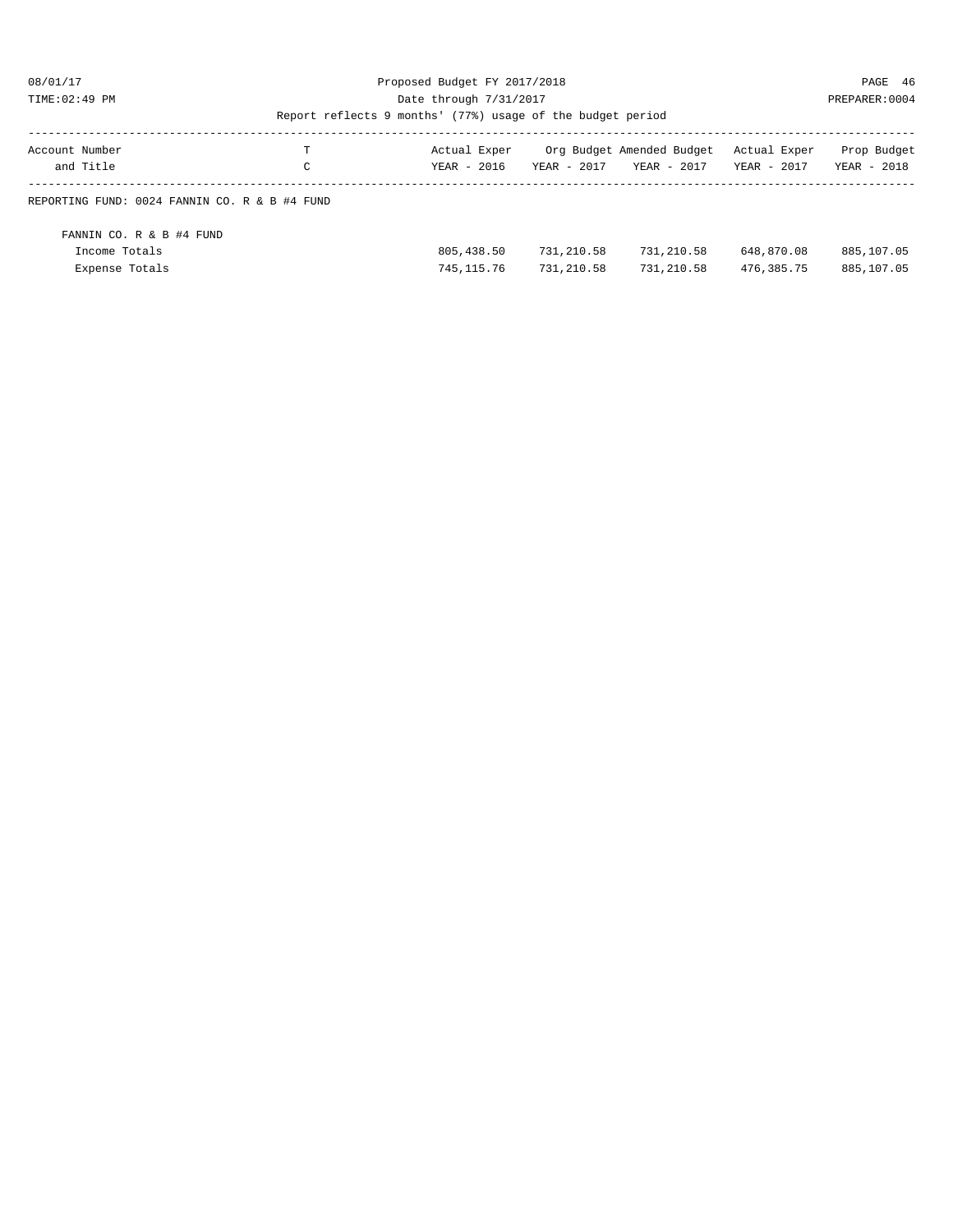#### 08/01/17 Proposed Budget FY 2017/2018 PAGE 46 TIME:02:49 PM Date through 7/31/2017 PREPARER:0004

| Account Number<br>and Title                   | т<br>C | Actual Exper<br>$YEAR - 2016$ | $YEAR - 2017$ | Org Budget Amended Budget<br>YEAR - 2017 | Actual Exper<br>YEAR - 2017 | Prop Budget<br>YEAR - 2018 |
|-----------------------------------------------|--------|-------------------------------|---------------|------------------------------------------|-----------------------------|----------------------------|
|                                               |        |                               |               |                                          |                             |                            |
| REPORTING FUND: 0024 FANNIN CO. R & B #4 FUND |        |                               |               |                                          |                             |                            |
|                                               |        |                               |               |                                          |                             |                            |
|                                               |        |                               |               |                                          |                             |                            |
| FANNIN CO. R & B #4 FUND                      |        |                               |               |                                          |                             |                            |
| Income Totals                                 |        | 805, 438.50                   | 731,210.58    | 731,210.58                               | 648,870.08                  | 885,107.05                 |
|                                               |        |                               |               |                                          |                             |                            |
| Expense Totals                                |        | 745, 115, 76                  | 731,210.58    | 731,210.58                               | 476, 385, 75                | 885,107.05                 |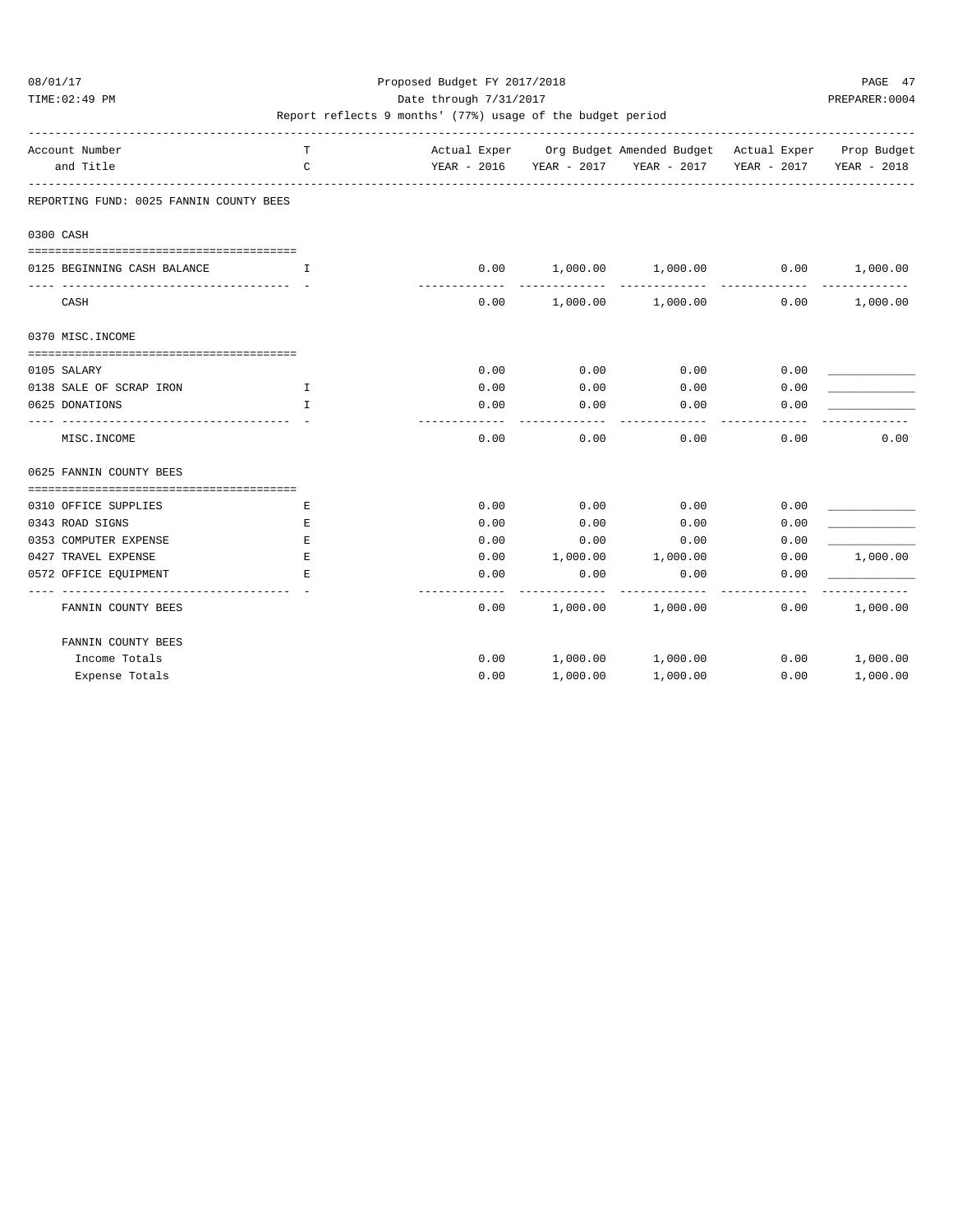TIME:02:49 PM PREPARER:0004 Date through 7/31/2017 PREPARER:0004

| Account Number        |                                         | T             |                           |          | Actual Exper Org Budget Amended Budget Actual Exper Prop Budget |                         |                        |
|-----------------------|-----------------------------------------|---------------|---------------------------|----------|-----------------------------------------------------------------|-------------------------|------------------------|
| and Title             |                                         | $\mathcal{C}$ | ------------------------- |          | YEAR - 2016 YEAR - 2017 YEAR - 2017                             | YEAR - 2017 YEAR - 2018 |                        |
|                       | REPORTING FUND: 0025 FANNIN COUNTY BEES |               |                           |          |                                                                 |                         |                        |
| 0300 CASH             |                                         |               |                           |          |                                                                 |                         |                        |
|                       |                                         |               |                           |          |                                                                 |                         |                        |
|                       | 0125 BEGINNING CASH BALANCE             | T.            | 0.00                      |          | $1,000.00$ $1,000.00$ 0.00<br>-------------                     |                         | 1,000.00<br>---------- |
| CASH                  |                                         |               | 0.00                      |          | 1,000.00 1,000.00                                               | 0.00                    | 1,000.00               |
| 0370 MISC. INCOME     |                                         |               |                           |          |                                                                 |                         |                        |
| 0105 SALARY           |                                         |               | 0.00                      | 0.00     | 0.00                                                            | 0.00                    |                        |
|                       | 0138 SALE OF SCRAP IRON                 | $\mathbf{I}$  | 0.00                      | 0.00     | 0.00                                                            | 0.00                    |                        |
| 0625 DONATIONS        |                                         | $\mathbf{T}$  | 0.00                      | 0.00     | 0.00                                                            | 0.00                    |                        |
| MISC. INCOME          |                                         |               | 0.00                      | 0.00     | 0.00                                                            | 0.00                    | 0.00                   |
|                       | 0625 FANNIN COUNTY BEES                 |               |                           |          |                                                                 |                         |                        |
|                       |                                         |               |                           |          |                                                                 |                         |                        |
| 0310 OFFICE SUPPLIES  |                                         | Е             | 0.00                      | 0.00     | 0.00                                                            | 0.00                    |                        |
| 0343 ROAD SIGNS       |                                         | Е             | 0.00                      | 0.00     | 0.00                                                            | 0.00                    |                        |
| 0353 COMPUTER EXPENSE |                                         | Е             | 0.00                      | 0.00     | 0.00                                                            | 0.00                    |                        |
| 0427 TRAVEL EXPENSE   |                                         | $\mathbf E$   | 0.00                      | 1,000.00 | 1,000.00                                                        | 0.00                    | 1,000.00               |
| 0572 OFFICE EQUIPMENT |                                         | Е             | 0.00                      | 0.00     | 0.00                                                            | 0.00                    |                        |
|                       | FANNIN COUNTY BEES                      |               | 0.00                      |          | 1,000.00 1,000.00                                               | 0.00                    | 1,000.00               |
|                       | FANNIN COUNTY BEES                      |               |                           |          |                                                                 |                         |                        |
|                       | Income Totals                           |               | 0.00                      |          | 1,000.00 1,000.00                                               | 0.00                    | 1,000.00               |
|                       | Expense Totals                          |               | 0.00                      | 1,000.00 | 1,000.00                                                        | 0.00                    | 1,000.00               |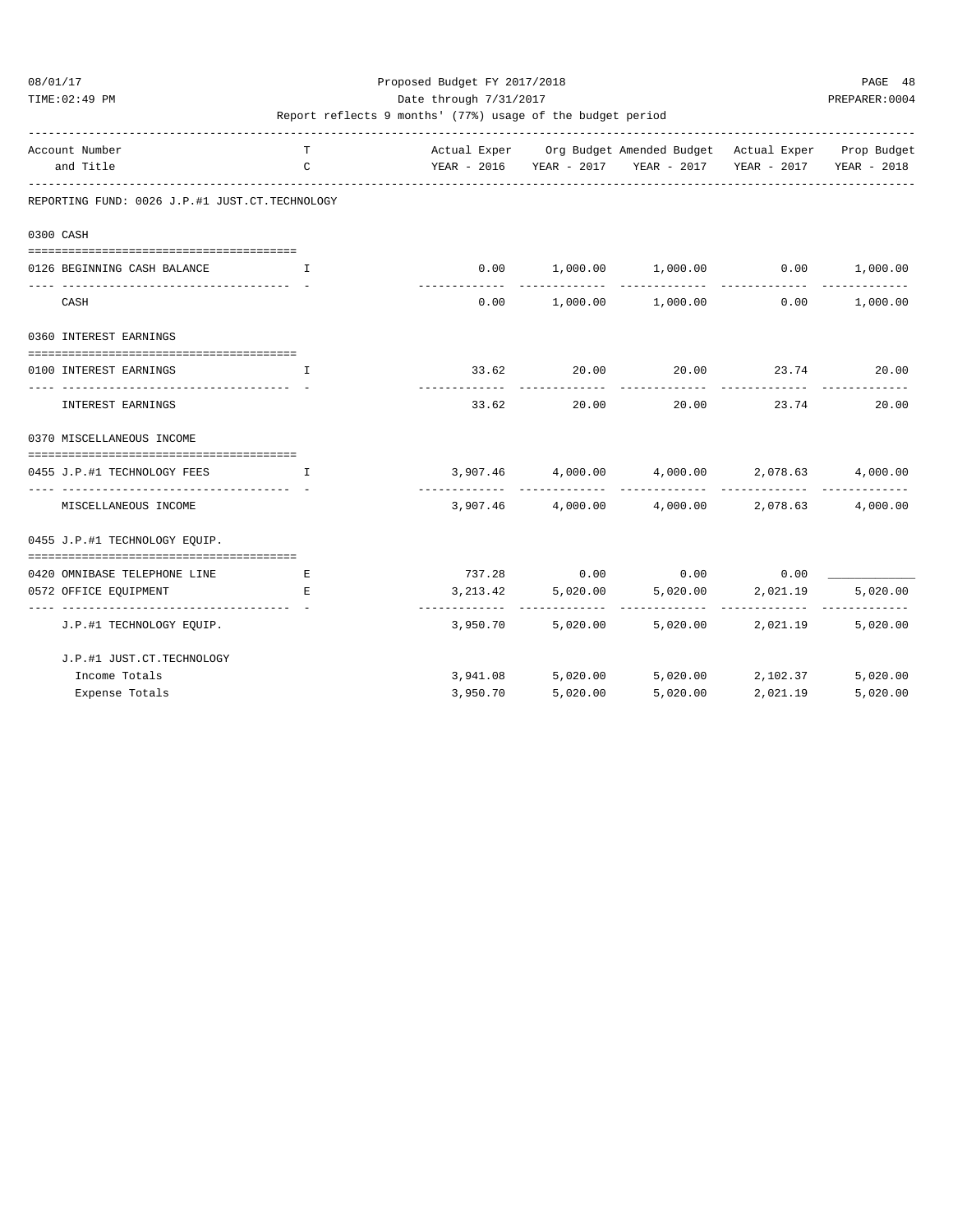### 08/01/17 Proposed Budget FY 2017/2018 PAGE 48 TIME:02:49 PM PREPARER:0004 Date through 7/31/2017 PREPARER:0004

| Account Number                                                        | T                                              |          |                     | Actual Exper Org Budget Amended Budget Actual Exper Prop Budget |                              |                      |
|-----------------------------------------------------------------------|------------------------------------------------|----------|---------------------|-----------------------------------------------------------------|------------------------------|----------------------|
| and Title                                                             | $\mathsf{C}$                                   |          |                     | YEAR - 2016 YEAR - 2017 YEAR - 2017 YEAR - 2017 YEAR - 2018     |                              |                      |
| REPORTING FUND: 0026 J.P.#1 JUST.CT.TECHNOLOGY                        |                                                |          |                     |                                                                 |                              |                      |
| 0300 CASH                                                             |                                                |          |                     |                                                                 |                              |                      |
| 0126 BEGINNING CASH BALANCE                                           | $\mathbf{I}$ and $\mathbf{I}$ and $\mathbf{I}$ |          |                     | $0.00$ $1,000.00$ $1,000.00$ $0.00$ $1,000.00$                  |                              |                      |
| CASH                                                                  |                                                |          |                     | $0.00$ 1,000.00 1,000.00                                        | 0.00                         | 1,000.00             |
| 0360 INTEREST EARNINGS                                                |                                                |          |                     |                                                                 |                              |                      |
| 0100 INTEREST EARNINGS<br>---------------------------------           | $\mathbf{T}$                                   | 33.62    | 20.00<br>---------- | ------------                                                    | 20.00 23.74<br>_____________ | 20.00<br>----------- |
| <b>INTEREST EARNINGS</b>                                              |                                                | 33.62    | 20.00               | 20.00 23.74                                                     |                              | 20.00                |
| 0370 MISCELLANEOUS INCOME                                             |                                                |          |                     |                                                                 |                              |                      |
| 0455 J.P.#1 TECHNOLOGY FEES                                           | $\top$                                         |          |                     | $3,907.46$ $4,000.00$ $4,000.00$ $2,078.63$ $4,000.00$          |                              |                      |
| MISCELLANEOUS INCOME                                                  |                                                |          |                     | $3,907.46$ $4,000.00$ $4,000.00$ $2,078.63$                     |                              | 4,000.00             |
| 0455 J.P.#1 TECHNOLOGY EQUIP.                                         |                                                |          |                     |                                                                 |                              |                      |
| =====================================<br>0420 OMNIBASE TELEPHONE LINE | E                                              |          |                     | $737.28$ 0.00 0.00 0.00                                         |                              |                      |
| 0572 OFFICE EQUIPMENT                                                 | E.                                             |          | 3, 213.42 5, 020.00 |                                                                 | 5,020.00 2,021.19            | 5,020.00             |
| J.P.#1 TECHNOLOGY EOUIP.                                              |                                                |          | 3,950.70 5,020.00   |                                                                 | 5,020.00 2,021.19            | 5,020.00             |
| J.P.#1 JUST.CT.TECHNOLOGY                                             |                                                |          |                     |                                                                 |                              |                      |
| Income Totals                                                         |                                                |          |                     | 3,941.08 5,020.00 5,020.00 2,102.37                             |                              | 5,020.00             |
| Expense Totals                                                        |                                                | 3,950.70 | 5.020.00            | 5,020.00                                                        | 2,021.19                     | 5,020.00             |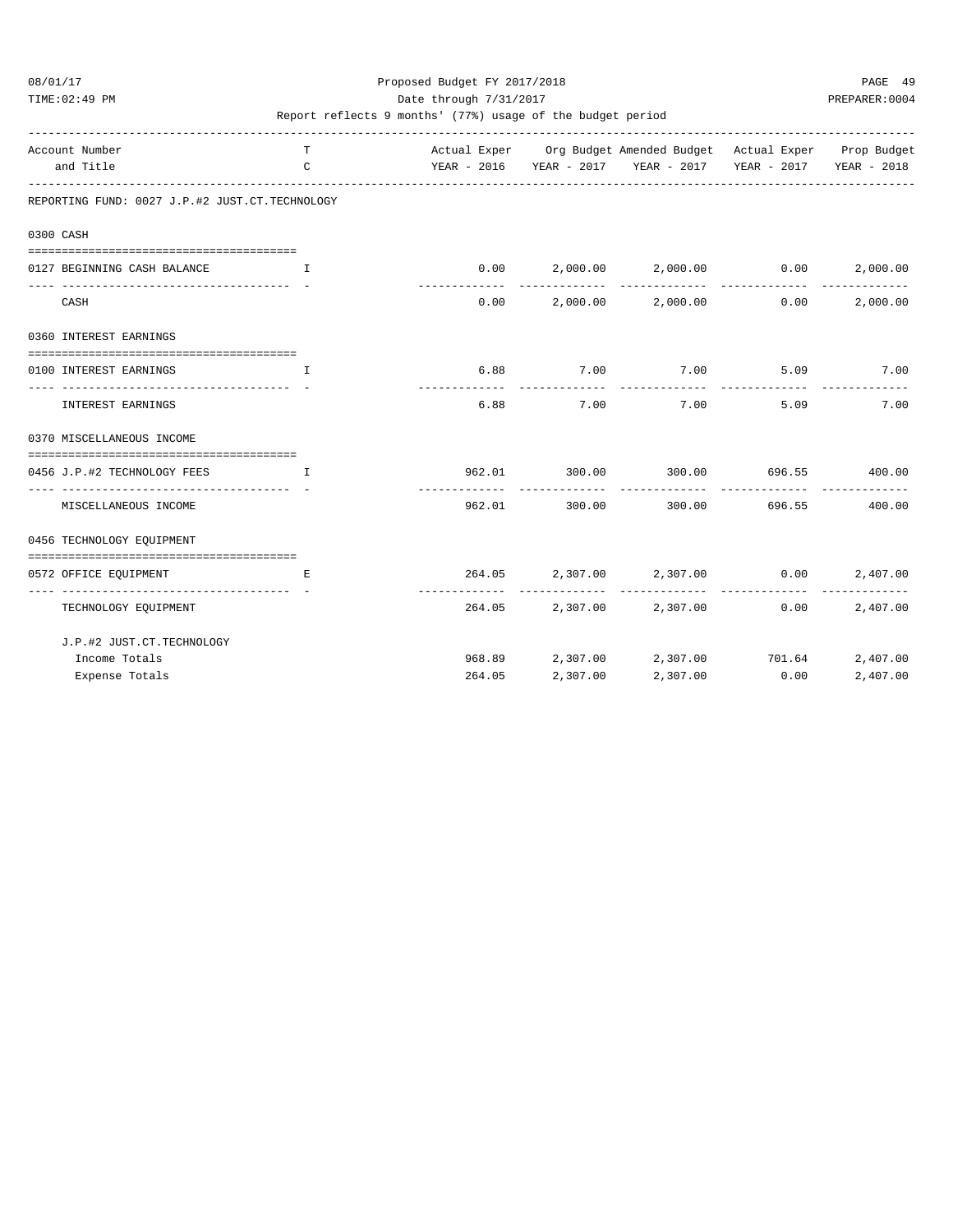TIME:02:49 PM PREPARER:0004 Date through 7/31/2017 PREPARER:0004

| Account Number                                              | T                             |        |                               | Actual Exper Org Budget Amended Budget Actual Exper Prop Budget |                                       |                           |
|-------------------------------------------------------------|-------------------------------|--------|-------------------------------|-----------------------------------------------------------------|---------------------------------------|---------------------------|
| and Title                                                   | $\mathsf{C}$                  |        |                               | YEAR - 2016 YEAR - 2017 YEAR - 2017 YEAR - 2017 YEAR - 2018     |                                       |                           |
| REPORTING FUND: 0027 J.P.#2 JUST.CT.TECHNOLOGY              |                               |        |                               |                                                                 |                                       |                           |
| 0300 CASH                                                   |                               |        |                               |                                                                 |                                       |                           |
|                                                             |                               |        |                               |                                                                 |                                       |                           |
| 0127 BEGINNING CASH BALANCE<br>---------------------------- | T                             |        | . _ _ _ _ _ _ _ _ _ _ _       | $0.00$ $2,000.00$ $2,000.00$ $0.00$                             |                                       | 2,000.00<br>_____________ |
| CASH                                                        |                               |        |                               | $0.00$ $2,000.00$ $2,000.00$ $0.00$                             |                                       | 2,000.00                  |
| 0360 INTEREST EARNINGS                                      |                               |        |                               |                                                                 |                                       |                           |
| =========================<br>0100 INTEREST EARNINGS         | $\mathbf{T}$                  |        |                               | 6.88 7.00 7.00                                                  |                                       | 5.09 7.00                 |
| _____________________<br>INTEREST EARNINGS                  |                               |        | -------------<br>6.88<br>7.00 | ------------<br>7.00                                            | 5.09                                  | 7.00                      |
| 0370 MISCELLANEOUS INCOME                                   |                               |        |                               |                                                                 |                                       |                           |
| 0456 J.P.#2 TECHNOLOGY FEES                                 | and the contract of the Table |        |                               | 962.01 300.00 300.00 696.55 400.00                              |                                       |                           |
| MISCELLANEOUS INCOME                                        |                               | 962.01 | 300.00                        |                                                                 | -------------<br>300.00 696.55 400.00 |                           |
| 0456 TECHNOLOGY EQUIPMENT                                   |                               |        |                               |                                                                 |                                       |                           |
| 0572 OFFICE EOUIPMENT                                       | Е                             |        |                               | 264.05 2,307.00 2,307.00 0.00                                   |                                       | 2,407.00                  |
| ________________________________                            |                               |        |                               |                                                                 |                                       |                           |
| TECHNOLOGY EQUIPMENT                                        |                               |        |                               | 264.05 2,307.00 2,307.00                                        | 0.00                                  | 2,407.00                  |
| J.P.#2 JUST.CT.TECHNOLOGY                                   |                               |        |                               |                                                                 |                                       |                           |
| Income Totals                                               |                               |        |                               | 968.89 2,307.00 2,307.00 701.64                                 |                                       | 2,407.00                  |
| Expense Totals                                              |                               | 264.05 | 2,307.00                      | 2,307.00                                                        | 0.00                                  | 2,407.00                  |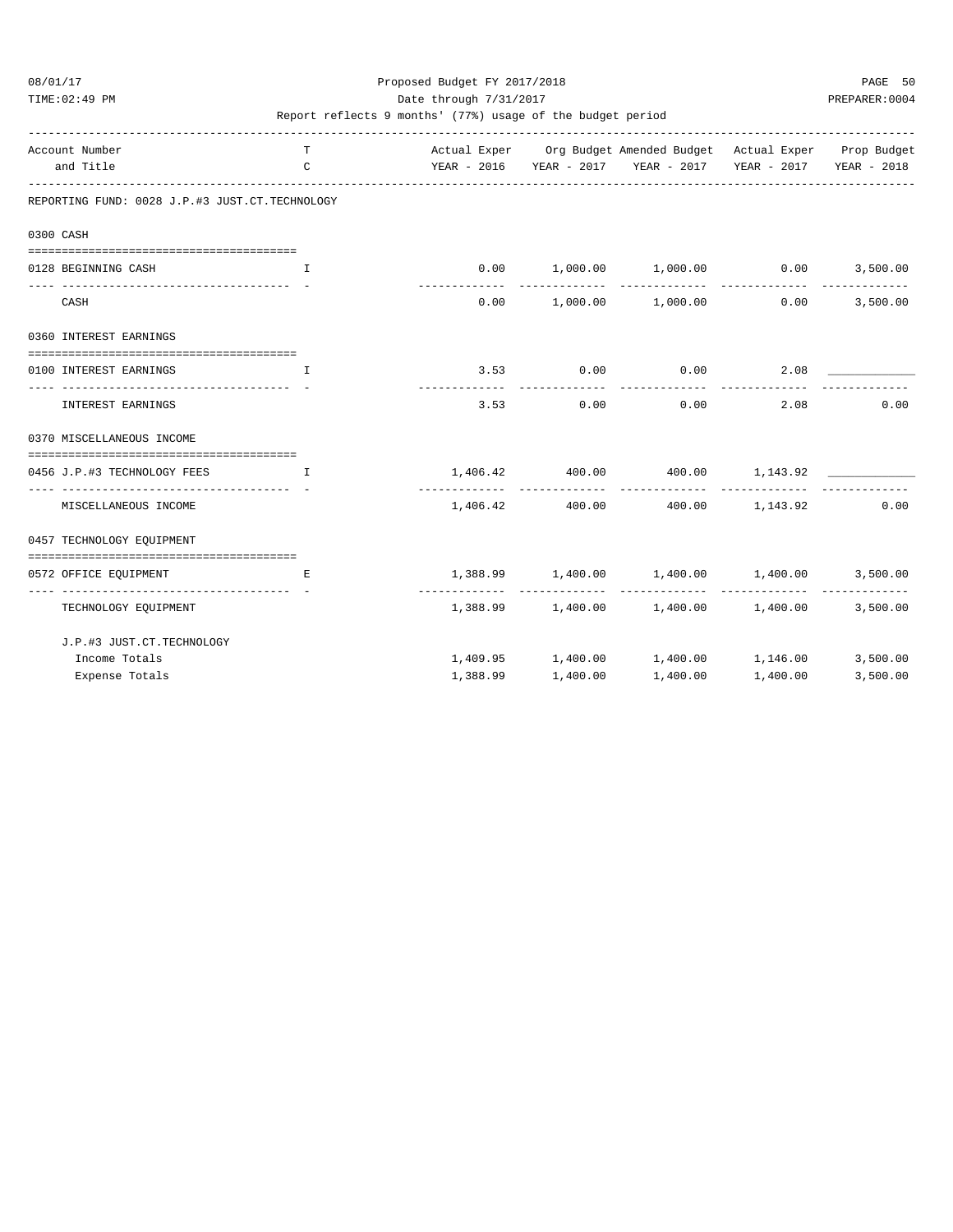### 08/01/17 Proposed Budget FY 2017/2018 PAGE 50 TIME:02:49 PM PREPARER:0004 Date through 7/31/2017 PREPARER:0004

| Account Number                                                        | T                             |             |             | Actual Exper Org Budget Amended Budget Actual Exper Prop Budget |              |               |
|-----------------------------------------------------------------------|-------------------------------|-------------|-------------|-----------------------------------------------------------------|--------------|---------------|
| and Title                                                             | $\mathcal{C}$                 |             |             | YEAR - 2016 YEAR - 2017 YEAR - 2017 YEAR - 2017 YEAR - 2018     |              |               |
| REPORTING FUND: 0028 J.P.#3 JUST.CT.TECHNOLOGY                        |                               |             |             |                                                                 |              |               |
| 0300 CASH                                                             |                               |             |             |                                                                 |              |               |
| 0128 BEGINNING CASH                                                   | $\mathbf{L}$                  |             |             | $0.00$ $1,000.00$ $1,000.00$ $0.00$ $3,500.00$                  |              | ------------- |
| CASH                                                                  |                               | ----------- |             | $0.00$ $1,000.00$ $1,000.00$                                    | 0.00         | 3,500.00      |
| 0360 INTEREST EARNINGS                                                |                               |             |             |                                                                 |              |               |
| 0100 INTEREST EARNINGS                                                | $\mathbf{I}$                  |             |             | $3.53$ 0.00 0.00                                                | 2.08         |               |
| _____________________<br>INTEREST EARNINGS                            |                               |             | $3.53$ 0.00 |                                                                 | 0.00<br>2.08 | 0.00          |
| 0370 MISCELLANEOUS INCOME                                             |                               |             |             |                                                                 |              |               |
| ======================================<br>0456 J.P.#3 TECHNOLOGY FEES | and the contract of the Table |             |             | $1,406.42$ $400.00$ $400.00$ $1,143.92$                         |              |               |
| MISCELLANEOUS INCOME                                                  |                               |             |             | $1,406.42$ $400.00$ $400.00$ $1,143.92$                         |              | 0.00          |
| 0457 TECHNOLOGY EOUIPMENT                                             |                               |             |             |                                                                 |              |               |
|                                                                       |                               |             |             |                                                                 |              |               |
| 0572 OFFICE EQUIPMENT<br>--------------------------------             | E.                            |             |             | $1,388.99$ $1,400.00$ $1,400.00$ $1,400.00$                     |              | 3,500.00      |
| TECHNOLOGY EQUIPMENT                                                  |                               |             |             | $1,388.99$ $1,400.00$ $1,400.00$ $1,400.00$                     |              | 3,500.00      |
| J.P.#3 JUST.CT.TECHNOLOGY                                             |                               |             |             |                                                                 |              |               |
| Income Totals                                                         |                               |             |             | 1,409.95 1,400.00 1,400.00 1,146.00 3,500.00                    |              |               |
| Expense Totals                                                        |                               | 1,388.99    | 1,400.00    | 1,400.00                                                        | 1,400.00     | 3,500.00      |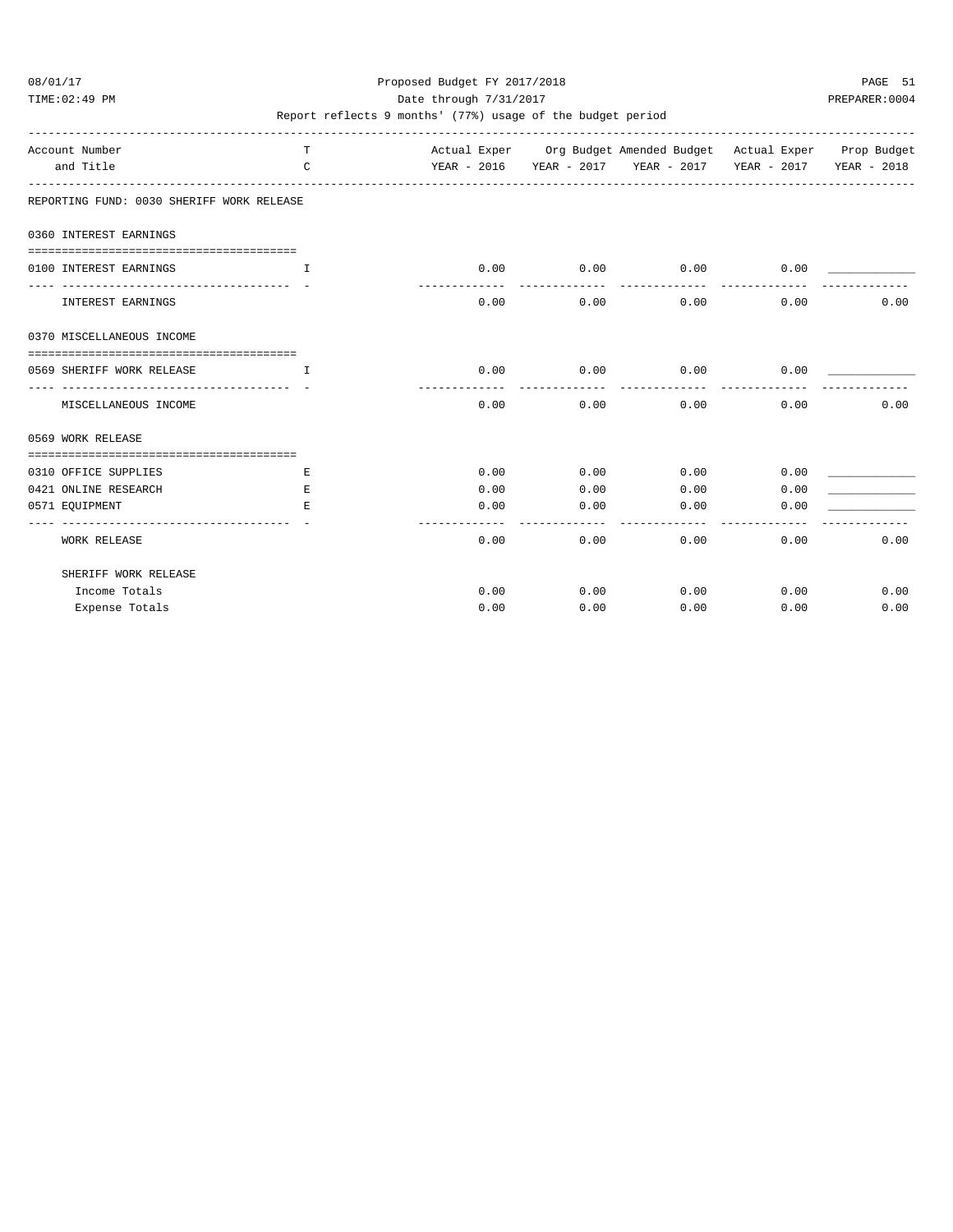TIME:02:49 PM PREPARER:0004 Date through 7/31/2017 PREPARER:0004

| Account Number<br>and Title                                      | T.<br>$\mathsf{C}$ |                    |                       | Actual Exper Org Budget Amended Budget Actual Exper Prop Budget<br>YEAR - 2016 YEAR - 2017 YEAR - 2017 YEAR - 2017 YEAR - 2018 |              |      |
|------------------------------------------------------------------|--------------------|--------------------|-----------------------|--------------------------------------------------------------------------------------------------------------------------------|--------------|------|
| REPORTING FUND: 0030 SHERIFF WORK RELEASE                        |                    |                    |                       |                                                                                                                                |              |      |
| 0360 INTEREST EARNINGS                                           |                    |                    |                       |                                                                                                                                |              |      |
|                                                                  |                    |                    |                       |                                                                                                                                |              |      |
| 0100 INTEREST EARNINGS                                           | $\mathbf{I}$       |                    | $0.00$ $0.00$         | 0.00                                                                                                                           | 0.00         |      |
| ____________________________________<br><b>INTEREST EARNINGS</b> |                    | ---------<br>0.00  | -------------<br>0.00 | -------------                                                                                                                  | 0.00<br>0.00 | 0.00 |
| 0370 MISCELLANEOUS INCOME                                        |                    |                    |                       |                                                                                                                                |              |      |
| ===================================                              |                    |                    |                       |                                                                                                                                |              |      |
| 0569 SHERIFF WORK RELEASE                                        | $\mathbf{I}$       |                    | $0.00$ 0.00           | 0.00                                                                                                                           | 0.00         |      |
| MISCELLANEOUS INCOME                                             |                    | ----------<br>0.00 | -----------<br>0.00   | -------------                                                                                                                  | 0.00<br>0.00 | 0.00 |
| 0569 WORK RELEASE                                                |                    |                    |                       |                                                                                                                                |              |      |
| ====================================                             |                    |                    |                       |                                                                                                                                |              |      |
| 0310 OFFICE SUPPLIES                                             | Е                  | 0.00               | 0.00                  | 0.00                                                                                                                           | 0.00         |      |
| 0421 ONLINE RESEARCH                                             | E.                 | 0.00               | 0.00                  | 0.00                                                                                                                           | 0.00         |      |
| 0571 EQUIPMENT                                                   | E.                 | 0.00               | 0.00                  | 0.00                                                                                                                           | 0.00         |      |
| <b>WORK RELEASE</b>                                              |                    | 0.00               | 0.00                  |                                                                                                                                | 0.00<br>0.00 | 0.00 |
| SHERIFF WORK RELEASE                                             |                    |                    |                       |                                                                                                                                |              |      |
| Income Totals                                                    |                    | 0.00               | 0.00                  | 0.00                                                                                                                           | 0.00         | 0.00 |
| Expense Totals                                                   |                    | 0.00               | 0.00                  | 0.00                                                                                                                           | 0.00         | 0.00 |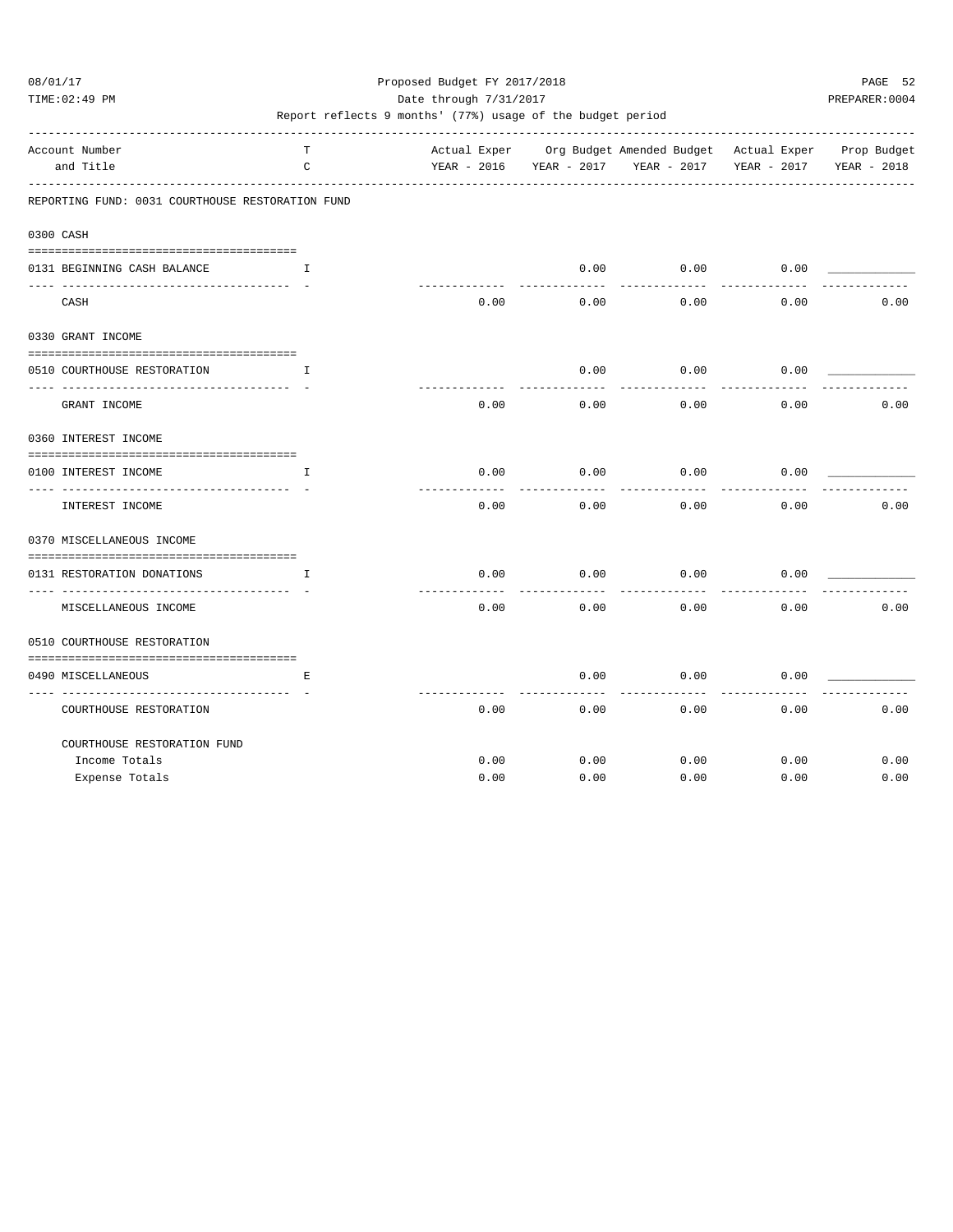TIME:02:49 PM PREPARER:0004 Date through 7/31/2017 PREPARER:0004

| Account Number              |                                                  | T  |             |      |             | Actual Exper Org Budget Amended Budget Actual Exper Prop Budget |             |             |
|-----------------------------|--------------------------------------------------|----|-------------|------|-------------|-----------------------------------------------------------------|-------------|-------------|
| and Title                   |                                                  | C  | YEAR - 2016 |      | YEAR - 2017 | YEAR - 2017                                                     | YEAR - 2017 | YEAR - 2018 |
|                             | REPORTING FUND: 0031 COURTHOUSE RESTORATION FUND |    |             |      |             |                                                                 |             |             |
| 0300 CASH                   |                                                  |    |             |      |             |                                                                 |             |             |
|                             |                                                  |    |             |      |             |                                                                 |             |             |
| 0131 BEGINNING CASH BALANCE |                                                  | I  |             |      | 0.00        | 0.00                                                            | 0.00        |             |
| CASH                        |                                                  |    |             | 0.00 | 0.00        | 0.00                                                            | 0.00        | 0.00        |
| 0330 GRANT INCOME           |                                                  |    |             |      |             |                                                                 |             |             |
|                             |                                                  |    |             |      |             |                                                                 |             |             |
| 0510 COURTHOUSE RESTORATION |                                                  | Ι. |             |      | 0.00        | 0.00                                                            | 0.00        |             |
| GRANT INCOME                |                                                  |    |             | 0.00 | 0.00        | 0.00                                                            | 0.00        | 0.00        |
| 0360 INTEREST INCOME        |                                                  |    |             |      |             |                                                                 |             |             |
|                             |                                                  |    |             |      |             |                                                                 |             |             |
| 0100 INTEREST INCOME        |                                                  | I  |             | 0.00 | 0.00        | 0.00                                                            | 0.00        |             |
| INTEREST INCOME             |                                                  |    |             | 0.00 | 0.00        | 0.00                                                            | 0.00        | 0.00        |
| 0370 MISCELLANEOUS INCOME   |                                                  |    |             |      |             |                                                                 |             |             |
|                             |                                                  |    |             |      |             |                                                                 |             |             |
| 0131 RESTORATION DONATIONS  |                                                  | T. |             | 0.00 | 0.00        | 0.00                                                            | 0.00        |             |
|                             | MISCELLANEOUS INCOME                             |    |             | 0.00 | 0.00        | 0.00                                                            | 0.00        | 0.00        |
| 0510 COURTHOUSE RESTORATION |                                                  |    |             |      |             |                                                                 |             |             |
|                             |                                                  |    |             |      |             |                                                                 |             |             |
| 0490 MISCELLANEOUS          |                                                  | Ε  |             |      | 0.00        | 0.00                                                            | 0.00        |             |
|                             | COURTHOUSE RESTORATION                           |    |             | 0.00 | 0.00        | 0.00                                                            | 0.00        | 0.00        |
|                             | COURTHOUSE RESTORATION FUND                      |    |             |      |             |                                                                 |             |             |
| Income Totals               |                                                  |    |             | 0.00 | 0.00        | 0.00                                                            | 0.00        | 0.00        |
| Expense Totals              |                                                  |    |             | 0.00 | 0.00        | 0.00                                                            | 0.00        | 0.00        |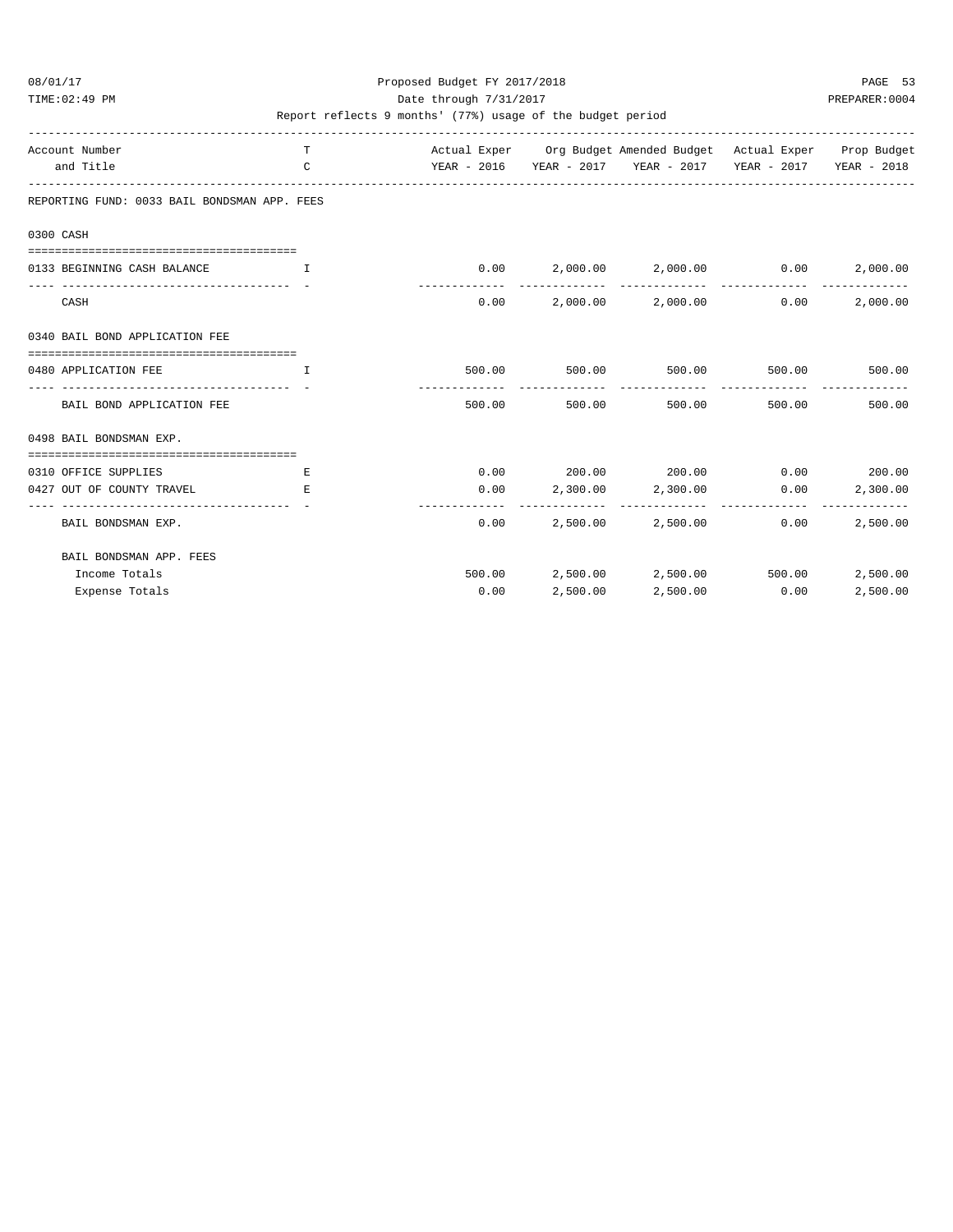### 08/01/17 Proposed Budget FY 2017/2018 PAGE 53 TIME:02:49 PM PREPARER:0004 Date through 7/31/2017 PREPARER:0004

| Account Number<br>and Title                                      | T.<br>$\mathsf{C}$            |        |                        | Actual Exper Org Budget Amended Budget Actual Exper Prop Budget<br>YEAR - 2016 YEAR - 2017 YEAR - 2017 YEAR - 2017 YEAR - 2018 |        |                           |
|------------------------------------------------------------------|-------------------------------|--------|------------------------|--------------------------------------------------------------------------------------------------------------------------------|--------|---------------------------|
| REPORTING FUND: 0033 BAIL BONDSMAN APP. FEES                     |                               |        |                        |                                                                                                                                |        |                           |
| 0300 CASH                                                        |                               |        |                        |                                                                                                                                |        |                           |
| 0133 BEGINNING CASH BALANCE                                      | and the contract of the Table |        |                        | $0.00$ $2,000.00$ $2,000.00$ $0.00$                                                                                            |        | 2,000.00                  |
| CASH                                                             |                               |        |                        | $0.00$ 2,000.00 2,000.00                                                                                                       | 0.00   | 2,000.00                  |
| 0340 BAIL BOND APPLICATION FEE                                   |                               |        |                        |                                                                                                                                |        |                           |
| 0480 APPLICATION FEE                                             | T.                            |        |                        | 500.00 500.00 500.00 500.00 500.00 500.00                                                                                      |        |                           |
| BAIL BOND APPLICATION FEE                                        |                               | 500.00 | ------------<br>500.00 | 500.00                                                                                                                         | 500.00 | 500.00                    |
| 0498 BAIL BONDSMAN EXP.                                          |                               |        |                        |                                                                                                                                |        |                           |
| ==================================<br>0310 OFFICE SUPPLIES       | E.                            |        |                        | $0.00$ 200.00 200.00 0.00 200.00                                                                                               |        |                           |
| 0427 OUT OF COUNTY TRAVEL<br>___________________________________ | E.                            |        |                        | $0.00$ 2,300.00 2,300.00                                                                                                       | 0.00   | 2,300.00                  |
| BAIL BONDSMAN EXP.                                               |                               | 0.00   |                        | 2,500.00 2,500.00                                                                                                              | 0.00   | -------------<br>2,500.00 |
| BAIL BONDSMAN APP. FEES                                          |                               |        |                        |                                                                                                                                |        |                           |
| Income Totals                                                    |                               |        |                        | 500.00 2,500.00 2,500.00 500.00                                                                                                |        | 2,500.00                  |
| Expense Totals                                                   |                               | 0.00   | 2,500.00               | 2,500.00                                                                                                                       | 0.00   | 2,500.00                  |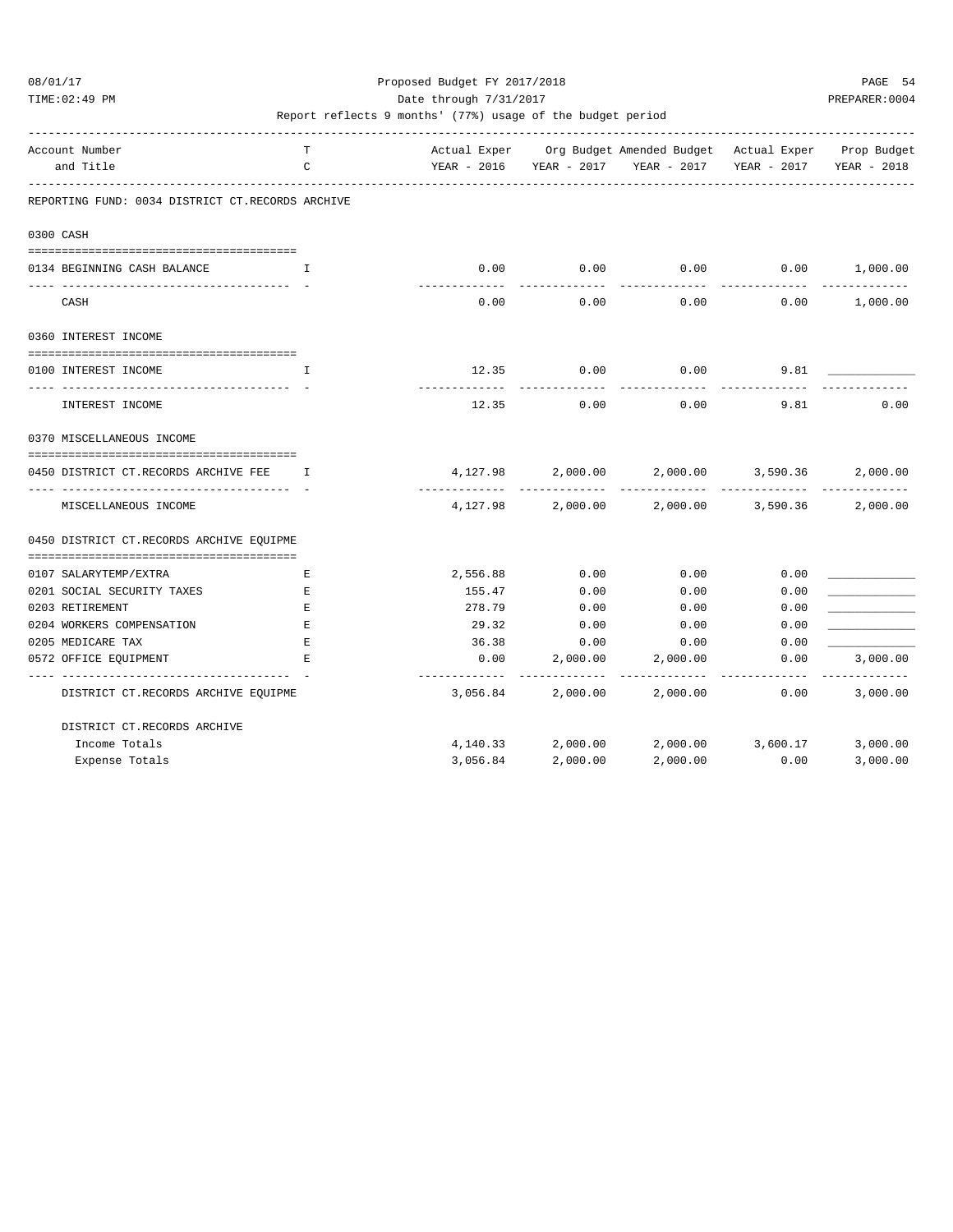TIME:02:49 PM PREPARER:0004 Date through 7/31/2017 PREPARER:0004

| Account Number                                                                | т            |               |                  | Actual Exper Org Budget Amended Budget Actual Exper Prop Budget |               |          |
|-------------------------------------------------------------------------------|--------------|---------------|------------------|-----------------------------------------------------------------|---------------|----------|
| and Title                                                                     | $\mathsf{C}$ |               |                  | YEAR - 2016 YEAR - 2017 YEAR - 2017 YEAR - 2017 YEAR - 2018     |               |          |
| REPORTING FUND: 0034 DISTRICT CT.RECORDS ARCHIVE                              |              |               |                  |                                                                 |               |          |
| 0300 CASH                                                                     |              |               |                  |                                                                 |               |          |
| 0134 BEGINNING CASH BALANCE<br>$\mathbf{I}$ and $\mathbf{I}$ and $\mathbf{I}$ |              | 0.00          | 0.00             | 0.00                                                            | 0.00 1,000.00 |          |
| CASH                                                                          |              | 0.00          | 0.00             |                                                                 | 0.00<br>0.00  | 1,000.00 |
| 0360 INTEREST INCOME                                                          |              |               |                  |                                                                 |               |          |
| ===================================<br>0100 INTEREST INCOME                   | T.           |               | 12.35 0.00       | 0.00                                                            | 9.81          |          |
| INTEREST INCOME                                                               |              | 12.35         | 0.00             | 0.00                                                            | 9.81          | 0.00     |
| 0370 MISCELLANEOUS INCOME                                                     |              |               |                  |                                                                 |               |          |
| 0450 DISTRICT CT.RECORDS ARCHIVE FEE                                          | I            |               |                  | $4,127.98$ $2,000.00$ $2,000.00$ $3,590.36$                     | ------------- | 2,000.00 |
| MISCELLANEOUS INCOME                                                          |              |               |                  | $4,127.98$ 2,000.00 2,000.00 3,590.36                           |               | 2,000.00 |
| 0450 DISTRICT CT.RECORDS ARCHIVE EQUIPME                                      |              |               |                  |                                                                 |               |          |
|                                                                               |              |               |                  |                                                                 |               |          |
| 0107 SALARYTEMP/EXTRA                                                         | E            | 2,556.88      | 0.00             | 0.00                                                            | 0.00          |          |
| 0201 SOCIAL SECURITY TAXES                                                    | Е            | 155.47        | 0.00             | 0.00                                                            | 0.00          |          |
| 0203 RETIREMENT                                                               | Е            | 278.79        | 0.00             | 0.00                                                            | 0.00          |          |
| 0204 WORKERS COMPENSATION                                                     | $\mathbf E$  | 29.32         | 0.00             | 0.00                                                            | 0.00          |          |
| 0205 MEDICARE TAX<br>0572 OFFICE EQUIPMENT                                    | E<br>E       | 36.38<br>0.00 | 0.00<br>2,000.00 | 0.00<br>2,000.00                                                | 0.00<br>0.00  | 3,000.00 |
| DISTRICT CT.RECORDS ARCHIVE EQUIPME                                           |              |               |                  | 3,056.84 2,000.00 2,000.00                                      | 0.00          | 3,000.00 |
| DISTRICT CT.RECORDS ARCHIVE                                                   |              |               |                  |                                                                 |               |          |
| Income Totals                                                                 |              |               |                  | $4,140.33$ $2,000.00$ $2,000.00$ $3,600.17$                     |               | 3,000.00 |
| Expense Totals                                                                |              | 3,056.84      | 2,000.00         | 2,000.00                                                        | 0.00          | 3,000.00 |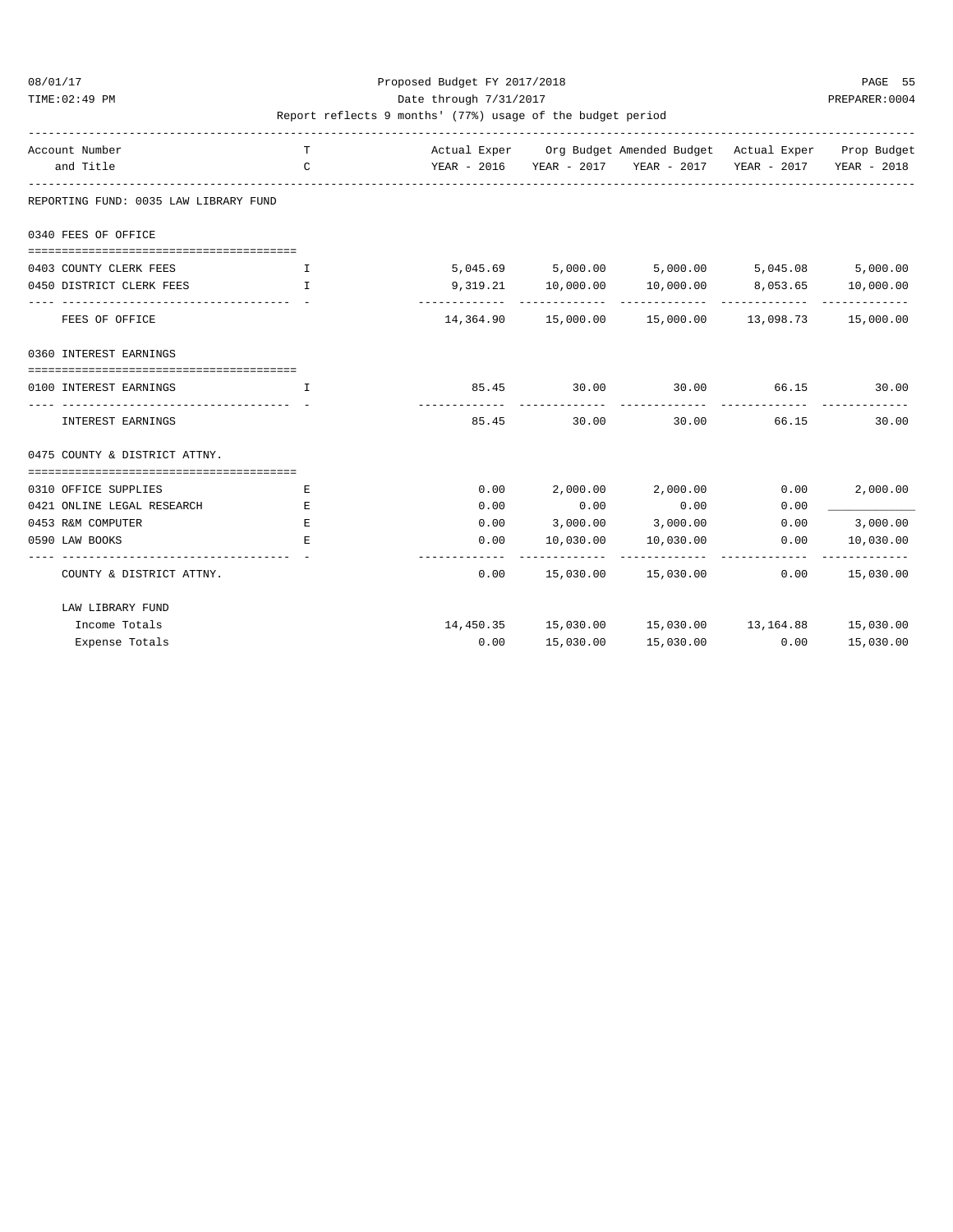TIME:02:49 PM PREPARER:0004 Date through 7/31/2017 PREPARER:0004

| Account Number<br>and Title           | т<br>C                                                     | YEAR - 2016 YEAR - 2017 YEAR - 2017 YEAR - 2017 YEAR - 2018 |               | Actual Exper Org Budget Amended Budget Actual Exper Prop Budget |      |               |
|---------------------------------------|------------------------------------------------------------|-------------------------------------------------------------|---------------|-----------------------------------------------------------------|------|---------------|
| REPORTING FUND: 0035 LAW LIBRARY FUND |                                                            |                                                             |               |                                                                 |      |               |
| 0340 FEES OF OFFICE                   |                                                            |                                                             |               |                                                                 |      |               |
| 0403 COUNTY CLERK FEES                | . The contraction of $\mathbf{I}$ is a set of $\mathbf{I}$ |                                                             |               | 5,045.69 5,000.00 5,000.00 5,045.08 5,000.00                    |      |               |
| 0450 DISTRICT CLERK FEES              | $\mathbf{I}$ and $\mathbf{I}$                              |                                                             |               | $9,319.21$ $10,000.00$ $10,000.00$ $8,053.65$ $10,000.00$       |      |               |
| FEES OF OFFICE                        |                                                            |                                                             |               | 14,364.90  15,000.00  15,000.00  13,098.73  15,000.00           |      |               |
| 0360 INTEREST EARNINGS                |                                                            |                                                             |               |                                                                 |      |               |
| 0100 INTEREST EARNINGS                | T                                                          |                                                             |               | 85.45 30.00 30.00 66.15 30.00                                   |      |               |
| INTEREST EARNINGS                     |                                                            |                                                             | ------------- | 85.45 30.00 30.00 66.15                                         |      | 30.00         |
| 0475 COUNTY & DISTRICT ATTNY.         |                                                            |                                                             |               |                                                                 |      |               |
| 0310 OFFICE SUPPLIES                  | Е                                                          |                                                             |               | $0.00$ 2,000.00 2,000.00 0.00                                   |      | 2,000.00      |
| 0421 ONLINE LEGAL RESEARCH            | Ε                                                          | 0.00                                                        |               | $0.00$ 0.00                                                     | 0.00 |               |
| 0453 R&M COMPUTER                     | Ε                                                          |                                                             |               | $0.00$ $3,000.00$ $3,000.00$ $0.00$ $3,000.00$                  |      |               |
| 0590 LAW BOOKS                        | E.                                                         | 0.00                                                        |               | 10,030.00  10,030.00  0.00                                      |      | 10,030.00     |
| COUNTY & DISTRICT ATTNY.              |                                                            | 0.00                                                        |               | $15,030.00$ $15,030.00$ $0.00$ $15,030.00$                      |      | ------------- |
| LAW LIBRARY FUND                      |                                                            |                                                             |               |                                                                 |      |               |
| Income Totals                         |                                                            |                                                             |               | 14,450.35 15,030.00 15,030.00 13,164.88 15,030.00               |      |               |
| Expense Totals                        |                                                            | 0.00                                                        | 15,030.00     | 15,030.00                                                       | 0.00 | 15,030.00     |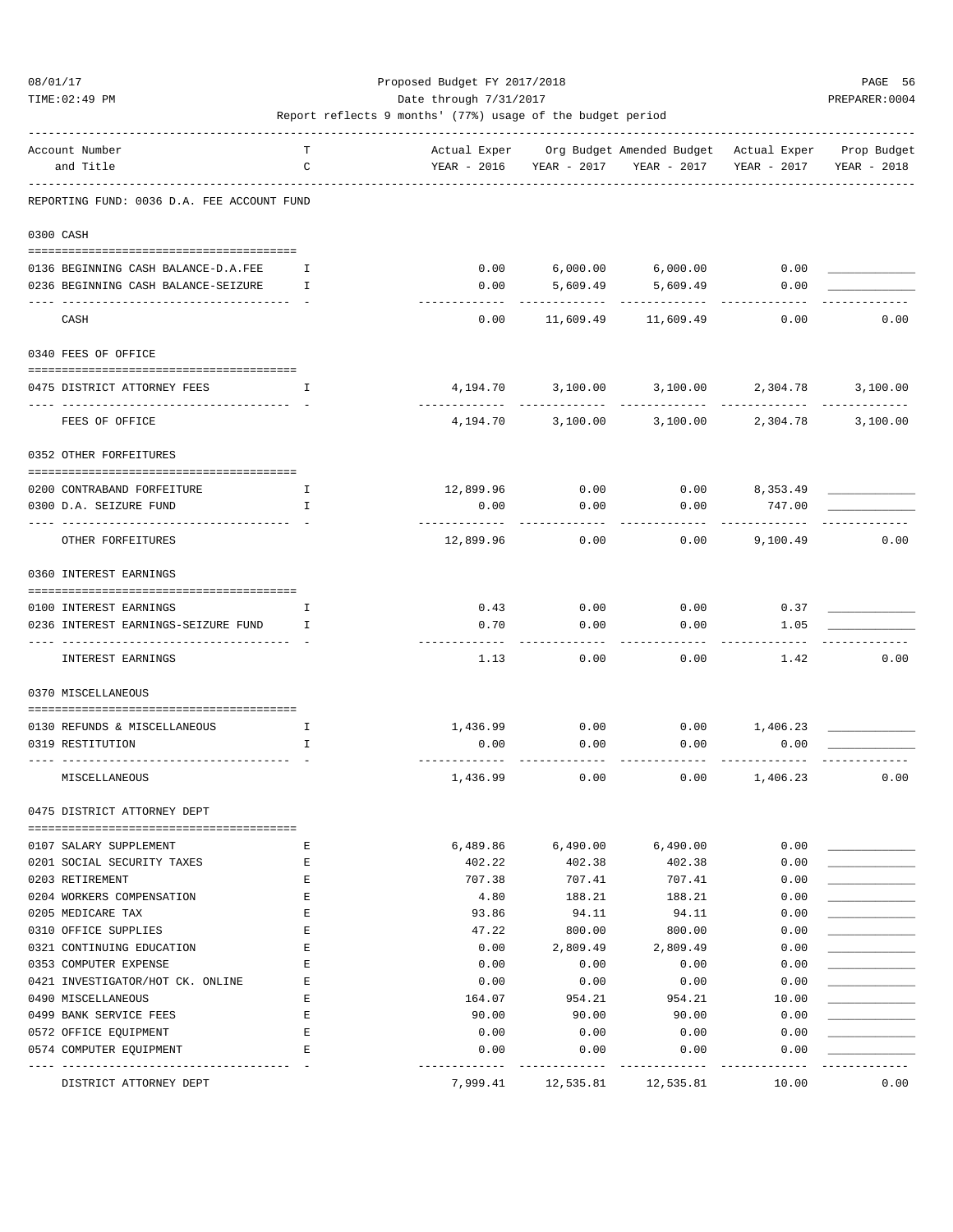TIME:02:49 PM PREPARER:0004 Date through 7/31/2017 Date through  $\frac{1}{2}$ 

| Account Number<br>and Title                | Т<br>C |                             | YEAR - 2016 YEAR - 2017  | Actual Exper Org Budget Amended Budget Actual Exper<br>YEAR - 2017 | YEAR - 2017               | Prop Budget<br>YEAR - 2018 |
|--------------------------------------------|--------|-----------------------------|--------------------------|--------------------------------------------------------------------|---------------------------|----------------------------|
|                                            |        |                             |                          |                                                                    |                           |                            |
| REPORTING FUND: 0036 D.A. FEE ACCOUNT FUND |        |                             |                          |                                                                    |                           |                            |
| 0300 CASH                                  |        |                             |                          |                                                                    |                           |                            |
|                                            |        |                             |                          |                                                                    |                           |                            |
| 0136 BEGINNING CASH BALANCE-D.A.FEE        | Ι.     | 0.00                        |                          | $6,000.00$ $6,000.00$                                              | 0.00                      |                            |
| 0236 BEGINNING CASH BALANCE-SEIZURE        | I      | 0.00                        | 5,609.49                 | 5,609.49                                                           | 0.00                      |                            |
|                                            |        |                             |                          |                                                                    |                           |                            |
| CASH                                       |        | 0.00                        |                          | 11,609.49 11,609.49                                                | 0.00                      | 0.00                       |
| 0340 FEES OF OFFICE                        |        |                             |                          |                                                                    |                           |                            |
|                                            |        |                             |                          |                                                                    |                           |                            |
| 0475 DISTRICT ATTORNEY FEES                | Ι.     | 4,194.70<br>------------    | 3,100.00<br>------------ | 3,100.00<br>-------------                                          | 2,304.78<br>------------- | 3,100.00<br>_____________  |
| FEES OF OFFICE                             |        | 4,194.70                    |                          | 3,100.00 3,100.00                                                  | 2,304.78                  | 3,100.00                   |
| 0352 OTHER FORFEITURES                     |        |                             |                          |                                                                    |                           |                            |
|                                            |        |                             |                          |                                                                    |                           |                            |
| 0200 CONTRABAND FORFEITURE                 | I      | 12,899.96                   | 0.00                     |                                                                    | $0.00$ $8,353.49$         |                            |
| 0300 D.A. SEIZURE FUND                     | T.     | 0.00<br>---------           | 0.00                     | 0.00                                                               | 747.00                    |                            |
| OTHER FORFEITURES                          |        | 12,899.96                   | 0.00                     | 0.00                                                               | 9,100.49                  | 0.00                       |
| 0360 INTEREST EARNINGS                     |        |                             |                          |                                                                    |                           |                            |
| 0100 INTEREST EARNINGS                     | I      | 0.43                        | 0.00                     | 0.00                                                               | 0.37                      |                            |
| 0236 INTEREST EARNINGS-SEIZURE FUND        | T      | 0.70                        | 0.00                     | 0.00                                                               | 1.05                      |                            |
|                                            |        | ---------                   | ------                   |                                                                    |                           |                            |
| INTEREST EARNINGS                          |        | 1.13                        | 0.00                     | 0.00                                                               | 1.42                      | 0.00                       |
| 0370 MISCELLANEOUS                         |        |                             |                          |                                                                    |                           |                            |
| 0130 REFUNDS & MISCELLANEOUS               | I.     | 1,436.99                    | 0.00                     |                                                                    | $0.00$ 1,406.23           |                            |
| 0319 RESTITUTION                           | I.     | 0.00                        | 0.00                     | 0.00                                                               | 0.00                      |                            |
| MISCELLANEOUS                              |        | $- - - - - - -$<br>1,436.99 | 0.00                     | 0.00                                                               | 1,406.23                  | 0.00                       |
| 0475 DISTRICT ATTORNEY DEPT                |        |                             |                          |                                                                    |                           |                            |
|                                            |        |                             |                          |                                                                    |                           |                            |
| 0107 SALARY SUPPLEMENT                     | Ε      | 6,489.86                    | 6,490.00                 | 6,490.00                                                           | 0.00                      |                            |
| 0201 SOCIAL SECURITY TAXES                 | Ε      | 402.22                      | 402.38                   | 402.38                                                             | 0.00                      |                            |
| 0203 RETIREMENT                            | Ε      | 707.38                      | 707.41                   | 707.41                                                             | 0.00                      |                            |
| 0204 WORKERS COMPENSATION                  | Ε      | 4.80                        | 188.21                   | 188.21                                                             | 0.00                      |                            |
| 0205 MEDICARE TAX                          | Ε      | 93.86                       | 94.11                    | 94.11                                                              | 0.00                      |                            |
| 0310 OFFICE SUPPLIES                       | E      | 47.22                       | 800.00                   | 800.00                                                             | 0.00                      |                            |
| 0321 CONTINUING EDUCATION                  | Ε      | 0.00                        | 2,809.49                 | 2,809.49                                                           | 0.00                      |                            |
| 0353 COMPUTER EXPENSE                      | Е      | 0.00                        | 0.00                     | 0.00                                                               | 0.00                      |                            |
| 0421 INVESTIGATOR/HOT CK. ONLINE           | Е      | 0.00                        | 0.00                     | 0.00                                                               | 0.00                      |                            |
| 0490 MISCELLANEOUS                         | Е      | 164.07                      | 954.21                   | 954.21                                                             | 10.00                     |                            |
| 0499 BANK SERVICE FEES                     | Ε      | 90.00                       | 90.00                    | 90.00                                                              | 0.00                      |                            |
| 0572 OFFICE EQUIPMENT                      | Ε      | 0.00                        | 0.00                     | 0.00                                                               | 0.00                      |                            |
| 0574 COMPUTER EQUIPMENT                    | Е      | 0.00                        | 0.00                     | 0.00                                                               | 0.00                      |                            |
| -----------<br>DISTRICT ATTORNEY DEPT      |        | 7,999.41                    | 12,535.81                | 12,535.81                                                          | 10.00                     | 0.00                       |
|                                            |        |                             |                          |                                                                    |                           |                            |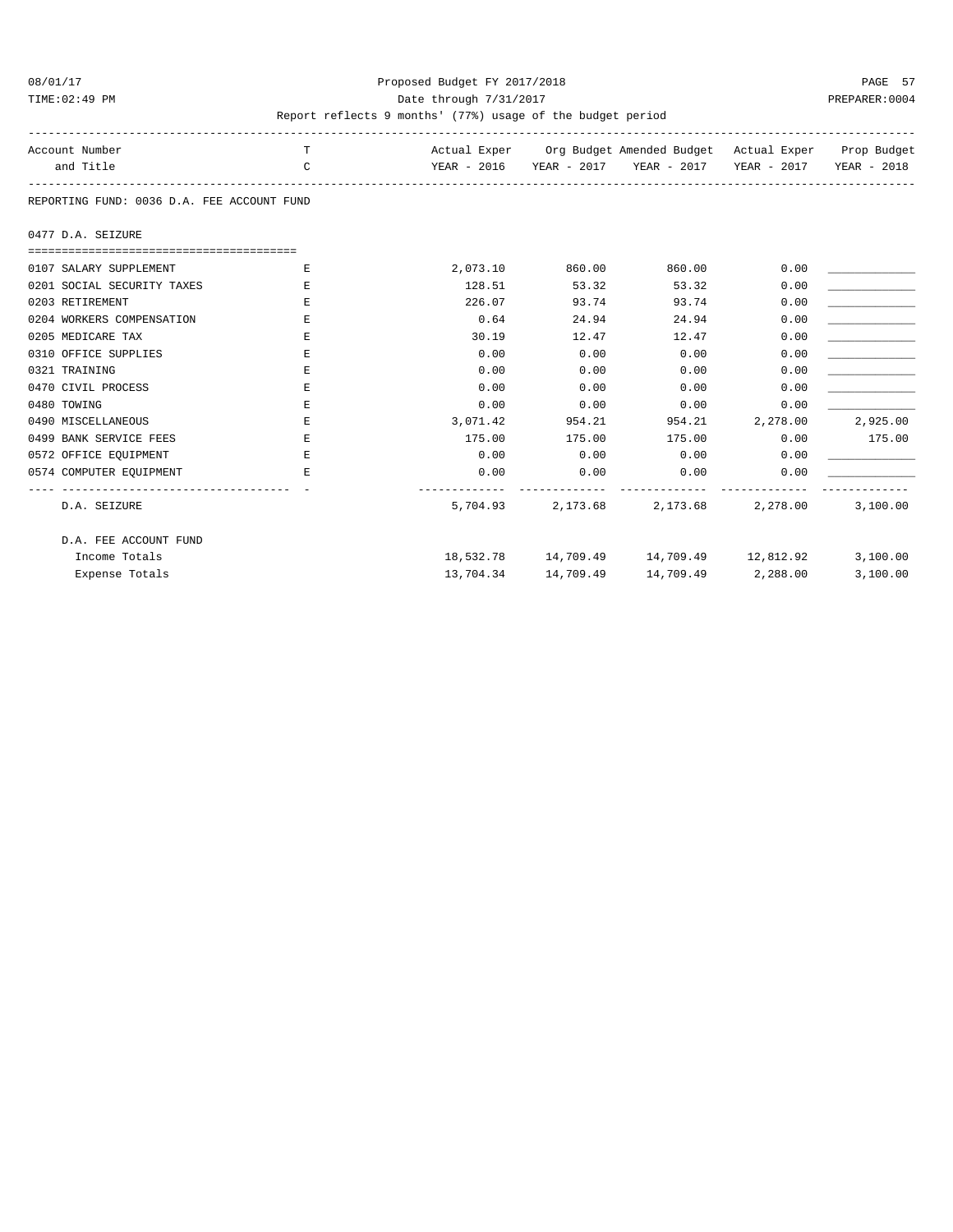#### 08/01/17 Proposed Budget FY 2017/2018 PAGE 57 TIME:02:49 PM PREPARER:0004 Date through 7/31/2017 PREPARER:0004

| Account Number                             | T             |          |                     | Actual Exper Org Budget Amended Budget Actual Exper Prop Budget |                    |             |
|--------------------------------------------|---------------|----------|---------------------|-----------------------------------------------------------------|--------------------|-------------|
| and Title                                  | $\mathcal{C}$ |          |                     | YEAR - 2016 YEAR - 2017 YEAR - 2017 YEAR - 2017                 |                    | YEAR - 2018 |
|                                            |               |          |                     |                                                                 |                    |             |
| REPORTING FUND: 0036 D.A. FEE ACCOUNT FUND |               |          |                     |                                                                 |                    |             |
| 0477 D.A. SEIZURE                          |               |          |                     |                                                                 |                    |             |
| ==================================         |               |          |                     |                                                                 |                    |             |
| 0107 SALARY SUPPLEMENT                     | E.            | 2,073.10 | 860.00              | 860.00                                                          | 0.00               |             |
| 0201 SOCIAL SECURITY TAXES                 | Ε             | 128.51   | 53.32               | 53.32                                                           | 0.00               |             |
| 0203 RETIREMENT                            | E             | 226.07   | 93.74               | 93.74                                                           | 0.00               |             |
| 0204 WORKERS COMPENSATION                  | F.            | 0.64     | 24.94               | 24.94                                                           | 0.00               |             |
| 0205 MEDICARE TAX                          | Ε             | 30.19    | 12.47               | 12.47                                                           | 0.00               |             |
| 0310 OFFICE SUPPLIES                       | F.            | 0.00     | 0.00                | 0.00                                                            | 0.00               |             |
| 0321 TRAINING                              | E             | 0.00     | 0.00                | 0.00                                                            | 0.00               |             |
| 0470 CIVIL PROCESS                         | E             | 0.00     | 0.00                | 0.00                                                            | 0.00               |             |
| 0480 TOWING                                | E             | 0.00     | 0.00                | 0.00                                                            | 0.00               |             |
| 0490 MISCELLANEOUS                         | E             | 3,071.42 | 954.21              | 954.21                                                          | 2,278.00           | 2,925.00    |
| 0499 BANK SERVICE FEES                     | E.            | 175.00   | 175.00              | 175.00                                                          | 0.00               | 175.00      |
| 0572 OFFICE EQUIPMENT                      | E             | 0.00     | 0.00                | 0.00                                                            | 0.00               |             |
| 0574 COMPUTER EQUIPMENT                    | E.            | 0.00     | 0.00                | 0.00                                                            | 0.00               |             |
| D.A. SEIZURE                               |               | 5,704.93 |                     | 2,173.68 2,173.68 2,278.00                                      |                    | 3,100.00    |
| D.A. FEE ACCOUNT FUND                      |               |          |                     |                                                                 |                    |             |
| Income Totals                              |               |          |                     | $18,532.78$ $14,709.49$ $14,709.49$ $12,812.92$                 |                    | 3,100.00    |
| Expense Totals                             |               |          | 13,704.34 14,709.49 |                                                                 | 14,709.49 2,288.00 | 3,100.00    |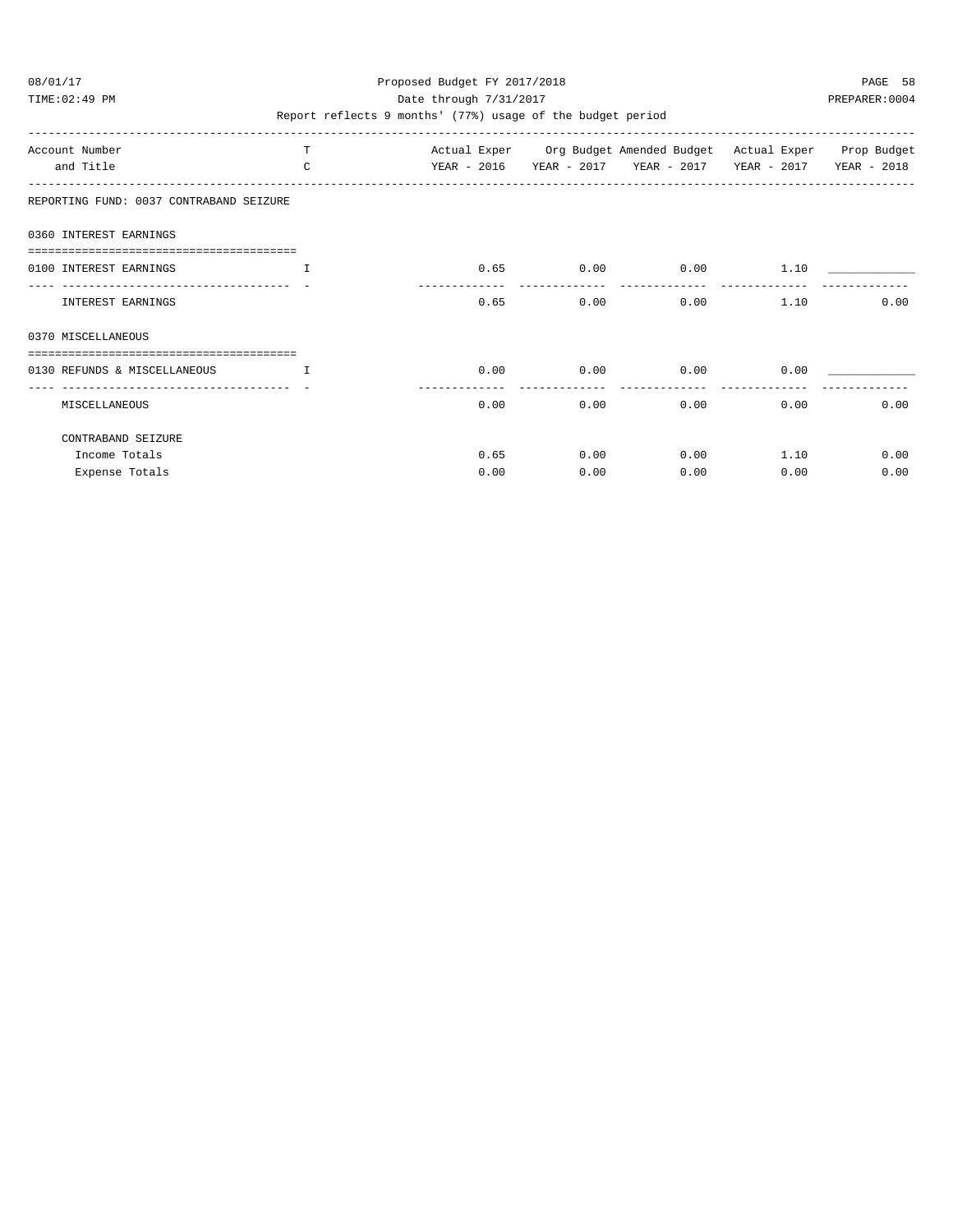TIME:02:49 PM PREPARER:0004 Date through 7/31/2017 PREPARER:0004

| Account Number<br>and Title                              | T.<br>$\Gamma$ | YEAR - 2016 |      |      | YEAR - 2017 YEAR - 2017 | Actual Exper Org Budget Amended Budget Actual Exper Prop Budget<br>YEAR - 2017 | YEAR - 2018 |
|----------------------------------------------------------|----------------|-------------|------|------|-------------------------|--------------------------------------------------------------------------------|-------------|
| REPORTING FUND: 0037 CONTRABAND SEIZURE                  |                |             |      |      |                         |                                                                                |             |
| 0360 INTEREST EARNINGS                                   |                |             |      |      |                         |                                                                                |             |
| 0100 INTEREST EARNINGS<br>------------------------------ | T              |             | 0.65 | 0.00 | 0.00                    | 1.10                                                                           |             |
| <b>INTEREST EARNINGS</b>                                 |                |             | 0.65 | 0.00 | 0.00                    | 1.10                                                                           | 0.00        |
| 0370 MISCELLANEOUS                                       |                |             |      |      |                         |                                                                                |             |
| 0130 REFUNDS & MISCELLANEOUS                             | $\mathbf{I}$   |             | 0.00 | 0.00 | 0.00                    | 0.00                                                                           |             |
| MISCELLANEOUS                                            |                |             | 0.00 | 0.00 | 0.00                    | 0.00                                                                           | 0.00        |
| CONTRABAND SEIZURE                                       |                |             |      |      |                         |                                                                                |             |
| Income Totals                                            |                |             | 0.65 | 0.00 | 0.00                    | 1.10                                                                           | 0.00        |
| Expense Totals                                           |                |             | 0.00 | 0.00 | 0.00                    | 0.00                                                                           | 0.00        |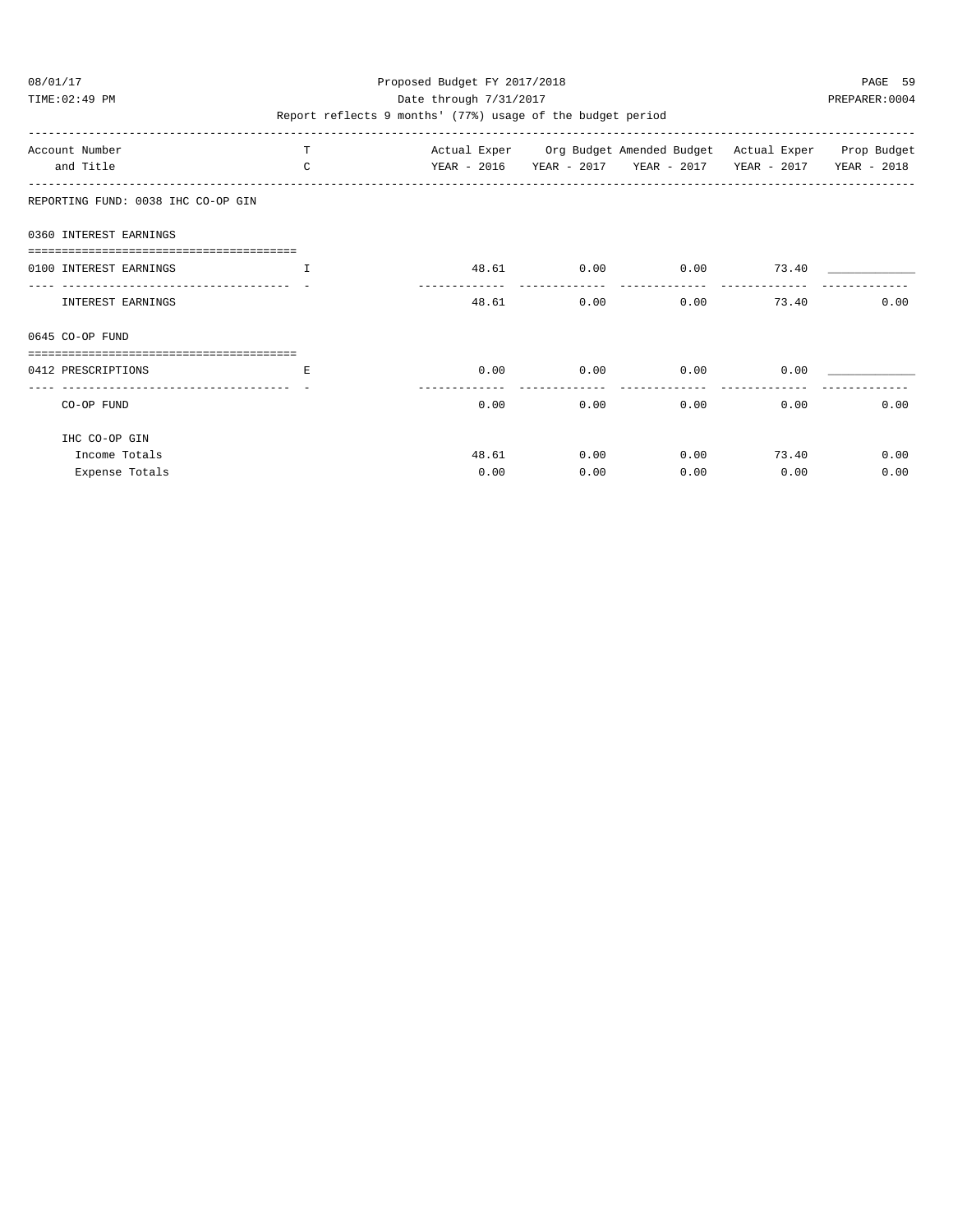TIME:02:49 PM PREPARER:0004 Date through 7/31/2017 PREPARER:0004

| Account Number                     | т            |             |            | Actual Exper Org Budget Amended Budget Actual Exper Prop Budget |       |             |
|------------------------------------|--------------|-------------|------------|-----------------------------------------------------------------|-------|-------------|
| and Title                          | $\mathsf{C}$ | YEAR - 2016 |            | YEAR - 2017 YEAR - 2017 YEAR - 2017                             |       | YEAR - 2018 |
| REPORTING FUND: 0038 IHC CO-OP GIN |              |             |            |                                                                 |       |             |
| 0360 INTEREST EARNINGS             |              |             |            |                                                                 |       |             |
|                                    |              |             |            |                                                                 |       |             |
| 0100 INTEREST EARNINGS             | $\mathbf{I}$ |             | 48.61 0.00 | 0.00                                                            | 73.40 |             |
| INTEREST EARNINGS                  |              | 48.61       | 0.00       | 0.00                                                            | 73.40 | 0.00        |
| 0645 CO-OP FUND                    |              |             |            |                                                                 |       |             |
|                                    |              |             |            |                                                                 |       |             |
| 0412 PRESCRIPTIONS                 | Е            | 0.00        | 0.00       | 0.00                                                            | 0.00  |             |
| CO-OP FUND                         |              | 0.00        | 0.00       | 0.00                                                            | 0.00  | 0.00        |
| IHC CO-OP GIN                      |              |             |            |                                                                 |       |             |
| Income Totals                      |              | 48.61       | 0.00       | 0.00                                                            | 73.40 | 0.00        |
| Expense Totals                     |              | 0.00        | 0.00       | 0.00                                                            | 0.00  | 0.00        |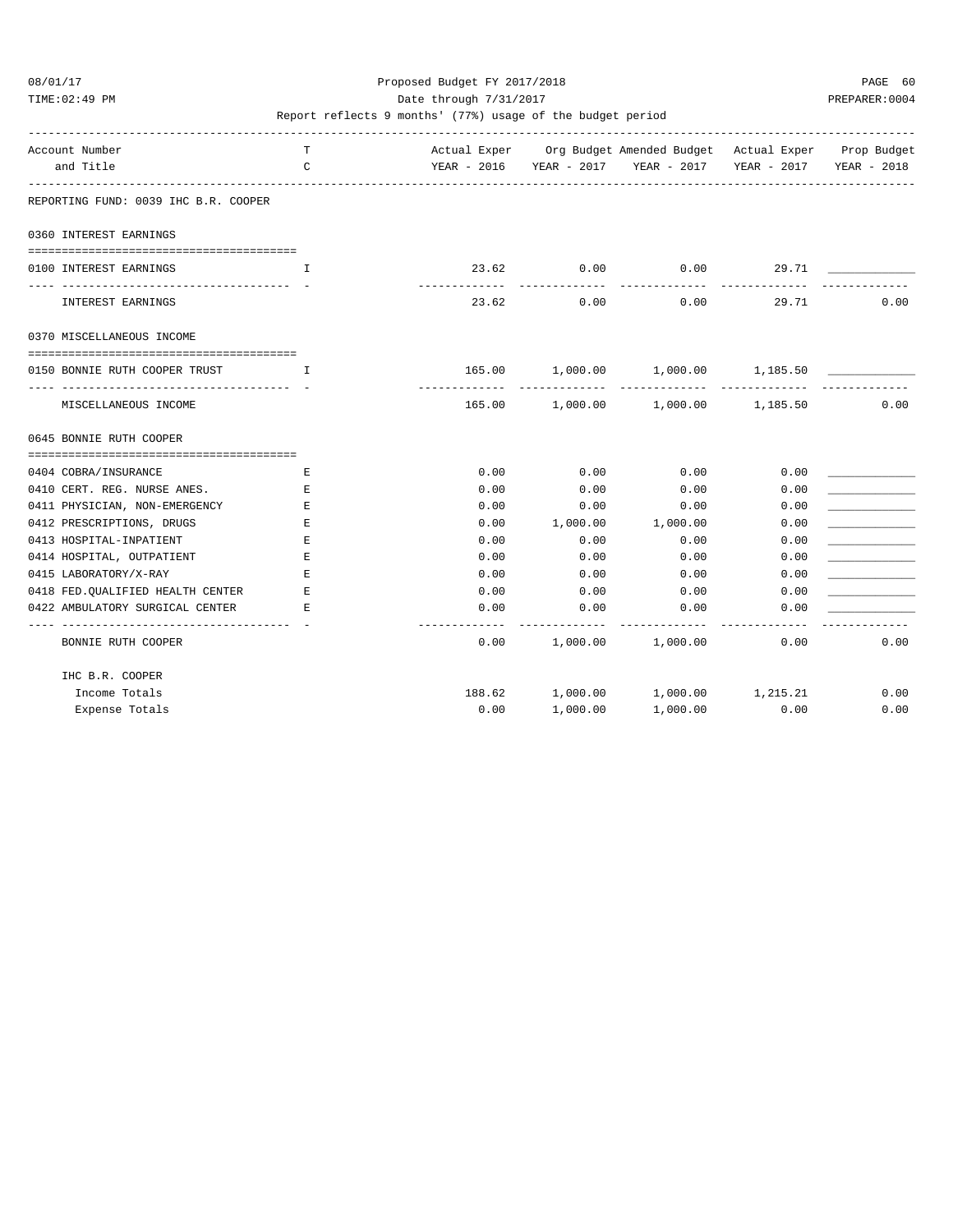TIME:02:49 PM PREPARER:0004 Date through 7/31/2017 PREPARER:0004

| Account Number                                                          | T            |                      |                    | Actual Exper Org Budget Amended Budget Actual Exper Prop Budget |                         |      |
|-------------------------------------------------------------------------|--------------|----------------------|--------------------|-----------------------------------------------------------------|-------------------------|------|
| and Title                                                               | $\mathsf{C}$ |                      |                    | YEAR - 2016 YEAR - 2017 YEAR - 2017                             | YEAR - 2017 YEAR - 2018 |      |
| REPORTING FUND: 0039 IHC B.R. COOPER                                    |              |                      |                    |                                                                 |                         |      |
| 0360 INTEREST EARNINGS                                                  |              |                      |                    |                                                                 |                         |      |
|                                                                         |              |                      |                    |                                                                 |                         |      |
| 0100 INTEREST EARNINGS                                                  | T.           | 23.62<br>----------- | 0.00<br>---------- | 0.00<br>-----------                                             | 29.71                   |      |
| INTEREST EARNINGS                                                       |              | 23.62                | 0.00               | 0.00                                                            | 29.71                   | 0.00 |
| 0370 MISCELLANEOUS INCOME                                               |              |                      |                    |                                                                 |                         |      |
| ======================================<br>0150 BONNIE RUTH COOPER TRUST | $\mathbf{T}$ |                      |                    | 165.00 1,000.00 1,000.00 1,185.50                               |                         |      |
| MISCELLANEOUS INCOME                                                    |              |                      |                    | -------------<br>165.00 1,000.00 1,000.00 1,185.50              |                         | 0.00 |
| 0645 BONNIE RUTH COOPER                                                 |              |                      |                    |                                                                 |                         |      |
|                                                                         |              |                      |                    |                                                                 |                         |      |
| 0404 COBRA/INSURANCE                                                    | E            | 0.00                 | 0.00               | 0.00                                                            | 0.00                    |      |
| 0410 CERT. REG. NURSE ANES.                                             | Е            | 0.00                 | 0.00               | 0.00                                                            | 0.00                    |      |
| 0411 PHYSICIAN, NON-EMERGENCY                                           | Ε            | 0.00                 | 0.00               | 0.00                                                            | 0.00                    |      |
| 0412 PRESCRIPTIONS, DRUGS                                               | F.           | 0.00                 | 1,000.00           | 1,000.00                                                        | 0.00                    |      |
| 0413 HOSPITAL-INPATIENT                                                 | Ε            | 0.00                 | 0.00               | 0.00                                                            | 0.00                    |      |
| 0414 HOSPITAL, OUTPATIENT                                               | E.           | 0.00                 | 0.00               | 0.00                                                            | 0.00                    |      |
| 0415 LABORATORY/X-RAY                                                   | E            | 0.00                 | 0.00               | 0.00                                                            | 0.00                    |      |
| 0418 FED. QUALIFIED HEALTH CENTER                                       | E            | 0.00                 | 0.00               | 0.00                                                            | 0.00                    |      |
| 0422 AMBULATORY SURGICAL CENTER                                         | Е            | 0.00                 | 0.00               | 0.00                                                            | 0.00                    |      |
| BONNIE RUTH COOPER                                                      |              | ----------<br>0.00   |                    | 1,000.00 1,000.00                                               | 0.00                    | 0.00 |
| IHC B.R. COOPER                                                         |              |                      |                    |                                                                 |                         |      |
| Income Totals                                                           |              | 188.62               |                    | 1,000.00  1,000.00  1,215.21                                    |                         | 0.00 |
| Expense Totals                                                          |              | 0.00                 | 1,000.00           | 1,000.00                                                        | 0.00                    | 0.00 |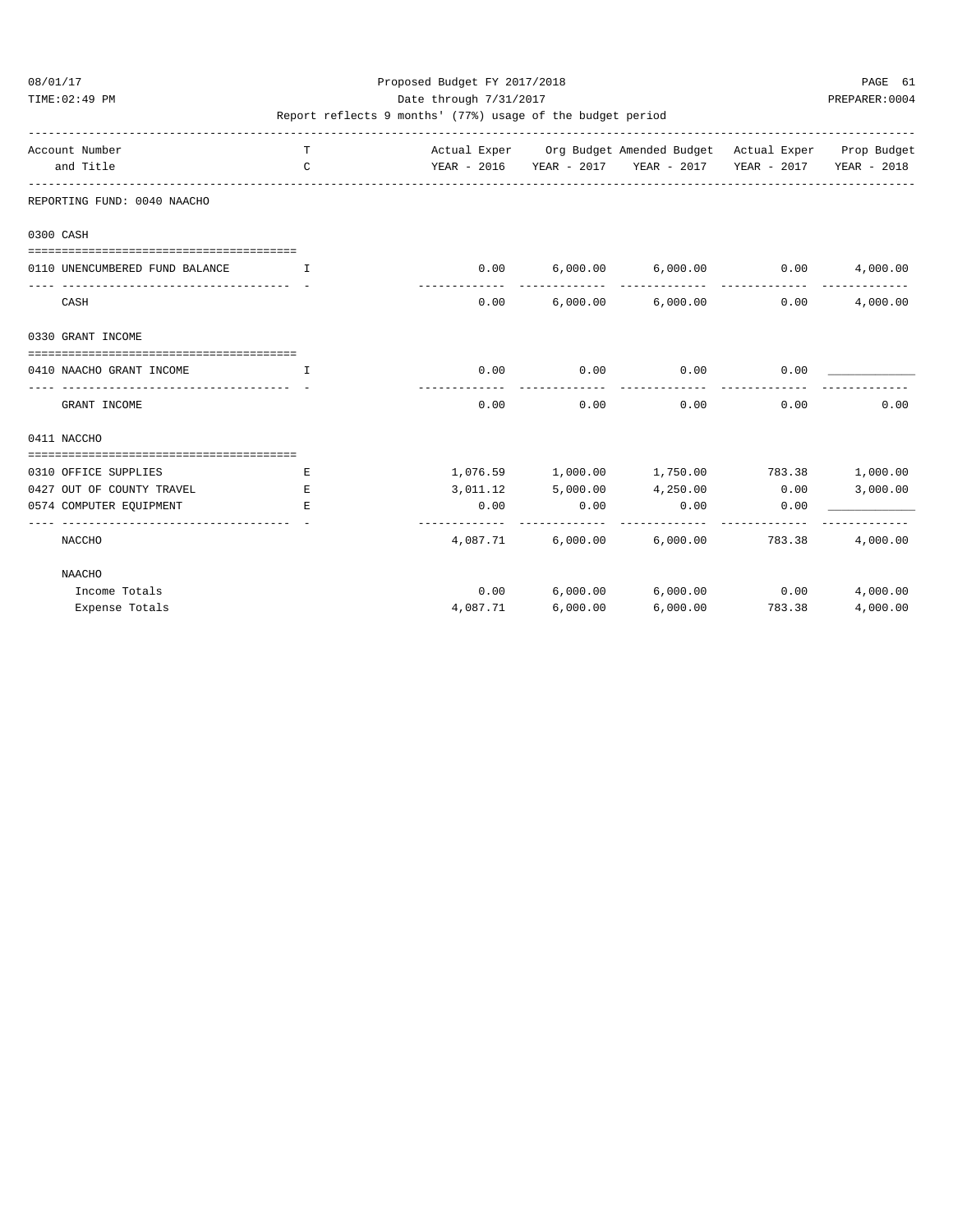TIME:02:49 PM PREPARER:0004 Date through 7/31/2017 PREPARER:0004

| Account Number<br>and Title        | T<br>$\mathsf{C}$ |          | Actual Exper Org Budget Amended Budget Actual Exper Prop Budget<br>YEAR - 2016 YEAR - 2017 YEAR - 2017 YEAR - 2017 YEAR - 2018 |                     |                 |          |
|------------------------------------|-------------------|----------|--------------------------------------------------------------------------------------------------------------------------------|---------------------|-----------------|----------|
| REPORTING FUND: 0040 NAACHO        |                   |          |                                                                                                                                |                     |                 |          |
| 0300 CASH                          |                   |          |                                                                                                                                |                     |                 |          |
|                                    |                   |          |                                                                                                                                |                     |                 |          |
| 0110 UNENCUMBERED FUND BALANCE     | T                 |          | $0.00$ 6,000.00 6,000.00 0.00                                                                                                  |                     |                 | 4,000.00 |
| CASH                               |                   |          | $0.00$ 6,000.00 6,000.00 0.00                                                                                                  |                     | -------------   | 4,000.00 |
| 0330 GRANT INCOME                  |                   |          |                                                                                                                                |                     |                 |          |
|                                    |                   |          |                                                                                                                                |                     |                 |          |
| 0410 NAACHO GRANT INCOME           | T                 |          | $0.00$ 0.00                                                                                                                    | $0.00$ 0.00         |                 |          |
| GRANT INCOME                       |                   | 0.00     | ----------<br>0.00                                                                                                             | -----------<br>0.00 | 0.00            | 0.00     |
| 0411 NACCHO                        |                   |          |                                                                                                                                |                     |                 |          |
| ---------------------------------- |                   |          |                                                                                                                                |                     |                 |          |
| 0310 OFFICE SUPPLIES               | Е                 |          | $1,076.59$ $1,000.00$ $1,750.00$ $783.38$ $1,000.00$                                                                           |                     |                 |          |
| 0427 OUT OF COUNTY TRAVEL          | E.                |          | $3,011.12$ $5,000.00$ $4,250.00$ $0.00$                                                                                        |                     |                 | 3,000.00 |
| 0574 COMPUTER EOUIPMENT            | E.                | 0.00     | 0.00                                                                                                                           | 0.00                | 0.00            |          |
|                                    |                   |          |                                                                                                                                |                     |                 |          |
| NACCHO                             |                   |          | $4,087.71$ 6,000.00 6,000.00 783.38                                                                                            |                     |                 | 4,000.00 |
| NAACHO                             |                   |          |                                                                                                                                |                     |                 |          |
| Income Totals                      |                   |          | $0.00$ $6,000.00$ $6,000.00$ $0.00$                                                                                            |                     |                 | 4,000.00 |
| Expense Totals                     |                   | 4,087.71 | 6,000.00                                                                                                                       |                     | 6,000.00 783.38 | 4,000.00 |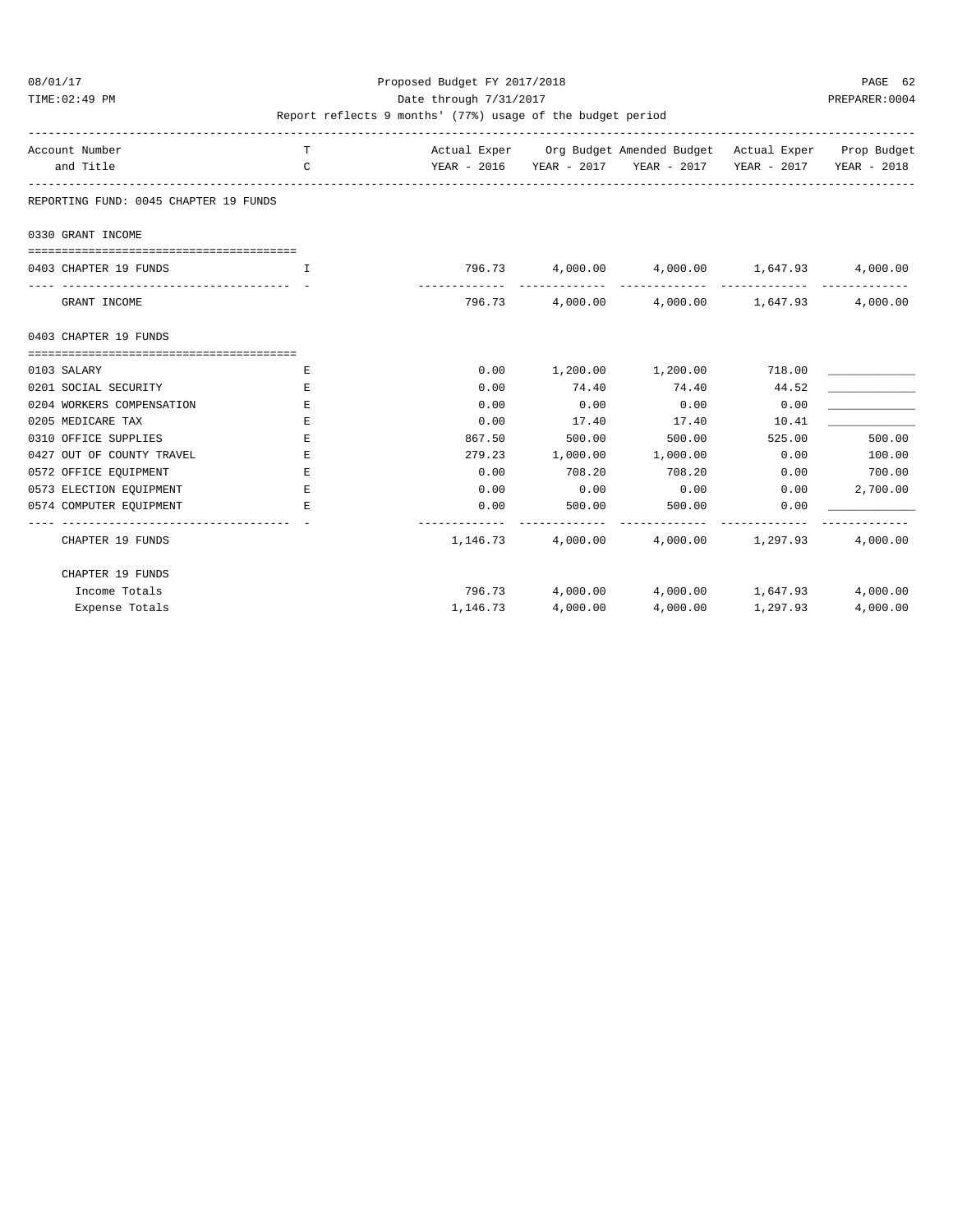#### 08/01/17 Proposed Budget FY 2017/2018 PAGE 62 TIME:02:49 PM PREPARER:0004 Date through 7/31/2017 PREPARER:0004

| Account Number<br>and Title                          | T.<br>C      |          |                       | Actual Exper Org Budget Amended Budget Actual Exper Prop Budget<br>YEAR - 2016 YEAR - 2017 YEAR - 2017 YEAR - 2017 YEAR - 2018 |                |          |
|------------------------------------------------------|--------------|----------|-----------------------|--------------------------------------------------------------------------------------------------------------------------------|----------------|----------|
| REPORTING FUND: 0045 CHAPTER 19 FUNDS                |              |          |                       |                                                                                                                                |                |          |
| 0330 GRANT INCOME                                    |              |          |                       |                                                                                                                                |                |          |
|                                                      |              |          |                       |                                                                                                                                |                |          |
| 0403 CHAPTER 19 FUNDS                                | $\mathbf{L}$ |          |                       | $796.73$ 4,000.00 4,000.00 1,647.93                                                                                            |                | 4,000.00 |
| ____________________________________<br>GRANT INCOME |              |          |                       | 796.73 4,000.00 4,000.00 1,647.93                                                                                              | -------------- | 4,000.00 |
| 0403 CHAPTER 19 FUNDS                                |              |          |                       |                                                                                                                                |                |          |
|                                                      |              |          |                       |                                                                                                                                |                |          |
| 0103 SALARY                                          | E.           | 0.00     |                       | $1,200.00$ $1,200.00$                                                                                                          | 718.00         |          |
| 0201 SOCIAL SECURITY                                 | Е            | 0.00     | 74.40                 | 74.40                                                                                                                          | 44.52          |          |
| 0204 WORKERS COMPENSATION                            | Е.           | 0.00     | 0.00                  | 0.00                                                                                                                           | 0.00           |          |
| 0205 MEDICARE TAX                                    | E            | 0.00     | 17.40                 | 17.40                                                                                                                          | 10.41          |          |
| 0310 OFFICE SUPPLIES                                 | E.           | 867.50   | 500.00                | 500.00                                                                                                                         | 525.00         | 500.00   |
| 0427 OUT OF COUNTY TRAVEL                            | Е            | 279.23   | $1,000.00$ $1,000.00$ |                                                                                                                                | 0.00           | 100.00   |
| 0572 OFFICE EQUIPMENT                                | E.           | 0.00     | 708.20                | 708.20                                                                                                                         | 0.00           | 700.00   |
| 0573 ELECTION EQUIPMENT                              | Е            | 0.00     | 0.00                  | 0.00                                                                                                                           | 0.00           | 2,700.00 |
| 0574 COMPUTER EQUIPMENT                              | Е            | 0.00     | 500.00                | 500.00                                                                                                                         | 0.00           |          |
|                                                      |              |          |                       |                                                                                                                                |                |          |
| CHAPTER 19 FUNDS                                     |              |          |                       | $1,146.73$ $4,000.00$ $4,000.00$ $1,297.93$                                                                                    |                | 4,000.00 |
| CHAPTER 19 FUNDS                                     |              |          |                       |                                                                                                                                |                |          |
| Income Totals                                        |              |          |                       | 796.73 4,000.00 4,000.00 1,647.93                                                                                              |                | 4,000.00 |
| Expense Totals                                       |              | 1,146.73 | 4,000.00              | 4,000.00 1,297.93                                                                                                              |                | 4,000.00 |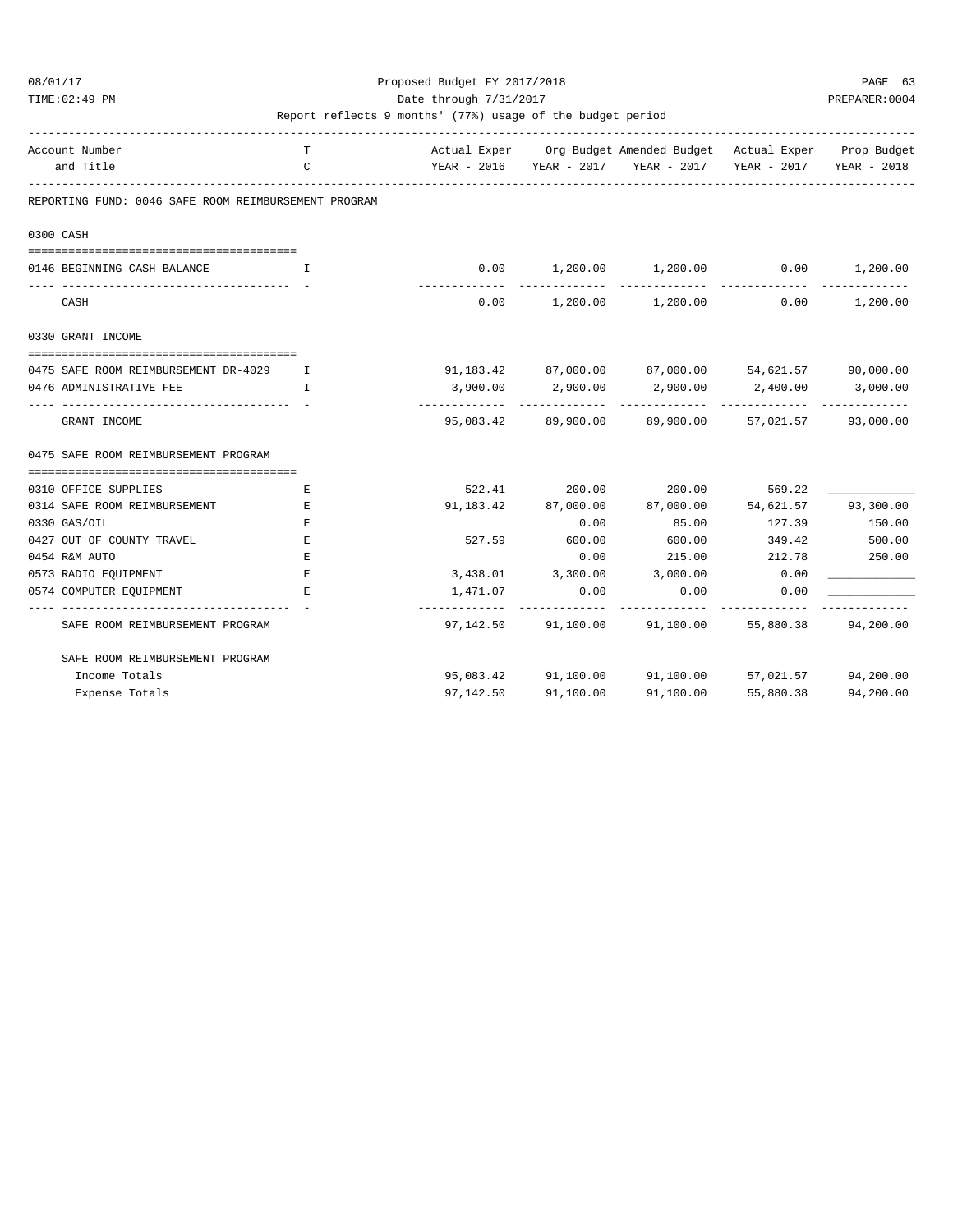### 08/01/17 Proposed Budget FY 2017/2018 PAGE 63 TIME:02:49 PM PREPARER:0004 Date through 7/31/2017 PREPARER:0004

| Account Number                                       | т            |            |                     | Actual Exper Org Budget Amended Budget Actual Exper Prop Budget |               |           |
|------------------------------------------------------|--------------|------------|---------------------|-----------------------------------------------------------------|---------------|-----------|
| and Title                                            | $\mathsf{C}$ |            |                     | YEAR - 2016 YEAR - 2017 YEAR - 2017 YEAR - 2017 YEAR - 2018     |               |           |
| REPORTING FUND: 0046 SAFE ROOM REIMBURSEMENT PROGRAM |              |            |                     |                                                                 |               |           |
| 0300 CASH                                            |              |            |                     |                                                                 |               |           |
| 0146 BEGINNING CASH BALANCE                          | I            | 0.00       |                     | $1,200.00$ $1,200.00$ $0.00$ $1,200.00$                         |               |           |
| CASH                                                 |              |            |                     | $0.00$ 1,200.00 1,200.00                                        | 0.00          | 1,200.00  |
| 0330 GRANT INCOME                                    |              |            |                     |                                                                 |               |           |
| 0475 SAFE ROOM REIMBURSEMENT DR-4029                 | I.           |            |                     | $91,183.42$ $87,000.00$ $87,000.00$ $54,621.57$ $90,000.00$     |               |           |
| 0476 ADMINISTRATIVE FEE                              | $\mathbf{T}$ | 3,900.00   | 2,900.00            | 2,900.00                                                        | 2,400.00      | 3,000.00  |
| GRANT INCOME                                         |              | ---------- |                     | 95,083.42 89,900.00 89,900.00 57,021.57 93,000.00               | ------------- |           |
| 0475 SAFE ROOM REIMBURSEMENT PROGRAM                 |              |            |                     |                                                                 |               |           |
| 0310 OFFICE SUPPLIES                                 | Ε            |            |                     | 522.41 200.00 200.00                                            | 569.22        |           |
| 0314 SAFE ROOM REIMBURSEMENT                         | Е            |            | 91,183.42 87,000.00 | 87,000.00 54,621.57 93,300.00                                   |               |           |
| 0330 GAS/OIL                                         | Ε            |            | 0.00                | 85.00                                                           | 127.39        | 150.00    |
| 0427 OUT OF COUNTY TRAVEL                            | $\mathbf E$  |            | 527.59 600.00       | 600.00                                                          | 349.42        | 500.00    |
| 0454 R&M AUTO                                        | $\mathbf E$  |            | 0.00                | 215.00                                                          | 212.78        | 250.00    |
| 0573 RADIO EQUIPMENT                                 | E            |            |                     | 3,438.01 3,300.00 3,000.00                                      | 0.00          |           |
| 0574 COMPUTER EQUIPMENT                              | F.           | 1,471.07   | 0.00                | 0.00                                                            | 0.00          |           |
| SAFE ROOM REIMBURSEMENT PROGRAM                      |              |            |                     | 97,142.50 91,100.00 91,100.00 55,880.38 94,200.00               |               |           |
| SAFE ROOM REIMBURSEMENT PROGRAM                      |              |            |                     |                                                                 |               |           |
| Income Totals                                        |              |            |                     | 95,083.42 91,100.00 91,100.00 57,021.57 94,200.00               |               |           |
| Expense Totals                                       |              | 97,142.50  | 91,100.00           | 91,100.00                                                       | 55,880.38     | 94,200.00 |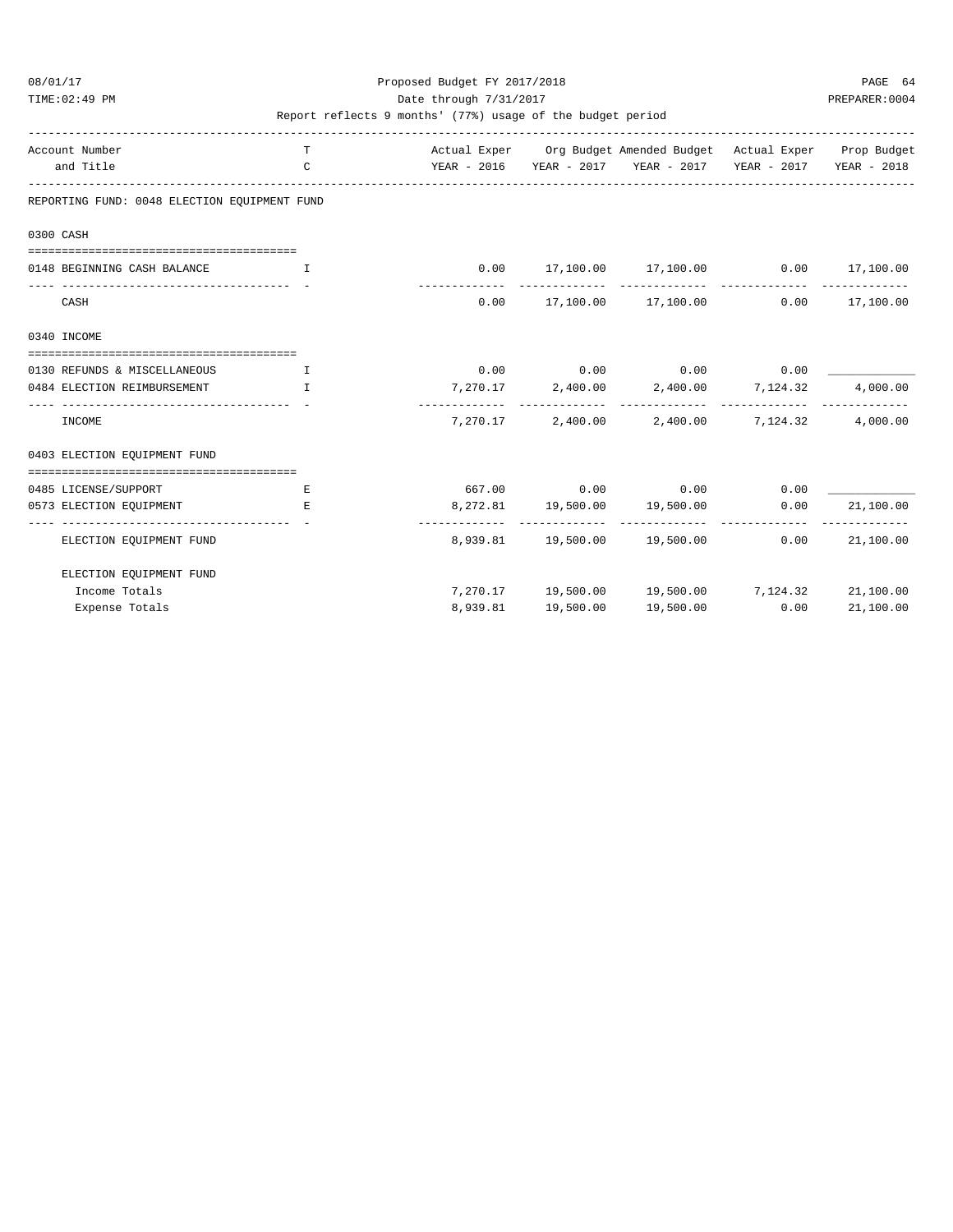### 08/01/17 Proposed Budget FY 2017/2018 PAGE 64 TIME:02:49 PM PREPARER:0004 Date through 7/31/2017 PREPARER:0004

| Account Number<br>and Title                  | T<br>$\mathsf{C}$ |          |           | Actual Exper Org Budget Amended Budget Actual Exper Prop Budget<br>YEAR - 2016 YEAR - 2017 YEAR - 2017 YEAR - 2017 YEAR - 2018 |      |           |
|----------------------------------------------|-------------------|----------|-----------|--------------------------------------------------------------------------------------------------------------------------------|------|-----------|
| REPORTING FUND: 0048 ELECTION EQUIPMENT FUND |                   |          |           |                                                                                                                                |      |           |
| 0300 CASH                                    |                   |          |           |                                                                                                                                |      |           |
|                                              |                   |          |           |                                                                                                                                |      |           |
| 0148 BEGINNING CASH BALANCE                  | $\mathbf{I}$      |          |           | $0.00$ 17,100.00 17,100.00 0.00 17,100.00                                                                                      |      |           |
| CASH                                         |                   |          |           | $0.00$ 17,100.00 17,100.00 0.00 17,100.00                                                                                      |      |           |
| 0340 INCOME                                  |                   |          |           |                                                                                                                                |      |           |
|                                              |                   |          |           |                                                                                                                                |      |           |
| 0130 REFUNDS & MISCELLANEOUS                 | $\mathbf{T}$      |          |           | $0.00$ $0.00$ $0.00$ $0.00$ $0.00$                                                                                             |      |           |
| 0484 ELECTION REIMBURSEMENT                  | $\mathbf{I}$      |          |           | 7,270.17 2,400.00 2,400.00 7,124.32                                                                                            |      | 4,000.00  |
| INCOME                                       |                   |          |           | 7,270.17 2,400.00 2,400.00 7,124.32 4,000.00                                                                                   |      |           |
| 0403 ELECTION EQUIPMENT FUND                 |                   |          |           |                                                                                                                                |      |           |
| 0485 LICENSE/SUPPORT                         | Е                 |          |           | $667.00$ 0.00 0.00 0.00 0.00                                                                                                   |      |           |
| 0573 ELECTION EOUIPMENT                      | E.                |          |           | 8, 272.81    19, 500.00    19, 500.00    0.00                                                                                  |      | 21,100.00 |
| ELECTION EQUIPMENT FUND                      |                   |          |           | 8,939.81  19,500.00  19,500.00  0.00  21,100.00                                                                                |      |           |
| ELECTION EQUIPMENT FUND                      |                   |          |           |                                                                                                                                |      |           |
| Income Totals                                |                   |          |           | 7,270.17 19,500.00 19,500.00 7,124.32 21,100.00                                                                                |      |           |
| Expense Totals                               |                   | 8,939.81 | 19,500.00 | 19,500.00                                                                                                                      | 0.00 | 21,100.00 |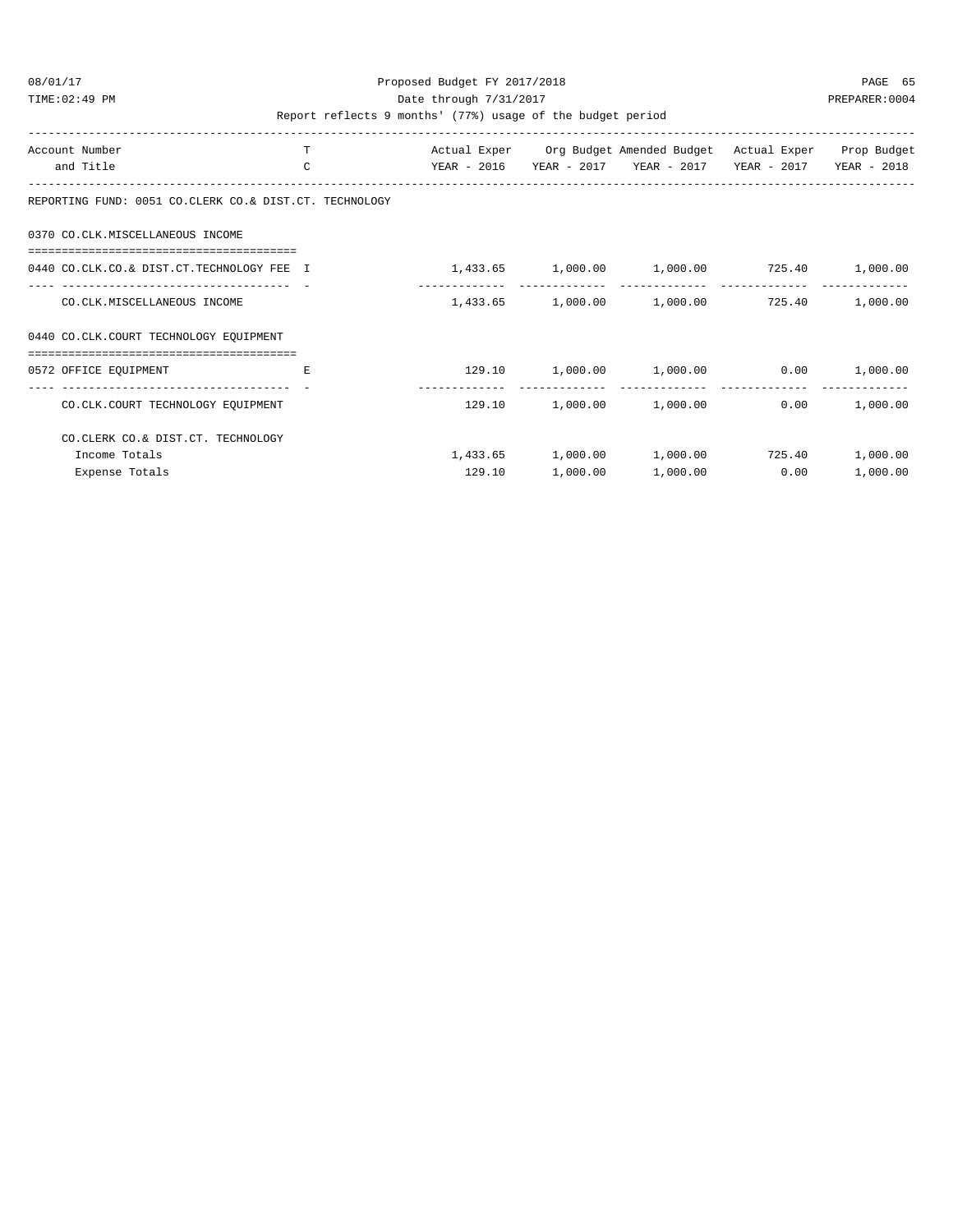### 08/01/17 Proposed Budget FY 2017/2018 PAGE 65 TIME:02:49 PM PREPARER:0004 Date through 7/31/2017 PREPARER:0004

| Account Number<br>and Title                                           | т<br>$\mathsf{C}$ | YEAR - 2016 |          | Actual Exper Org Budget Amended Budget Actual Exper Prop Budget<br>YEAR - 2017 YEAR - 2017 | YEAR - 2017 | YEAR - 2018 |
|-----------------------------------------------------------------------|-------------------|-------------|----------|--------------------------------------------------------------------------------------------|-------------|-------------|
| REPORTING FUND: 0051 CO.CLERK CO.& DIST.CT. TECHNOLOGY                |                   |             |          |                                                                                            |             |             |
| 0370 CO.CLK.MISCELLANEOUS INCOME                                      |                   |             |          |                                                                                            |             |             |
| 0440 CO.CLK.CO.& DIST.CT.TECHNOLOGY FEE I                             |                   |             |          | $1,433.65$ $1,000.00$ $1,000.00$ $725.40$                                                  |             | 1,000.00    |
| CO.CLK.MISCELLANEOUS INCOME                                           |                   |             |          | $1,433.65$ $1,000.00$ $1,000.00$ $725.40$                                                  |             | 1,000.00    |
| 0440 CO.CLK.COURT TECHNOLOGY EQUIPMENT                                |                   |             |          |                                                                                            |             |             |
| 0572 OFFICE EQUIPMENT                                                 | E.                |             |          | $129.10$ $1,000.00$ $1,000.00$ $0.00$                                                      |             | 1,000.00    |
| --------------------------------<br>CO.CLK.COURT TECHNOLOGY EQUIPMENT |                   |             |          | $129.10$ $1,000.00$ $1,000.00$                                                             | 0.00        | 1,000.00    |
| CO. CLERK CO.& DIST. CT. TECHNOLOGY                                   |                   |             |          |                                                                                            |             |             |
| Income Totals                                                         |                   |             |          | $1,433.65$ $1,000.00$ $1,000.00$ $725.40$                                                  |             | 1,000.00    |
| Expense Totals                                                        |                   | 129.10      | 1,000.00 | 1,000.00                                                                                   | 0.00        | 1,000.00    |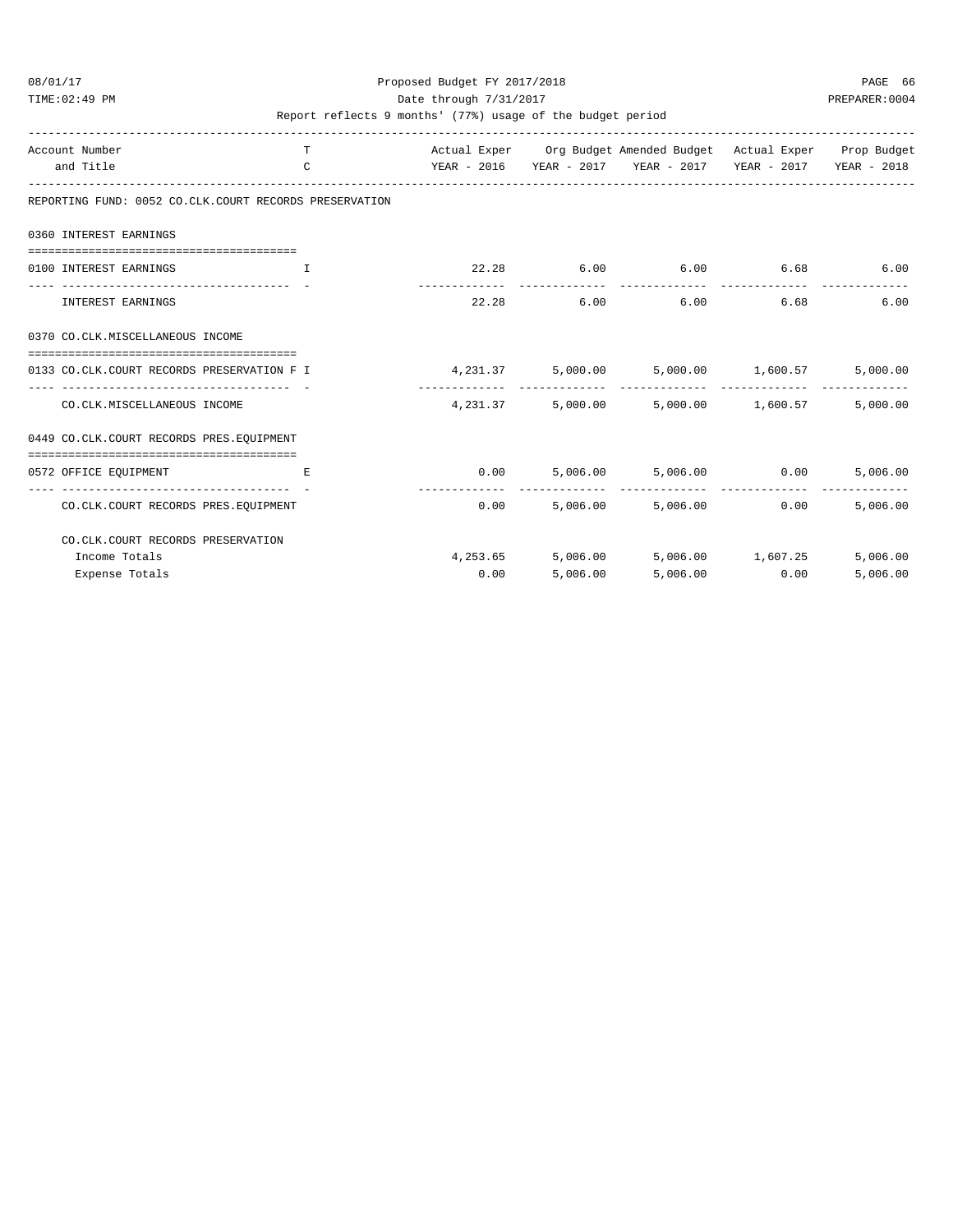### 08/01/17 Proposed Budget FY 2017/2018 PAGE 66 TIME:02:49 PM PREPARER:0004 Date through 7/31/2017 PREPARER:0004

| Account Number<br>and Title                                      | T.<br>$\mathcal{C}$ |       |          | Actual Exper Org Budget Amended Budget Actual Exper Prop Budget |               |          |
|------------------------------------------------------------------|---------------------|-------|----------|-----------------------------------------------------------------|---------------|----------|
| REPORTING FUND: 0052 CO.CLK.COURT RECORDS PRESERVATION           |                     |       |          |                                                                 |               |          |
| 0360 INTEREST EARNINGS                                           |                     |       |          |                                                                 |               |          |
| ----------------------------------                               |                     |       |          |                                                                 |               |          |
| 0100 INTEREST EARNINGS<br>and the contract of the Table of Table |                     |       |          | $22.28$ 6.00 6.00 6.68                                          |               | 6.00     |
| INTEREST EARNINGS                                                |                     | 22.28 |          | $6.00$ $6.00$                                                   | 6.68          | 6.00     |
| 0370 CO.CLK.MISCELLANEOUS INCOME                                 |                     |       |          |                                                                 |               |          |
| 0133 CO.CLK.COURT RECORDS PRESERVATION F I                       |                     |       |          | $4,231.37$ $5,000.00$ $5,000.00$ $1,600.57$                     |               | 5,000.00 |
| CO.CLK.MISCELLANEOUS INCOME                                      |                     |       |          | $4,231.37$ $5,000.00$ $5,000.00$ $1,600.57$                     |               | 5,000.00 |
| 0449 CO.CLK.COURT RECORDS PRES.EOUIPMENT                         |                     |       |          |                                                                 |               |          |
| -----------------------------------<br>0572 OFFICE EQUIPMENT     | E.                  |       |          | $0.00$ 5,006.00 5,006.00 0.00                                   |               | 5,006.00 |
| CO. CLK. COURT RECORDS PRES. EQUIPMENT                           |                     | 0.00  |          | -------------- --------------<br>5,006.00 5,006.00              | 0.00          | 5,006.00 |
| CO. CLK. COURT RECORDS PRESERVATION                              |                     |       |          |                                                                 |               |          |
| Income Totals                                                    |                     |       |          | $4,253.65$ $5,006.00$ $5,006.00$ $1,607.25$                     |               | 5,006.00 |
| Expense Totals                                                   |                     | 0.00  | 5,006.00 |                                                                 | 5,006.00 0.00 | 5,006.00 |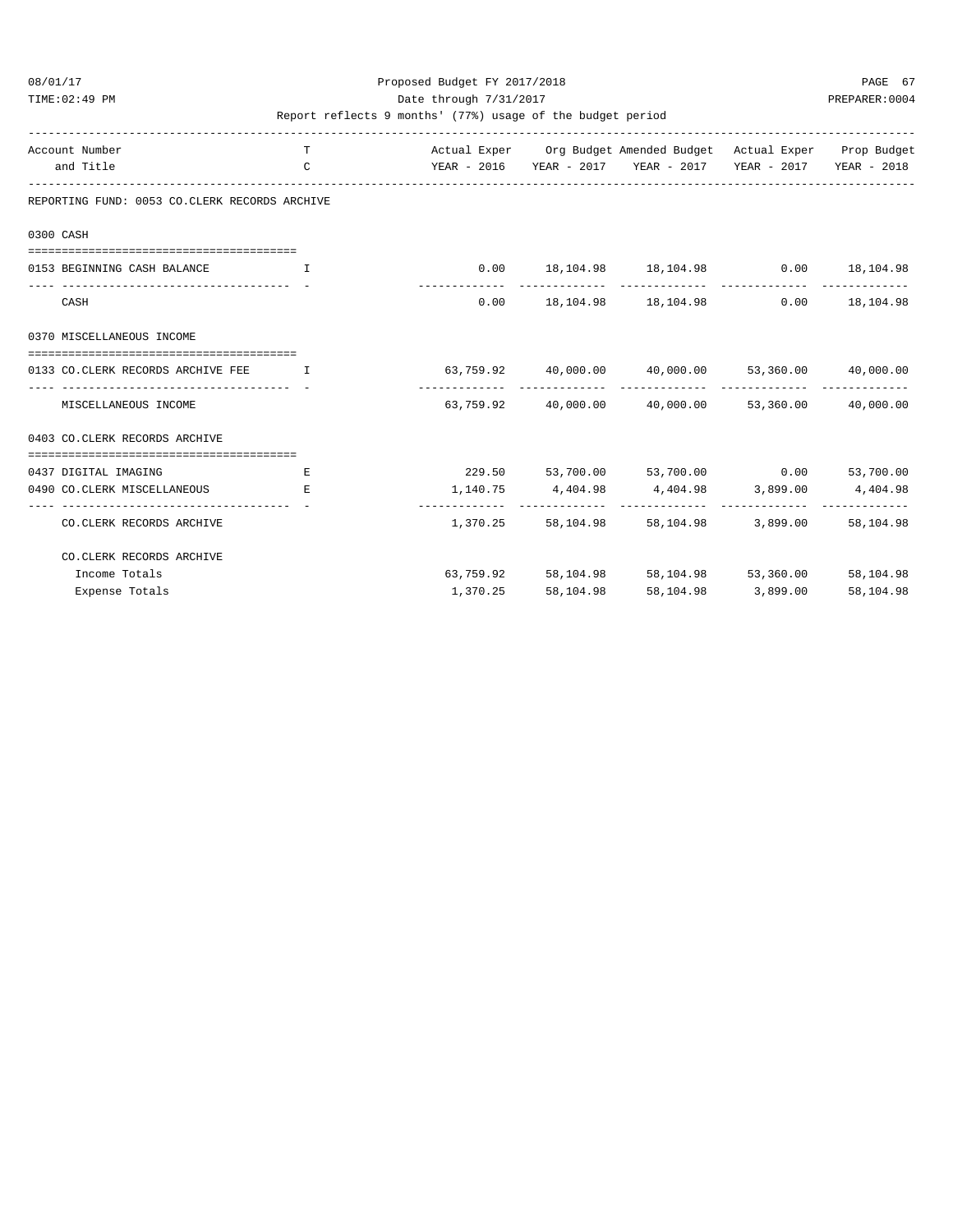#### 08/01/17 Proposed Budget FY 2017/2018 PAGE 67 TIME:02:49 PM PREPARER:0004 Date through 7/31/2017 PREPARER:0004

| Account Number                                            | T            |                                                             |           | Actual Exper Org Budget Amended Budget Actual Exper Prop Budget                                                                                     |                    |                  |
|-----------------------------------------------------------|--------------|-------------------------------------------------------------|-----------|-----------------------------------------------------------------------------------------------------------------------------------------------------|--------------------|------------------|
| and Title                                                 | $\mathsf{C}$ |                                                             |           | YEAR - 2016 YEAR - 2017 YEAR - 2017 YEAR - 2017 YEAR - 2018                                                                                         |                    |                  |
| REPORTING FUND: 0053 CO.CLERK RECORDS ARCHIVE             |              |                                                             |           |                                                                                                                                                     |                    |                  |
| 0300 CASH                                                 |              |                                                             |           |                                                                                                                                                     |                    |                  |
| 0153 BEGINNING CASH BALANCE                               | $\mathbf{I}$ |                                                             |           | $0.00$ 18,104.98 18,104.98 0.00 18,104.98                                                                                                           |                    |                  |
| CASH                                                      |              |                                                             |           | $0.00$ 18, 104.98 18, 104.98                                                                                                                        |                    | $0.00$ 18,104.98 |
| 0370 MISCELLANEOUS INCOME                                 |              |                                                             |           |                                                                                                                                                     |                    |                  |
| 0133 CO.CLERK RECORDS ARCHIVE FEE                         | $\mathbf{I}$ | $63,759.92$ $40,000.00$ $40,000.00$ $53,360.00$ $40,000.00$ |           |                                                                                                                                                     |                    |                  |
| ---------------------------------<br>MISCELLANEOUS INCOME |              |                                                             |           | $63,759.92$ $40,000.00$ $40,000.00$ $53,360.00$ $40,000.00$                                                                                         |                    |                  |
| 0403 CO. CLERK RECORDS ARCHIVE                            |              |                                                             |           |                                                                                                                                                     |                    |                  |
| --------------------------------------                    |              |                                                             |           |                                                                                                                                                     |                    |                  |
| 0437 DIGITAL IMAGING<br>0490 CO. CLERK MISCELLANEOUS      | Е<br>E.      |                                                             |           | 229.50 53,700.00 53,700.00 0.00 53,700.00<br>$1,140.75 \qquad \qquad 4,404.98 \qquad \qquad 4,404.98 \qquad \qquad 3,899.00 \qquad \qquad 4,404.98$ |                    |                  |
|                                                           |              |                                                             |           |                                                                                                                                                     |                    |                  |
| CO. CLERK RECORDS ARCHIVE                                 |              | 1,370.25                                                    |           | 58.104.98 58.104.98 3.899.00                                                                                                                        |                    | 58,104.98        |
| CO. CLERK RECORDS ARCHIVE                                 |              |                                                             |           |                                                                                                                                                     |                    |                  |
| Income Totals                                             |              | 63,759.92                                                   |           | 58, 104.98 58, 104.98 53, 360.00 58, 104.98                                                                                                         |                    |                  |
| Expense Totals                                            |              | 1,370.25                                                    | 58,104.98 |                                                                                                                                                     | 58,104.98 3,899.00 | 58,104.98        |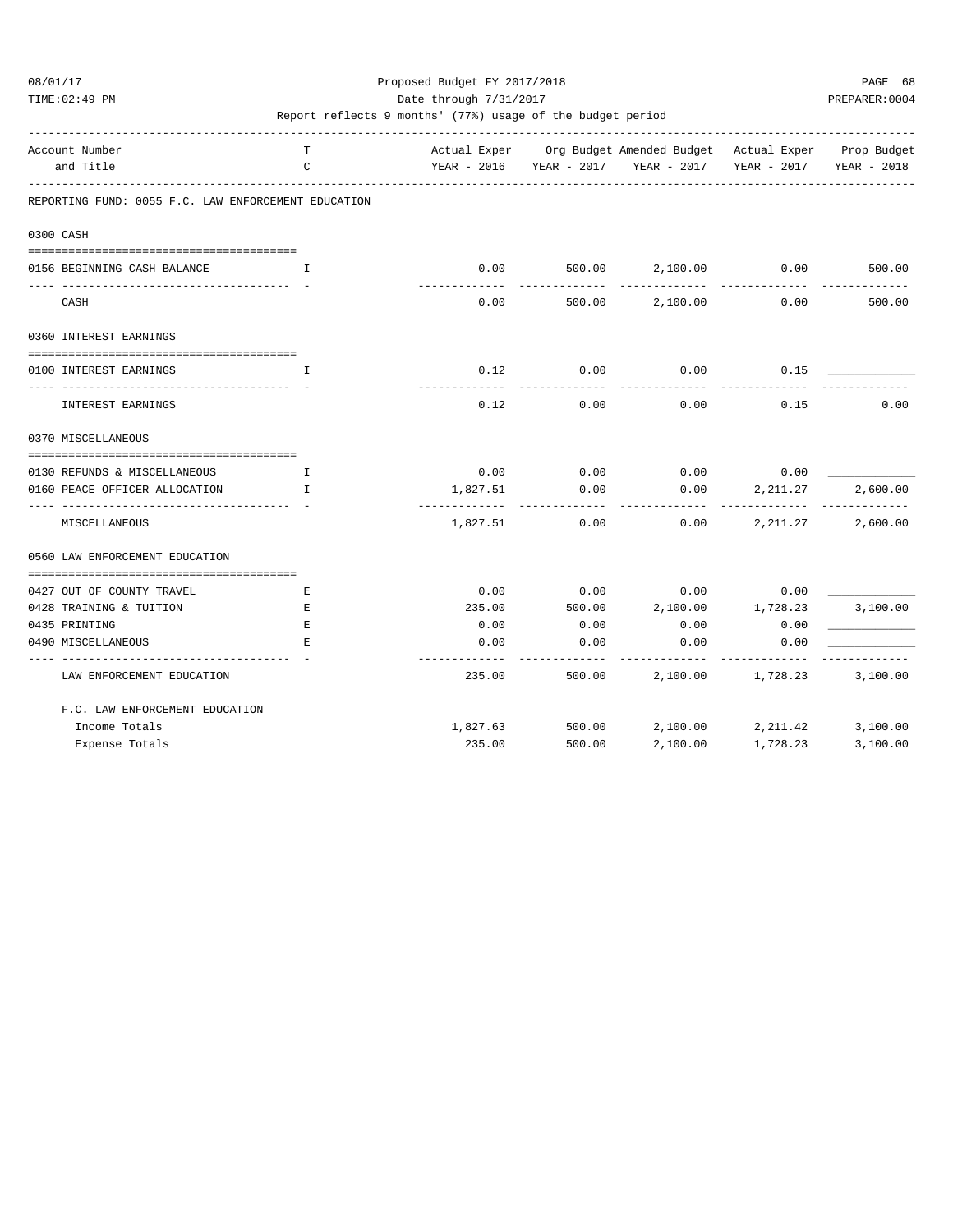TIME:02:49 PM PREPARER:0004 Date through 7/31/2017 PREPARER:0004

| Account Number<br>and Title                         | T.<br>C      |                         |        | Actual Exper Org Budget Amended Budget Actual Exper Prop Budget<br>YEAR - 2016 YEAR - 2017 YEAR - 2017 | YEAR - 2017       | YEAR - 2018 |
|-----------------------------------------------------|--------------|-------------------------|--------|--------------------------------------------------------------------------------------------------------|-------------------|-------------|
|                                                     |              |                         |        |                                                                                                        |                   |             |
| REPORTING FUND: 0055 F.C. LAW ENFORCEMENT EDUCATION |              |                         |        |                                                                                                        |                   |             |
| 0300 CASH                                           |              |                         |        |                                                                                                        |                   |             |
| 0156 BEGINNING CASH BALANCE                         | $\mathbb{T}$ | 0.00                    | 500.00 | 2,100.00                                                                                               | 0.00              | 500.00      |
| CASH                                                |              | 0.00                    | 500.00 | 2,100.00                                                                                               | 0.00              | 500.00      |
| 0360 INTEREST EARNINGS                              |              |                         |        |                                                                                                        |                   |             |
| 0100 INTEREST EARNINGS                              | T.           | 0.12                    | 0.00   | 0.00                                                                                                   | 0.15              |             |
| INTEREST EARNINGS                                   |              | 0.12                    | 0.00   | 0.00                                                                                                   | 0.15              | 0.00        |
| 0370 MISCELLANEOUS                                  |              |                         |        |                                                                                                        |                   |             |
| 0130 REFUNDS & MISCELLANEOUS                        | T.           | 0.00                    | 0.00   | 0.00                                                                                                   | 0.00              |             |
| 0160 PEACE OFFICER ALLOCATION                       | I            | 1,827.51<br>----------- | 0.00   | 0.00                                                                                                   | 2, 211.27         | 2,600.00    |
| MISCELLANEOUS                                       |              | 1,827.51                | 0.00   | 0.00                                                                                                   | 2,211.27          | 2,600.00    |
| 0560 LAW ENFORCEMENT EDUCATION                      |              |                         |        |                                                                                                        |                   |             |
| 0427 OUT OF COUNTY TRAVEL                           | Е            | 0.00                    | 0.00   | 0.00                                                                                                   | 0.00              |             |
| 0428 TRAINING & TUITION                             | Ε            | 235.00                  | 500.00 | 2,100.00                                                                                               | 1,728.23          | 3,100.00    |
| 0435 PRINTING                                       | E            | 0.00                    | 0.00   | 0.00                                                                                                   | 0.00              |             |
| 0490 MISCELLANEOUS                                  | E            | 0.00                    | 0.00   | 0.00                                                                                                   | 0.00              |             |
| LAW ENFORCEMENT EDUCATION                           |              | 235.00                  | 500.00 | 2,100.00                                                                                               | 1,728.23          | 3,100.00    |
| F.C. LAW ENFORCEMENT EDUCATION                      |              |                         |        |                                                                                                        |                   |             |
| Income Totals                                       |              | 1,827.63                | 500.00 |                                                                                                        | 2,100.00 2,211.42 | 3,100.00    |
| Expense Totals                                      |              | 235.00                  | 500.00 | 2,100.00                                                                                               | 1,728.23          | 3,100.00    |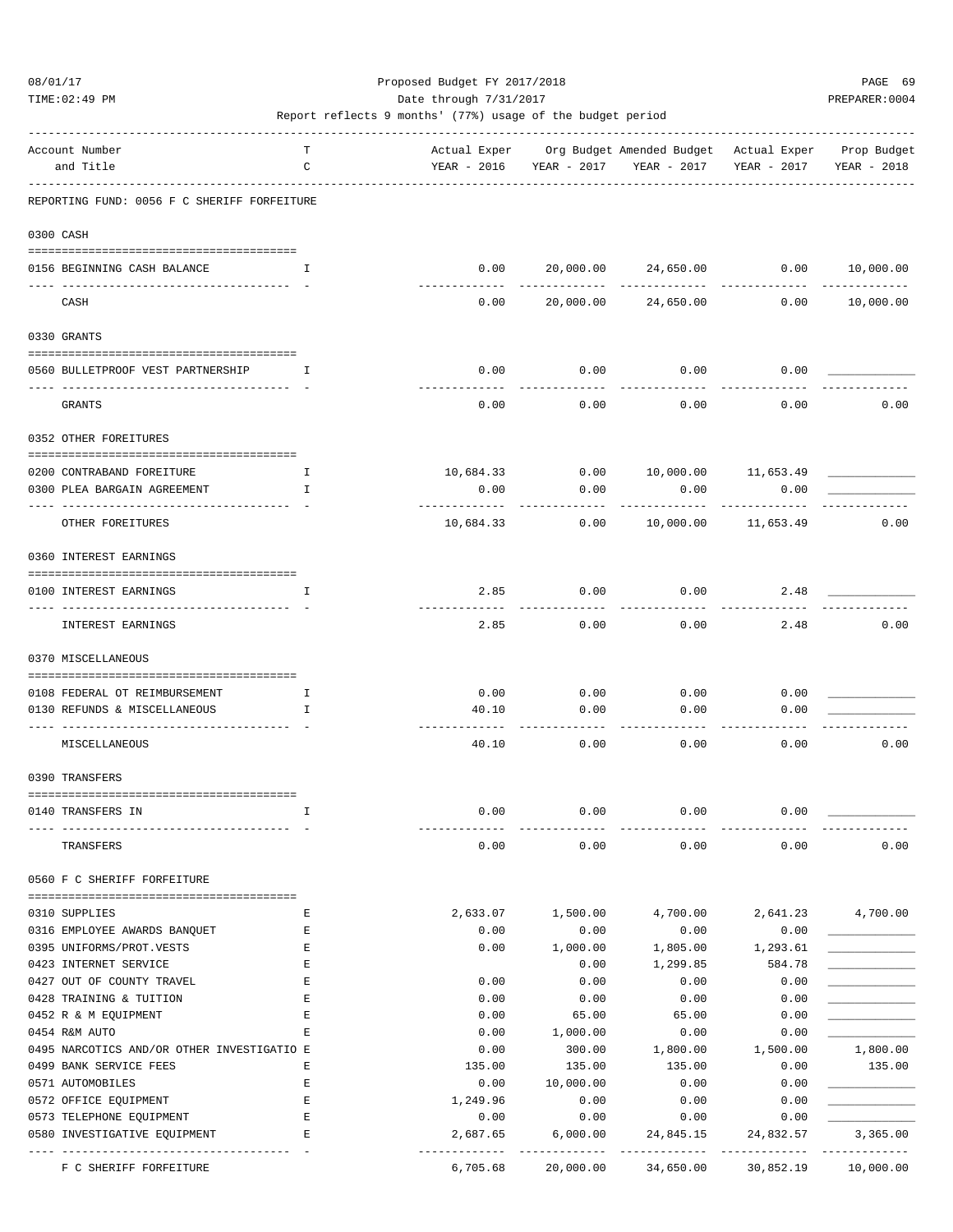TIME:02:49 PM PREPARER:0004 Date through 7/31/2017 PREPARER:0004

| Account Number                                | т           |                         |                     | Actual Exper Org Budget Amended Budget Actual Exper |                          | Prop Budget              |
|-----------------------------------------------|-------------|-------------------------|---------------------|-----------------------------------------------------|--------------------------|--------------------------|
| and Title                                     | C           | YEAR - 2016             | YEAR - 2017         | YEAR - 2017                                         | YEAR - 2017              | YEAR - 2018              |
| REPORTING FUND: 0056 F C SHERIFF FORFEITURE   |             |                         |                     |                                                     |                          |                          |
| 0300 CASH                                     |             |                         |                     |                                                     |                          |                          |
| 0156 BEGINNING CASH BALANCE                   | I.          | 0.00                    |                     | 20,000.00 24,650.00                                 |                          | 0.00 10,000.00           |
| CASH                                          |             | 0.00                    |                     | 20,000.00 24,650.00                                 | 0.00                     | 10,000.00                |
| 0330 GRANTS                                   |             |                         |                     |                                                     |                          |                          |
| 0560 BULLETPROOF VEST PARTNERSHIP             | T           | 0.00                    | 0.00                | 0.00                                                | 0.00                     |                          |
| GRANTS                                        |             | 0.00                    | 0.00                | 0.00                                                | 0.00                     | 0.00                     |
| 0352 OTHER FOREITURES                         |             |                         |                     |                                                     |                          |                          |
| 0200 CONTRABAND FOREITURE                     | Ι.          | 10,684.33               | 0.00                |                                                     | 10,000.00 11,653.49      |                          |
| 0300 PLEA BARGAIN AGREEMENT                   | Ι.          | 0.00                    | 0.00                | 0.00                                                | 0.00                     |                          |
| OTHER FOREITURES                              |             | ----------<br>10,684.33 | -----------<br>0.00 |                                                     | .<br>10,000.00 11,653.49 | 0.00                     |
| 0360 INTEREST EARNINGS                        |             |                         |                     |                                                     |                          |                          |
| 0100 INTEREST EARNINGS                        | Ι.          | 2.85                    | 0.00                | 0.00                                                | 2.48                     |                          |
| INTEREST EARNINGS                             |             | ----------<br>2.85      | --------<br>0.00    | 0.00                                                | 2.48                     | 0.00                     |
| 0370 MISCELLANEOUS                            |             |                         |                     |                                                     |                          |                          |
| 0108 FEDERAL OT REIMBURSEMENT                 | I.          | 0.00                    | 0.00                | 0.00                                                | 0.00                     |                          |
| 0130 REFUNDS & MISCELLANEOUS                  | I           | 40.10                   | 0.00                | 0.00                                                | 0.00                     |                          |
|                                               |             |                         |                     |                                                     |                          |                          |
| MISCELLANEOUS                                 |             | 40.10                   | 0.00                | 0.00                                                | 0.00                     | 0.00                     |
| 0390 TRANSFERS                                |             |                         |                     |                                                     |                          |                          |
| 0140 TRANSFERS IN                             | I.          | 0.00                    | 0.00                | 0.00                                                | 0.00                     |                          |
|                                               |             |                         |                     |                                                     |                          |                          |
| TRANSFERS                                     |             | 0.00                    | 0.00                | 0.00                                                | 0.00                     | 0.00                     |
| 0560 F C SHERIFF FORFEITURE                   |             |                         |                     |                                                     |                          |                          |
|                                               |             |                         |                     |                                                     |                          |                          |
| 0310 SUPPLIES<br>0316 EMPLOYEE AWARDS BANQUET | Ε<br>Е      | 2,633.07<br>0.00        | 1,500.00<br>0.00    | 4,700.00<br>0.00                                    | 0.00                     | 2,641.23 4,700.00        |
| 0395 UNIFORMS/PROT.VESTS                      | E           | 0.00                    | 1,000.00            | 1,805.00                                            | 1,293.61                 |                          |
| 0423 INTERNET SERVICE                         | $\mathbf E$ |                         | 0.00                | 1,299.85                                            | 584.78                   |                          |
| 0427 OUT OF COUNTY TRAVEL                     | Е           | 0.00                    | 0.00                | 0.00                                                | 0.00                     |                          |
| 0428 TRAINING & TUITION                       | Ε           | 0.00                    | 0.00                | 0.00                                                | 0.00                     |                          |
| 0452 R & M EQUIPMENT                          | Е           | 0.00                    | 65.00               | 65.00                                               | 0.00                     |                          |
| 0454 R&M AUTO                                 | E           | 0.00                    | 1,000.00            | 0.00                                                | 0.00                     |                          |
| 0495 NARCOTICS AND/OR OTHER INVESTIGATIO E    |             | 0.00                    | 300.00              | 1,800.00                                            | 1,500.00                 | 1,800.00                 |
| 0499 BANK SERVICE FEES                        | Ε           | 135.00                  | 135.00              | 135.00                                              | 0.00                     | 135.00                   |
| 0571 AUTOMOBILES                              | Е           | 0.00                    | 10,000.00           | 0.00                                                | 0.00                     |                          |
| 0572 OFFICE EQUIPMENT                         | Ε           | 1,249.96                | 0.00                | 0.00                                                | 0.00                     |                          |
| 0573 TELEPHONE EQUIPMENT                      | $\mathbf E$ | 0.00                    | 0.00                | 0.00                                                | 0.00                     |                          |
| 0580 INVESTIGATIVE EQUIPMENT                  | $\mathbf E$ | 2,687.65                | 6,000.00            | 24,845.15                                           | 24,832.57                | 3,365.00                 |
| F C SHERIFF FORFEITURE                        |             | 6,705.68                |                     | 20,000.00 34,650.00                                 | 30,852.19                | -----------<br>10,000.00 |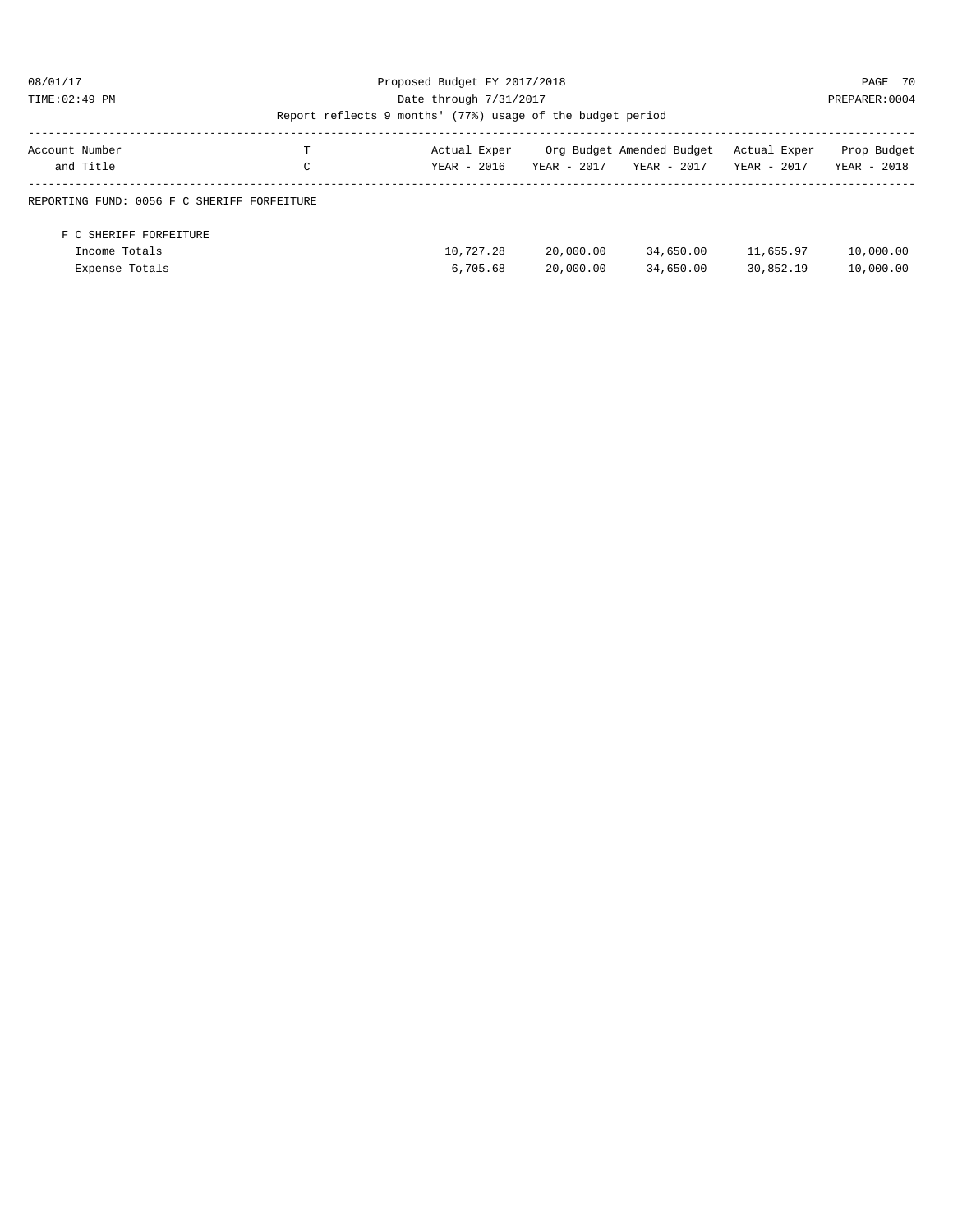### 08/01/17 Proposed Budget FY 2017/2018 PAGE 70 TIME:02:49 PM PREPARER:0004 Date through 7/31/2017 PREPARER:0004

| Account Number | and Title                                   | <b>TT</b><br>C | Actual Exper<br>YEAR - 2016 | YEAR - 2017 | Org Budget Amended Budget<br>YEAR - 2017 | Actual Exper<br>YEAR - 2017 | Prop Budget<br>YEAR - 2018 |
|----------------|---------------------------------------------|----------------|-----------------------------|-------------|------------------------------------------|-----------------------------|----------------------------|
|                |                                             |                |                             |             |                                          |                             |                            |
|                | REPORTING FUND: 0056 F C SHERIFF FORFEITURE |                |                             |             |                                          |                             |                            |
|                |                                             |                |                             |             |                                          |                             |                            |
|                | F C SHERIFF FORFEITURE                      |                |                             |             |                                          |                             |                            |
|                | Income Totals                               |                | 10,727.28                   | 20,000.00   | 34,650.00                                | 11,655.97                   | 10,000.00                  |
|                | Expense Totals                              |                | 6,705.68                    | 20,000.00   | 34,650.00                                | 30,852.19                   | 10,000.00                  |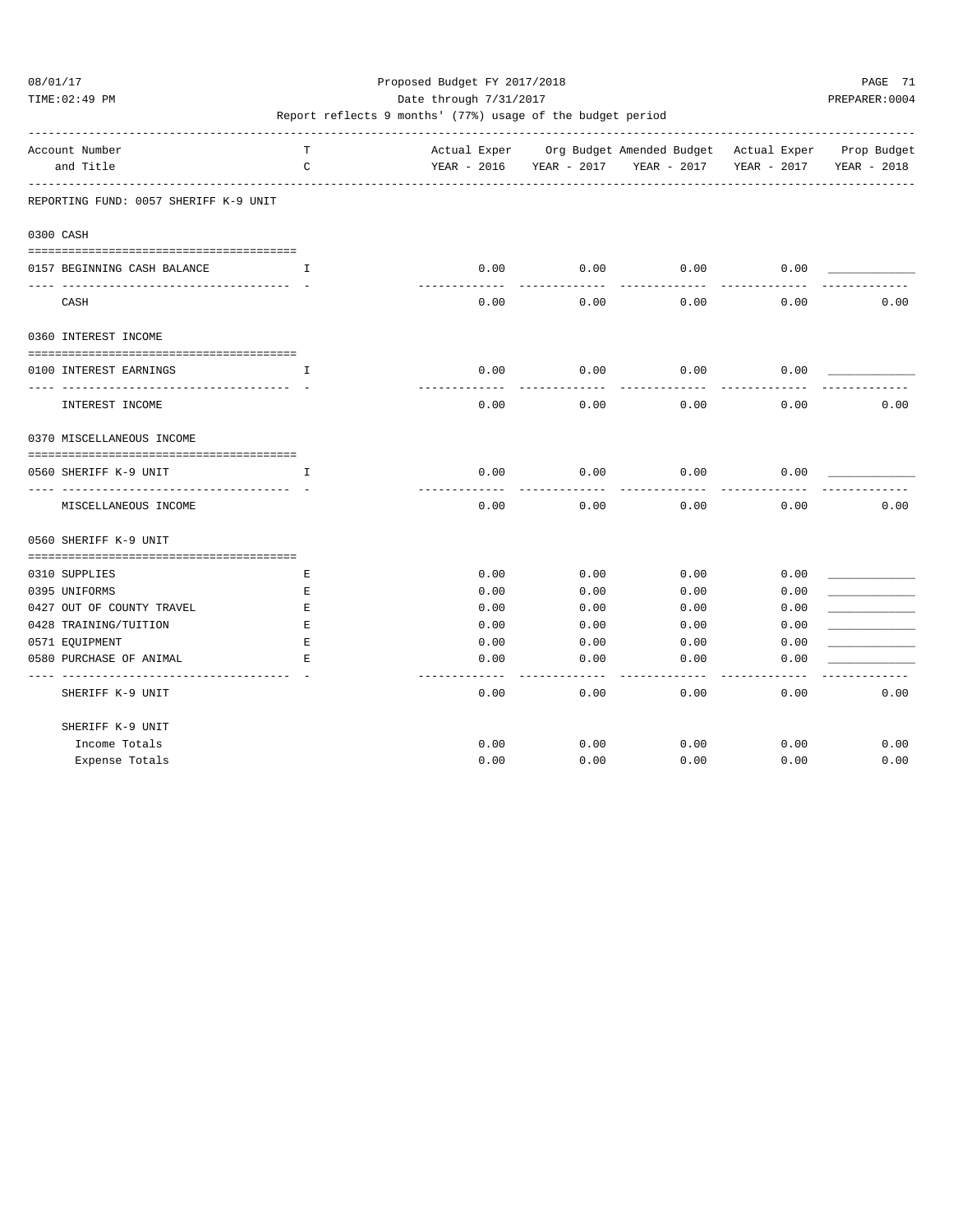TIME:02:49 PM PREPARER:0004 Date through 7/31/2017 PREPARER:0004

| Account Number                                                   | т                                                                                                             |              |              | Actual Exper Org Budget Amended Budget Actual Exper Prop Budget |              |             |
|------------------------------------------------------------------|---------------------------------------------------------------------------------------------------------------|--------------|--------------|-----------------------------------------------------------------|--------------|-------------|
| and Title                                                        | $\mathtt{C}$<br>_____________________________                                                                 |              |              | YEAR - 2016 YEAR - 2017 YEAR - 2017                             | YEAR - 2017  | YEAR - 2018 |
| REPORTING FUND: 0057 SHERIFF K-9 UNIT                            |                                                                                                               |              |              |                                                                 |              |             |
| 0300 CASH                                                        |                                                                                                               |              |              |                                                                 |              |             |
| 0157 BEGINNING CASH BALANCE                                      | $\mathbf{I}$ and $\mathbf{I}$                                                                                 | 0.00         | 0.00         | 0.00                                                            | 0.00         |             |
| CASH                                                             |                                                                                                               | 0.00         | 0.00         | 0.00                                                            | 0.00         | 0.00        |
| 0360 INTEREST INCOME                                             |                                                                                                               |              |              |                                                                 |              |             |
| --------------------------------------<br>0100 INTEREST EARNINGS | I                                                                                                             | 0.00         | 0.00         | 0.00                                                            | 0.00         |             |
| INTEREST INCOME                                                  |                                                                                                               | 0.00         | 0.00         | 0.00                                                            | 0.00         | 0.00        |
| 0370 MISCELLANEOUS INCOME                                        |                                                                                                               |              |              |                                                                 |              |             |
| 0560 SHERIFF K-9 UNIT                                            | I.                                                                                                            | 0.00         | 0.00         | 0.00                                                            | 0.00         |             |
| MISCELLANEOUS INCOME                                             |                                                                                                               | 0.00         | 0.00         | 0.00                                                            | 0.00         | 0.00        |
| 0560 SHERIFF K-9 UNIT                                            |                                                                                                               |              |              |                                                                 |              |             |
|                                                                  |                                                                                                               |              |              |                                                                 |              |             |
| 0310 SUPPLIES                                                    | Е                                                                                                             | 0.00         | 0.00         | 0.00                                                            | 0.00         |             |
| 0395 UNIFORMS                                                    | E                                                                                                             | 0.00         | 0.00         | 0.00                                                            | 0.00         |             |
| 0427 OUT OF COUNTY TRAVEL                                        | E                                                                                                             | 0.00         | 0.00         | 0.00                                                            | 0.00         |             |
| 0428 TRAINING/TUITION                                            | Е                                                                                                             | 0.00         | 0.00         | 0.00                                                            | 0.00         |             |
| 0571 EQUIPMENT<br>0580 PURCHASE OF ANIMAL                        | $\mathbf E$<br>$\mathbf{E}% _{t}\left  \mathbf{1}\right\rangle =\mathbf{1}_{t}\left  \mathbf{1}\right\rangle$ | 0.00<br>0.00 | 0.00<br>0.00 | 0.00<br>0.00                                                    | 0.00<br>0.00 |             |
| SHERIFF K-9 UNIT                                                 |                                                                                                               | 0.00         | 0.00         | 0.00                                                            | 0.00         | 0.00        |
| SHERIFF K-9 UNIT                                                 |                                                                                                               |              |              |                                                                 |              |             |
| Income Totals                                                    |                                                                                                               | 0.00         | 0.00         | 0.00                                                            | 0.00         | 0.00        |
| Expense Totals                                                   |                                                                                                               | 0.00         | 0.00         | 0.00                                                            | 0.00         | 0.00        |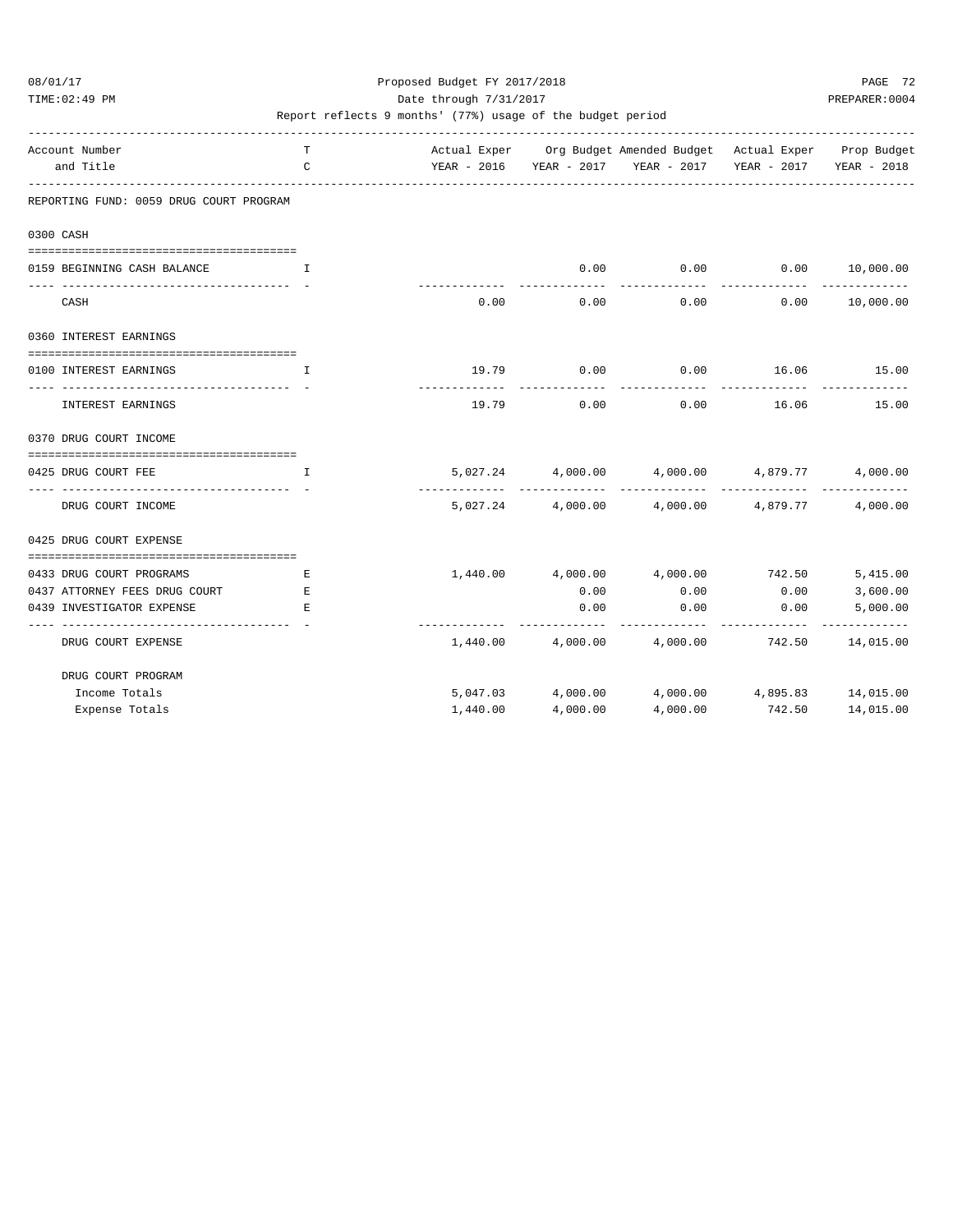TIME:02:49 PM PREPARER:0004 Date through 7/31/2017 PREPARER:0004

| Account Number                                            | T             |          |                | Actual Exper Org Budget Amended Budget Actual Exper Prop Budget |                       |                      |
|-----------------------------------------------------------|---------------|----------|----------------|-----------------------------------------------------------------|-----------------------|----------------------|
| and Title                                                 | $\mathcal{C}$ |          |                | YEAR - 2016 YEAR - 2017 YEAR - 2017 YEAR - 2017 YEAR - 2018     |                       |                      |
| REPORTING FUND: 0059 DRUG COURT PROGRAM                   |               |          |                |                                                                 |                       |                      |
| 0300 CASH                                                 |               |          |                |                                                                 |                       |                      |
|                                                           |               |          |                |                                                                 |                       |                      |
| 0159 BEGINNING CASH BALANCE                               | $\mathbf{T}$  |          | 0.00           | 0.00<br>. _ _ _ _ _ _ _ _ _ _ _                                 | 0.00<br>------------- | 10,000.00            |
| CASH                                                      |               | 0.00     | 0.00           | 0.00                                                            | 0.00                  | 10,000.00            |
| 0360 INTEREST EARNINGS                                    |               |          |                |                                                                 |                       |                      |
| 0100 INTEREST EARNINGS                                    | $\mathsf{T}$  |          | 19.79 0.00     | $0.00$ 16.06 15.00                                              |                       |                      |
| INTEREST EARNINGS                                         |               | 19.79    | 0.00           | 0.00                                                            | 16.06                 | 15.00                |
| 0370 DRUG COURT INCOME                                    |               |          |                |                                                                 |                       |                      |
| 0425 DRUG COURT FEE                                       | $\mathbf I$   |          |                | $5,027.24$ $4,000.00$ $4,000.00$ $4,879.77$                     |                       | 4,000.00             |
|                                                           |               |          | -------------- |                                                                 | -------------         |                      |
| DRUG COURT INCOME                                         |               |          |                | $5,027.24$ $4,000.00$ $4,000.00$ $4,879.77$                     |                       | 4,000.00             |
| 0425 DRUG COURT EXPENSE                                   |               |          |                |                                                                 |                       |                      |
|                                                           |               |          |                |                                                                 |                       |                      |
| 0433 DRUG COURT PROGRAMS<br>0437 ATTORNEY FEES DRUG COURT | Е<br>E        |          | 0.00           | $1,440.00$ $4,000.00$ $4,000.00$ $742.50$<br>0.00               | 0.00                  | 5,415.00<br>3,600.00 |
| 0439 INVESTIGATOR EXPENSE                                 | E.            |          | 0.00           | 0.00                                                            | 0.00                  | 5,000.00             |
|                                                           |               |          |                |                                                                 |                       | ----------           |
| DRUG COURT EXPENSE                                        |               |          |                | $1,440.00$ $4,000.00$ $4,000.00$ $742.50$                       |                       | 14,015.00            |
| DRUG COURT PROGRAM                                        |               |          |                |                                                                 |                       |                      |
| Income Totals                                             |               |          |                | 5,047.03 4,000.00 4,000.00 4,895.83 14,015.00                   |                       |                      |
| Expense Totals                                            |               | 1,440.00 | 4,000.00       | 4,000.00                                                        | 742.50                | 14,015.00            |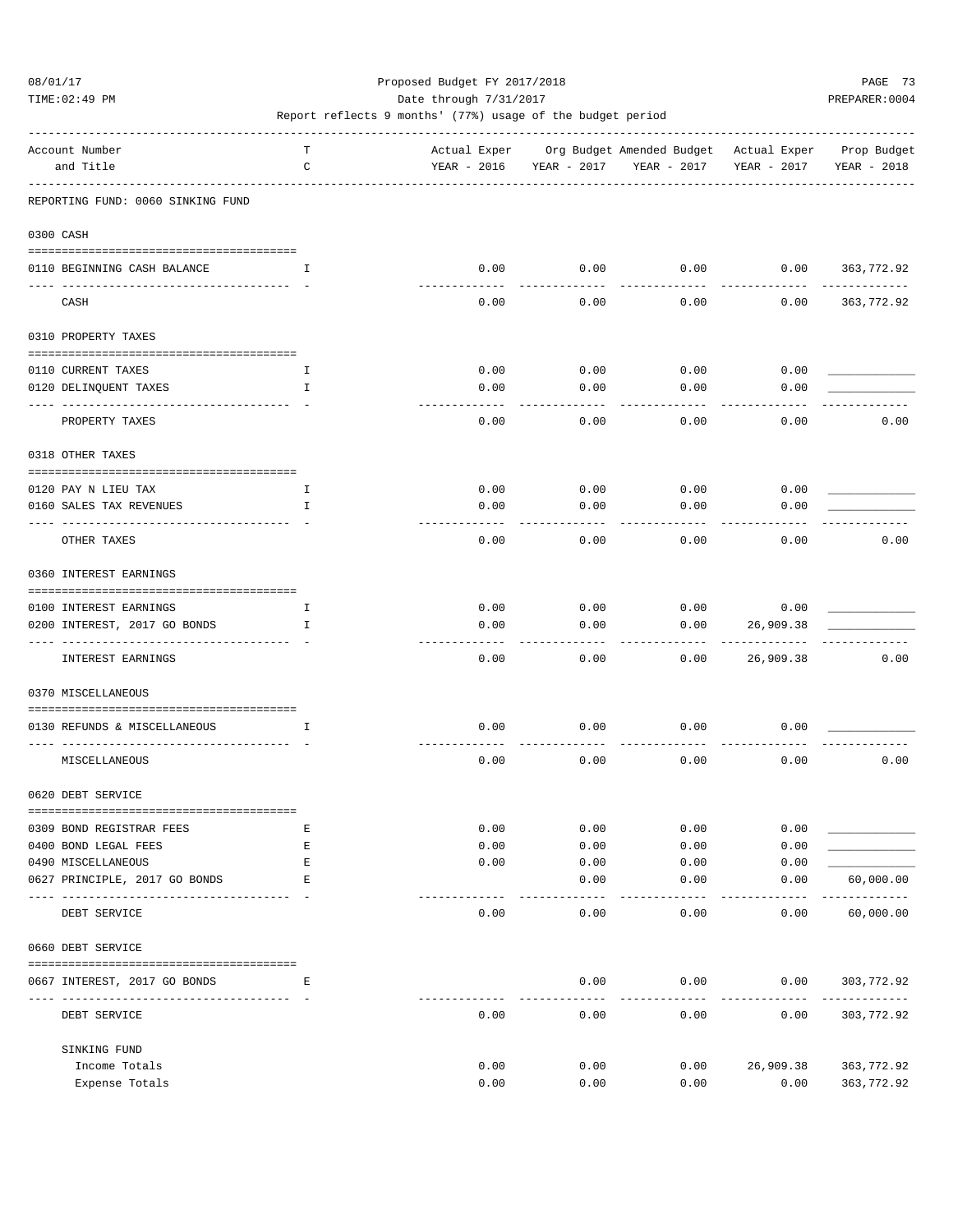TIME:02:49 PM PREPARER:0004 Date through 7/31/2017 PREPARER:0004

| Account Number                                                | Т            |                     |                     | Actual Exper Org Budget Amended Budget Actual Exper Prop Budget |             |                   |
|---------------------------------------------------------------|--------------|---------------------|---------------------|-----------------------------------------------------------------|-------------|-------------------|
| and Title                                                     | C            | YEAR - 2016         | YEAR - 2017         | YEAR - 2017                                                     | YEAR - 2017 | YEAR - 2018       |
|                                                               |              |                     |                     |                                                                 |             |                   |
| REPORTING FUND: 0060 SINKING FUND                             |              |                     |                     |                                                                 |             |                   |
| 0300 CASH                                                     |              |                     |                     |                                                                 |             |                   |
| 0110 BEGINNING CASH BALANCE                                   | $\mathbf{I}$ | 0.00                | 0.00                | 0.00                                                            |             | $0.00$ 363,772.92 |
| CASH                                                          |              | 0.00                | 0.00                | 0.00                                                            | 0.00        | 363,772.92        |
|                                                               |              |                     |                     |                                                                 |             |                   |
| 0310 PROPERTY TAXES                                           |              |                     |                     |                                                                 |             |                   |
|                                                               |              |                     |                     |                                                                 |             |                   |
| 0110 CURRENT TAXES                                            | Ι.           | 0.00                | 0.00                | 0.00                                                            | 0.00        |                   |
| 0120 DELINQUENT TAXES<br>---- -------------                   | I            | 0.00<br>$- - - - -$ | 0.00<br>$- - - - -$ | 0.00                                                            | 0.00        |                   |
| PROPERTY TAXES                                                |              | 0.00                | 0.00                | 0.00                                                            | 0.00        | 0.00              |
| 0318 OTHER TAXES                                              |              |                     |                     |                                                                 |             |                   |
|                                                               |              |                     |                     |                                                                 |             |                   |
| 0120 PAY N LIEU TAX                                           | Ι.           | 0.00                | 0.00                | 0.00                                                            | 0.00        |                   |
| 0160 SALES TAX REVENUES                                       | I            | 0.00                | 0.00                | 0.00                                                            | 0.00        |                   |
| OTHER TAXES                                                   |              | 0.00                | 0.00                | 0.00                                                            | 0.00        | 0.00              |
| 0360 INTEREST EARNINGS                                        |              |                     |                     |                                                                 |             |                   |
| 0100 INTEREST EARNINGS                                        | Ι.           | 0.00                | 0.00                | 0.00                                                            | 0.00        |                   |
| 0200 INTEREST, 2017 GO BONDS                                  | I            | 0.00                | 0.00                | 0.00                                                            | 26,909.38   |                   |
|                                                               |              |                     |                     |                                                                 |             |                   |
| INTEREST EARNINGS                                             |              | 0.00                | 0.00                | 0.00                                                            | 26,909.38   | 0.00              |
| 0370 MISCELLANEOUS                                            |              |                     |                     |                                                                 |             |                   |
| 0130 REFUNDS & MISCELLANEOUS<br>$\mathbf{I}$ and $\mathbf{I}$ |              | 0.00                | 0.00                | 0.00                                                            | 0.00        |                   |
| MISCELLANEOUS                                                 |              | 0.00                | 0.00                | 0.00                                                            | 0.00        | 0.00              |
| 0620 DEBT SERVICE                                             |              |                     |                     |                                                                 |             |                   |
|                                                               |              |                     |                     |                                                                 |             |                   |
| 0309 BOND REGISTRAR FEES                                      | Е            | 0.00                | 0.00                | 0.00                                                            | 0.00        |                   |
| 0400 BOND LEGAL FEES                                          | Ε            | 0.00                | 0.00                | 0.00                                                            | 0.00        |                   |
| 0490 MISCELLANEOUS<br>0627 PRINCIPLE, 2017 GO BONDS           | E<br>Е       | 0.00                | 0.00<br>0.00        | 0.00                                                            | 0.00        | 60,000.00         |
|                                                               |              |                     |                     | 0.00<br>$- - - - -$                                             | 0.00        | .                 |
| DEBT SERVICE                                                  |              | 0.00                | 0.00                | 0.00                                                            | 0.00        | 60,000.00         |
| 0660 DEBT SERVICE                                             |              |                     |                     |                                                                 |             |                   |
| 0667 INTEREST, 2017 GO BONDS                                  | Е            |                     | 0.00                | 0.00                                                            | 0.00        | 303,772.92        |
|                                                               |              |                     |                     |                                                                 |             |                   |
| DEBT SERVICE                                                  |              | 0.00                | 0.00                | 0.00                                                            | 0.00        | 303,772.92        |
| SINKING FUND                                                  |              |                     |                     |                                                                 |             |                   |
| Income Totals                                                 |              | 0.00                | 0.00                | 0.00                                                            | 26,909.38   | 363,772.92        |
| Expense Totals                                                |              | 0.00                | 0.00                | 0.00                                                            | 0.00        | 363,772.92        |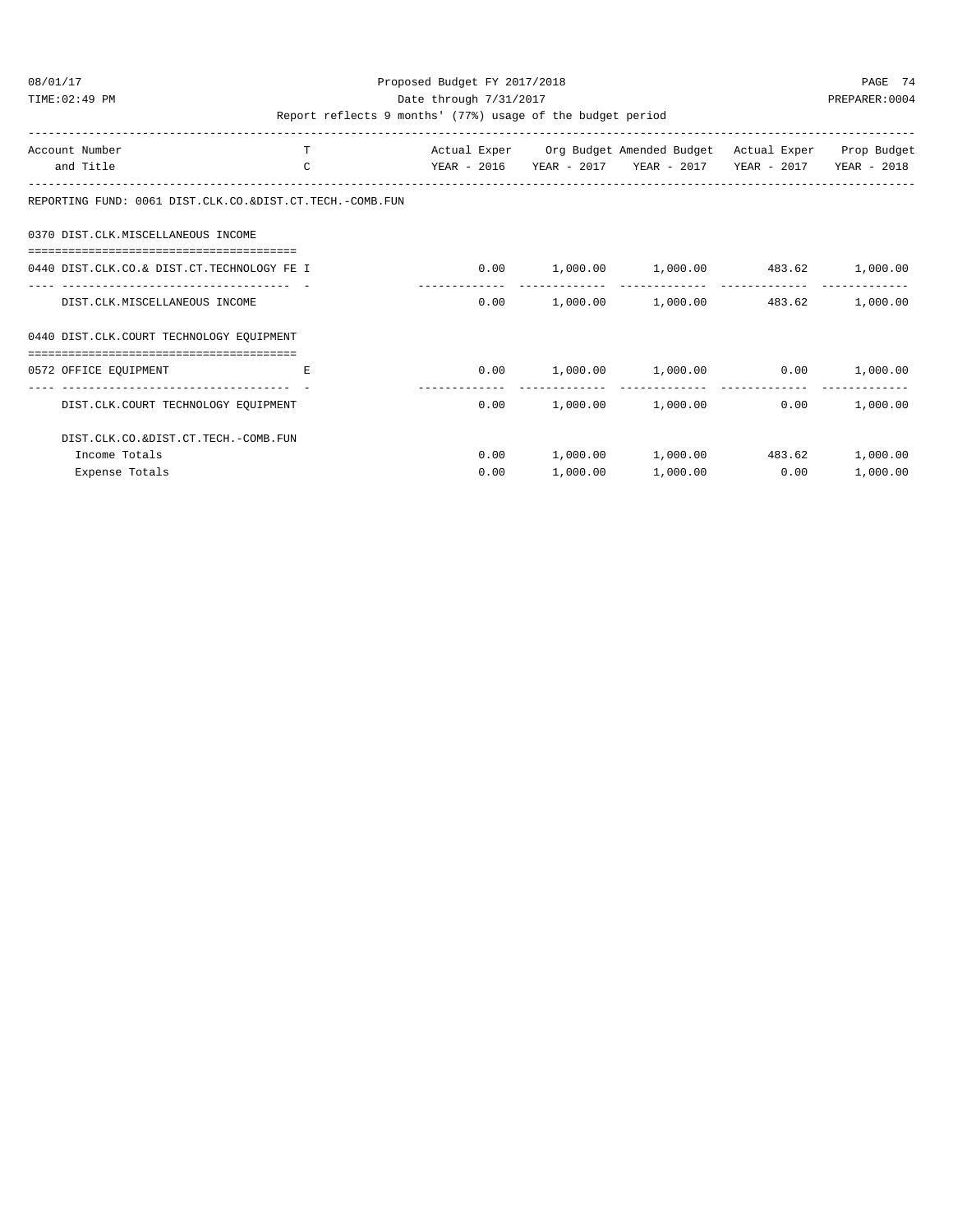#### 08/01/17 Proposed Budget FY 2017/2018 PAGE 74 TIME:02:49 PM PREPARER:0004 Date through 7/31/2017 PREPARER:0004

| Account Number                                            | т  |             |          | Actual Exper Org Budget Amended Budget Actual Exper Prop Budget |             |             |
|-----------------------------------------------------------|----|-------------|----------|-----------------------------------------------------------------|-------------|-------------|
| and Title                                                 | C  | YEAR - 2016 |          | YEAR - 2017 YEAR - 2017                                         | YEAR - 2017 | YEAR - 2018 |
| REPORTING FUND: 0061 DIST.CLK.CO. &DIST.CT.TECH.-COMB.FUN |    |             |          |                                                                 |             |             |
| 0370 DIST.CLK.MISCELLANEOUS INCOME                        |    |             |          |                                                                 |             |             |
| 0440 DIST.CLK.CO.& DIST.CT.TECHNOLOGY FE I                |    |             |          | $0.00$ 1,000.00 1,000.00 483.62 1,000.00                        |             |             |
| DIST.CLK.MISCELLANEOUS INCOME                             |    | 0.00        |          | $1,000.00$ $1,000.00$                                           | 483.62      | 1,000.00    |
| 0440 DIST.CLK.COURT TECHNOLOGY EQUIPMENT                  |    |             |          |                                                                 |             |             |
| 0572 OFFICE EQUIPMENT                                     | E. |             |          | $0.00$ $1,000.00$ $1,000.00$ $0.00$                             |             | 1,000.00    |
| DIST.CLK.COURT TECHNOLOGY EOUIPMENT                       |    | 0.00        |          | $1,000.00$ $1,000.00$                                           | 0.00        | 1,000.00    |
| DIST.CLK.CO.&DIST.CT.TECH.-COMB.FUN                       |    |             |          |                                                                 |             |             |
| Income Totals                                             |    | 0.00        |          | $1,000.00$ $1,000.00$                                           | 483.62      | 1,000.00    |
| Expense Totals                                            |    | 0.00        | 1,000.00 | 1,000.00                                                        | 0.00        | 1,000.00    |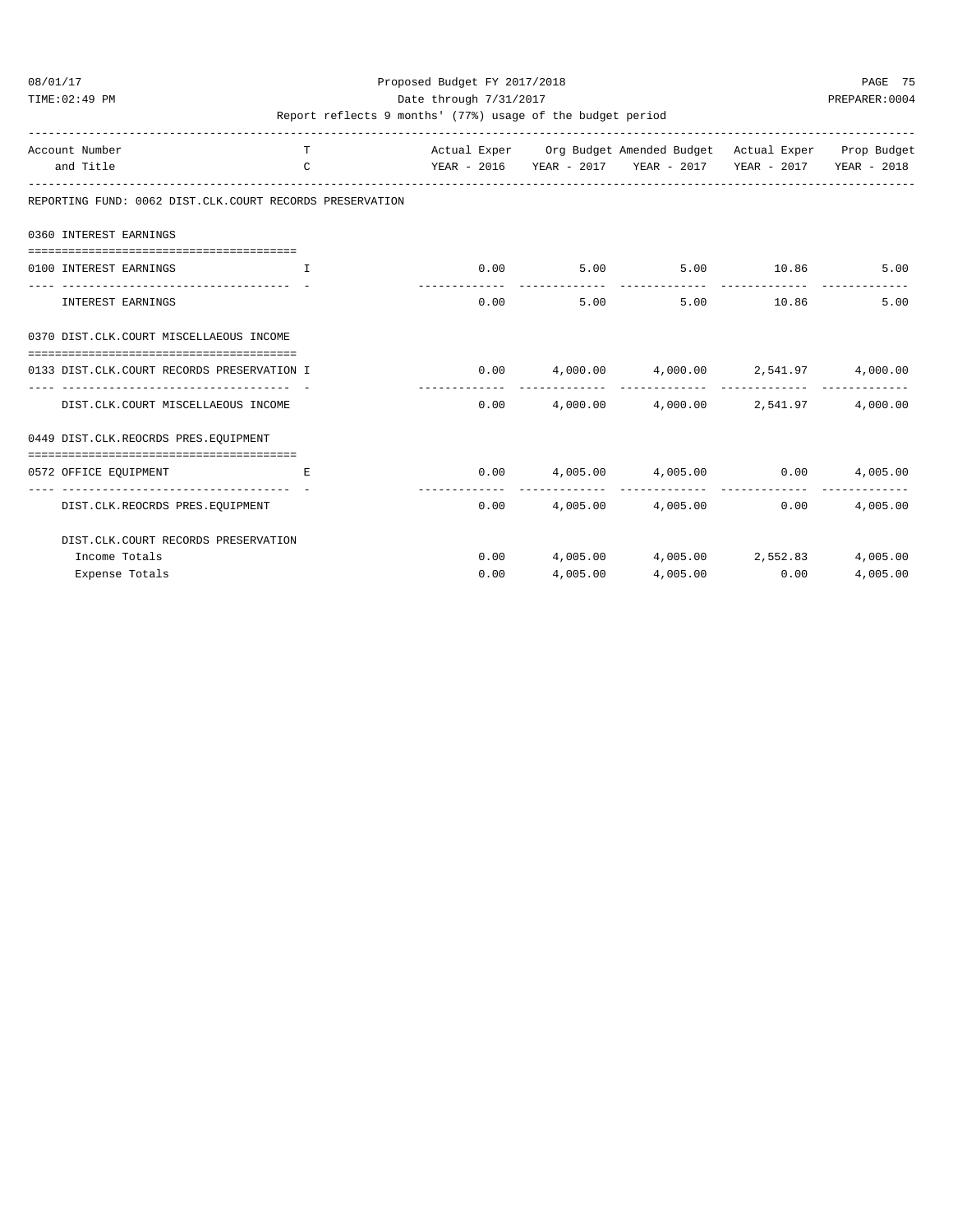#### 08/01/17 Proposed Budget FY 2017/2018 PAGE 75 TIME:02:49 PM PREPARER:0004 Date through 7/31/2017 PREPARER:0004

| Account Number                                            | T             |      |          | Actual Exper Org Budget Amended Budget Actual Exper Prop Budget |               |          |
|-----------------------------------------------------------|---------------|------|----------|-----------------------------------------------------------------|---------------|----------|
| and Title                                                 | $\mathcal{C}$ |      |          | YEAR - 2016 YEAR - 2017 YEAR - 2017 YEAR - 2017 YEAR - 2018     |               |          |
| REPORTING FUND: 0062 DIST.CLK.COURT RECORDS PRESERVATION  |               |      |          |                                                                 |               |          |
| 0360 INTEREST EARNINGS                                    |               |      |          |                                                                 |               |          |
| =============================                             |               |      |          |                                                                 |               |          |
| 0100 INTEREST EARNINGS                                    | T             |      |          | $0.00$ $5.00$ $5.00$ $10.86$                                    |               | 5.00     |
| INTEREST EARNINGS                                         |               | 0.00 | 5.00     | 5.00 10.86                                                      |               | 5.00     |
| 0370 DIST.CLK.COURT MISCELLAEOUS INCOME                   |               |      |          |                                                                 |               |          |
| 0133 DIST.CLK.COURT RECORDS PRESERVATION I                |               |      |          | $0.00$ $4,000.00$ $4,000.00$ $2,541.97$ $4,000.00$              |               |          |
| DIST.CLK.COURT MISCELLAEOUS INCOME                        |               |      |          | $0.00$ $4,000.00$ $4,000.00$ $2,541.97$                         |               | 4,000.00 |
| 0449 DIST.CLK.REOCRDS PRES.EQUIPMENT                      |               |      |          |                                                                 |               |          |
|                                                           |               |      |          |                                                                 |               |          |
| 0572 OFFICE EOUIPMENT                                     | E.            |      |          | $0.00$ $4,005.00$ $4,005.00$ $0.00$ $4,005.00$                  |               |          |
| -------------------- -<br>DIST.CLK.REOCRDS PRES.EOUIPMENT |               |      |          | $0.00$ 4,005.00 4,005.00                                        | 0.00          | 4,005.00 |
| DIST.CLK.COURT RECORDS PRESERVATION                       |               |      |          |                                                                 |               |          |
| Income Totals                                             |               |      |          | $0.00$ 4,005.00 4,005.00 2,552.83                               |               | 4,005.00 |
| Expense Totals                                            |               | 0.00 | 4,005.00 |                                                                 | 4,005.00 0.00 | 4,005.00 |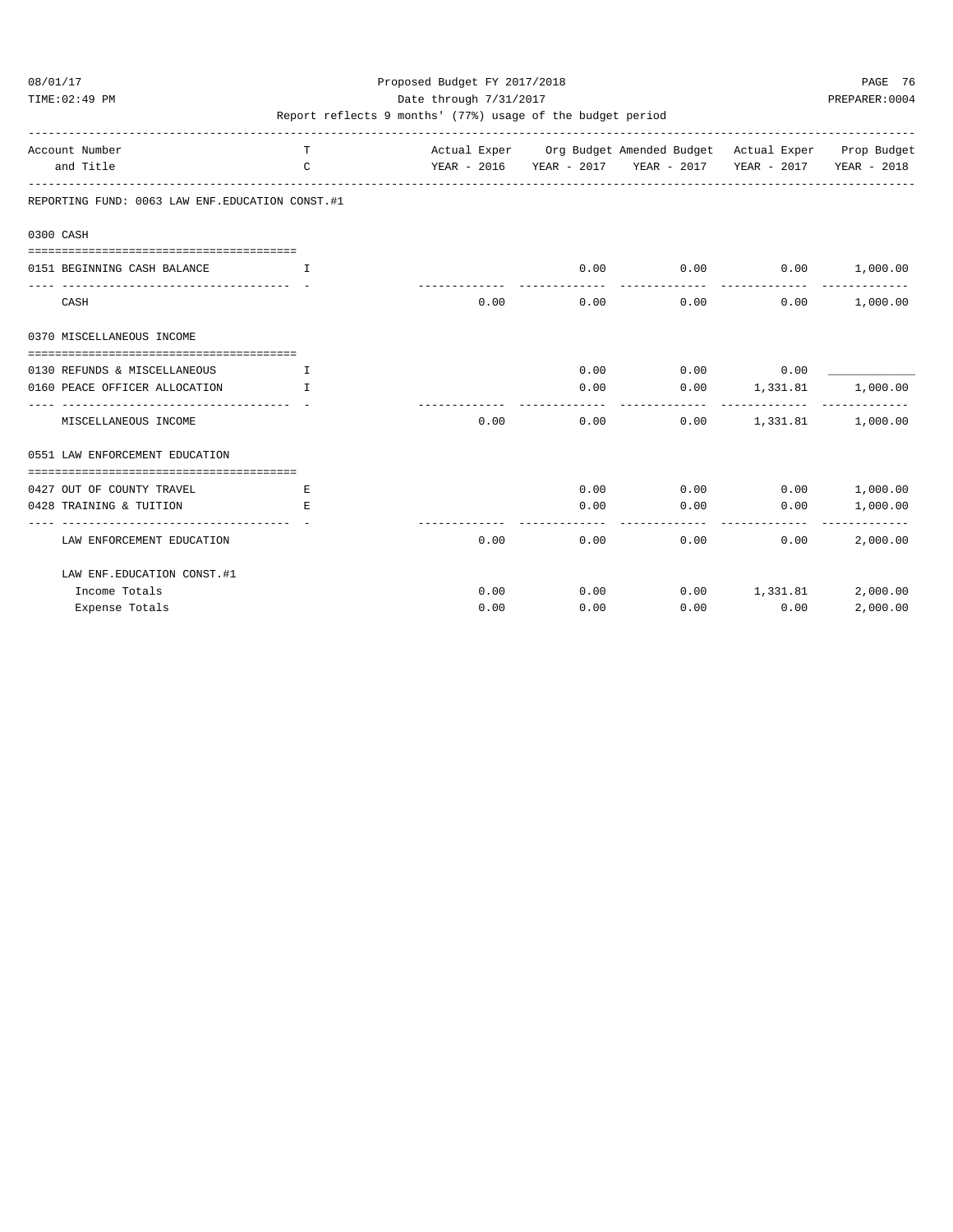#### 08/01/17 Proposed Budget FY 2017/2018 PAGE 76 TIME:02:49 PM PREPARER:0004 Date through 7/31/2017 PREPARER:0004

| Account Number<br>and Title                       | T.<br>$\mathsf{C}$ |      | Actual Exper Org Budget Amended Budget Actual Exper Prop Budget<br>YEAR - 2016 YEAR - 2017 YEAR - 2017 YEAR - 2017 YEAR - 2018 |                          |                          |                           |
|---------------------------------------------------|--------------------|------|--------------------------------------------------------------------------------------------------------------------------------|--------------------------|--------------------------|---------------------------|
| REPORTING FUND: 0063 LAW ENF. EDUCATION CONST. #1 |                    |      |                                                                                                                                |                          |                          |                           |
| 0300 CASH                                         |                    |      |                                                                                                                                |                          |                          |                           |
|                                                   |                    |      |                                                                                                                                |                          |                          |                           |
| 0151 BEGINNING CASH BALANCE                       | $\mathbf{I}$       |      | 0.00                                                                                                                           |                          | $0.00$ $0.00$ $1,000.00$ |                           |
| CASH                                              |                    | 0.00 | 0.00                                                                                                                           | -------------<br>0.00    | -------------<br>0.00    | 1,000.00                  |
| 0370 MISCELLANEOUS INCOME                         |                    |      |                                                                                                                                |                          |                          |                           |
|                                                   |                    |      |                                                                                                                                |                          |                          |                           |
| 0130 REFUNDS & MISCELLANEOUS                      | $\mathbf{T}$       |      | 0.00                                                                                                                           | $0.00$ 0.00              |                          |                           |
| 0160 PEACE OFFICER ALLOCATION                     | T                  |      | 0.00                                                                                                                           | $0.00$ 1,331.81          |                          | 1,000.00                  |
| MISCELLANEOUS INCOME                              |                    | 0.00 | 0.00                                                                                                                           | ------------             | $0.00$ 1,331.81 1,000.00 |                           |
| 0551 LAW ENFORCEMENT EDUCATION                    |                    |      |                                                                                                                                |                          |                          |                           |
| 0427 OUT OF COUNTY TRAVEL                         | E.                 |      | 0.00                                                                                                                           | $0.00$ $0.00$ $1,000.00$ |                          |                           |
| 0428 TRAINING & TUITION                           | E.                 |      | 0.00                                                                                                                           | 0.00                     | 0.00                     | 1,000.00                  |
| LAW ENFORCEMENT EDUCATION                         |                    | 0.00 | 0.00                                                                                                                           |                          | 0.00<br>0.00             | -------------<br>2,000.00 |
| LAW ENF. EDUCATION CONST. #1                      |                    |      |                                                                                                                                |                          |                          |                           |
| Income Totals                                     |                    | 0.00 | 0.00                                                                                                                           | $0.00$ 1, 331.81         |                          | 2,000.00                  |
| Expense Totals                                    |                    | 0.00 | 0.00                                                                                                                           | 0.00                     | 0.00                     | 2,000.00                  |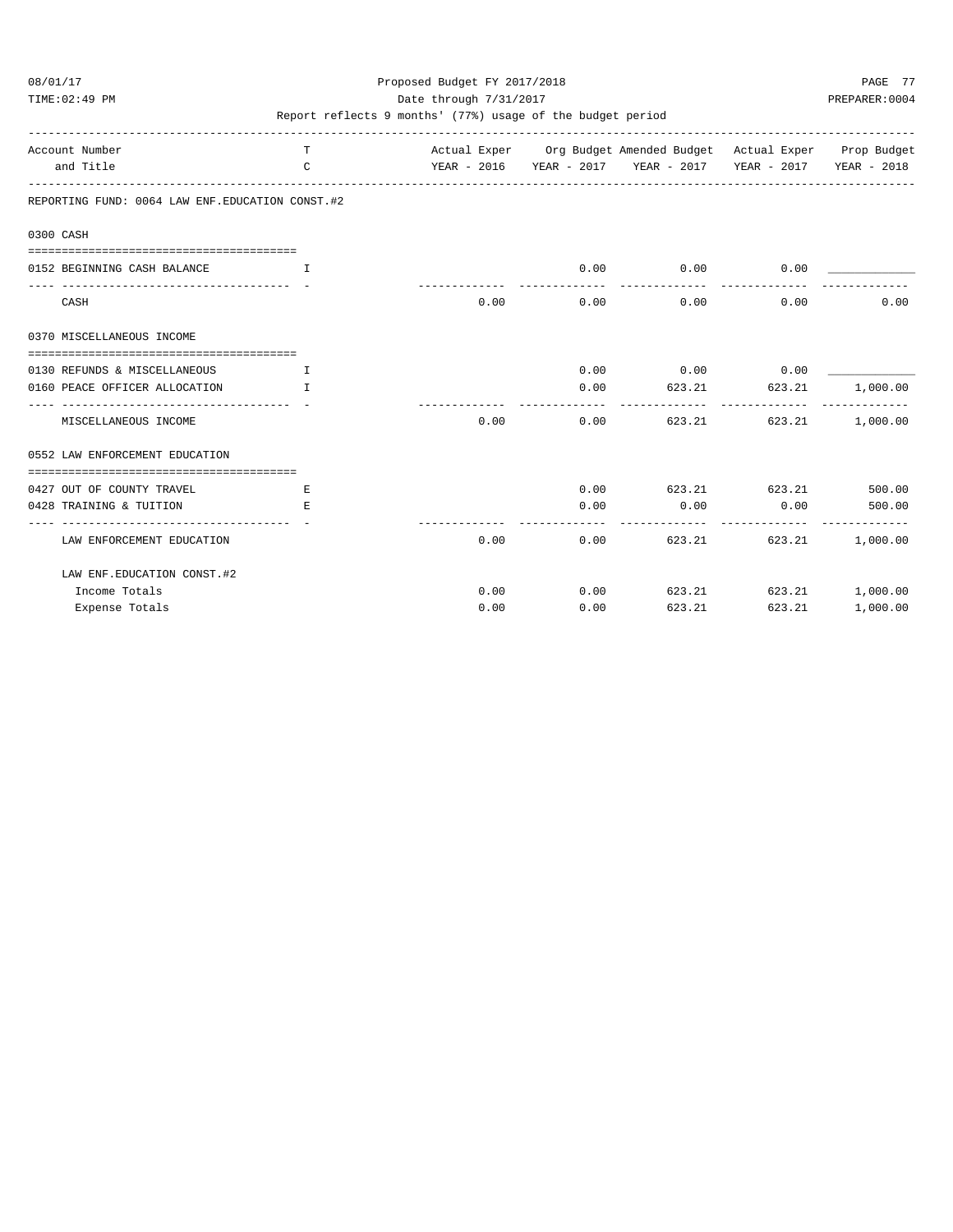TIME:02:49 PM PREPARER:0004 Date through 7/31/2017 PREPARER:0004

| Account Number<br>and Title                       | T<br>$\mathsf{C}$ |      |                       | Actual Exper Org Budget Amended Budget Actual Exper Prop Budget<br>YEAR - 2016 YEAR - 2017 YEAR - 2017 YEAR - 2017 YEAR - 2018 |                        |          |
|---------------------------------------------------|-------------------|------|-----------------------|--------------------------------------------------------------------------------------------------------------------------------|------------------------|----------|
| REPORTING FUND: 0064 LAW ENF. EDUCATION CONST. #2 |                   |      |                       |                                                                                                                                |                        |          |
| 0300 CASH                                         |                   |      |                       |                                                                                                                                |                        |          |
|                                                   |                   |      |                       |                                                                                                                                |                        |          |
| 0152 BEGINNING CASH BALANCE                       | $\top$            |      | 0.00                  | 0.00                                                                                                                           | 0.00                   |          |
| CASH                                              |                   | 0.00 | -------------<br>0.00 | --------------<br>0.00                                                                                                         | -------------<br>0.00  | 0.00     |
| 0370 MISCELLANEOUS INCOME                         |                   |      |                       |                                                                                                                                |                        |          |
|                                                   |                   |      |                       |                                                                                                                                |                        |          |
| 0130 REFUNDS & MISCELLANEOUS                      | T.                |      |                       | $0.00$ $0.00$ $0.00$ $0.00$                                                                                                    |                        |          |
| 0160 PEACE OFFICER ALLOCATION                     | $\mathbb{L}$      |      | 0.00                  | 623.21 623.21                                                                                                                  |                        | 1,000.00 |
| MISCELLANEOUS INCOME                              |                   | 0.00 | 0.00                  |                                                                                                                                | 623.21 623.21 1,000.00 |          |
| 0552 LAW ENFORCEMENT EDUCATION                    |                   |      |                       |                                                                                                                                |                        |          |
| 0427 OUT OF COUNTY TRAVEL                         | E.                |      |                       | $0.00$ $623.21$ $623.21$ $500.00$                                                                                              |                        |          |
| 0428 TRAINING & TUITION                           | E.                |      | 0.00                  | $0.00$ 0.00 500.00                                                                                                             |                        |          |
| LAW ENFORCEMENT EDUCATION                         |                   | 0.00 |                       | 0.00                                                                                                                           | 623.21 623.21          | 1,000.00 |
| LAW ENF. EDUCATION CONST. #2                      |                   |      |                       |                                                                                                                                |                        |          |
| Income Totals                                     |                   | 0.00 |                       | $0.00$ 623.21 623.21 1,000.00                                                                                                  |                        |          |
| Expense Totals                                    |                   | 0.00 | 0.00                  | 623.21                                                                                                                         | 623.21                 | 1,000.00 |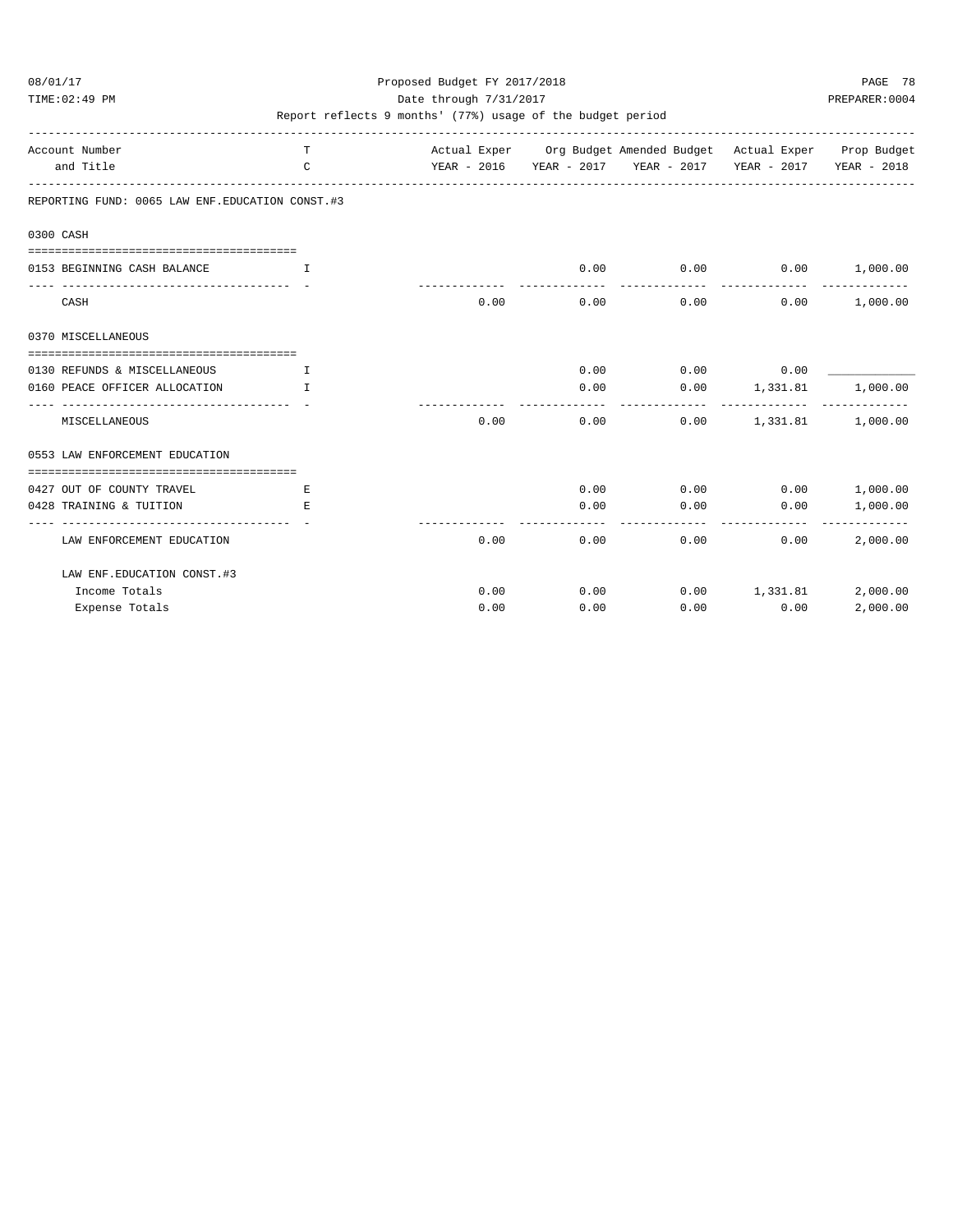TIME:02:49 PM PREPARER:0004 Date through 7/31/2017 PREPARER:0004

| Account Number<br>and Title                       | T<br>$\mathsf{C}$ |      |      | Actual Exper Org Budget Amended Budget Actual Exper Prop Budget<br>YEAR - 2016 YEAR - 2017 YEAR - 2017 YEAR - 2017 YEAR - 2018 |                          |                            |
|---------------------------------------------------|-------------------|------|------|--------------------------------------------------------------------------------------------------------------------------------|--------------------------|----------------------------|
| REPORTING FUND: 0065 LAW ENF. EDUCATION CONST. #3 |                   |      |      |                                                                                                                                |                          |                            |
| 0300 CASH                                         |                   |      |      |                                                                                                                                |                          |                            |
| 0153 BEGINNING CASH BALANCE                       | T                 |      | 0.00 | $0.00$ $0.00$ $1,000.00$                                                                                                       |                          |                            |
| CASH                                              |                   | 0.00 | 0.00 | 0.00                                                                                                                           | 0.00                     | --------------<br>1,000.00 |
| 0370 MISCELLANEOUS                                |                   |      |      |                                                                                                                                |                          |                            |
| 0130 REFUNDS & MISCELLANEOUS                      | $\mathbf{T}$      |      | 0.00 | $0.00$ 0.00                                                                                                                    |                          |                            |
| 0160 PEACE OFFICER ALLOCATION                     | $\mathbf{T}$      |      | 0.00 | $0.00$ 1,331.81                                                                                                                |                          | 1,000.00                   |
| MISCELLANEOUS                                     |                   | 0.00 | 0.00 |                                                                                                                                | $0.00$ 1,331.81 1,000.00 |                            |
| 0553 LAW ENFORCEMENT EDUCATION                    |                   |      |      |                                                                                                                                |                          |                            |
| 0427 OUT OF COUNTY TRAVEL                         | E.                |      | 0.00 | $0.00$ $0.00$ $1.000.00$                                                                                                       |                          |                            |
| 0428 TRAINING & TUITION                           | E.                |      | 0.00 | 0.00                                                                                                                           | 0.00                     | 1,000.00                   |
| LAW ENFORCEMENT EDUCATION                         |                   | 0.00 | 0.00 |                                                                                                                                | 0.00<br>0.00             | -----------<br>2,000.00    |
| LAW ENF. EDUCATION CONST. #3                      |                   |      |      |                                                                                                                                |                          |                            |
| Income Totals                                     |                   | 0.00 | 0.00 | $0.00$ 1,331.81                                                                                                                |                          | 2,000.00                   |
| Expense Totals                                    |                   | 0.00 | 0.00 | 0.00                                                                                                                           | 0.00                     | 2,000.00                   |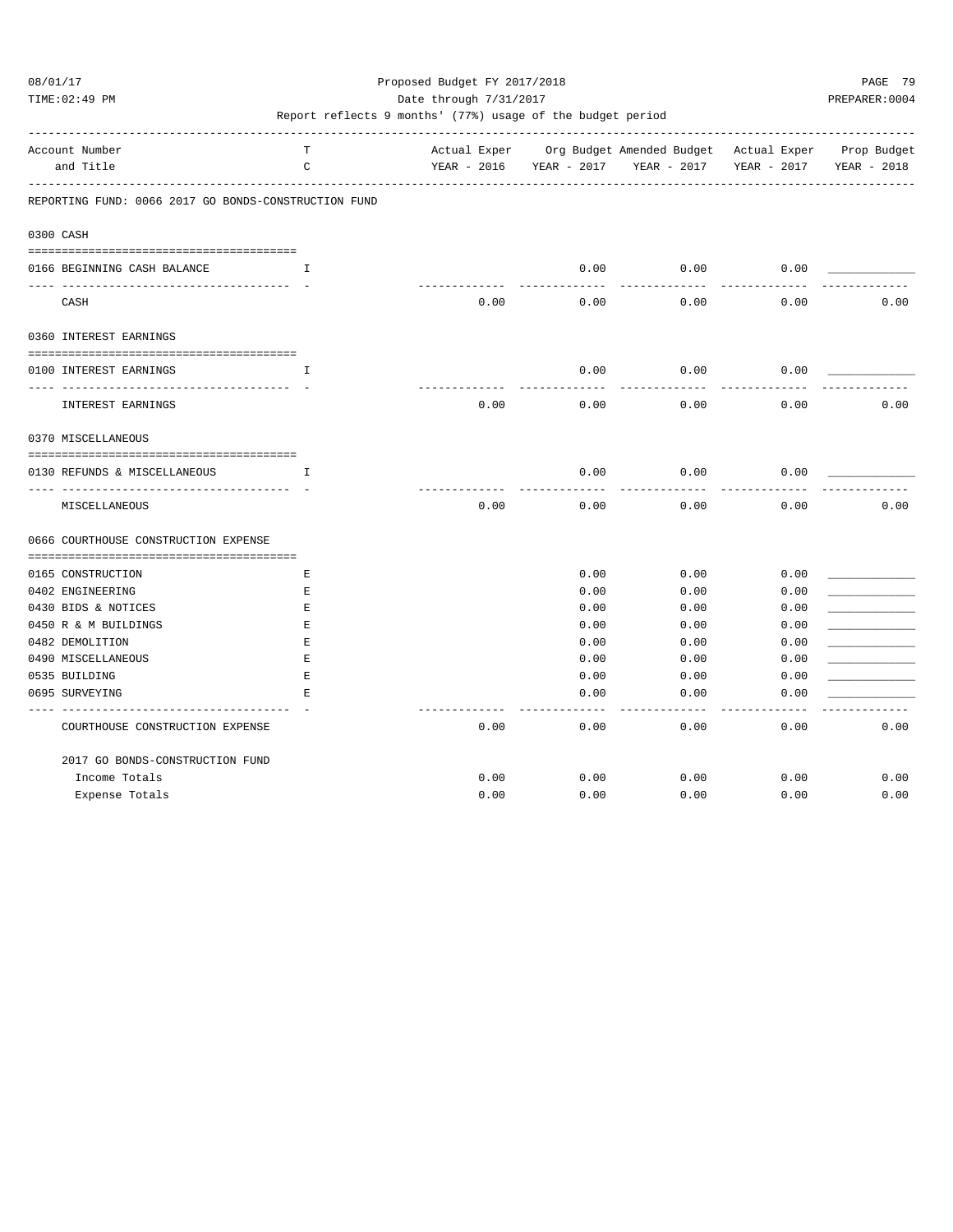TIME:02:49 PM PREPARER:0004 Date through 7/31/2017 PREPARER:0004

| Account Number                                       | T           | Actual Exper |             | Org Budget Amended Budget Actual Exper |             | Prop Budget |
|------------------------------------------------------|-------------|--------------|-------------|----------------------------------------|-------------|-------------|
| and Title                                            | C           | YEAR - 2016  | YEAR - 2017 | YEAR - 2017                            | YEAR - 2017 | YEAR - 2018 |
| REPORTING FUND: 0066 2017 GO BONDS-CONSTRUCTION FUND |             |              |             |                                        |             |             |
| 0300 CASH                                            |             |              |             |                                        |             |             |
| 0166 BEGINNING CASH BALANCE                          | T.          |              | 0.00        | 0.00                                   | 0.00        |             |
| CASH                                                 |             | 0.00         | 0.00        | 0.00                                   | 0.00        | 0.00        |
| 0360 INTEREST EARNINGS                               |             |              |             |                                        |             |             |
| 0100 INTEREST EARNINGS                               | I           |              | 0.00        | 0.00                                   | 0.00        |             |
| INTEREST EARNINGS                                    |             | 0.00         | 0.00        | 0.00                                   | 0.00        | 0.00        |
| 0370 MISCELLANEOUS                                   |             |              |             |                                        |             |             |
| 0130 REFUNDS & MISCELLANEOUS                         | Ι.          |              | 0.00        | 0.00                                   | 0.00        |             |
| MISCELLANEOUS                                        |             | 0.00         | 0.00        | 0.00                                   | 0.00        | 0.00        |
| 0666 COURTHOUSE CONSTRUCTION EXPENSE                 |             |              |             |                                        |             |             |
| 0165 CONSTRUCTION                                    | Е           |              | 0.00        | 0.00                                   | 0.00        |             |
| 0402 ENGINEERING                                     | Ε           |              | 0.00        | 0.00                                   | 0.00        |             |
| 0430 BIDS & NOTICES                                  | $\mathbf E$ |              | 0.00        | 0.00                                   | 0.00        |             |
| 0450 R & M BUILDINGS                                 | E           |              | 0.00        | 0.00                                   | 0.00        |             |
| 0482 DEMOLITION                                      | Ε           |              | 0.00        | 0.00                                   | 0.00        |             |
| 0490 MISCELLANEOUS                                   | E           |              | 0.00        | 0.00                                   | 0.00        |             |
| 0535 BUILDING                                        | $\mathbf E$ |              | 0.00        | 0.00                                   | 0.00        |             |
| 0695 SURVEYING                                       | F.          |              | 0.00        | 0.00                                   | 0.00        |             |
| COURTHOUSE CONSTRUCTION EXPENSE                      |             | 0.00         | 0.00        | 0.00                                   | 0.00        | 0.00        |
| 2017 GO BONDS-CONSTRUCTION FUND                      |             |              |             |                                        |             |             |
| Income Totals                                        |             | 0.00         | 0.00        | 0.00                                   | 0.00        | 0.00        |
| Expense Totals                                       |             | 0.00         | 0.00        | 0.00                                   | 0.00        | 0.00        |
|                                                      |             |              |             |                                        |             |             |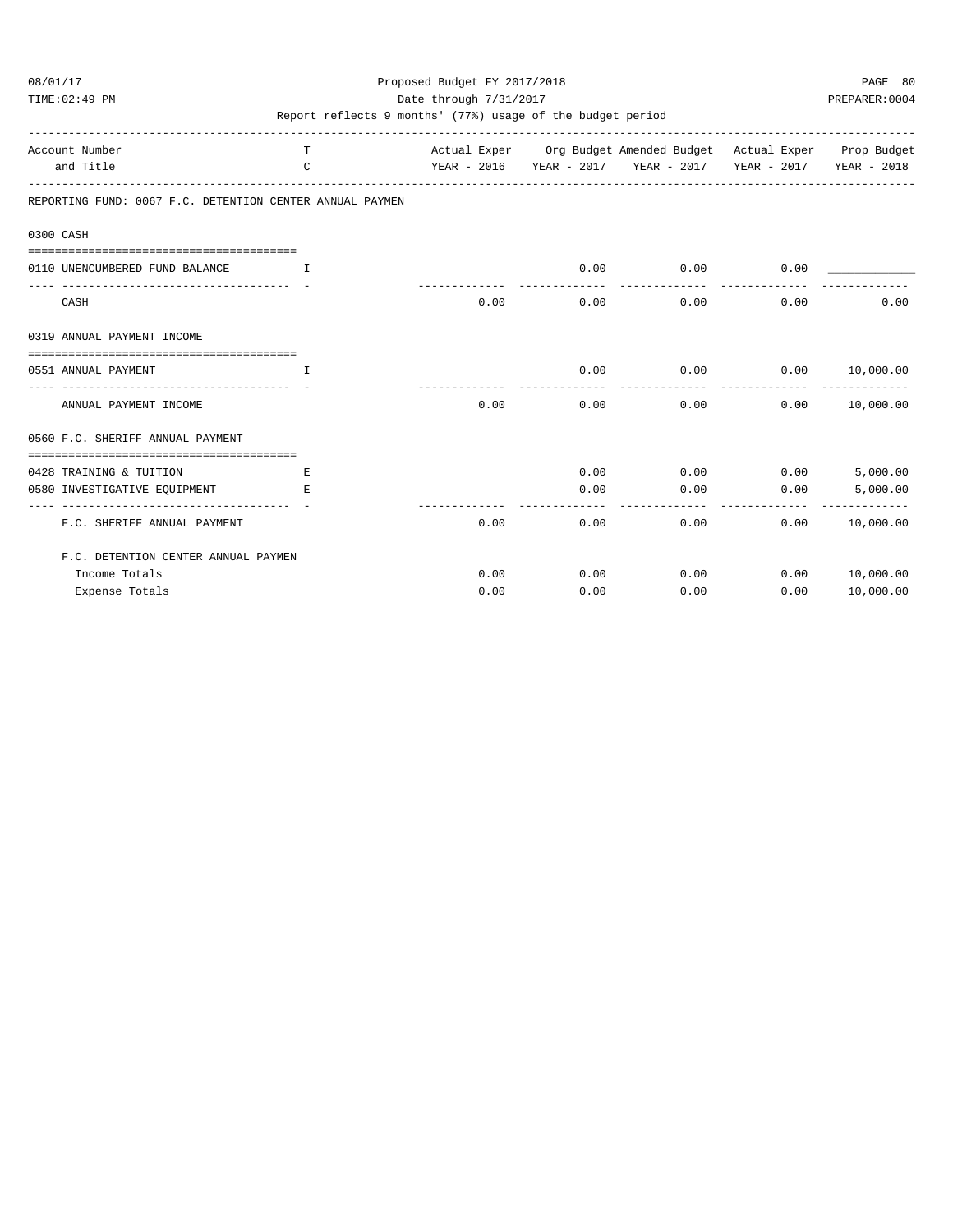TIME:02:49 PM PREPARER:0004 Date through 7/31/2017 PREPARER:0004

| Account Number                                                 | T.                                 |      |      | Actual Exper Org Budget Amended Budget Actual Exper Prop Budget |             |                |
|----------------------------------------------------------------|------------------------------------|------|------|-----------------------------------------------------------------|-------------|----------------|
| and Title                                                      | $\mathcal{C}$                      |      |      | YEAR - 2016 YEAR - 2017 YEAR - 2017 YEAR - 2017 YEAR - 2018     |             |                |
| REPORTING FUND: 0067 F.C. DETENTION CENTER ANNUAL PAYMEN       |                                    |      |      |                                                                 |             |                |
| 0300 CASH                                                      |                                    |      |      |                                                                 |             |                |
|                                                                |                                    |      |      |                                                                 |             |                |
| 0110 UNENCUMBERED FUND BALANCE                                 | <b>The Community of The Theory</b> |      | 0.00 | $0.00$ 0.00                                                     |             |                |
| CASH                                                           |                                    | 0.00 | 0.00 | 0.00                                                            | 0.00        | 0.00           |
| 0319 ANNUAL PAYMENT INCOME                                     |                                    |      |      |                                                                 |             |                |
|                                                                |                                    |      |      |                                                                 |             |                |
| 0551 ANNUAL PAYMENT                                            | $\mathbb{L}$                       |      | 0.00 | $0.00$ $0.00$ $10,000.00$                                       |             |                |
| ANNUAL PAYMENT INCOME                                          |                                    | 0.00 | 0.00 | 0.00                                                            | 0.00        | 10,000.00      |
| 0560 F.C. SHERIFF ANNUAL PAYMENT                               |                                    |      |      |                                                                 |             |                |
| ===================================<br>0428 TRAINING & TUITION | E.                                 |      | 0.00 |                                                                 | $0.00$ 0.00 | 5,000.00       |
| 0580 INVESTIGATIVE EQUIPMENT                                   | E.                                 |      | 0.00 | 0.00                                                            | 0.00        | 5,000.00       |
| F.C. SHERIFF ANNUAL PAYMENT                                    |                                    | 0.00 | 0.00 | 0.00                                                            | 0.00        | 10,000.00      |
| F.C. DETENTION CENTER ANNUAL PAYMEN                            |                                    |      |      |                                                                 |             |                |
| Income Totals                                                  |                                    | 0.00 | 0.00 | 0.00                                                            |             | 0.00 10,000.00 |
| Expense Totals                                                 |                                    | 0.00 | 0.00 | 0.00                                                            | 0.00        | 10,000.00      |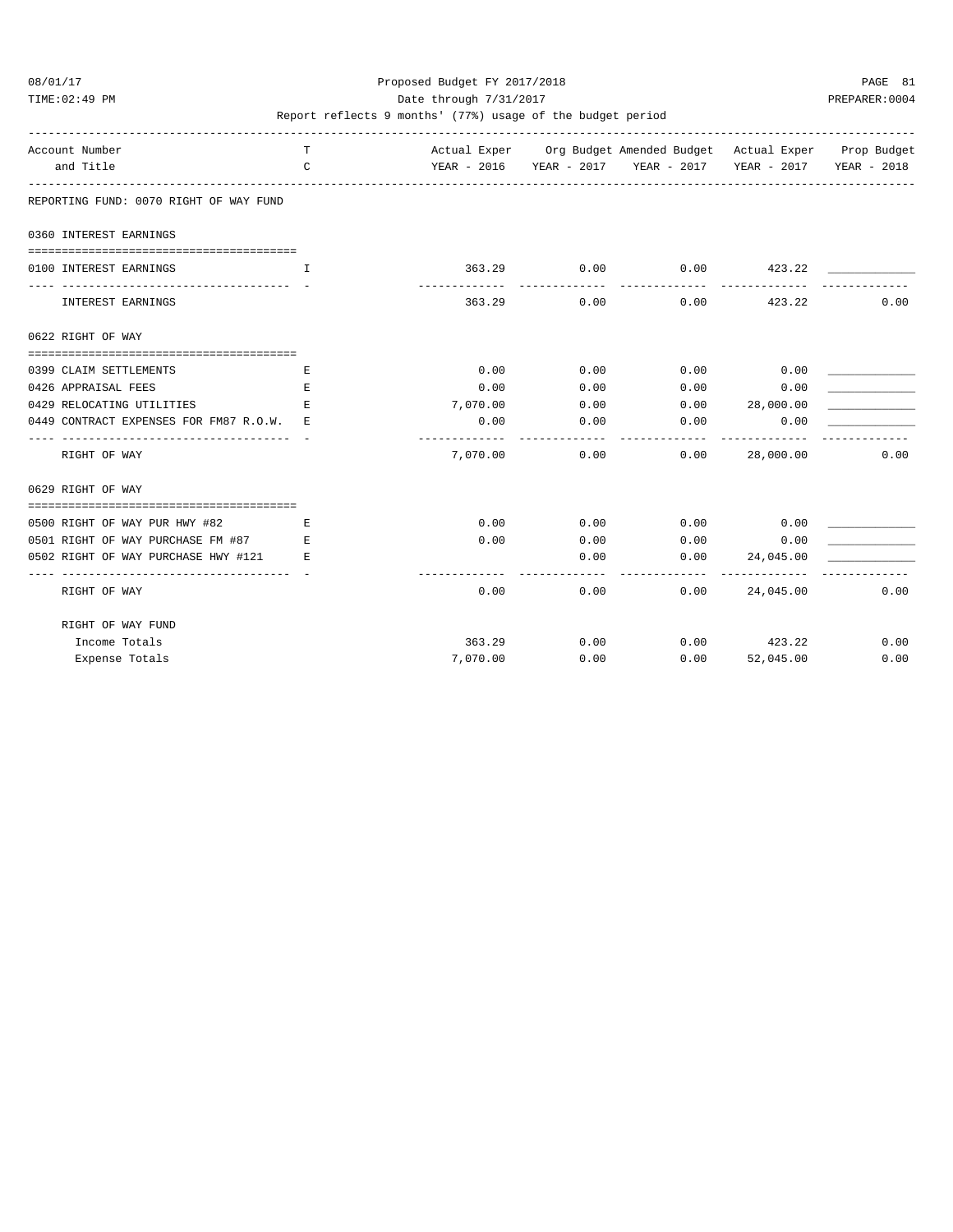TIME:02:49 PM PREPARER:0004 Date through 7/31/2017 Date through  $\frac{1}{2}$ 

| Account Number<br>and Title                                   | т<br>C |                           |                     | Actual Exper Org Budget Amended Budget Actual Exper Prop Budget<br>YEAR - 2016 YEAR - 2017 YEAR - 2017 YEAR - 2017 YEAR - 2018 |                            |      |
|---------------------------------------------------------------|--------|---------------------------|---------------------|--------------------------------------------------------------------------------------------------------------------------------|----------------------------|------|
|                                                               |        |                           |                     |                                                                                                                                |                            |      |
| REPORTING FUND: 0070 RIGHT OF WAY FUND                        |        |                           |                     |                                                                                                                                |                            |      |
| 0360 INTEREST EARNINGS                                        |        |                           |                     |                                                                                                                                |                            |      |
| 0100 INTEREST EARNINGS                                        | T      |                           | 363.29 0.00         | $0.00$ $423.22$                                                                                                                |                            |      |
| INTEREST EARNINGS                                             |        | ---------<br>363.29       | -----------<br>0.00 | -----------                                                                                                                    | $0.00$ 423.22              | 0.00 |
| 0622 RIGHT OF WAY                                             |        |                           |                     |                                                                                                                                |                            |      |
| 0399 CLAIM SETTLEMENTS                                        | E.     | 0.00                      | 0.00                | $0.00$ 0.00                                                                                                                    |                            |      |
| 0426 APPRAISAL FEES                                           | Е      | 0.00                      | 0.00                | 0.00                                                                                                                           | 0.00                       |      |
| 0429 RELOCATING UTILITIES                                     | E.     | 7,070.00                  | 0.00                | 0.00 28,000.00                                                                                                                 |                            |      |
| 0449 CONTRACT EXPENSES FOR FM87 R.O.W. E                      |        | 0.00                      | 0.00                | 0.00                                                                                                                           | 0.00                       |      |
| RIGHT OF WAY                                                  |        | -------------<br>7,070.00 |                     | 0.00<br>0.00                                                                                                                   | 28,000.00                  | 0.00 |
| 0629 RIGHT OF WAY                                             |        |                           |                     |                                                                                                                                |                            |      |
| 0500 RIGHT OF WAY PUR HWY #82<br>and the state of the Richard |        | 0.00                      |                     | $0.00$ $0.00$ $0.00$ $0.00$                                                                                                    |                            |      |
| 0501 RIGHT OF WAY PURCHASE FM #87 E                           |        | 0.00                      |                     | $0.00$ 0.00                                                                                                                    | 0.00                       |      |
| 0502 RIGHT OF WAY PURCHASE HWY #121 E                         |        |                           | 0.00                |                                                                                                                                | $0.00$ 24,045.00           |      |
| RIGHT OF WAY                                                  |        | 0.00                      | 0.00                | ----------<br>0.00                                                                                                             | -------------<br>24,045.00 | 0.00 |
| RIGHT OF WAY FUND                                             |        |                           |                     |                                                                                                                                |                            |      |
| Income Totals                                                 |        | 363.29                    |                     | $0.00$ 0.00 423.22                                                                                                             |                            | 0.00 |
| Expense Totals                                                |        | 7,070.00                  | 0.00                | 0.00                                                                                                                           | 52,045.00                  | 0.00 |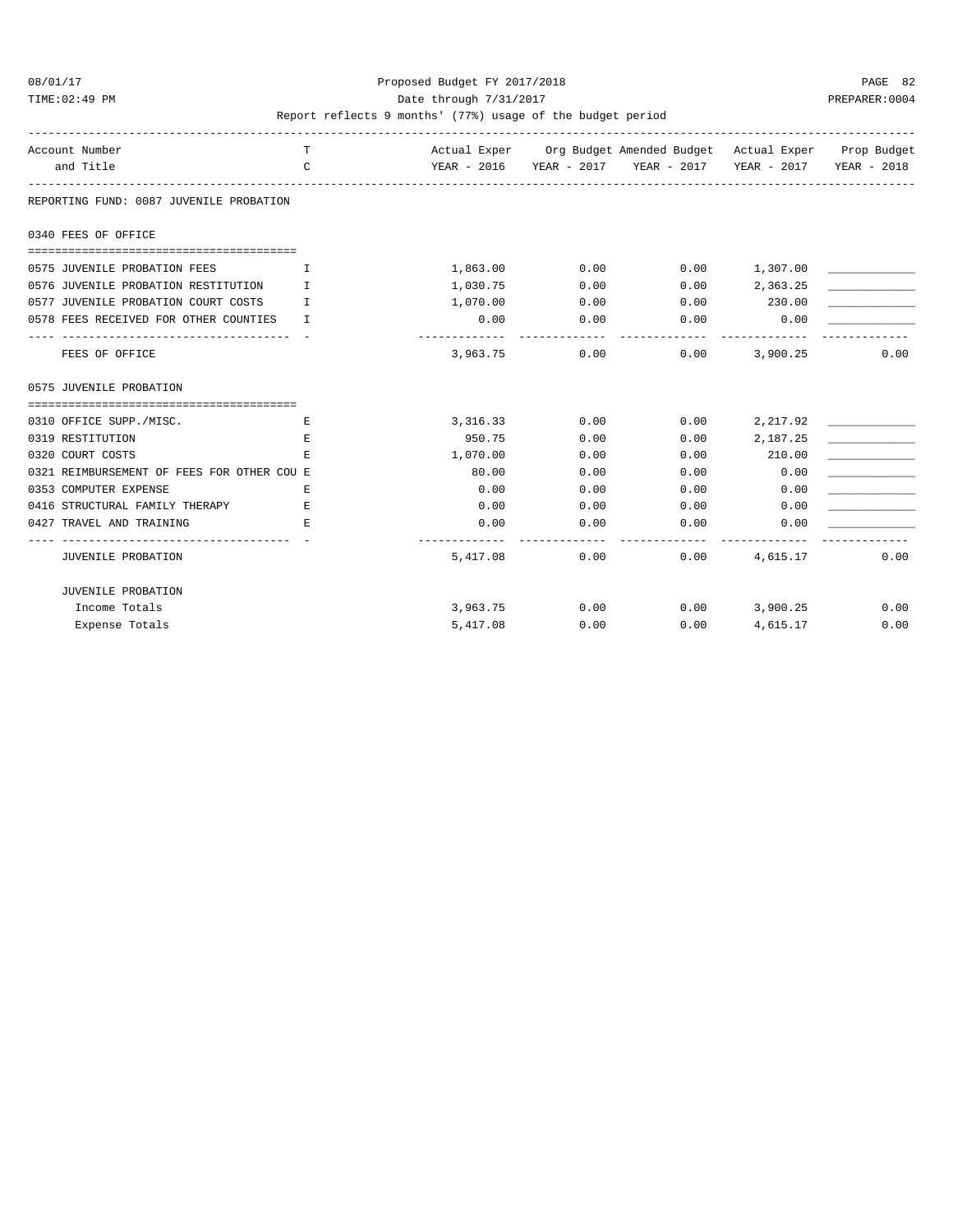TIME:02:49 PM PREPARER:0004 Date through 7/31/2017 Date through  $\frac{1}{2}$ 

| Account Number<br>and Title                | T.<br>$\mathcal{C}$ |          |      | Actual Exper Org Budget Amended Budget Actual Exper Prop Budget<br>YEAR - 2016 YEAR - 2017 YEAR - 2017 YEAR - 2017 YEAR - 2018 |                 |      |
|--------------------------------------------|---------------------|----------|------|--------------------------------------------------------------------------------------------------------------------------------|-----------------|------|
| REPORTING FUND: 0087 JUVENILE PROBATION    |                     |          |      |                                                                                                                                |                 |      |
| 0340 FEES OF OFFICE                        |                     |          |      |                                                                                                                                |                 |      |
|                                            |                     |          |      |                                                                                                                                |                 |      |
| 0575 JUVENILE PROBATION FEES               | $\mathbf{T}$        | 1,863.00 | 0.00 |                                                                                                                                | $0.00$ 1,307.00 |      |
| 0576 JUVENILE PROBATION RESTITUTION        | $\mathbb{T}$        | 1,030.75 | 0.00 | 0.00                                                                                                                           | 2,363.25        |      |
| 0577 JUVENILE PROBATION COURT COSTS        | T.                  | 1,070.00 | 0.00 | 0.00                                                                                                                           | 230.00          |      |
| 0578 FEES RECEIVED FOR OTHER COUNTIES      | $\mathbb{T}$        | 0.00     | 0.00 | 0.00                                                                                                                           | 0.00            |      |
| FEES OF OFFICE                             |                     | 3,963.75 | 0.00 | 0.00                                                                                                                           | 3,900.25        | 0.00 |
| 0575 JUVENILE PROBATION                    |                     |          |      |                                                                                                                                |                 |      |
|                                            |                     |          |      |                                                                                                                                |                 |      |
| 0310 OFFICE SUPP./MISC.                    | Ε                   | 3,316.33 | 0.00 | 0.00                                                                                                                           | 2,217.92        |      |
| 0319 RESTITUTION                           | E                   | 950.75   | 0.00 | 0.00                                                                                                                           | 2,187.25        |      |
| 0320 COURT COSTS                           | F.                  | 1,070.00 | 0.00 | 0.00                                                                                                                           | 210.00          |      |
| 0321 REIMBURSEMENT OF FEES FOR OTHER COU E |                     | 80.00    | 0.00 | 0.00                                                                                                                           | 0.00            |      |
| 0353 COMPUTER EXPENSE                      | F.                  | 0.00     | 0.00 | 0.00                                                                                                                           | 0.00            |      |
| 0416 STRUCTURAL FAMILY THERAPY             | E.                  | 0.00     | 0.00 | 0.00                                                                                                                           | 0.00            |      |
| 0427 TRAVEL AND TRAINING                   | F.                  | 0.00     | 0.00 | 0.00                                                                                                                           | 0.00            |      |
| JUVENILE PROBATION                         |                     | 5,417.08 |      | 0.00<br>0.00                                                                                                                   | 4,615.17        | 0.00 |
| JUVENILE PROBATION                         |                     |          |      |                                                                                                                                |                 |      |
| Income Totals                              |                     | 3,963.75 | 0.00 | $0.00$ 3,900.25                                                                                                                |                 | 0.00 |
| Expense Totals                             |                     | 5,417.08 | 0.00 | 0.00                                                                                                                           | 4,615.17        | 0.00 |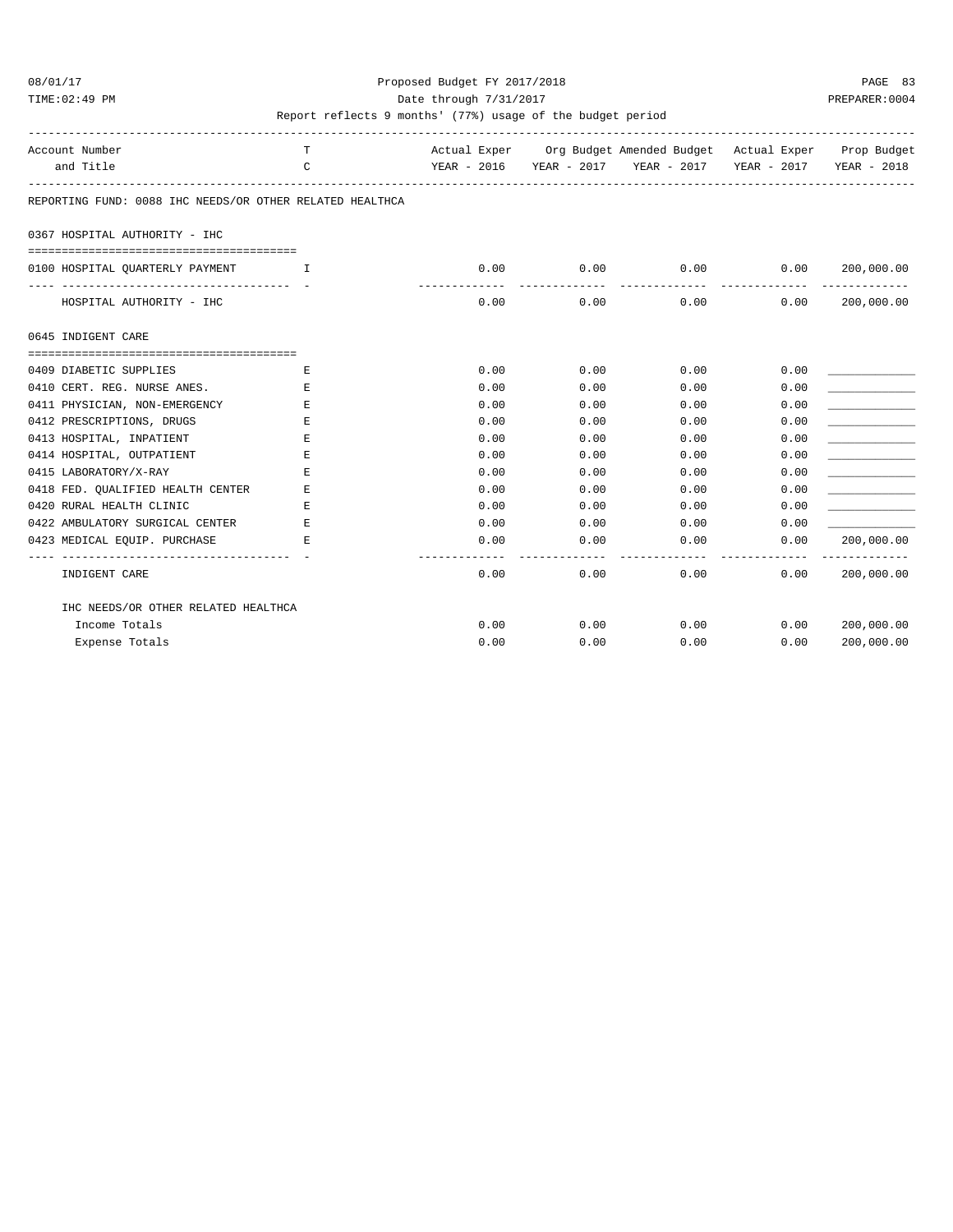#### 08/01/17 Proposed Budget FY 2017/2018 PAGE 83 TIME:02:49 PM PREPARER:0004 Date through 7/31/2017 PREPARER:0004

| Account Number<br>and Title                                                                             | т<br>C                                |      | Actual Exper Org Budget Amended Budget Actual Exper Prop Budget<br>YEAR - 2016 YEAR - 2017 YEAR - 2017 YEAR - 2017 YEAR - 2018 |      |      |                 |
|---------------------------------------------------------------------------------------------------------|---------------------------------------|------|--------------------------------------------------------------------------------------------------------------------------------|------|------|-----------------|
| REPORTING FUND: 0088 IHC NEEDS/OR OTHER RELATED HEALTHCA                                                |                                       |      |                                                                                                                                |      |      |                 |
| 0367 HOSPITAL AUTHORITY - IHC                                                                           |                                       |      |                                                                                                                                |      |      |                 |
| 0100 HOSPITAL QUARTERLY PAYMENT                                                                         | $\mathbf{I}$ . The state $\mathbf{I}$ | 0.00 | 0.00                                                                                                                           | 0.00 |      | 0.00 200,000.00 |
| HOSPITAL AUTHORITY - IHC                                                                                |                                       | 0.00 | $0.00$ 0.00                                                                                                                    |      | 0.00 | 200,000.00      |
| 0645 INDIGENT CARE                                                                                      |                                       |      |                                                                                                                                |      |      |                 |
| ====================================<br>0409 DIABETIC SUPPLIES                                          | Е                                     | 0.00 | 0.00                                                                                                                           | 0.00 | 0.00 |                 |
| 0410 CERT. REG. NURSE ANES.                                                                             | Е                                     | 0.00 | 0.00                                                                                                                           | 0.00 | 0.00 |                 |
| 0411 PHYSICIAN, NON-EMERGENCY                                                                           | E                                     | 0.00 | 0.00                                                                                                                           | 0.00 | 0.00 |                 |
| 0412 PRESCRIPTIONS, DRUGS                                                                               | Е                                     | 0.00 | 0.00                                                                                                                           | 0.00 | 0.00 |                 |
| 0413 HOSPITAL, INPATIENT                                                                                | Ε                                     | 0.00 | 0.00                                                                                                                           | 0.00 | 0.00 |                 |
| 0414 HOSPITAL, OUTPATIENT                                                                               | Е                                     | 0.00 | 0.00                                                                                                                           | 0.00 | 0.00 |                 |
| 0415 LABORATORY/X-RAY                                                                                   | Е                                     | 0.00 | 0.00                                                                                                                           | 0.00 | 0.00 |                 |
| 0418 FED. OUALIFIED HEALTH CENTER                                                                       | Ε                                     | 0.00 | 0.00                                                                                                                           | 0.00 | 0.00 |                 |
| 0420 RURAL HEALTH CLINIC                                                                                | Ε                                     | 0.00 | 0.00                                                                                                                           | 0.00 | 0.00 |                 |
| 0422 AMBULATORY SURGICAL CENTER                                                                         | E                                     | 0.00 | 0.00                                                                                                                           | 0.00 | 0.00 |                 |
| 0423 MEDICAL EQUIP. PURCHASE<br><b>Experience of Excellent Excellent</b><br>--------------------------- |                                       | 0.00 | 0.00                                                                                                                           | 0.00 | 0.00 | 200,000.00      |
| INDIGENT CARE                                                                                           |                                       | 0.00 | 0.00                                                                                                                           | 0.00 | 0.00 | 200,000.00      |
| IHC NEEDS/OR OTHER RELATED HEALTHCA                                                                     |                                       |      |                                                                                                                                |      |      |                 |
| Income Totals                                                                                           |                                       | 0.00 | 0.00                                                                                                                           | 0.00 | 0.00 | 200,000.00      |
| Expense Totals                                                                                          |                                       | 0.00 | 0.00                                                                                                                           | 0.00 | 0.00 | 200,000.00      |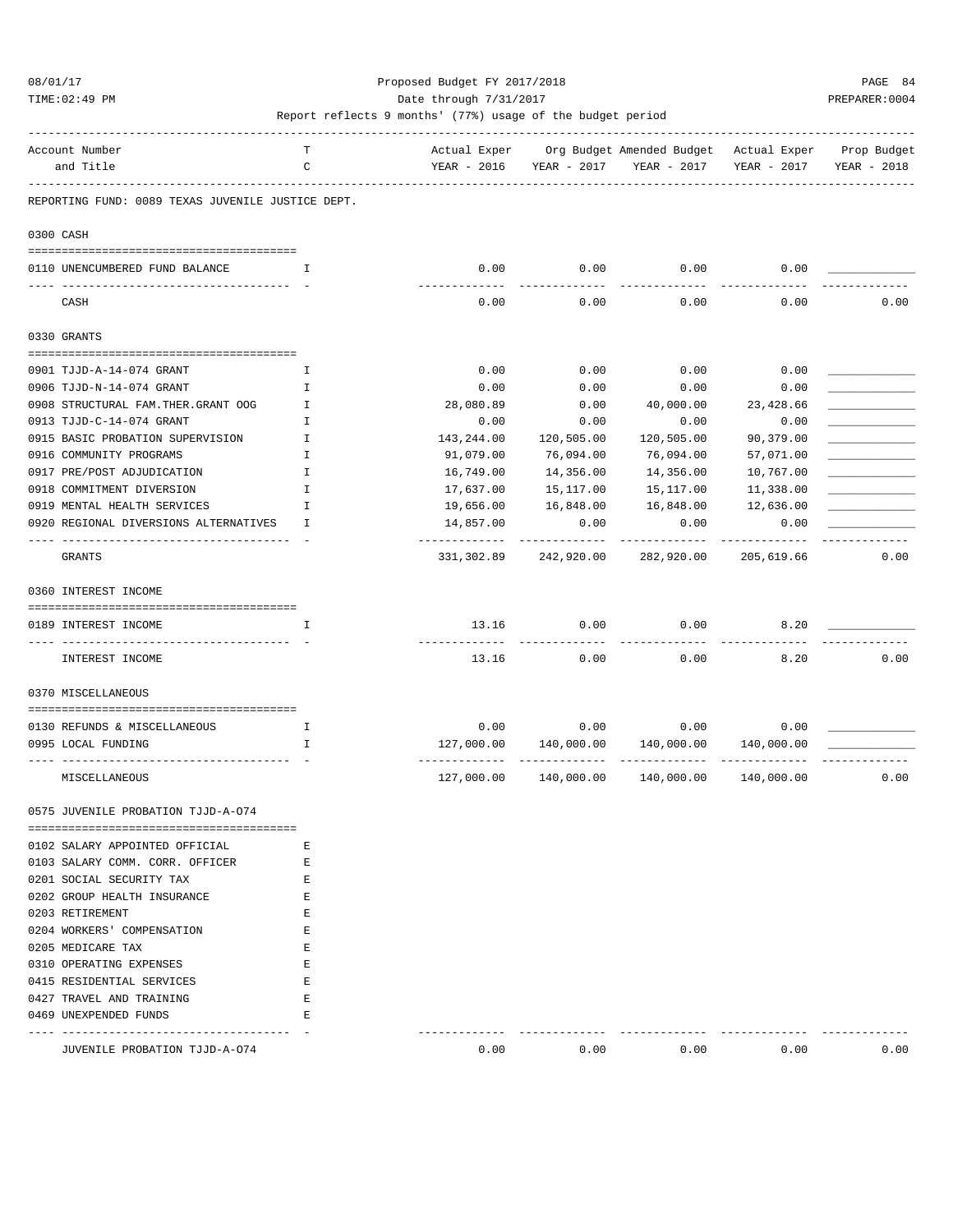#### 08/01/17 Proposed Budget FY 2017/2018 PAGE 84 TIME:02:49 PM PREPARER:0004 Date through 7/31/2017 PREPARER:0004

| Account Number<br>and Title                       | т<br>C        | Actual Exper<br>YEAR - 2016 | YEAR - 2017 | Org Budget Amended Budget - Actual Exper<br>YEAR - 2017 | YEAR - 2017 | Prop Budget<br>YEAR - 2018 |
|---------------------------------------------------|---------------|-----------------------------|-------------|---------------------------------------------------------|-------------|----------------------------|
|                                                   |               |                             |             |                                                         |             |                            |
| REPORTING FUND: 0089 TEXAS JUVENILE JUSTICE DEPT. |               |                             |             |                                                         |             |                            |
| 0300 CASH                                         |               |                             |             |                                                         |             |                            |
| 0110 UNENCUMBERED FUND BALANCE                    | Ι.            | 0.00                        | 0.00        | 0.00                                                    | 0.00        |                            |
| CASH                                              |               | 0.00                        | 0.00        | 0.00                                                    | 0.00        | 0.00                       |
| 0330 GRANTS                                       |               |                             |             |                                                         |             |                            |
|                                                   |               |                             |             |                                                         |             |                            |
| 0901 TJJD-A-14-074 GRANT                          | Ι.            | 0.00                        | 0.00        | 0.00                                                    | 0.00        |                            |
| 0906 TJJD-N-14-074 GRANT                          | I             | 0.00                        | 0.00        | 0.00                                                    | 0.00        |                            |
| 0908 STRUCTURAL FAM. THER. GRANT OOG              | Ι.            | 28,080.89                   | 0.00        | 40,000.00                                               | 23,428.66   |                            |
| 0913 TJJD-C-14-074 GRANT                          | Ι.            | 0.00                        | 0.00        | 0.00                                                    | 0.00        |                            |
| 0915 BASIC PROBATION SUPERVISION                  | $\mathbf I$   | 143,244.00                  | 120,505.00  | 120,505.00                                              | 90,379.00   |                            |
| 0916 COMMUNITY PROGRAMS                           | I             | 91,079.00                   | 76,094.00   | 76,094.00                                               | 57,071.00   |                            |
| 0917 PRE/POST ADJUDICATION                        | $\mathbbm{I}$ | 16,749.00                   | 14,356.00   | 14,356.00                                               | 10,767.00   |                            |
| 0918 COMMITMENT DIVERSION                         | I             | 17,637.00                   | 15,117.00   | 15,117.00                                               | 11,338.00   |                            |
| 0919 MENTAL HEALTH SERVICES                       | I             | 19,656.00                   | 16,848.00   | 16,848.00                                               | 12,636.00   |                            |
| 0920 REGIONAL DIVERSIONS ALTERNATIVES             | I.            | 14,857.00                   | 0.00        | 0.00                                                    | 0.00        |                            |
| GRANTS                                            |               | 331,302.89                  | 242,920.00  | 282,920.00                                              | 205,619.66  | 0.00                       |
| 0360 INTEREST INCOME                              |               |                             |             |                                                         |             |                            |
| 0189 INTEREST INCOME                              | I             | 13.16                       | 0.00        | 0.00                                                    | 8.20        |                            |
| ----- ------------<br>INTEREST INCOME             |               | -------------<br>13.16      | .<br>0.00   | 0.00                                                    | 8.20        | 0.00                       |
| 0370 MISCELLANEOUS                                |               |                             |             |                                                         |             |                            |
|                                                   |               |                             |             |                                                         |             |                            |
| 0130 REFUNDS & MISCELLANEOUS                      | <b>I</b>      | 0.00                        | 0.00        | 0.00                                                    | 0.00        |                            |
| 0995 LOCAL FUNDING                                | I.            | 127,000.00                  | 140,000.00  | 140,000.00                                              | 140,000.00  |                            |
| MISCELLANEOUS                                     |               | 127,000.00                  | 140,000.00  | 140,000.00                                              | 140,000.00  | 0.00                       |
| 0575 JUVENILE PROBATION TJJD-A-074                |               |                             |             |                                                         |             |                            |
|                                                   |               |                             |             |                                                         |             |                            |
| 0102 SALARY APPOINTED OFFICIAL                    | Е             |                             |             |                                                         |             |                            |
| 0103 SALARY COMM. CORR. OFFICER                   | Е             |                             |             |                                                         |             |                            |
| 0201 SOCIAL SECURITY TAX                          | Е             |                             |             |                                                         |             |                            |
| 0202 GROUP HEALTH INSURANCE                       | E             |                             |             |                                                         |             |                            |
| 0203 RETIREMENT                                   | Е             |                             |             |                                                         |             |                            |
| 0204 WORKERS' COMPENSATION                        | Е             |                             |             |                                                         |             |                            |
| 0205 MEDICARE TAX                                 | Е             |                             |             |                                                         |             |                            |
| 0310 OPERATING EXPENSES                           | Е             |                             |             |                                                         |             |                            |
| 0415 RESIDENTIAL SERVICES                         | Е             |                             |             |                                                         |             |                            |
| 0427 TRAVEL AND TRAINING                          | Е             |                             |             |                                                         |             |                            |
| 0469 UNEXPENDED FUNDS                             | Е             |                             |             |                                                         |             |                            |
| JUVENILE PROBATION TJJD-A-074                     |               | 0.00                        | 0.00        | 0.00                                                    | 0.00        | 0.00                       |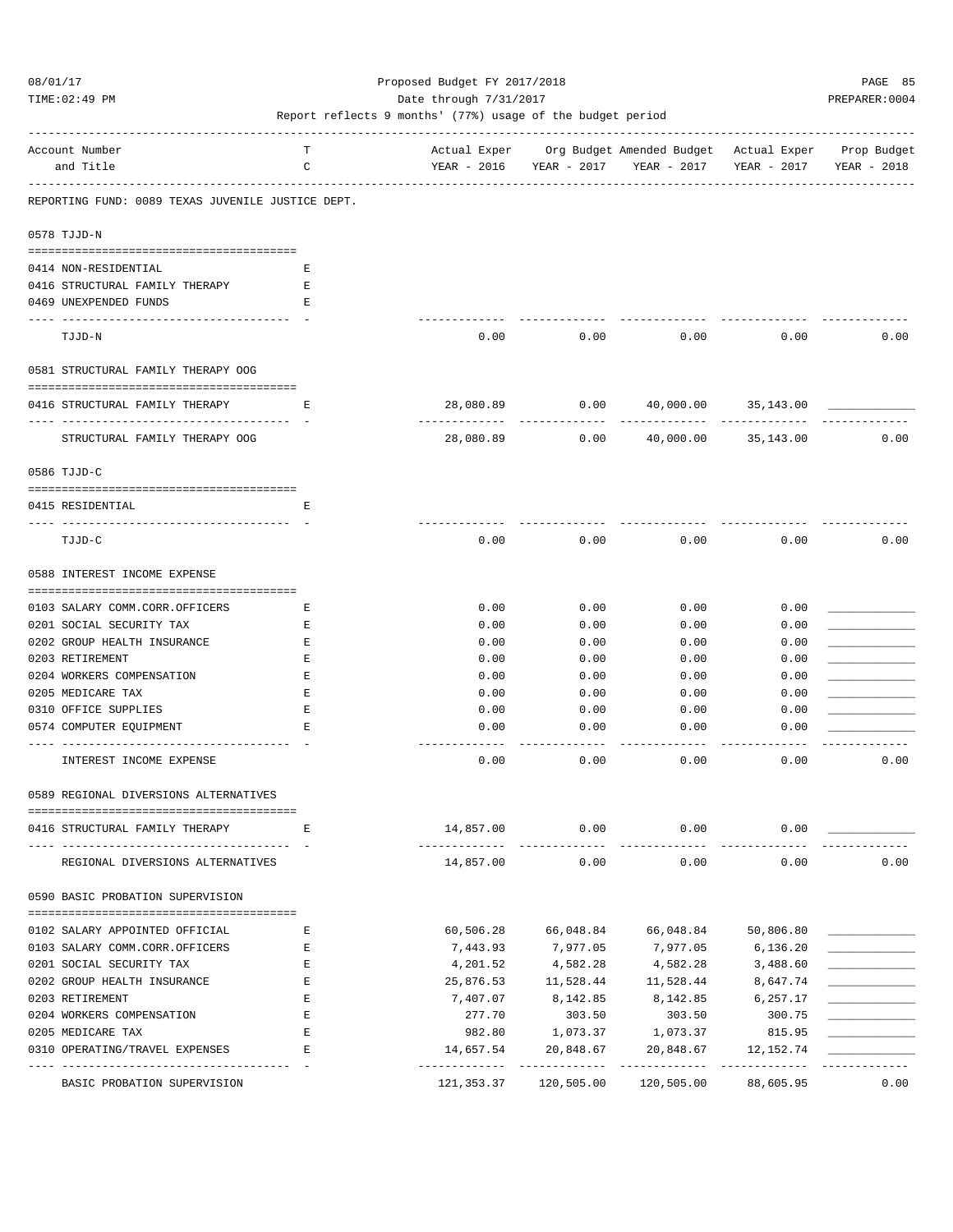TIME:02:49 PM PREPARER:0004 Date through 7/31/2017 PREPARER:0004

| Account Number                                    | т  |                          |                            | Actual Exper Org Budget Amended Budget Actual Exper Prop Budget |                          |             |
|---------------------------------------------------|----|--------------------------|----------------------------|-----------------------------------------------------------------|--------------------------|-------------|
| and Title                                         | С  |                          | YEAR - 2016 YEAR - 2017    | YEAR - 2017                                                     | YEAR - 2017              | YEAR - 2018 |
| REPORTING FUND: 0089 TEXAS JUVENILE JUSTICE DEPT. |    |                          |                            |                                                                 |                          |             |
| 0578 TJJD-N                                       |    |                          |                            |                                                                 |                          |             |
|                                                   |    |                          |                            |                                                                 |                          |             |
| 0414 NON-RESIDENTIAL                              | E. |                          |                            |                                                                 |                          |             |
| 0416 STRUCTURAL FAMILY THERAPY                    | Е  |                          |                            |                                                                 |                          |             |
| 0469 UNEXPENDED FUNDS                             | Е  |                          |                            |                                                                 |                          |             |
| TJJD-N                                            |    | 0.00                     | 0.00                       | 0.00                                                            | 0.00                     | 0.00        |
| 0581 STRUCTURAL FAMILY THERAPY OOG                |    |                          |                            |                                                                 |                          |             |
| 0416 STRUCTURAL FAMILY THERAPY                    | Е  | 28,080.89                | 0.00<br>-----------        | 40,000.00                                                       | 35,143.00                |             |
| STRUCTURAL FAMILY THERAPY OOG                     |    | 28,080.89                |                            | 0.00 40,000.00                                                  | 35,143.00                | 0.00        |
| 0586 TJJD-C                                       |    |                          |                            |                                                                 |                          |             |
|                                                   |    |                          |                            |                                                                 |                          |             |
| 0415 RESIDENTIAL                                  | Е  |                          |                            |                                                                 |                          |             |
| TJJD-C                                            |    | 0.00                     | 0.00                       | 0.00                                                            | 0.00                     | 0.00        |
| 0588 INTEREST INCOME EXPENSE                      |    |                          |                            |                                                                 |                          |             |
|                                                   |    |                          |                            |                                                                 |                          |             |
| 0103 SALARY COMM.CORR.OFFICERS                    | Е  | 0.00                     | 0.00                       | 0.00                                                            | 0.00                     |             |
| 0201 SOCIAL SECURITY TAX                          | Е  | 0.00                     | 0.00                       | 0.00                                                            | 0.00                     |             |
| 0202 GROUP HEALTH INSURANCE                       | Ε  | 0.00                     | 0.00                       | 0.00                                                            | 0.00                     |             |
| 0203 RETIREMENT                                   | Ε  | 0.00                     | 0.00                       | 0.00                                                            | 0.00                     |             |
| 0204 WORKERS COMPENSATION                         | Ε  | 0.00                     | 0.00                       | 0.00                                                            | 0.00                     |             |
| 0205 MEDICARE TAX                                 | Ε  | 0.00                     | 0.00                       | 0.00                                                            | 0.00                     |             |
| 0310 OFFICE SUPPLIES                              | Ε  | 0.00                     | 0.00                       | 0.00                                                            | 0.00                     |             |
| 0574 COMPUTER EQUIPMENT                           | Ε  | 0.00                     | 0.00                       | 0.00                                                            | 0.00                     |             |
| INTEREST INCOME EXPENSE                           |    | 0.00                     | 0.00                       | 0.00                                                            | 0.00                     | 0.00        |
| 0589 REGIONAL DIVERSIONS ALTERNATIVES             |    |                          |                            |                                                                 |                          |             |
| 0416 STRUCTURAL FAMILY THERAPY                    | E  | 14,857.00                | 0.00                       | 0.00                                                            | 0.00                     |             |
| REGIONAL DIVERSIONS ALTERNATIVES                  |    | 14,857.00                | 0.00                       | 0.00                                                            | 0.00                     | 0.00        |
| 0590 BASIC PROBATION SUPERVISION                  |    |                          |                            |                                                                 |                          |             |
|                                                   |    |                          |                            |                                                                 |                          |             |
| 0102 SALARY APPOINTED OFFICIAL                    | Е  | 60,506.28                | 66,048.84                  | 66,048.84                                                       | 50,806.80                |             |
| 0103 SALARY COMM.CORR.OFFICERS                    | Ε  | 7,443.93                 | 7,977.05                   | 7,977.05                                                        | 6,136.20                 |             |
| 0201 SOCIAL SECURITY TAX                          | Ε  | 4,201.52                 | 4,582.28                   | 4,582.28                                                        | 3,488.60                 |             |
| 0202 GROUP HEALTH INSURANCE                       | Ε  | 25,876.53                | 11,528.44                  | 11,528.44                                                       | 8,647.74                 |             |
| 0203 RETIREMENT                                   | Ε  | 7,407.07                 | 8,142.85                   | 8,142.85                                                        | 6,257.17                 |             |
| 0204 WORKERS COMPENSATION                         | Ε  | 277.70                   | 303.50                     | 303.50                                                          | 300.75                   |             |
| 0205 MEDICARE TAX                                 | Е  | 982.80                   | 1,073.37                   | 1,073.37                                                        | 815.95                   |             |
| 0310 OPERATING/TRAVEL EXPENSES                    | E  | 14,657.54<br>----------- | 20,848.67<br>------------- | 20,848.67<br>------------                                       | 12,152.74<br>----------- |             |
| BASIC PROBATION SUPERVISION                       |    | 121,353.37               | 120,505.00                 | 120,505.00                                                      | 88,605.95                | 0.00        |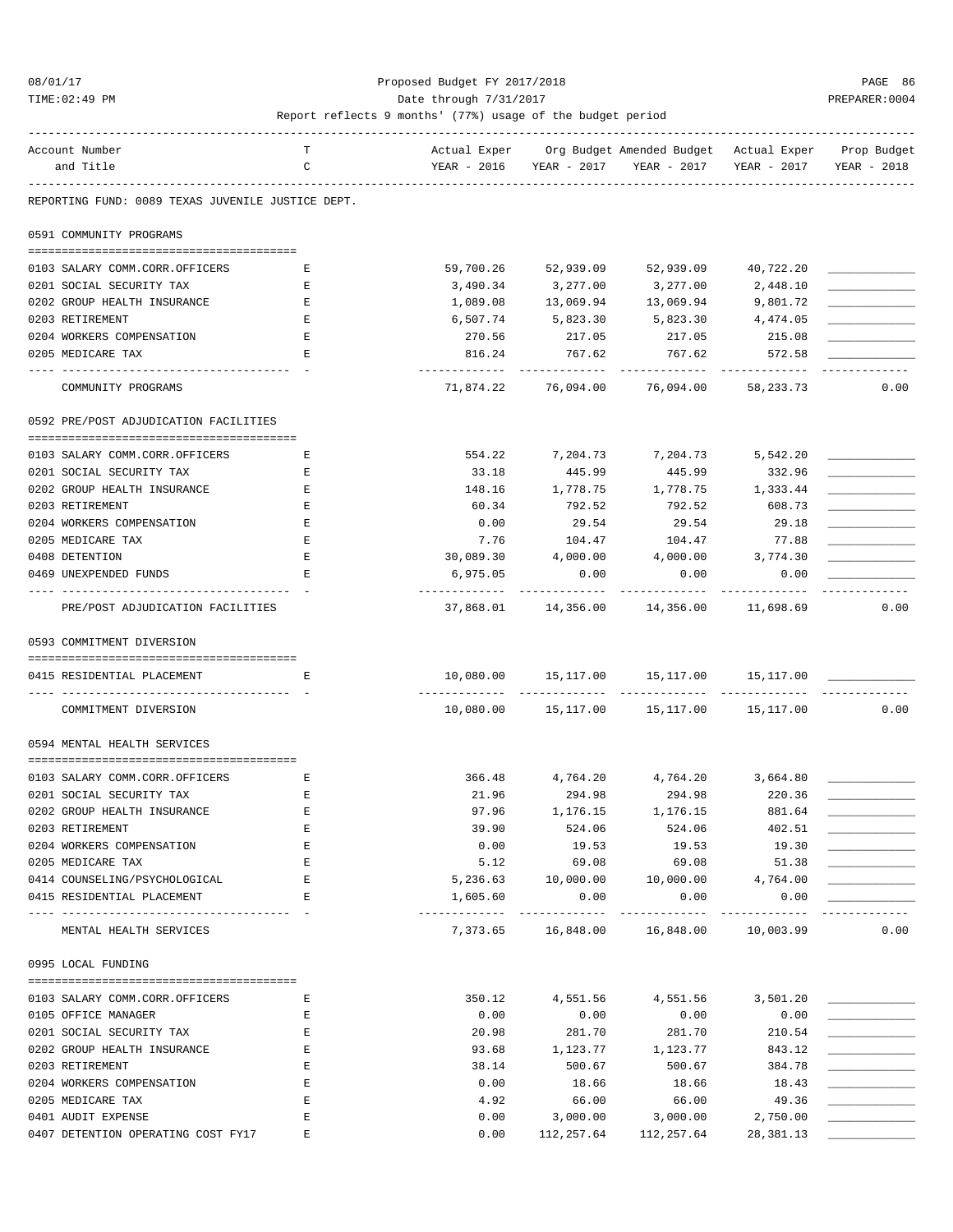#### 08/01/17 Proposed Budget FY 2017/2018 PAGE 86 TIME:02:49 PM PREPARER:0004 Date through 7/31/2017 PREPARER:0004

| Account Number                                            | т |                               |              | Actual Exper Org Budget Amended Budget Actual Exper Prop Budget |             |             |
|-----------------------------------------------------------|---|-------------------------------|--------------|-----------------------------------------------------------------|-------------|-------------|
| and Title                                                 | C |                               |              | YEAR - 2016 YEAR - 2017 YEAR - 2017                             | YEAR - 2017 | YEAR - 2018 |
| REPORTING FUND: 0089 TEXAS JUVENILE JUSTICE DEPT.         |   |                               |              |                                                                 |             |             |
| 0591 COMMUNITY PROGRAMS                                   |   |                               |              |                                                                 |             |             |
|                                                           |   |                               |              |                                                                 |             |             |
| 0103 SALARY COMM.CORR.OFFICERS                            | Е | 59,700.26                     | 52,939.09    | 52,939.09                                                       | 40,722.20   |             |
| 0201 SOCIAL SECURITY TAX                                  | Е | 3,490.34                      | 3,277.00     | 3,277.00                                                        | 2,448.10    |             |
| 0202 GROUP HEALTH INSURANCE                               | E | 1,089.08                      | 13,069.94    | 13,069.94                                                       | 9,801.72    |             |
| 0203 RETIREMENT                                           | Е | 6,507.74                      | 5,823.30     | 5,823.30 4,474.05                                               |             |             |
| 0204 WORKERS COMPENSATION                                 | Е | 270.56                        | 217.05       | 217.05                                                          | 215.08      |             |
| 0205 MEDICARE TAX                                         | Е | 816.24                        | 767.62       | 767.62                                                          | 572.58      |             |
| COMMUNITY PROGRAMS                                        |   | ----------<br>71,874.22       | 76,094.00    | 76,094.00                                                       | 58,233.73   | 0.00        |
| 0592 PRE/POST ADJUDICATION FACILITIES                     |   |                               |              |                                                                 |             |             |
|                                                           |   |                               |              |                                                                 |             |             |
| 0103 SALARY COMM.CORR.OFFICERS                            | Е | 554.22                        |              | 7,204.73 7,204.73                                               | 5,542.20    |             |
| 0201 SOCIAL SECURITY TAX                                  | Е | 33.18                         | 445.99       | 445.99                                                          | 332.96      |             |
| 0202 GROUP HEALTH INSURANCE                               | Е | 148.16                        |              | 1,778.75 1,778.75 1,333.44                                      |             |             |
| 0203 RETIREMENT                                           | Е | 60.34                         | 792.52       | 792.52                                                          | 608.73      |             |
| 0204 WORKERS COMPENSATION                                 | Е | 0.00                          | 29.54        | 29.54                                                           | 29.18       |             |
| 0205 MEDICARE TAX                                         | Ε | 7.76                          | 104.47       | 104.47                                                          | 77.88       |             |
| 0408 DETENTION                                            | Е | 30,089.30                     | 4,000.00     | 4,000.00                                                        | 3,774.30    |             |
| 0469 UNEXPENDED FUNDS                                     | Е | 6,975.05                      | 0.00         | 0.00                                                            | 0.00        |             |
| --- -----------------<br>PRE/POST ADJUDICATION FACILITIES |   | .                             | ------------ | ----------<br>37,868.01 14,356.00 14,356.00 11,698.69           | ----------  | 0.00        |
| 0593 COMMITMENT DIVERSION                                 |   |                               |              |                                                                 |             |             |
|                                                           |   |                               |              |                                                                 |             |             |
| 0415 RESIDENTIAL PLACEMENT                                | Е |                               |              | 10,080.00  15,117.00  15,117.00  15,117.00                      |             |             |
| COMMITMENT DIVERSION                                      |   |                               |              | 10,080.00  15,117.00  15,117.00  15,117.00                      |             | 0.00        |
| 0594 MENTAL HEALTH SERVICES                               |   |                               |              |                                                                 |             |             |
| 0103 SALARY COMM.CORR.OFFICERS                            | Е |                               |              | 366.48 4,764.20 4,764.20 3,664.80                               |             |             |
| 0201 SOCIAL SECURITY TAX                                  | Е | 21.96                         |              | 294.98 294.98                                                   | 220.36      |             |
| 0202 GROUP HEALTH INSURANCE                               | Е | 97.96                         | 1,176.15     | 1,176.15                                                        | 881.64      |             |
| 0203 RETIREMENT                                           |   | 39.90                         | 524.06       | 524.06                                                          | 402.51      |             |
| 0204 WORKERS COMPENSATION                                 | Ε | 0.00                          | 19.53        | 19.53                                                           | 19.30       |             |
| 0205 MEDICARE TAX                                         | E | 5.12                          | 69.08        | 69.08                                                           | 51.38       |             |
| 0414 COUNSELING/PSYCHOLOGICAL                             | Е | 5,236.63                      |              | 10,000.00   10,000.00   4,764.00                                |             |             |
| 0415 RESIDENTIAL PLACEMENT                                | Е | 1,605.60                      | 0.00         | 0.00                                                            | 0.00        |             |
|                                                           |   | ----------------------------- |              |                                                                 |             | ----------- |
| MENTAL HEALTH SERVICES                                    |   |                               |              | 7,373.65 16,848.00 16,848.00 10,003.99                          |             | 0.00        |
| 0995 LOCAL FUNDING                                        |   |                               |              |                                                                 |             |             |
|                                                           |   |                               |              |                                                                 |             |             |
| 0103 SALARY COMM.CORR.OFFICERS                            | Е | 350.12                        |              | 4,551.56 4,551.56                                               | 3,501.20    |             |
| 0105 OFFICE MANAGER                                       | Е | 0.00                          | 0.00         | 0.00                                                            | 0.00        |             |
| 0201 SOCIAL SECURITY TAX                                  | Е | 20.98                         | 281.70       | 281.70                                                          | 210.54      |             |
| 0202 GROUP HEALTH INSURANCE                               | Е | 93.68                         | 1,123.77     | 1,123.77                                                        | 843.12      |             |
| 0203 RETIREMENT                                           | E | 38.14                         | 500.67       | 500.67                                                          | 384.78      |             |
| 0204 WORKERS COMPENSATION                                 | Е | 0.00                          | 18.66        | 18.66                                                           | 18.43       |             |
| 0205 MEDICARE TAX                                         | Ε | 4.92                          | 66.00        | 66.00                                                           | 49.36       |             |
| 0401 AUDIT EXPENSE                                        | E | 0.00                          | 3,000.00     | 3,000.00                                                        | 2,750.00    |             |
| 0407 DETENTION OPERATING COST FY17                        | Е | 0.00                          |              | 112, 257.64 112, 257.64                                         | 28,381.13   |             |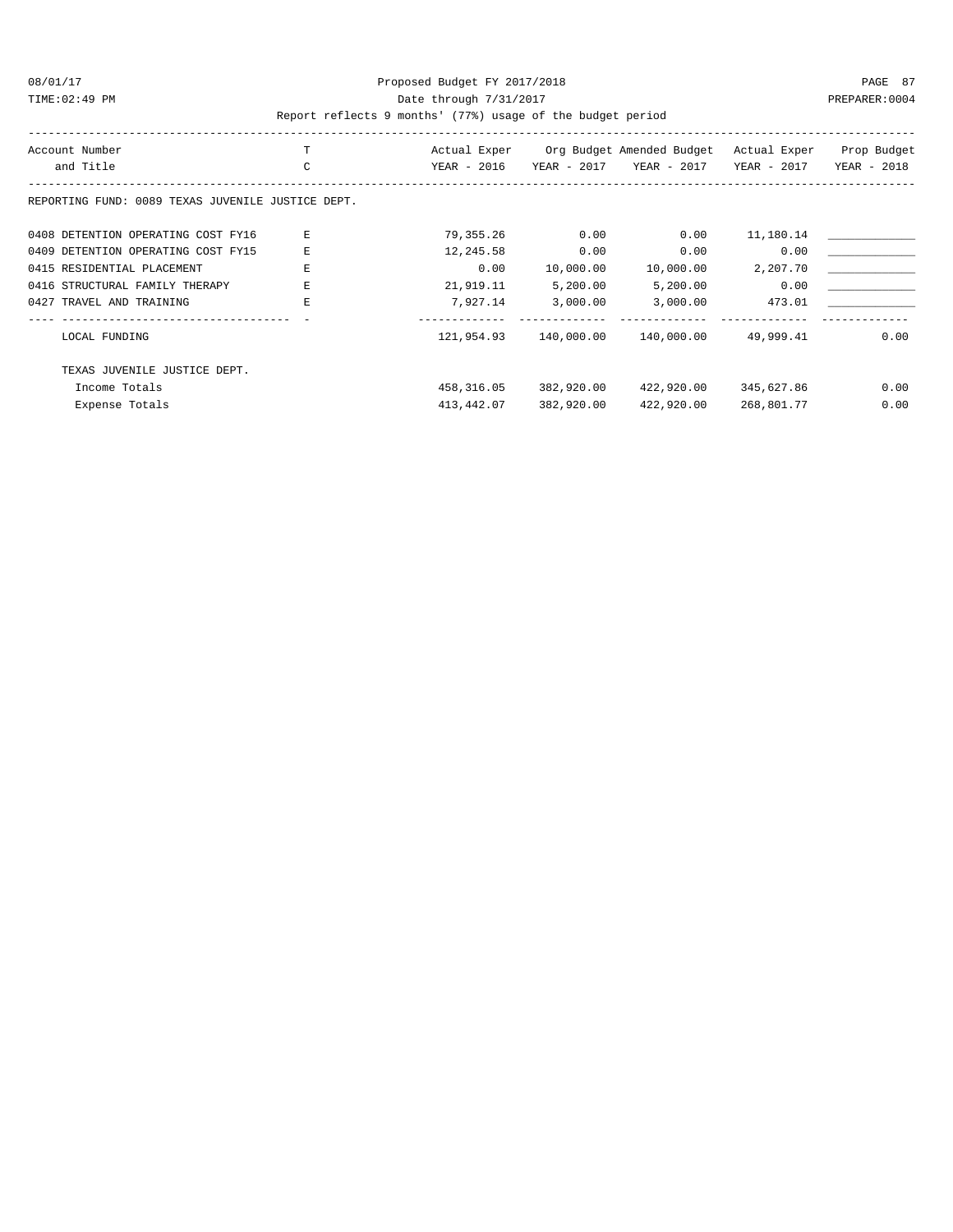#### 08/01/17 Proposed Budget FY 2017/2018 PAGE 87 TIME:02:49 PM PREPARER:0004 Date through 7/31/2017 PREPARER:0004

| Account Number                                    |    | Actual Exper |             | Org Budget Amended Budget | Actual Exper | Prop Budget |
|---------------------------------------------------|----|--------------|-------------|---------------------------|--------------|-------------|
| and Title                                         | C  | YEAR - 2016  | YEAR - 2017 | YEAR - 2017               | YEAR - 2017  | YEAR - 2018 |
| REPORTING FUND: 0089 TEXAS JUVENILE JUSTICE DEPT. |    |              |             |                           |              |             |
| 0408 DETENTION OPERATING COST FY16                |    | 79,355.26    | 0.00        | 0.00                      | 11,180.14    |             |
| 0409 DETENTION OPERATING COST FY15                | E  | 12,245.58    | 0.00        | 0.00                      | 0.00         |             |
| 0415 RESIDENTIAL PLACEMENT                        | F. | 0.00         | 10,000.00   | 10,000.00                 | 2,207.70     |             |
| 0416 STRUCTURAL FAMILY THERAPY                    | F. | 21,919.11    | 5,200.00    | 5,200.00                  | 0.00         |             |
| 0427 TRAVEL AND TRAINING                          | E  | 7,927.14     | 3,000.00    | 3,000.00                  | 473.01       |             |
|                                                   |    |              |             |                           |              |             |
| LOCAL FUNDING                                     |    | 121,954.93   | 140,000.00  | 140,000.00                | 49,999.41    | 0.00        |
| TEXAS JUVENILE JUSTICE DEPT.                      |    |              |             |                           |              |             |
| Income Totals                                     |    | 458,316.05   | 382,920.00  | 422,920.00                | 345,627.86   | 0.00        |
| Expense Totals                                    |    | 413,442.07   | 382,920.00  | 422,920.00                | 268,801.77   | 0.00        |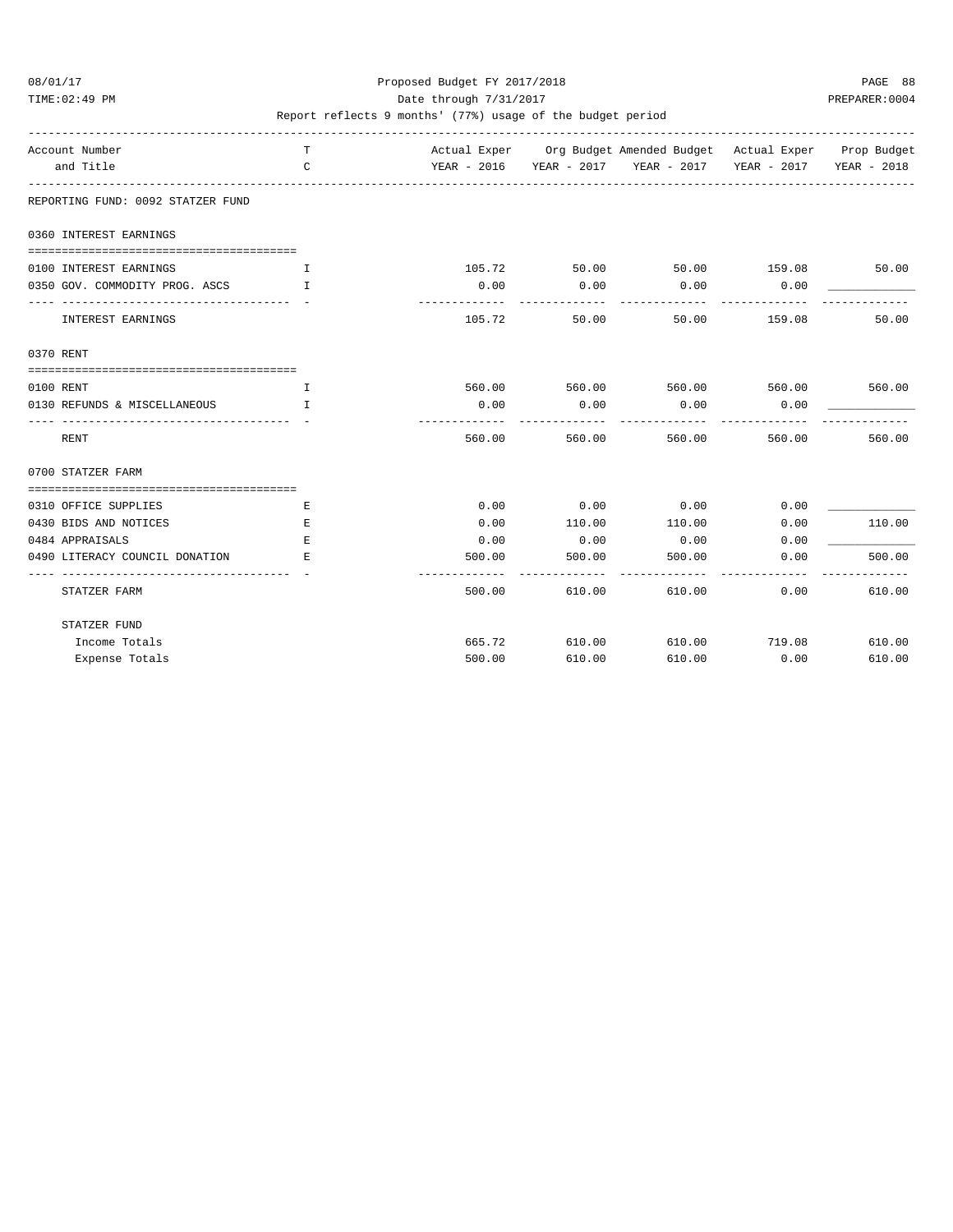TIME:02:49 PM PREPARER:0004 Date through 7/31/2017 Date through  $\frac{1}{2}$ 

| Account Number<br>and Title                            | T.<br>C      |        |        | Actual Exper Org Budget Amended Budget Actual Exper Prop Budget<br>YEAR - 2016 YEAR - 2017 YEAR - 2017 YEAR - 2017 YEAR - 2018 |        |        |
|--------------------------------------------------------|--------------|--------|--------|--------------------------------------------------------------------------------------------------------------------------------|--------|--------|
|                                                        |              |        |        |                                                                                                                                |        |        |
| REPORTING FUND: 0092 STATZER FUND                      |              |        |        |                                                                                                                                |        |        |
| 0360 INTEREST EARNINGS                                 |              |        |        |                                                                                                                                |        |        |
| 0100 INTEREST EARNINGS                                 | T            | 105.72 |        | 50.00 50.00 159.08                                                                                                             |        | 50.00  |
| 0350 GOV. COMMODITY PROG. ASCS I                       |              | 0.00   | 0.00   | 0.00                                                                                                                           | 0.00   |        |
| ---------------------------------<br>INTEREST EARNINGS |              | 105.72 | 50.00  | 50.00                                                                                                                          | 159.08 | 50.00  |
| 0370 RENT                                              |              |        |        |                                                                                                                                |        |        |
|                                                        |              |        |        |                                                                                                                                |        |        |
| 0100 RENT                                              | $\mathbf{I}$ |        |        | 560.00 560.00 560.00 560.00 560.00                                                                                             |        |        |
| 0130 REFUNDS & MISCELLANEOUS                           | $\mathbf{I}$ | 0.00   | 0.00   | 0.00                                                                                                                           | 0.00   |        |
| RENT                                                   |              | 560.00 | 560.00 | 560.00                                                                                                                         | 560.00 | 560.00 |
| 0700 STATZER FARM                                      |              |        |        |                                                                                                                                |        |        |
|                                                        |              |        |        |                                                                                                                                |        |        |
| 0310 OFFICE SUPPLIES                                   | E            | 0.00   | 0.00   | 0.00                                                                                                                           | 0.00   |        |
| 0430 BIDS AND NOTICES                                  | E            | 0.00   | 110.00 | 110.00                                                                                                                         | 0.00   | 110.00 |
| 0484 APPRAISALS                                        | Е            | 0.00   | 0.00   | 0.00                                                                                                                           | 0.00   |        |
| 0490 LITERACY COUNCIL DONATION                         | E            | 500.00 | 500.00 | 500.00                                                                                                                         | 0.00   | 500.00 |
| STATZER FARM                                           |              | 500.00 | 610.00 | 610.00                                                                                                                         | 0.00   | 610.00 |
| STATZER FUND                                           |              |        |        |                                                                                                                                |        |        |
| Income Totals                                          |              | 665.72 | 610.00 | 610.00                                                                                                                         | 719.08 | 610.00 |
| Expense Totals                                         |              | 500.00 | 610.00 | 610.00                                                                                                                         | 0.00   | 610.00 |